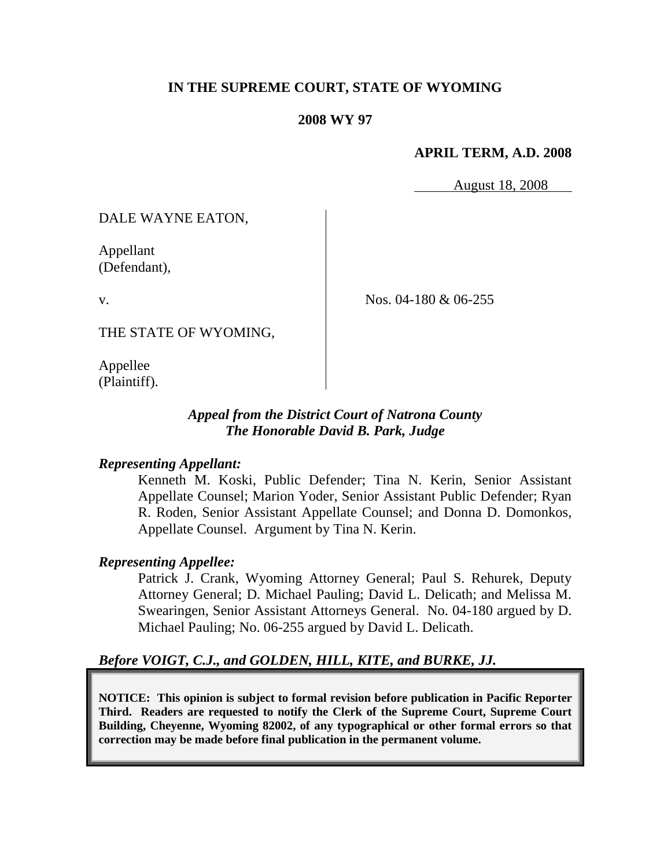### **IN THE SUPREME COURT, STATE OF WYOMING**

#### **2008 WY 97**

#### **APRIL TERM, A.D. 2008**

August 18, 2008

DALE WAYNE EATON,

Appellant (Defendant),

v.

Nos. 04-180 & 06-255

THE STATE OF WYOMING,

Appellee (Plaintiff).

#### *Appeal from the District Court of Natrona County The Honorable David B. Park, Judge*

#### *Representing Appellant:*

Kenneth M. Koski, Public Defender; Tina N. Kerin, Senior Assistant Appellate Counsel; Marion Yoder, Senior Assistant Public Defender; Ryan R. Roden, Senior Assistant Appellate Counsel; and Donna D. Domonkos, Appellate Counsel. Argument by Tina N. Kerin.

#### *Representing Appellee:*

Patrick J. Crank, Wyoming Attorney General; Paul S. Rehurek, Deputy Attorney General; D. Michael Pauling; David L. Delicath; and Melissa M. Swearingen, Senior Assistant Attorneys General. No. 04-180 argued by D. Michael Pauling; No. 06-255 argued by David L. Delicath.

*Before VOIGT, C.J., and GOLDEN, HILL, KITE, and BURKE, JJ.*

**NOTICE: This opinion is subject to formal revision before publication in Pacific Reporter Third. Readers are requested to notify the Clerk of the Supreme Court, Supreme Court Building, Cheyenne, Wyoming 82002, of any typographical or other formal errors so that correction may be made before final publication in the permanent volume.**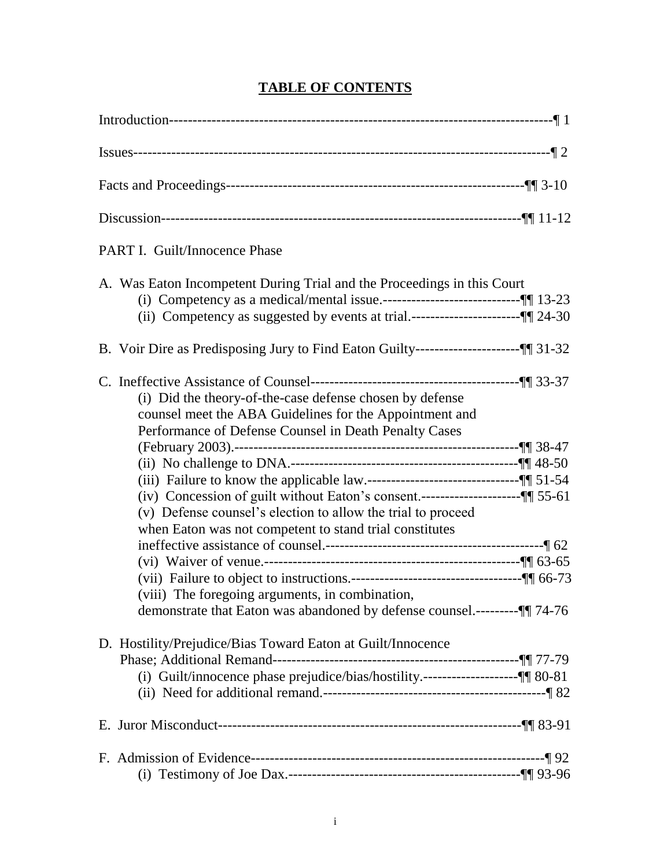# **TABLE OF CONTENTS**

| <b>PART I. Guilt/Innocence Phase</b>                                                                                                                                                                         |  |
|--------------------------------------------------------------------------------------------------------------------------------------------------------------------------------------------------------------|--|
| A. Was Eaton Incompetent During Trial and the Proceedings in this Court                                                                                                                                      |  |
|                                                                                                                                                                                                              |  |
| (i) Did the theory-of-the-case defense chosen by defense<br>counsel meet the ABA Guidelines for the Appointment and<br>Performance of Defense Counsel in Death Penalty Cases                                 |  |
|                                                                                                                                                                                                              |  |
|                                                                                                                                                                                                              |  |
|                                                                                                                                                                                                              |  |
| (iv) Concession of guilt without Eaton's consent.--------------------------------<br>(v) Defense counsel's election to allow the trial to proceed<br>when Eaton was not competent to stand trial constitutes |  |
|                                                                                                                                                                                                              |  |
| (viii) The foregoing arguments, in combination,                                                                                                                                                              |  |
|                                                                                                                                                                                                              |  |
| D. Hostility/Prejudice/Bias Toward Eaton at Guilt/Innocence                                                                                                                                                  |  |
|                                                                                                                                                                                                              |  |
| (i) Guilt/innocence phase prejudice/bias/hostility.------------------------------                                                                                                                            |  |
|                                                                                                                                                                                                              |  |
|                                                                                                                                                                                                              |  |
|                                                                                                                                                                                                              |  |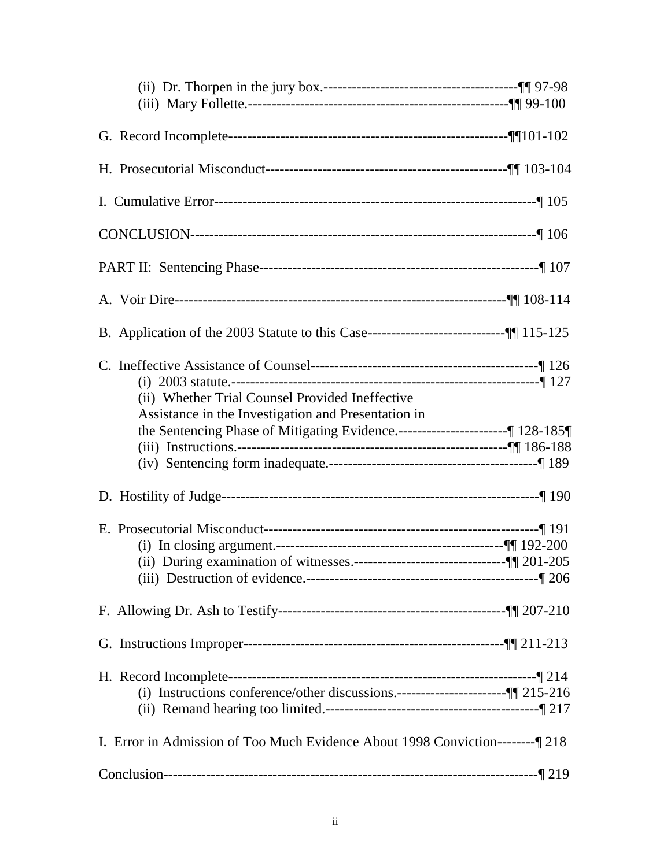| (ii) Whether Trial Counsel Provided Ineffective     |  |
|-----------------------------------------------------|--|
| Assistance in the Investigation and Presentation in |  |
|                                                     |  |
|                                                     |  |
|                                                     |  |
|                                                     |  |
|                                                     |  |
|                                                     |  |
|                                                     |  |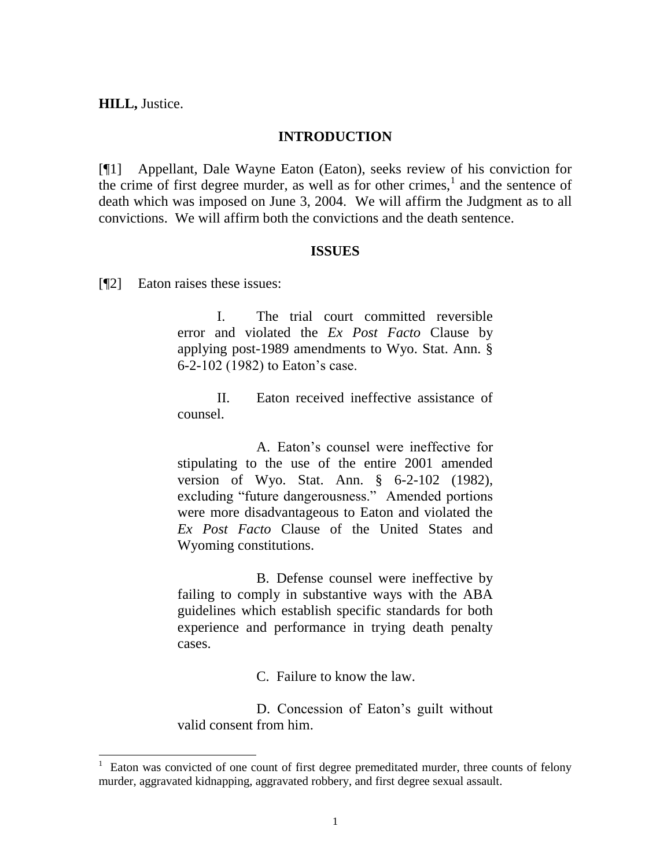**HILL,** Justice.

 $\overline{a}$ 

#### **INTRODUCTION**

[¶1] Appellant, Dale Wayne Eaton (Eaton), seeks review of his conviction for the crime of first degree murder, as well as for other crimes, $<sup>1</sup>$  and the sentence of</sup> death which was imposed on June 3, 2004. We will affirm the Judgment as to all convictions. We will affirm both the convictions and the death sentence.

#### **ISSUES**

[¶2] Eaton raises these issues:

I. The trial court committed reversible error and violated the *Ex Post Facto* Clause by applying post-1989 amendments to Wyo. Stat. Ann. § 6-2-102 (1982) to Eaton's case.

II. Eaton received ineffective assistance of counsel.

A. Eaton's counsel were ineffective for stipulating to the use of the entire 2001 amended version of Wyo. Stat. Ann. § 6-2-102 (1982), excluding "future dangerousness." Amended portions were more disadvantageous to Eaton and violated the *Ex Post Facto* Clause of the United States and Wyoming constitutions.

B. Defense counsel were ineffective by failing to comply in substantive ways with the ABA guidelines which establish specific standards for both experience and performance in trying death penalty cases.

C. Failure to know the law.

D. Concession of Eaton's guilt without valid consent from him.

<sup>1</sup> Eaton was convicted of one count of first degree premeditated murder, three counts of felony murder, aggravated kidnapping, aggravated robbery, and first degree sexual assault.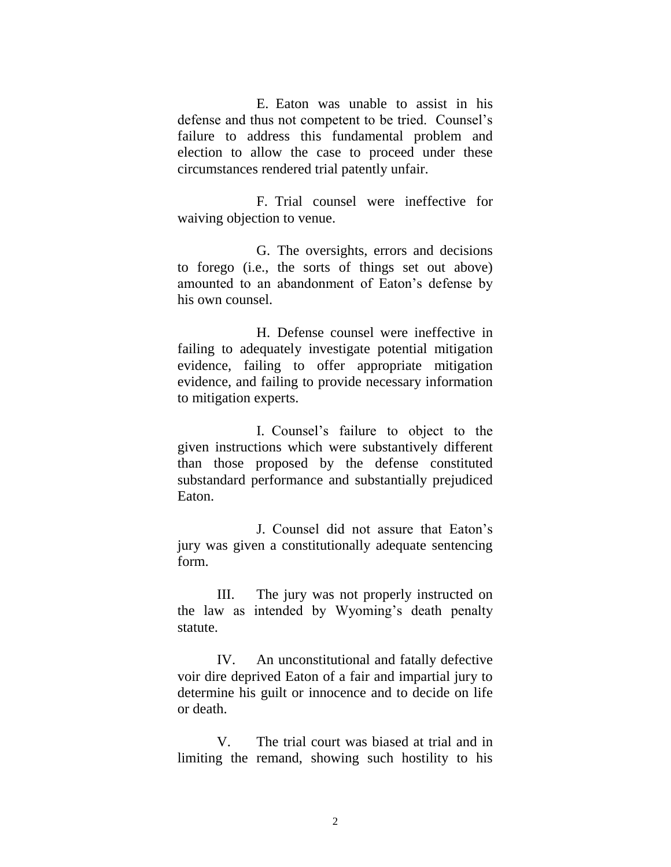E. Eaton was unable to assist in his defense and thus not competent to be tried. Counsel's failure to address this fundamental problem and election to allow the case to proceed under these circumstances rendered trial patently unfair.

F. Trial counsel were ineffective for waiving objection to venue.

G. The oversights, errors and decisions to forego (i.e., the sorts of things set out above) amounted to an abandonment of Eaton's defense by his own counsel.

H. Defense counsel were ineffective in failing to adequately investigate potential mitigation evidence, failing to offer appropriate mitigation evidence, and failing to provide necessary information to mitigation experts.

I. Counsel's failure to object to the given instructions which were substantively different than those proposed by the defense constituted substandard performance and substantially prejudiced Eaton.

J. Counsel did not assure that Eaton's jury was given a constitutionally adequate sentencing form.

III. The jury was not properly instructed on the law as intended by Wyoming's death penalty statute.

IV. An unconstitutional and fatally defective voir dire deprived Eaton of a fair and impartial jury to determine his guilt or innocence and to decide on life or death.

V. The trial court was biased at trial and in limiting the remand, showing such hostility to his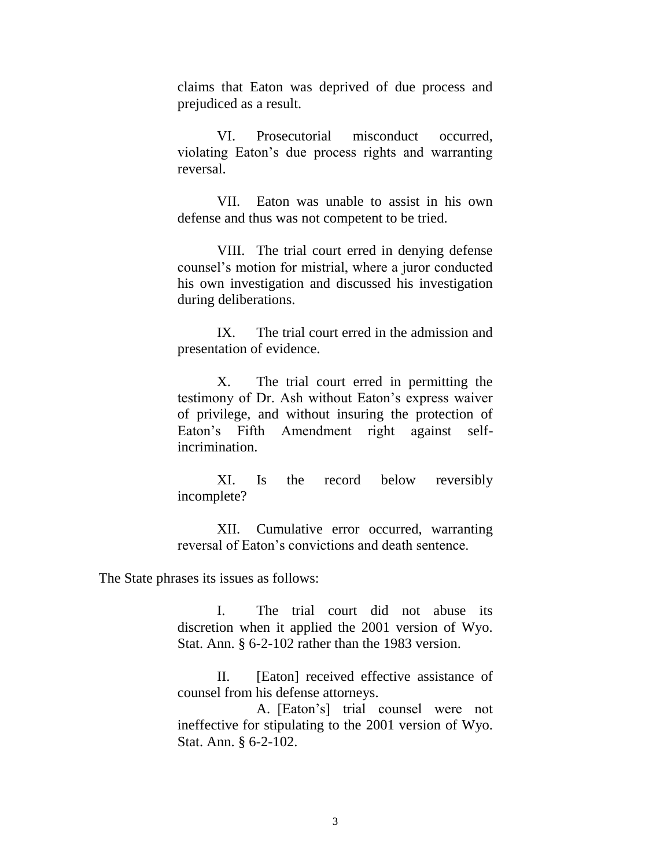claims that Eaton was deprived of due process and prejudiced as a result.

VI. Prosecutorial misconduct occurred, violating Eaton's due process rights and warranting reversal.

VII. Eaton was unable to assist in his own defense and thus was not competent to be tried.

VIII. The trial court erred in denying defense counsel's motion for mistrial, where a juror conducted his own investigation and discussed his investigation during deliberations.

IX. The trial court erred in the admission and presentation of evidence.

X. The trial court erred in permitting the testimony of Dr. Ash without Eaton's express waiver of privilege, and without insuring the protection of Eaton's Fifth Amendment right against selfincrimination.

XI. Is the record below reversibly incomplete?

XII. Cumulative error occurred, warranting reversal of Eaton's convictions and death sentence.

The State phrases its issues as follows:

I. The trial court did not abuse its discretion when it applied the 2001 version of Wyo. Stat. Ann. § 6-2-102 rather than the 1983 version.

II. [Eaton] received effective assistance of counsel from his defense attorneys.

A. [Eaton's] trial counsel were not ineffective for stipulating to the 2001 version of Wyo. Stat. Ann. § 6-2-102.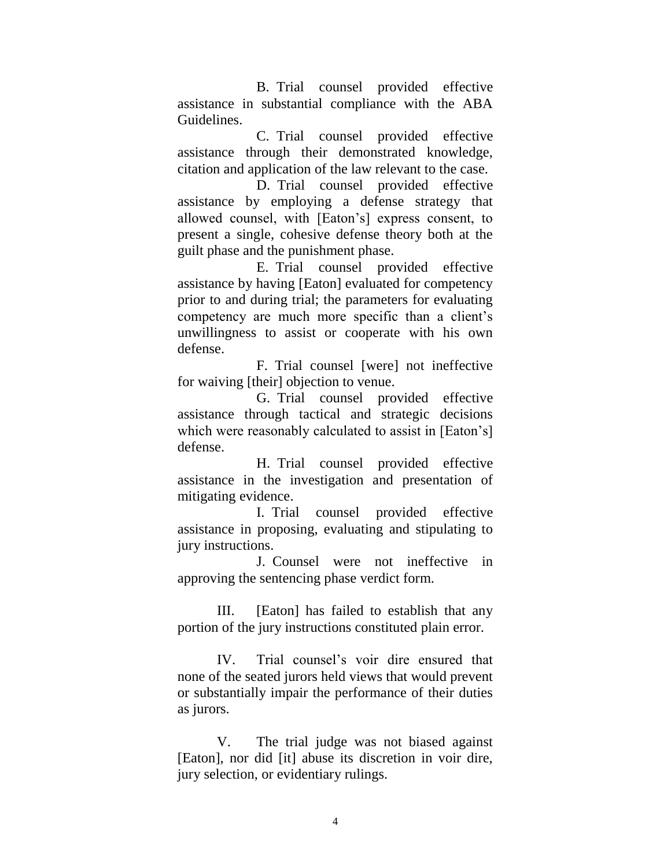B. Trial counsel provided effective assistance in substantial compliance with the ABA Guidelines.

C. Trial counsel provided effective assistance through their demonstrated knowledge, citation and application of the law relevant to the case.

D. Trial counsel provided effective assistance by employing a defense strategy that allowed counsel, with [Eaton's] express consent, to present a single, cohesive defense theory both at the guilt phase and the punishment phase.

E. Trial counsel provided effective assistance by having [Eaton] evaluated for competency prior to and during trial; the parameters for evaluating competency are much more specific than a client's unwillingness to assist or cooperate with his own defense.

F. Trial counsel [were] not ineffective for waiving [their] objection to venue.

G. Trial counsel provided effective assistance through tactical and strategic decisions which were reasonably calculated to assist in [Eaton's] defense.

H. Trial counsel provided effective assistance in the investigation and presentation of mitigating evidence.

I. Trial counsel provided effective assistance in proposing, evaluating and stipulating to jury instructions.

J. Counsel were not ineffective in approving the sentencing phase verdict form.

III. [Eaton] has failed to establish that any portion of the jury instructions constituted plain error.

IV. Trial counsel's voir dire ensured that none of the seated jurors held views that would prevent or substantially impair the performance of their duties as jurors.

V. The trial judge was not biased against [Eaton], nor did [it] abuse its discretion in voir dire, jury selection, or evidentiary rulings.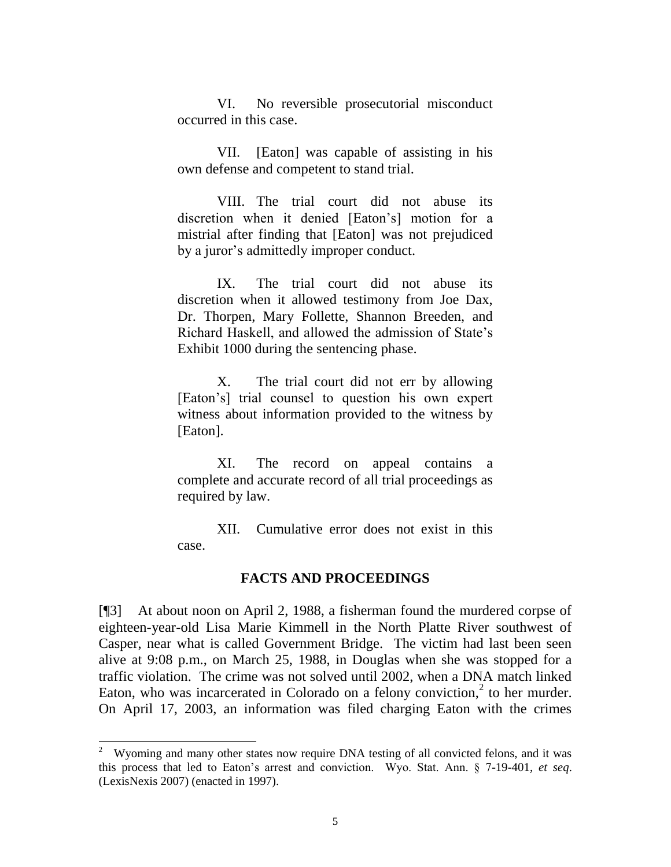VI. No reversible prosecutorial misconduct occurred in this case.

VII. [Eaton] was capable of assisting in his own defense and competent to stand trial.

VIII. The trial court did not abuse its discretion when it denied [Eaton's] motion for a mistrial after finding that [Eaton] was not prejudiced by a juror's admittedly improper conduct.

IX. The trial court did not abuse its discretion when it allowed testimony from Joe Dax, Dr. Thorpen, Mary Follette, Shannon Breeden, and Richard Haskell, and allowed the admission of State's Exhibit 1000 during the sentencing phase.

X. The trial court did not err by allowing [Eaton's] trial counsel to question his own expert witness about information provided to the witness by [Eaton].

XI. The record on appeal contains a complete and accurate record of all trial proceedings as required by law.

XII. Cumulative error does not exist in this case.

#### **FACTS AND PROCEEDINGS**

[¶3] At about noon on April 2, 1988, a fisherman found the murdered corpse of eighteen-year-old Lisa Marie Kimmell in the North Platte River southwest of Casper, near what is called Government Bridge. The victim had last been seen alive at 9:08 p.m., on March 25, 1988, in Douglas when she was stopped for a traffic violation. The crime was not solved until 2002, when a DNA match linked Eaton, who was incarcerated in Colorado on a felony conviction, $2$  to her murder. On April 17, 2003, an information was filed charging Eaton with the crimes

<sup>&</sup>lt;sup>2</sup> Wyoming and many other states now require DNA testing of all convicted felons, and it was this process that led to Eaton's arrest and conviction. Wyo. Stat. Ann. § 7-19-401, *et seq*. (LexisNexis 2007) (enacted in 1997).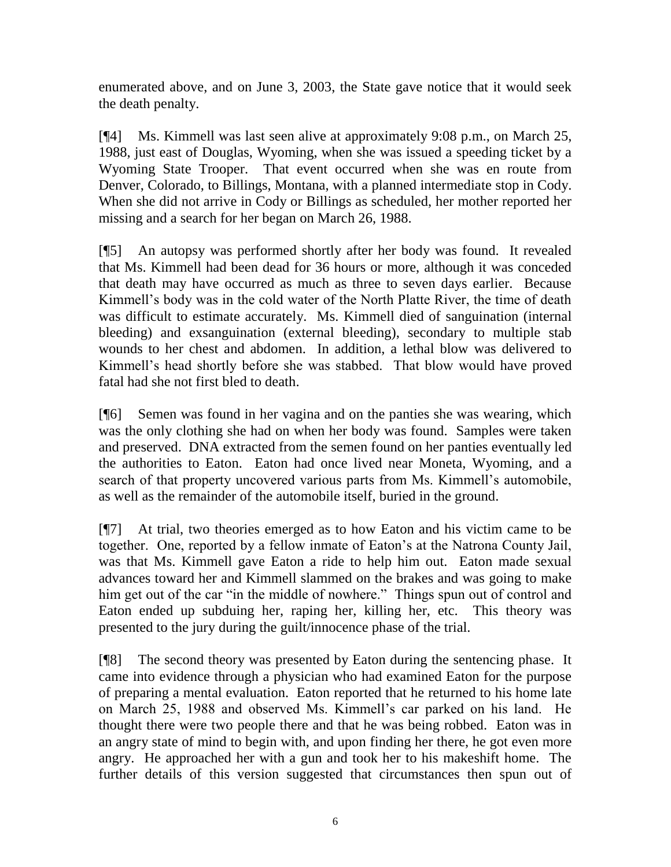enumerated above, and on June 3, 2003, the State gave notice that it would seek the death penalty.

[¶4] Ms. Kimmell was last seen alive at approximately 9:08 p.m., on March 25, 1988, just east of Douglas, Wyoming, when she was issued a speeding ticket by a Wyoming State Trooper. That event occurred when she was en route from Denver, Colorado, to Billings, Montana, with a planned intermediate stop in Cody. When she did not arrive in Cody or Billings as scheduled, her mother reported her missing and a search for her began on March 26, 1988.

[¶5] An autopsy was performed shortly after her body was found. It revealed that Ms. Kimmell had been dead for 36 hours or more, although it was conceded that death may have occurred as much as three to seven days earlier. Because Kimmell's body was in the cold water of the North Platte River, the time of death was difficult to estimate accurately. Ms. Kimmell died of sanguination (internal bleeding) and exsanguination (external bleeding), secondary to multiple stab wounds to her chest and abdomen. In addition, a lethal blow was delivered to Kimmell's head shortly before she was stabbed. That blow would have proved fatal had she not first bled to death.

[¶6] Semen was found in her vagina and on the panties she was wearing, which was the only clothing she had on when her body was found. Samples were taken and preserved. DNA extracted from the semen found on her panties eventually led the authorities to Eaton. Eaton had once lived near Moneta, Wyoming, and a search of that property uncovered various parts from Ms. Kimmell's automobile, as well as the remainder of the automobile itself, buried in the ground.

[¶7] At trial, two theories emerged as to how Eaton and his victim came to be together. One, reported by a fellow inmate of Eaton's at the Natrona County Jail, was that Ms. Kimmell gave Eaton a ride to help him out. Eaton made sexual advances toward her and Kimmell slammed on the brakes and was going to make him get out of the car "in the middle of nowhere." Things spun out of control and Eaton ended up subduing her, raping her, killing her, etc. This theory was presented to the jury during the guilt/innocence phase of the trial.

[¶8] The second theory was presented by Eaton during the sentencing phase. It came into evidence through a physician who had examined Eaton for the purpose of preparing a mental evaluation. Eaton reported that he returned to his home late on March 25, 1988 and observed Ms. Kimmell's car parked on his land. He thought there were two people there and that he was being robbed. Eaton was in an angry state of mind to begin with, and upon finding her there, he got even more angry. He approached her with a gun and took her to his makeshift home. The further details of this version suggested that circumstances then spun out of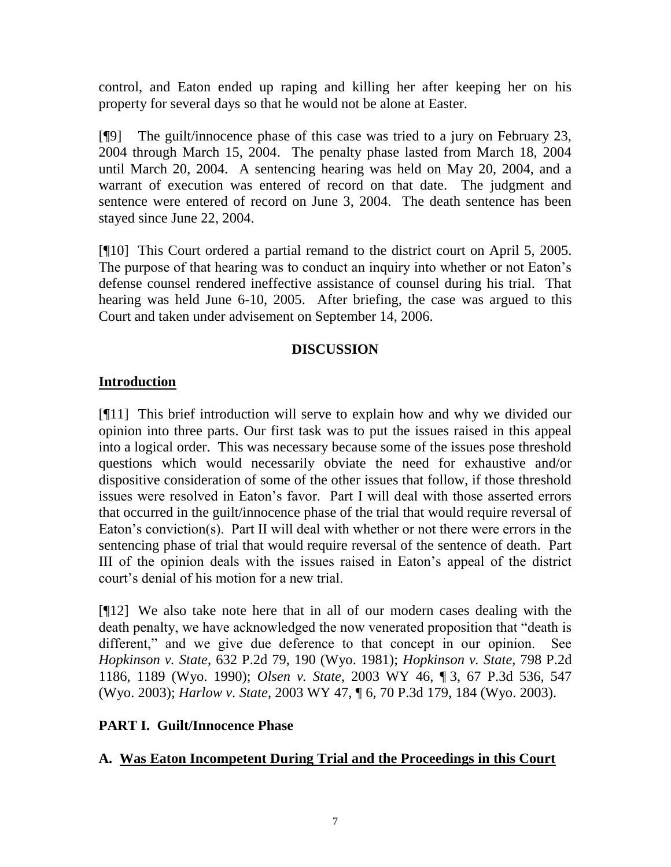control, and Eaton ended up raping and killing her after keeping her on his property for several days so that he would not be alone at Easter.

[¶9] The guilt/innocence phase of this case was tried to a jury on February 23, 2004 through March 15, 2004. The penalty phase lasted from March 18, 2004 until March 20, 2004. A sentencing hearing was held on May 20, 2004, and a warrant of execution was entered of record on that date. The judgment and sentence were entered of record on June 3, 2004. The death sentence has been stayed since June 22, 2004.

[¶10] This Court ordered a partial remand to the district court on April 5, 2005. The purpose of that hearing was to conduct an inquiry into whether or not Eaton's defense counsel rendered ineffective assistance of counsel during his trial. That hearing was held June 6-10, 2005. After briefing, the case was argued to this Court and taken under advisement on September 14, 2006.

## **DISCUSSION**

## **Introduction**

[¶11] This brief introduction will serve to explain how and why we divided our opinion into three parts. Our first task was to put the issues raised in this appeal into a logical order. This was necessary because some of the issues pose threshold questions which would necessarily obviate the need for exhaustive and/or dispositive consideration of some of the other issues that follow, if those threshold issues were resolved in Eaton's favor. Part I will deal with those asserted errors that occurred in the guilt/innocence phase of the trial that would require reversal of Eaton's conviction(s). Part II will deal with whether or not there were errors in the sentencing phase of trial that would require reversal of the sentence of death. Part III of the opinion deals with the issues raised in Eaton's appeal of the district court's denial of his motion for a new trial.

[¶12] We also take note here that in all of our modern cases dealing with the death penalty, we have acknowledged the now venerated proposition that "death is different," and we give due deference to that concept in our opinion. See *Hopkinson v. State*, 632 P.2d 79, 190 (Wyo. 1981); *Hopkinson v. State*, 798 P.2d 1186, 1189 (Wyo. 1990); *Olsen v. State*, 2003 WY 46, ¶ 3, 67 P.3d 536, 547 (Wyo. 2003); *Harlow v. State*, 2003 WY 47, ¶ 6, 70 P.3d 179, 184 (Wyo. 2003).

## **PART I. Guilt/Innocence Phase**

### **A. Was Eaton Incompetent During Trial and the Proceedings in this Court**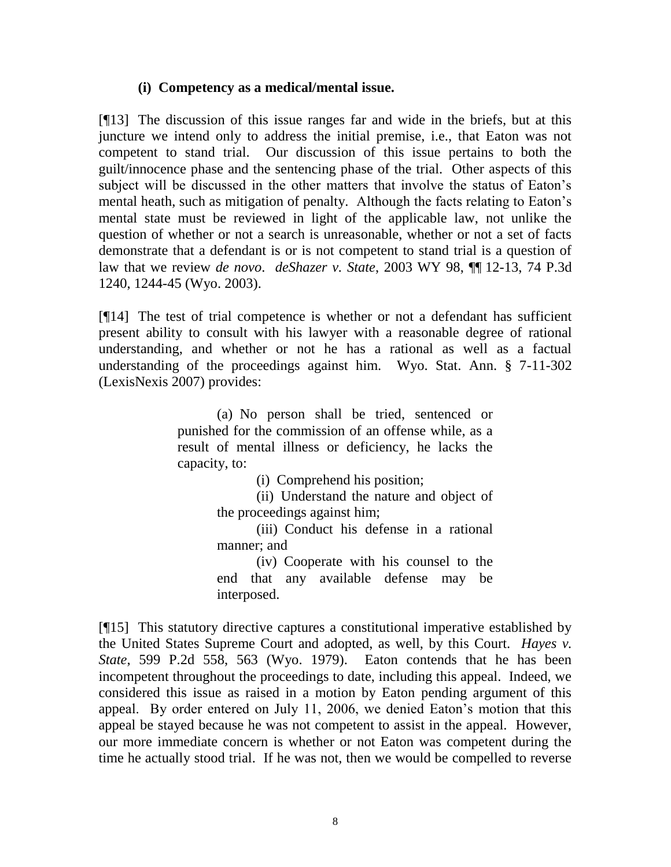#### **(i) Competency as a medical/mental issue.**

[¶13] The discussion of this issue ranges far and wide in the briefs, but at this juncture we intend only to address the initial premise, i.e., that Eaton was not competent to stand trial. Our discussion of this issue pertains to both the guilt/innocence phase and the sentencing phase of the trial. Other aspects of this subject will be discussed in the other matters that involve the status of Eaton's mental heath, such as mitigation of penalty. Although the facts relating to Eaton's mental state must be reviewed in light of the applicable law, not unlike the question of whether or not a search is unreasonable, whether or not a set of facts demonstrate that a defendant is or is not competent to stand trial is a question of law that we review *de novo*. *deShazer v. State*, 2003 WY 98, ¶¶ 12-13, 74 P.3d 1240, 1244-45 (Wyo. 2003).

[¶14] The test of trial competence is whether or not a defendant has sufficient present ability to consult with his lawyer with a reasonable degree of rational understanding, and whether or not he has a rational as well as a factual understanding of the proceedings against him. Wyo. Stat. Ann. § 7-11-302 (LexisNexis 2007) provides:

> (a) No person shall be tried, sentenced or punished for the commission of an offense while, as a result of mental illness or deficiency, he lacks the capacity, to:

> > (i) Comprehend his position;

(ii) Understand the nature and object of the proceedings against him;

(iii) Conduct his defense in a rational manner; and

(iv) Cooperate with his counsel to the end that any available defense may be interposed.

[¶15] This statutory directive captures a constitutional imperative established by the United States Supreme Court and adopted, as well, by this Court. *Hayes v. State*, 599 P.2d 558, 563 (Wyo. 1979). Eaton contends that he has been incompetent throughout the proceedings to date, including this appeal. Indeed, we considered this issue as raised in a motion by Eaton pending argument of this appeal. By order entered on July 11, 2006, we denied Eaton's motion that this appeal be stayed because he was not competent to assist in the appeal. However, our more immediate concern is whether or not Eaton was competent during the time he actually stood trial. If he was not, then we would be compelled to reverse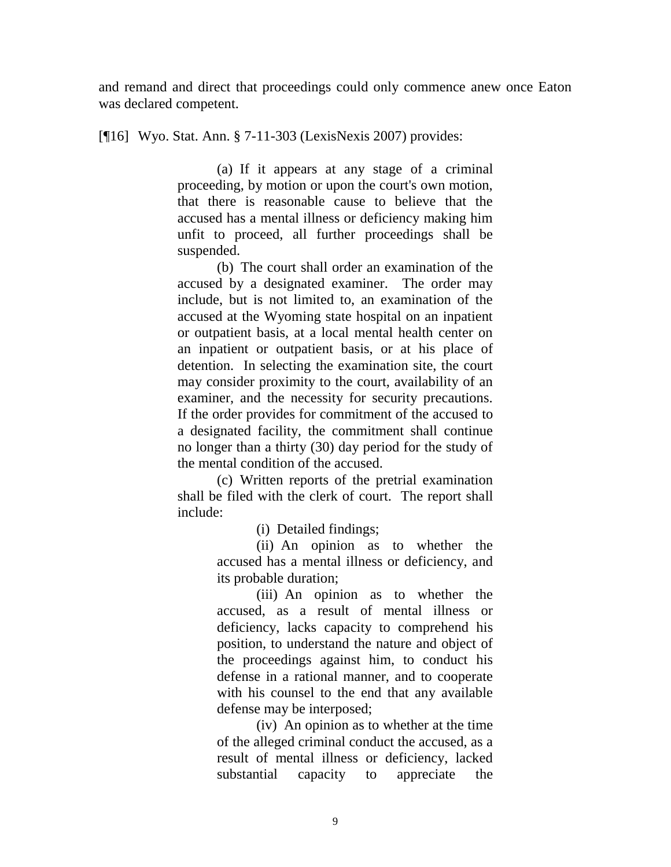and remand and direct that proceedings could only commence anew once Eaton was declared competent.

[¶16] Wyo. Stat. Ann. § 7-11-303 (LexisNexis 2007) provides:

(a) If it appears at any stage of a criminal proceeding, by motion or upon the court's own motion, that there is reasonable cause to believe that the accused has a mental illness or deficiency making him unfit to proceed, all further proceedings shall be suspended.

(b) The court shall order an examination of the accused by a designated examiner. The order may include, but is not limited to, an examination of the accused at the Wyoming state hospital on an inpatient or outpatient basis, at a local mental health center on an inpatient or outpatient basis, or at his place of detention. In selecting the examination site, the court may consider proximity to the court, availability of an examiner, and the necessity for security precautions. If the order provides for commitment of the accused to a designated facility, the commitment shall continue no longer than a thirty (30) day period for the study of the mental condition of the accused.

(c) Written reports of the pretrial examination shall be filed with the clerk of court. The report shall include:

(i) Detailed findings;

(ii) An opinion as to whether the accused has a mental illness or deficiency, and its probable duration;

(iii) An opinion as to whether the accused, as a result of mental illness or deficiency, lacks capacity to comprehend his position, to understand the nature and object of the proceedings against him, to conduct his defense in a rational manner, and to cooperate with his counsel to the end that any available defense may be interposed;

(iv) An opinion as to whether at the time of the alleged criminal conduct the accused, as a result of mental illness or deficiency, lacked substantial capacity to appreciate the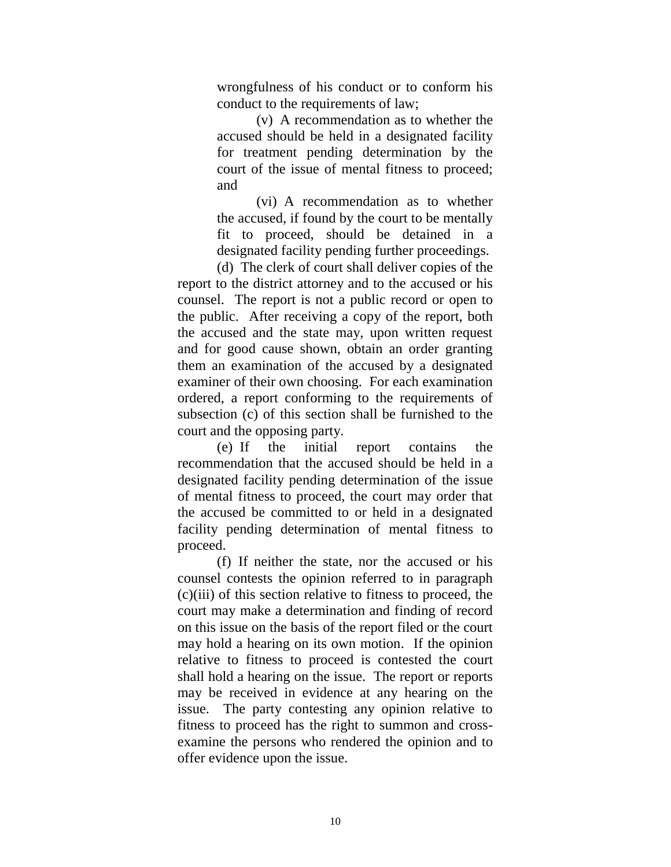wrongfulness of his conduct or to conform his conduct to the requirements of law;

(v) A recommendation as to whether the accused should be held in a designated facility for treatment pending determination by the court of the issue of mental fitness to proceed; and

(vi) A recommendation as to whether the accused, if found by the court to be mentally fit to proceed, should be detained in a designated facility pending further proceedings.

(d) The clerk of court shall deliver copies of the report to the district attorney and to the accused or his counsel. The report is not a public record or open to the public. After receiving a copy of the report, both the accused and the state may, upon written request and for good cause shown, obtain an order granting them an examination of the accused by a designated examiner of their own choosing. For each examination ordered, a report conforming to the requirements of subsection (c) of this section shall be furnished to the court and the opposing party.

(e) If the initial report contains the recommendation that the accused should be held in a designated facility pending determination of the issue of mental fitness to proceed, the court may order that the accused be committed to or held in a designated facility pending determination of mental fitness to proceed.

(f) If neither the state, nor the accused or his counsel contests the opinion referred to in paragraph (c)(iii) of this section relative to fitness to proceed, the court may make a determination and finding of record on this issue on the basis of the report filed or the court may hold a hearing on its own motion. If the opinion relative to fitness to proceed is contested the court shall hold a hearing on the issue. The report or reports may be received in evidence at any hearing on the issue. The party contesting any opinion relative to fitness to proceed has the right to summon and crossexamine the persons who rendered the opinion and to offer evidence upon the issue.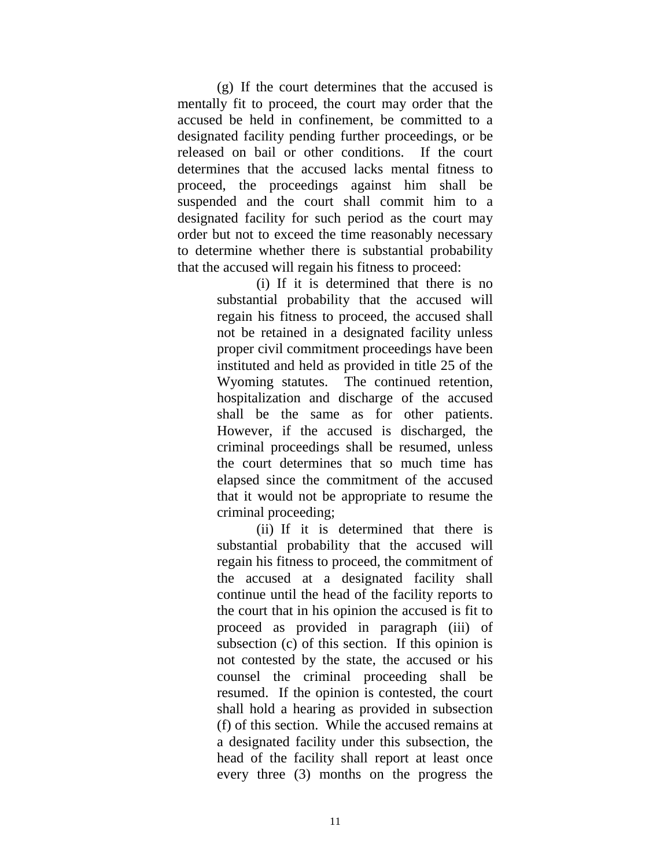(g) If the court determines that the accused is mentally fit to proceed, the court may order that the accused be held in confinement, be committed to a designated facility pending further proceedings, or be released on bail or other conditions. If the court determines that the accused lacks mental fitness to proceed, the proceedings against him shall be suspended and the court shall commit him to a designated facility for such period as the court may order but not to exceed the time reasonably necessary to determine whether there is substantial probability that the accused will regain his fitness to proceed:

> (i) If it is determined that there is no substantial probability that the accused will regain his fitness to proceed, the accused shall not be retained in a designated facility unless proper civil commitment proceedings have been instituted and held as provided in title 25 of the Wyoming statutes. The continued retention, hospitalization and discharge of the accused shall be the same as for other patients. However, if the accused is discharged, the criminal proceedings shall be resumed, unless the court determines that so much time has elapsed since the commitment of the accused that it would not be appropriate to resume the criminal proceeding;

> (ii) If it is determined that there is substantial probability that the accused will regain his fitness to proceed, the commitment of the accused at a designated facility shall continue until the head of the facility reports to the court that in his opinion the accused is fit to proceed as provided in paragraph (iii) of subsection (c) of this section. If this opinion is not contested by the state, the accused or his counsel the criminal proceeding shall be resumed. If the opinion is contested, the court shall hold a hearing as provided in subsection (f) of this section. While the accused remains at a designated facility under this subsection, the head of the facility shall report at least once every three (3) months on the progress the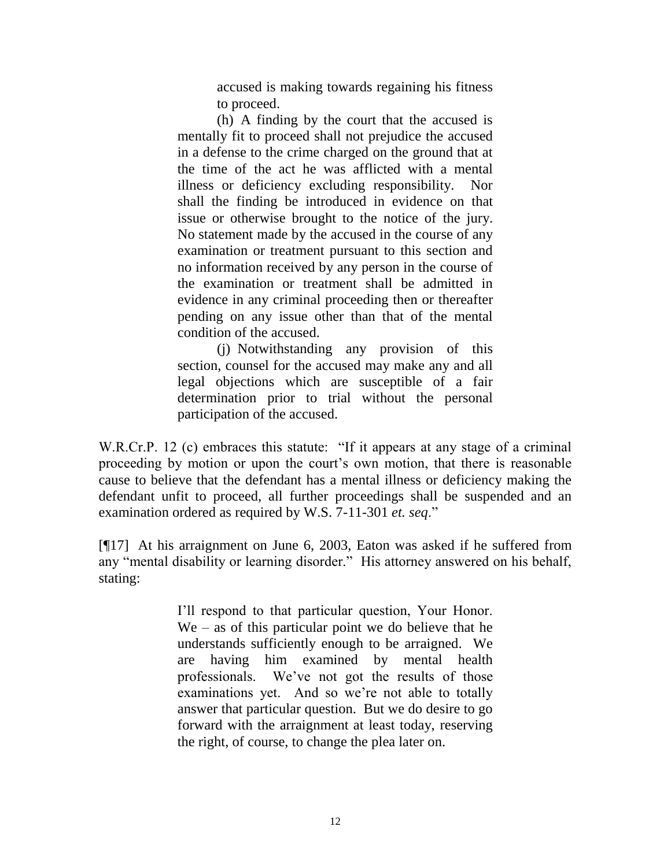accused is making towards regaining his fitness to proceed.

(h) A finding by the court that the accused is mentally fit to proceed shall not prejudice the accused in a defense to the crime charged on the ground that at the time of the act he was afflicted with a mental illness or deficiency excluding responsibility. Nor shall the finding be introduced in evidence on that issue or otherwise brought to the notice of the jury. No statement made by the accused in the course of any examination or treatment pursuant to this section and no information received by any person in the course of the examination or treatment shall be admitted in evidence in any criminal proceeding then or thereafter pending on any issue other than that of the mental condition of the accused.

(j) Notwithstanding any provision of this section, counsel for the accused may make any and all legal objections which are susceptible of a fair determination prior to trial without the personal participation of the accused.

W.R.Cr.P. 12 (c) embraces this statute: "If it appears at any stage of a criminal proceeding by motion or upon the court's own motion, that there is reasonable cause to believe that the defendant has a mental illness or deficiency making the defendant unfit to proceed, all further proceedings shall be suspended and an examination ordered as required by W.S. 7-11-301 *et. seq.*"

[¶17] At his arraignment on June 6, 2003, Eaton was asked if he suffered from any "mental disability or learning disorder." His attorney answered on his behalf, stating:

> I'll respond to that particular question, Your Honor.  $We – as of this particular point we do believe that he$ understands sufficiently enough to be arraigned. We are having him examined by mental health professionals. We've not got the results of those examinations yet. And so we're not able to totally answer that particular question. But we do desire to go forward with the arraignment at least today, reserving the right, of course, to change the plea later on.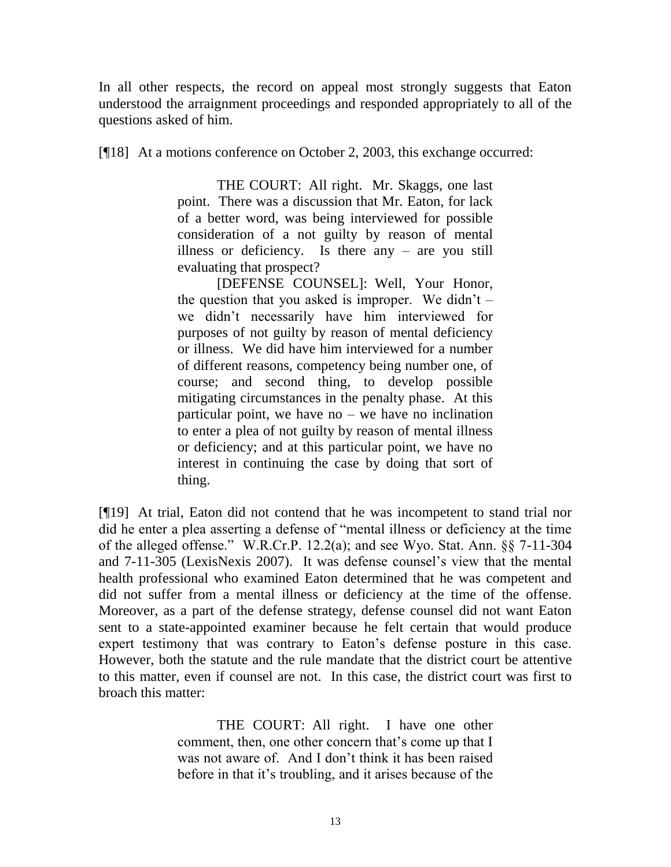In all other respects, the record on appeal most strongly suggests that Eaton understood the arraignment proceedings and responded appropriately to all of the questions asked of him.

[¶18] At a motions conference on October 2, 2003, this exchange occurred:

THE COURT: All right. Mr. Skaggs, one last point. There was a discussion that Mr. Eaton, for lack of a better word, was being interviewed for possible consideration of a not guilty by reason of mental illness or deficiency. Is there any  $-$  are you still evaluating that prospect?

[DEFENSE COUNSEL]: Well, Your Honor, the question that you asked is improper. We didn't  $$ we didn't necessarily have him interviewed for purposes of not guilty by reason of mental deficiency or illness. We did have him interviewed for a number of different reasons, competency being number one, of course; and second thing, to develop possible mitigating circumstances in the penalty phase. At this particular point, we have no – we have no inclination to enter a plea of not guilty by reason of mental illness or deficiency; and at this particular point, we have no interest in continuing the case by doing that sort of thing.

[¶19] At trial, Eaton did not contend that he was incompetent to stand trial nor did he enter a plea asserting a defense of "mental illness or deficiency at the time of the alleged offense." W.R.Cr.P. 12.2(a); and see Wyo. Stat. Ann.  $\S$ § 7-11-304 and 7-11-305 (LexisNexis 2007). It was defense counsel's view that the mental health professional who examined Eaton determined that he was competent and did not suffer from a mental illness or deficiency at the time of the offense. Moreover, as a part of the defense strategy, defense counsel did not want Eaton sent to a state-appointed examiner because he felt certain that would produce expert testimony that was contrary to Eaton's defense posture in this case. However, both the statute and the rule mandate that the district court be attentive to this matter, even if counsel are not. In this case, the district court was first to broach this matter:

> THE COURT: All right. I have one other comment, then, one other concern that's come up that I was not aware of. And I don't think it has been raised before in that it's troubling, and it arises because of the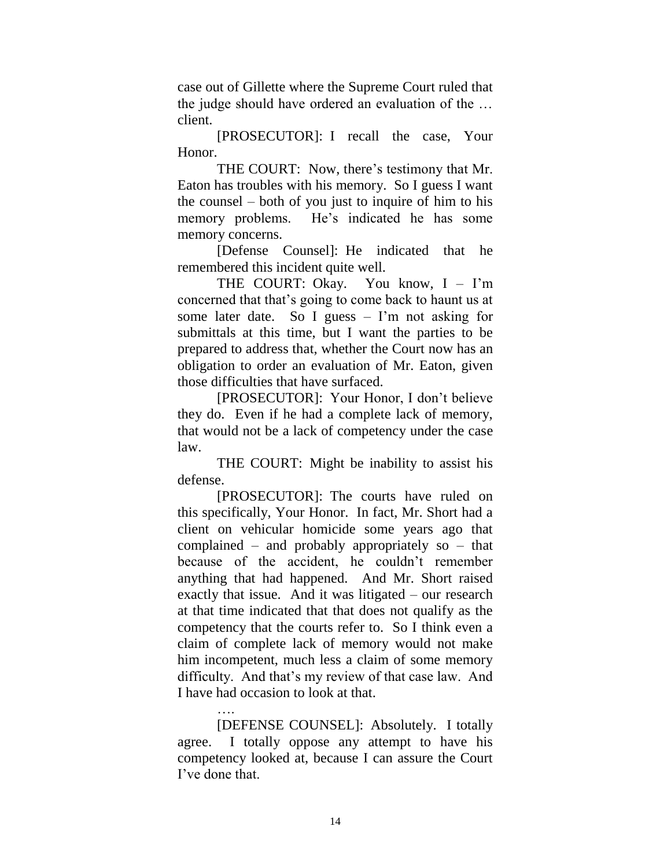case out of Gillette where the Supreme Court ruled that the judge should have ordered an evaluation of the … client.

[PROSECUTOR]: I recall the case, Your Honor.

THE COURT: Now, there's testimony that Mr. Eaton has troubles with his memory. So I guess I want the counsel – both of you just to inquire of him to his memory problems. He's indicated he has some memory concerns.

[Defense Counsel]: He indicated that he remembered this incident quite well.

THE COURT: Okay. You know,  $I - I'm$ concerned that that's going to come back to haunt us at some later date. So I guess – I'm not asking for submittals at this time, but I want the parties to be prepared to address that, whether the Court now has an obligation to order an evaluation of Mr. Eaton, given those difficulties that have surfaced.

[PROSECUTOR]: Your Honor, I don't believe they do. Even if he had a complete lack of memory, that would not be a lack of competency under the case law.

THE COURT: Might be inability to assist his defense.

[PROSECUTOR]: The courts have ruled on this specifically, Your Honor. In fact, Mr. Short had a client on vehicular homicide some years ago that complained – and probably appropriately so – that because of the accident, he couldn't remember anything that had happened. And Mr. Short raised exactly that issue. And it was litigated – our research at that time indicated that that does not qualify as the competency that the courts refer to. So I think even a claim of complete lack of memory would not make him incompetent, much less a claim of some memory difficulty. And that's my review of that case law. And I have had occasion to look at that.

…. [DEFENSE COUNSEL]: Absolutely. I totally agree. I totally oppose any attempt to have his competency looked at, because I can assure the Court I've done that.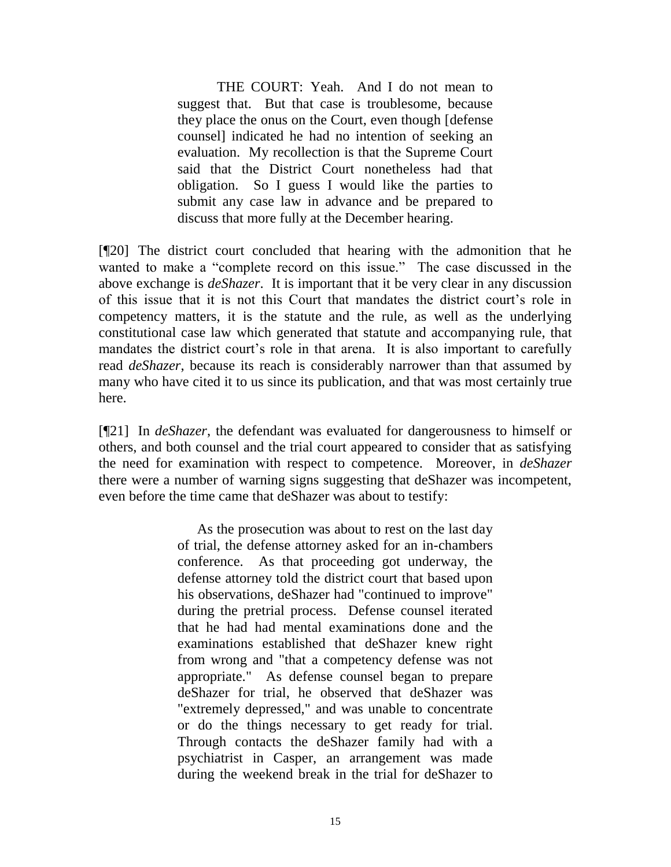THE COURT: Yeah. And I do not mean to suggest that. But that case is troublesome, because they place the onus on the Court, even though [defense counsel] indicated he had no intention of seeking an evaluation. My recollection is that the Supreme Court said that the District Court nonetheless had that obligation. So I guess I would like the parties to submit any case law in advance and be prepared to discuss that more fully at the December hearing.

[¶20] The district court concluded that hearing with the admonition that he wanted to make a "complete record on this issue." The case discussed in the above exchange is *deShazer*. It is important that it be very clear in any discussion of this issue that it is not this Court that mandates the district court's role in competency matters, it is the statute and the rule, as well as the underlying constitutional case law which generated that statute and accompanying rule, that mandates the district court's role in that arena. It is also important to carefully read *deShazer*, because its reach is considerably narrower than that assumed by many who have cited it to us since its publication, and that was most certainly true here.

[¶21] In *deShazer*, the defendant was evaluated for dangerousness to himself or others, and both counsel and the trial court appeared to consider that as satisfying the need for examination with respect to competence. Moreover, in *deShazer* there were a number of warning signs suggesting that deShazer was incompetent, even before the time came that deShazer was about to testify:

> As the prosecution was about to rest on the last day of trial, the defense attorney asked for an in-chambers conference. As that proceeding got underway, the defense attorney told the district court that based upon his observations, deShazer had "continued to improve" during the pretrial process. Defense counsel iterated that he had had mental examinations done and the examinations established that deShazer knew right from wrong and "that a competency defense was not appropriate." As defense counsel began to prepare deShazer for trial, he observed that deShazer was "extremely depressed," and was unable to concentrate or do the things necessary to get ready for trial. Through contacts the deShazer family had with a psychiatrist in Casper, an arrangement was made during the weekend break in the trial for deShazer to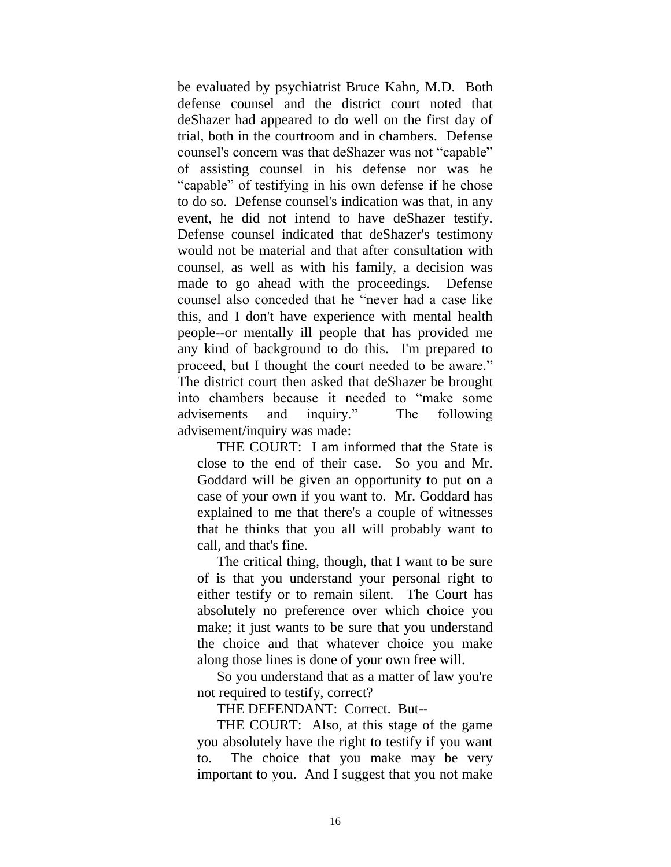be evaluated by psychiatrist Bruce Kahn, M.D. Both defense counsel and the district court noted that deShazer had appeared to do well on the first day of trial, both in the courtroom and in chambers. Defense counsel's concern was that deShazer was not "capable" of assisting counsel in his defense nor was he "capable" of testifying in his own defense if he chose to do so. Defense counsel's indication was that, in any event, he did not intend to have deShazer testify. Defense counsel indicated that deShazer's testimony would not be material and that after consultation with counsel, as well as with his family, a decision was made to go ahead with the proceedings. Defense counsel also conceded that he "never had a case like this, and I don't have experience with mental health people--or mentally ill people that has provided me any kind of background to do this. I'm prepared to proceed, but I thought the court needed to be aware." The district court then asked that deShazer be brought into chambers because it needed to "make some advisements and inquiry." The following advisement/inquiry was made:

THE COURT: I am informed that the State is close to the end of their case. So you and Mr. Goddard will be given an opportunity to put on a case of your own if you want to. Mr. Goddard has explained to me that there's a couple of witnesses that he thinks that you all will probably want to call, and that's fine.

The critical thing, though, that I want to be sure of is that you understand your personal right to either testify or to remain silent. The Court has absolutely no preference over which choice you make; it just wants to be sure that you understand the choice and that whatever choice you make along those lines is done of your own free will.

So you understand that as a matter of law you're not required to testify, correct?

THE DEFENDANT: Correct. But--

THE COURT: Also, at this stage of the game you absolutely have the right to testify if you want to. The choice that you make may be very important to you. And I suggest that you not make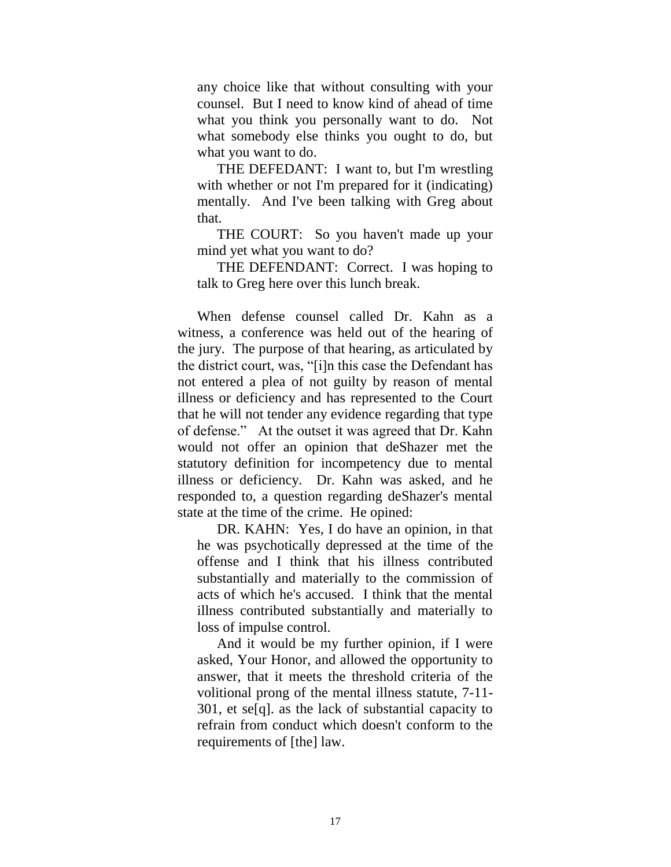any choice like that without consulting with your counsel. But I need to know kind of ahead of time what you think you personally want to do. Not what somebody else thinks you ought to do, but what you want to do.

THE DEFEDANT: I want to, but I'm wrestling with whether or not I'm prepared for it (indicating) mentally. And I've been talking with Greg about that.

THE COURT: So you haven't made up your mind yet what you want to do?

THE DEFENDANT: Correct. I was hoping to talk to Greg here over this lunch break.

When defense counsel called Dr. Kahn as a witness, a conference was held out of the hearing of the jury. The purpose of that hearing, as articulated by the district court, was, "[i]n this case the Defendant has not entered a plea of not guilty by reason of mental illness or deficiency and has represented to the Court that he will not tender any evidence regarding that type of defense." At the outset it was agreed that Dr. Kahn would not offer an opinion that deShazer met the statutory definition for incompetency due to mental illness or deficiency. Dr. Kahn was asked, and he responded to, a question regarding deShazer's mental state at the time of the crime. He opined:

DR. KAHN: Yes, I do have an opinion, in that he was psychotically depressed at the time of the offense and I think that his illness contributed substantially and materially to the commission of acts of which he's accused. I think that the mental illness contributed substantially and materially to loss of impulse control.

And it would be my further opinion, if I were asked, Your Honor, and allowed the opportunity to answer, that it meets the threshold criteria of the volitional prong of the mental illness statute, 7-11- 301, et se[q]. as the lack of substantial capacity to refrain from conduct which doesn't conform to the requirements of [the] law.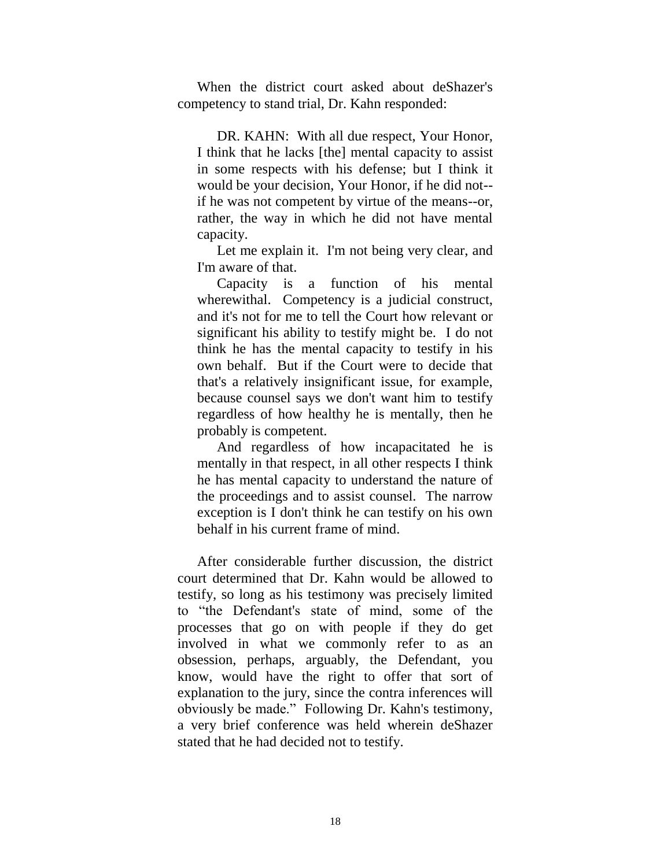When the district court asked about deShazer's competency to stand trial, Dr. Kahn responded:

DR. KAHN: With all due respect, Your Honor, I think that he lacks [the] mental capacity to assist in some respects with his defense; but I think it would be your decision, Your Honor, if he did not- if he was not competent by virtue of the means--or, rather, the way in which he did not have mental capacity.

Let me explain it. I'm not being very clear, and I'm aware of that.

Capacity is a function of his mental wherewithal. Competency is a judicial construct, and it's not for me to tell the Court how relevant or significant his ability to testify might be. I do not think he has the mental capacity to testify in his own behalf. But if the Court were to decide that that's a relatively insignificant issue, for example, because counsel says we don't want him to testify regardless of how healthy he is mentally, then he probably is competent.

And regardless of how incapacitated he is mentally in that respect, in all other respects I think he has mental capacity to understand the nature of the proceedings and to assist counsel. The narrow exception is I don't think he can testify on his own behalf in his current frame of mind.

After considerable further discussion, the district court determined that Dr. Kahn would be allowed to testify, so long as his testimony was precisely limited to "the Defendant's state of mind, some of the processes that go on with people if they do get involved in what we commonly refer to as an obsession, perhaps, arguably, the Defendant, you know, would have the right to offer that sort of explanation to the jury, since the contra inferences will obviously be made.‖ Following Dr. Kahn's testimony, a very brief conference was held wherein deShazer stated that he had decided not to testify.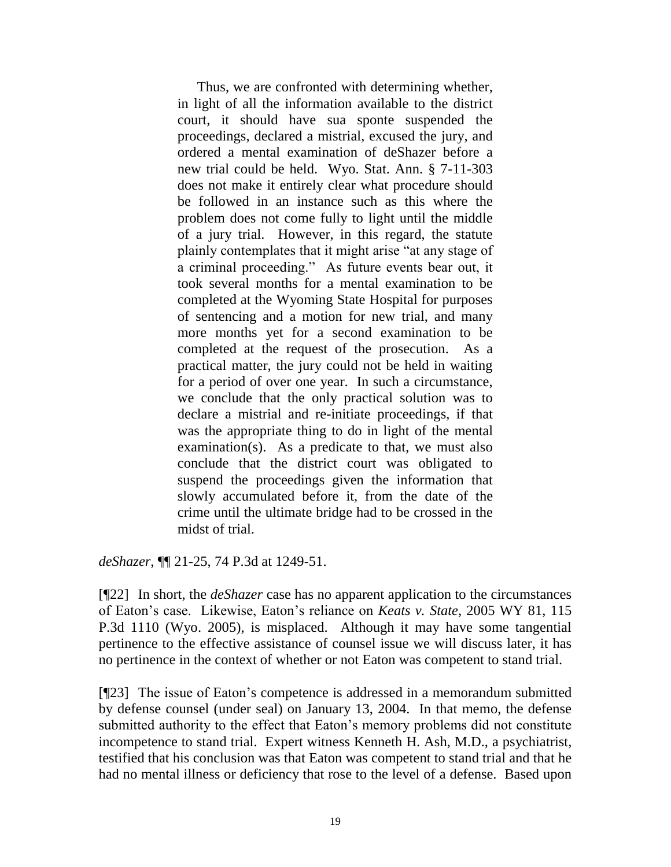Thus, we are confronted with determining whether, in light of all the information available to the district court, it should have sua sponte suspended the proceedings, declared a mistrial, excused the jury, and ordered a mental examination of deShazer before a new trial could be held. Wyo. Stat. Ann. § 7-11-303 does not make it entirely clear what procedure should be followed in an instance such as this where the problem does not come fully to light until the middle of a jury trial. However, in this regard, the statute plainly contemplates that it might arise "at any stage of a criminal proceeding." As future events bear out, it took several months for a mental examination to be completed at the Wyoming State Hospital for purposes of sentencing and a motion for new trial, and many more months yet for a second examination to be completed at the request of the prosecution. As a practical matter, the jury could not be held in waiting for a period of over one year. In such a circumstance, we conclude that the only practical solution was to declare a mistrial and re-initiate proceedings, if that was the appropriate thing to do in light of the mental examination(s). As a predicate to that, we must also conclude that the district court was obligated to suspend the proceedings given the information that slowly accumulated before it, from the date of the crime until the ultimate bridge had to be crossed in the midst of trial.

*deShazer*, ¶¶ 21-25, 74 P.3d at 1249-51.

[¶22] In short, the *deShazer* case has no apparent application to the circumstances of Eaton's case. Likewise, Eaton's reliance on *Keats v. State*, 2005 WY 81, 115 P.3d 1110 (Wyo. 2005), is misplaced. Although it may have some tangential pertinence to the effective assistance of counsel issue we will discuss later, it has no pertinence in the context of whether or not Eaton was competent to stand trial.

[¶23] The issue of Eaton's competence is addressed in a memorandum submitted by defense counsel (under seal) on January 13, 2004. In that memo, the defense submitted authority to the effect that Eaton's memory problems did not constitute incompetence to stand trial. Expert witness Kenneth H. Ash, M.D., a psychiatrist, testified that his conclusion was that Eaton was competent to stand trial and that he had no mental illness or deficiency that rose to the level of a defense. Based upon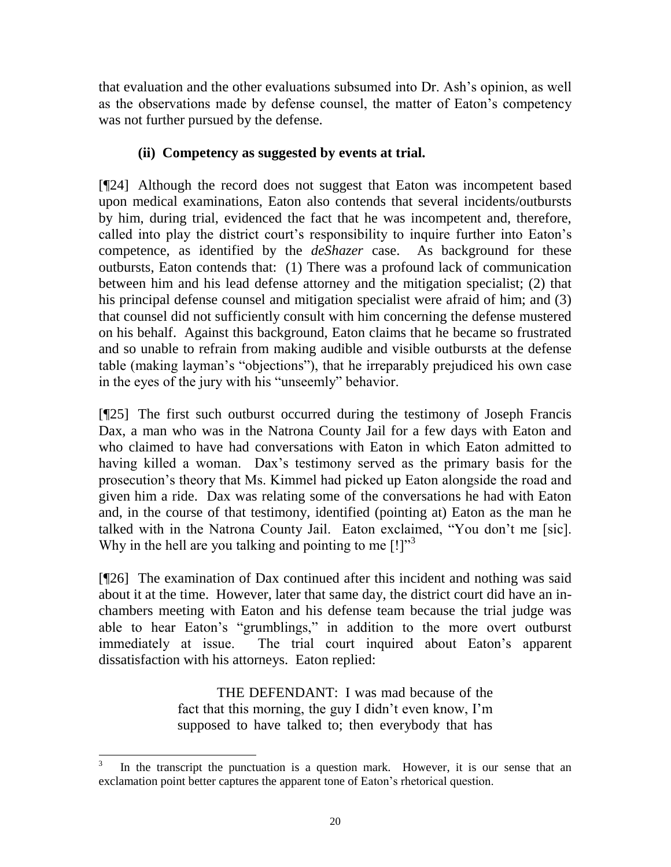that evaluation and the other evaluations subsumed into Dr. Ash's opinion, as well as the observations made by defense counsel, the matter of Eaton's competency was not further pursued by the defense.

### **(ii) Competency as suggested by events at trial.**

[¶24] Although the record does not suggest that Eaton was incompetent based upon medical examinations, Eaton also contends that several incidents/outbursts by him, during trial, evidenced the fact that he was incompetent and, therefore, called into play the district court's responsibility to inquire further into Eaton's competence, as identified by the *deShazer* case. As background for these outbursts, Eaton contends that: (1) There was a profound lack of communication between him and his lead defense attorney and the mitigation specialist; (2) that his principal defense counsel and mitigation specialist were afraid of him; and (3) that counsel did not sufficiently consult with him concerning the defense mustered on his behalf. Against this background, Eaton claims that he became so frustrated and so unable to refrain from making audible and visible outbursts at the defense table (making layman's "objections"), that he irreparably prejudiced his own case in the eyes of the jury with his "unseemly" behavior.

[¶25] The first such outburst occurred during the testimony of Joseph Francis Dax, a man who was in the Natrona County Jail for a few days with Eaton and who claimed to have had conversations with Eaton in which Eaton admitted to having killed a woman. Dax's testimony served as the primary basis for the prosecution's theory that Ms. Kimmel had picked up Eaton alongside the road and given him a ride. Dax was relating some of the conversations he had with Eaton and, in the course of that testimony, identified (pointing at) Eaton as the man he talked with in the Natrona County Jail. Eaton exclaimed, "You don't me [sic]. Why in the hell are you talking and pointing to me  $[!]^3$ 

[¶26] The examination of Dax continued after this incident and nothing was said about it at the time. However, later that same day, the district court did have an inchambers meeting with Eaton and his defense team because the trial judge was able to hear Eaton's "grumblings," in addition to the more overt outburst immediately at issue. The trial court inquired about Eaton's apparent dissatisfaction with his attorneys. Eaton replied:

> THE DEFENDANT: I was mad because of the fact that this morning, the guy I didn't even know, I'm supposed to have talked to; then everybody that has

 3 In the transcript the punctuation is a question mark. However, it is our sense that an exclamation point better captures the apparent tone of Eaton's rhetorical question.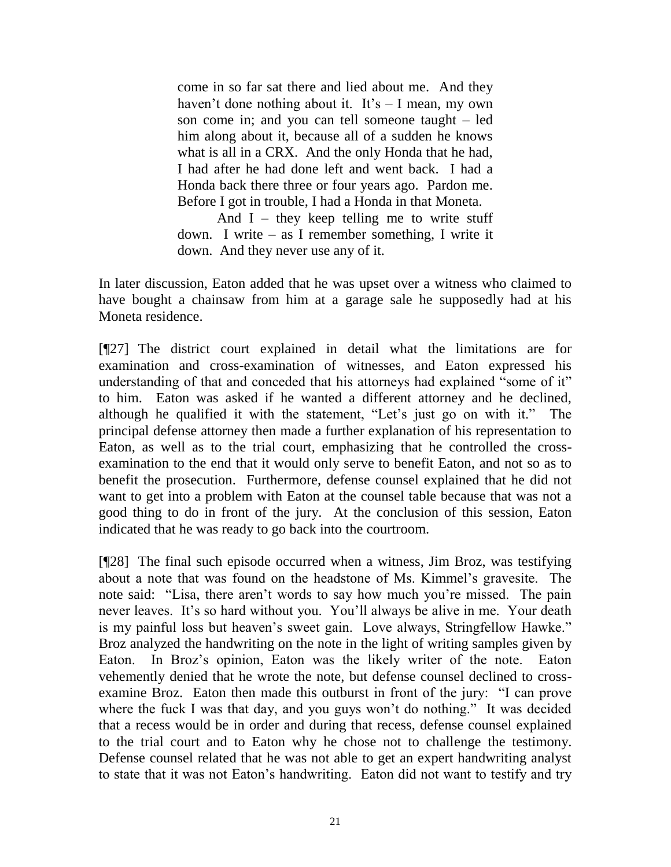come in so far sat there and lied about me. And they haven't done nothing about it. It's  $-$  I mean, my own son come in; and you can tell someone taught – led him along about it, because all of a sudden he knows what is all in a CRX. And the only Honda that he had, I had after he had done left and went back. I had a Honda back there three or four years ago. Pardon me. Before I got in trouble, I had a Honda in that Moneta.

And  $I$  – they keep telling me to write stuff down. I write – as I remember something, I write it down. And they never use any of it.

In later discussion, Eaton added that he was upset over a witness who claimed to have bought a chainsaw from him at a garage sale he supposedly had at his Moneta residence.

[¶27] The district court explained in detail what the limitations are for examination and cross-examination of witnesses, and Eaton expressed his understanding of that and conceded that his attorneys had explained "some of it" to him. Eaton was asked if he wanted a different attorney and he declined, although he qualified it with the statement, "Let's just go on with it." The principal defense attorney then made a further explanation of his representation to Eaton, as well as to the trial court, emphasizing that he controlled the crossexamination to the end that it would only serve to benefit Eaton, and not so as to benefit the prosecution. Furthermore, defense counsel explained that he did not want to get into a problem with Eaton at the counsel table because that was not a good thing to do in front of the jury. At the conclusion of this session, Eaton indicated that he was ready to go back into the courtroom.

[¶28] The final such episode occurred when a witness, Jim Broz, was testifying about a note that was found on the headstone of Ms. Kimmel's gravesite. The note said: "Lisa, there aren't words to say how much you're missed. The pain never leaves. It's so hard without you. You'll always be alive in me. Your death is my painful loss but heaven's sweet gain. Love always, Stringfellow Hawke." Broz analyzed the handwriting on the note in the light of writing samples given by Eaton. In Broz's opinion, Eaton was the likely writer of the note. Eaton vehemently denied that he wrote the note, but defense counsel declined to crossexamine Broz. Eaton then made this outburst in front of the jury: "I can prove where the fuck I was that day, and you guys won't do nothing." It was decided that a recess would be in order and during that recess, defense counsel explained to the trial court and to Eaton why he chose not to challenge the testimony. Defense counsel related that he was not able to get an expert handwriting analyst to state that it was not Eaton's handwriting. Eaton did not want to testify and try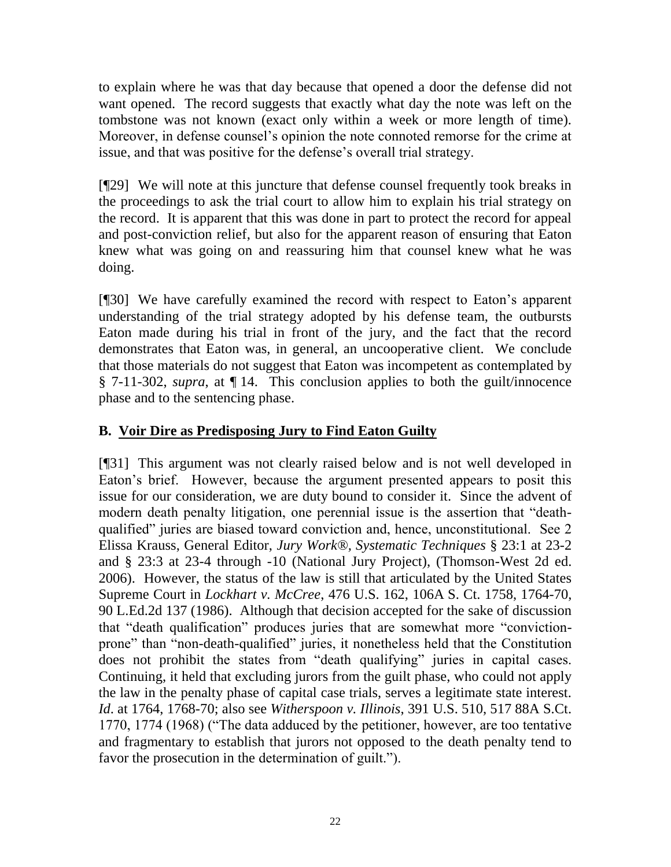to explain where he was that day because that opened a door the defense did not want opened. The record suggests that exactly what day the note was left on the tombstone was not known (exact only within a week or more length of time). Moreover, in defense counsel's opinion the note connoted remorse for the crime at issue, and that was positive for the defense's overall trial strategy.

[¶29] We will note at this juncture that defense counsel frequently took breaks in the proceedings to ask the trial court to allow him to explain his trial strategy on the record. It is apparent that this was done in part to protect the record for appeal and post-conviction relief, but also for the apparent reason of ensuring that Eaton knew what was going on and reassuring him that counsel knew what he was doing.

[¶30] We have carefully examined the record with respect to Eaton's apparent understanding of the trial strategy adopted by his defense team, the outbursts Eaton made during his trial in front of the jury, and the fact that the record demonstrates that Eaton was, in general, an uncooperative client. We conclude that those materials do not suggest that Eaton was incompetent as contemplated by § 7-11-302, *supra*, at ¶ 14. This conclusion applies to both the guilt/innocence phase and to the sentencing phase.

## **B. Voir Dire as Predisposing Jury to Find Eaton Guilty**

[¶31] This argument was not clearly raised below and is not well developed in Eaton's brief. However, because the argument presented appears to posit this issue for our consideration, we are duty bound to consider it. Since the advent of modern death penalty litigation, one perennial issue is the assertion that "deathqualified" juries are biased toward conviction and, hence, unconstitutional. See 2 Elissa Krauss, General Editor, *Jury Work®, Systematic Techniques* § 23:1 at 23-2 and § 23:3 at 23-4 through -10 (National Jury Project), (Thomson-West 2d ed. 2006). However, the status of the law is still that articulated by the United States Supreme Court in *Lockhart v. McCree*, 476 U.S. 162, 106A S. Ct. 1758, 1764-70, 90 L.Ed.2d 137 (1986). Although that decision accepted for the sake of discussion that "death qualification" produces juries that are somewhat more "convictionprone" than "non-death-qualified" juries, it nonetheless held that the Constitution does not prohibit the states from "death qualifying" juries in capital cases. Continuing, it held that excluding jurors from the guilt phase, who could not apply the law in the penalty phase of capital case trials, serves a legitimate state interest. *Id*. at 1764, 1768-70; also see *Witherspoon v. Illinois*, 391 U.S. 510, 517 88A S.Ct. 1770, 1774 (1968) ("The data adduced by the petitioner, however, are too tentative and fragmentary to establish that jurors not opposed to the death penalty tend to favor the prosecution in the determination of guilt.").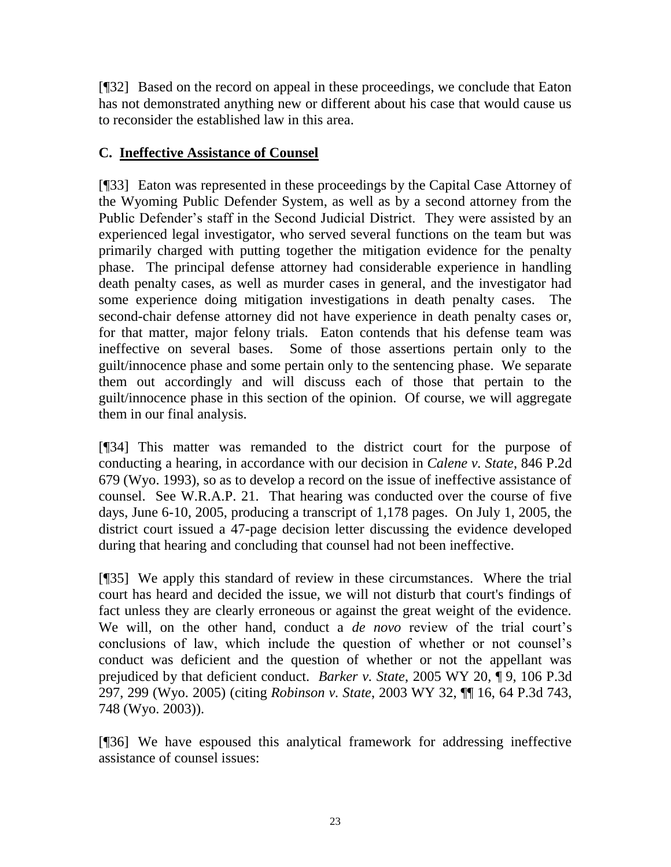[¶32] Based on the record on appeal in these proceedings, we conclude that Eaton has not demonstrated anything new or different about his case that would cause us to reconsider the established law in this area.

### **C. Ineffective Assistance of Counsel**

[¶33] Eaton was represented in these proceedings by the Capital Case Attorney of the Wyoming Public Defender System, as well as by a second attorney from the Public Defender's staff in the Second Judicial District. They were assisted by an experienced legal investigator, who served several functions on the team but was primarily charged with putting together the mitigation evidence for the penalty phase. The principal defense attorney had considerable experience in handling death penalty cases, as well as murder cases in general, and the investigator had some experience doing mitigation investigations in death penalty cases. The second-chair defense attorney did not have experience in death penalty cases or, for that matter, major felony trials. Eaton contends that his defense team was ineffective on several bases. Some of those assertions pertain only to the guilt/innocence phase and some pertain only to the sentencing phase. We separate them out accordingly and will discuss each of those that pertain to the guilt/innocence phase in this section of the opinion. Of course, we will aggregate them in our final analysis.

[¶34] This matter was remanded to the district court for the purpose of conducting a hearing, in accordance with our decision in *Calene v. State*, 846 P.2d 679 (Wyo. 1993), so as to develop a record on the issue of ineffective assistance of counsel. See W.R.A.P. 21. That hearing was conducted over the course of five days, June 6-10, 2005, producing a transcript of 1,178 pages. On July 1, 2005, the district court issued a 47-page decision letter discussing the evidence developed during that hearing and concluding that counsel had not been ineffective.

[¶35] We apply this standard of review in these circumstances. Where the trial court has heard and decided the issue, we will not disturb that court's findings of fact unless they are clearly erroneous or against the great weight of the evidence. We will, on the other hand, conduct a *de novo* review of the trial court's conclusions of law, which include the question of whether or not counsel's conduct was deficient and the question of whether or not the appellant was prejudiced by that deficient conduct. *Barker v. State*, 2005 WY 20, ¶ 9, 106 P.3d 297, 299 (Wyo. 2005) (citing *Robinson v. State*, 2003 WY 32, ¶¶ 16, 64 P.3d 743, 748 (Wyo. 2003)).

[¶36] We have espoused this analytical framework for addressing ineffective assistance of counsel issues: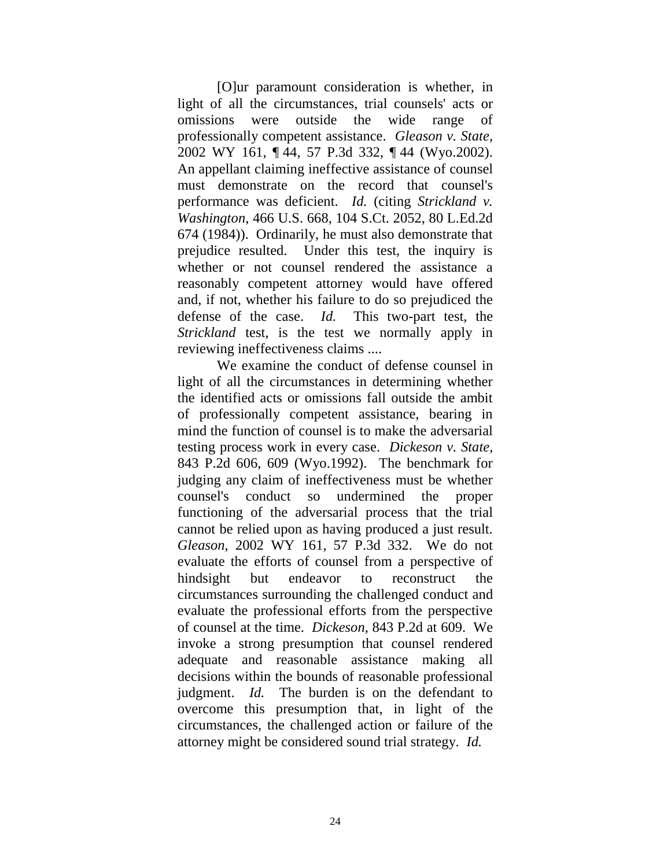[O]ur paramount consideration is whether, in light of all the circumstances, trial counsels' acts or omissions were outside the wide range of professionally competent assistance. *Gleason v. State*, 2002 WY 161, ¶ 44, 57 P.3d 332, ¶ 44 (Wyo.2002). An appellant claiming ineffective assistance of counsel must demonstrate on the record that counsel's performance was deficient. *Id.* (citing *Strickland v. Washington*, 466 U.S. 668, 104 S.Ct. 2052, 80 L.Ed.2d 674 (1984)). Ordinarily, he must also demonstrate that prejudice resulted. Under this test, the inquiry is whether or not counsel rendered the assistance a reasonably competent attorney would have offered and, if not, whether his failure to do so prejudiced the defense of the case. *Id.* This two-part test, the *Strickland* test, is the test we normally apply in reviewing ineffectiveness claims ....

We examine the conduct of defense counsel in light of all the circumstances in determining whether the identified acts or omissions fall outside the ambit of professionally competent assistance, bearing in mind the function of counsel is to make the adversarial testing process work in every case. *Dickeson v. State*, 843 P.2d 606, 609 (Wyo.1992). The benchmark for judging any claim of ineffectiveness must be whether counsel's conduct so undermined the proper functioning of the adversarial process that the trial cannot be relied upon as having produced a just result. *Gleason*, 2002 WY 161, 57 P.3d 332. We do not evaluate the efforts of counsel from a perspective of hindsight but endeavor to reconstruct the circumstances surrounding the challenged conduct and evaluate the professional efforts from the perspective of counsel at the time. *Dickeson*, 843 P.2d at 609. We invoke a strong presumption that counsel rendered adequate and reasonable assistance making all decisions within the bounds of reasonable professional judgment. *Id.* The burden is on the defendant to overcome this presumption that, in light of the circumstances, the challenged action or failure of the attorney might be considered sound trial strategy. *Id.*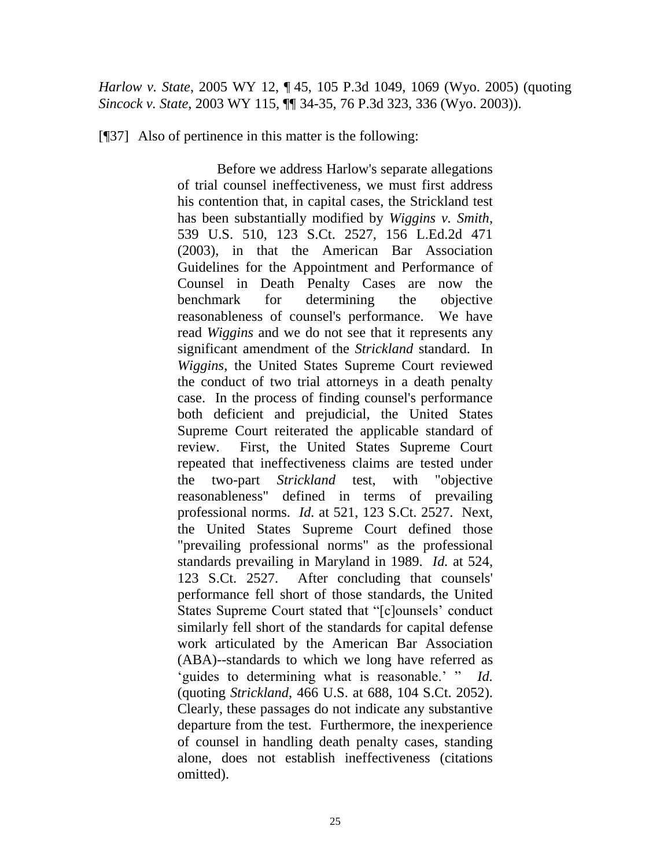*Harlow v. State*, 2005 WY 12, ¶ 45, 105 P.3d 1049, 1069 (Wyo. 2005) (quoting *Sincock v. State*, 2003 WY 115, ¶¶ 34-35, 76 P.3d 323, 336 (Wyo. 2003)).

[¶37] Also of pertinence in this matter is the following:

Before we address Harlow's separate allegations of trial counsel ineffectiveness, we must first address his contention that, in capital cases, the Strickland test has been substantially modified by *Wiggins v. Smith*, 539 U.S. 510, 123 S.Ct. 2527, 156 L.Ed.2d 471 (2003), in that the American Bar Association Guidelines for the Appointment and Performance of Counsel in Death Penalty Cases are now the benchmark for determining the objective reasonableness of counsel's performance. We have read *Wiggins* and we do not see that it represents any significant amendment of the *Strickland* standard. In *Wiggins*, the United States Supreme Court reviewed the conduct of two trial attorneys in a death penalty case. In the process of finding counsel's performance both deficient and prejudicial, the United States Supreme Court reiterated the applicable standard of review. First, the United States Supreme Court repeated that ineffectiveness claims are tested under the two-part *Strickland* test, with "objective reasonableness" defined in terms of prevailing professional norms. *Id.* at 521, 123 S.Ct. 2527. Next, the United States Supreme Court defined those "prevailing professional norms" as the professional standards prevailing in Maryland in 1989. *Id.* at 524, 123 S.Ct. 2527. After concluding that counsels' performance fell short of those standards, the United States Supreme Court stated that "[c]ounsels' conduct similarly fell short of the standards for capital defense work articulated by the American Bar Association (ABA)--standards to which we long have referred as 'guides to determining what is reasonable.' " *Id.* (quoting *Strickland*, 466 U.S. at 688, 104 S.Ct. 2052). Clearly, these passages do not indicate any substantive departure from the test. Furthermore, the inexperience of counsel in handling death penalty cases, standing alone, does not establish ineffectiveness (citations omitted).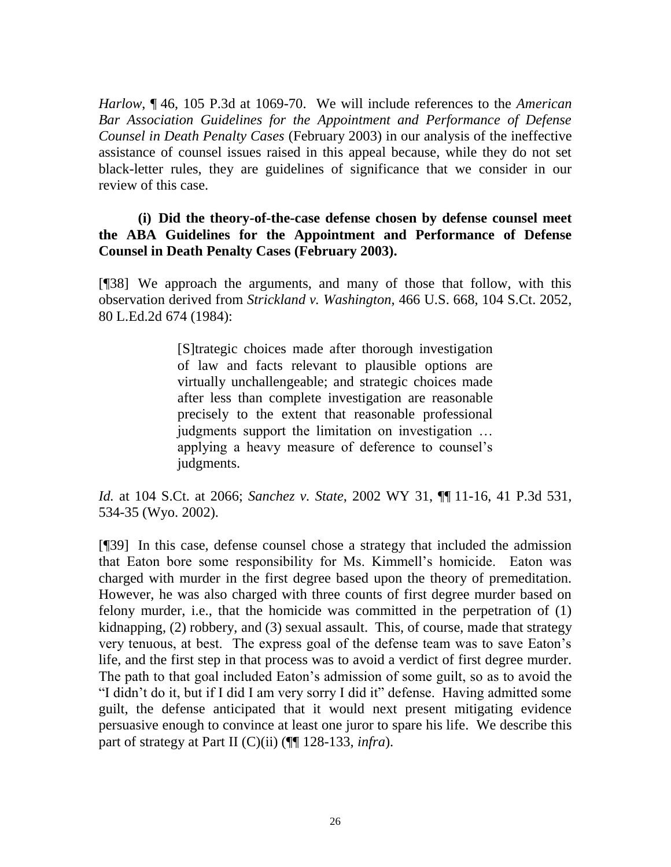*Harlow*, ¶ 46, 105 P.3d at 1069-70. We will include references to the *American Bar Association Guidelines for the Appointment and Performance of Defense Counsel in Death Penalty Cases* (February 2003) in our analysis of the ineffective assistance of counsel issues raised in this appeal because, while they do not set black-letter rules, they are guidelines of significance that we consider in our review of this case.

### **(i) Did the theory-of-the-case defense chosen by defense counsel meet the ABA Guidelines for the Appointment and Performance of Defense Counsel in Death Penalty Cases (February 2003).**

[¶38] We approach the arguments, and many of those that follow, with this observation derived from *Strickland v. Washington*, 466 U.S. 668, 104 S.Ct. 2052, 80 L.Ed.2d 674 (1984):

> [S]trategic choices made after thorough investigation of law and facts relevant to plausible options are virtually unchallengeable; and strategic choices made after less than complete investigation are reasonable precisely to the extent that reasonable professional judgments support the limitation on investigation … applying a heavy measure of deference to counsel's judgments.

*Id.* at 104 S.Ct. at 2066; *Sanchez v. State*, 2002 WY 31, ¶¶ 11-16, 41 P.3d 531, 534-35 (Wyo. 2002).

[¶39] In this case, defense counsel chose a strategy that included the admission that Eaton bore some responsibility for Ms. Kimmell's homicide. Eaton was charged with murder in the first degree based upon the theory of premeditation. However, he was also charged with three counts of first degree murder based on felony murder, i.e., that the homicide was committed in the perpetration of (1) kidnapping, (2) robbery, and (3) sexual assault. This, of course, made that strategy very tenuous, at best. The express goal of the defense team was to save Eaton's life, and the first step in that process was to avoid a verdict of first degree murder. The path to that goal included Eaton's admission of some guilt, so as to avoid the "I didn't do it, but if I did I am very sorry I did it" defense. Having admitted some guilt, the defense anticipated that it would next present mitigating evidence persuasive enough to convince at least one juror to spare his life. We describe this part of strategy at Part II (C)(ii) (¶¶ 128-133, *infra*).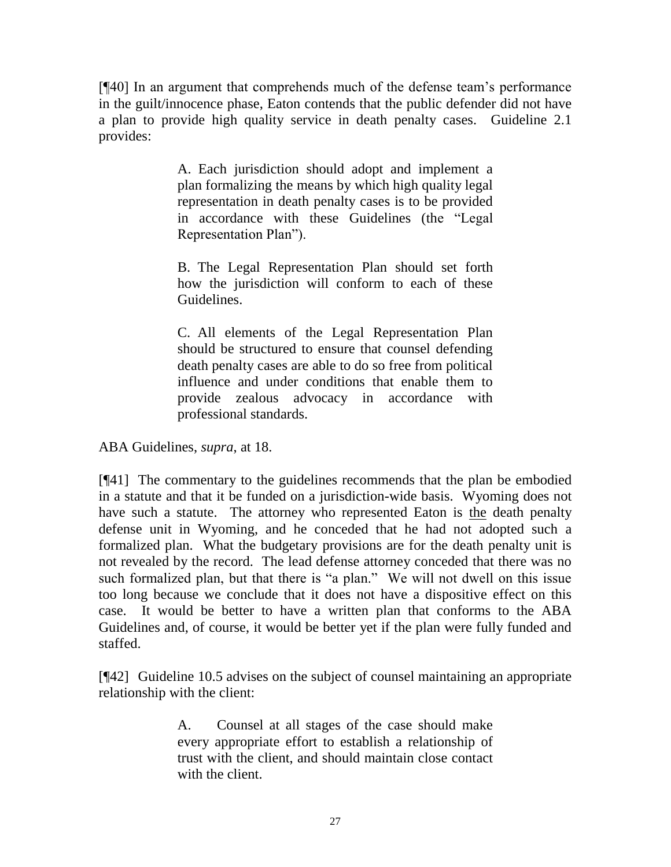[¶40] In an argument that comprehends much of the defense team's performance in the guilt/innocence phase, Eaton contends that the public defender did not have a plan to provide high quality service in death penalty cases. Guideline 2.1 provides:

> A. Each jurisdiction should adopt and implement a plan formalizing the means by which high quality legal representation in death penalty cases is to be provided in accordance with these Guidelines (the "Legal Representation Plan").

> B. The Legal Representation Plan should set forth how the jurisdiction will conform to each of these Guidelines.

> C. All elements of the Legal Representation Plan should be structured to ensure that counsel defending death penalty cases are able to do so free from political influence and under conditions that enable them to provide zealous advocacy in accordance with professional standards.

ABA Guidelines, *supra*, at 18.

[¶41] The commentary to the guidelines recommends that the plan be embodied in a statute and that it be funded on a jurisdiction-wide basis. Wyoming does not have such a statute. The attorney who represented Eaton is the death penalty defense unit in Wyoming, and he conceded that he had not adopted such a formalized plan. What the budgetary provisions are for the death penalty unit is not revealed by the record. The lead defense attorney conceded that there was no such formalized plan, but that there is "a plan." We will not dwell on this issue too long because we conclude that it does not have a dispositive effect on this case. It would be better to have a written plan that conforms to the ABA Guidelines and, of course, it would be better yet if the plan were fully funded and staffed.

[¶42] Guideline 10.5 advises on the subject of counsel maintaining an appropriate relationship with the client:

> A. Counsel at all stages of the case should make every appropriate effort to establish a relationship of trust with the client, and should maintain close contact with the client.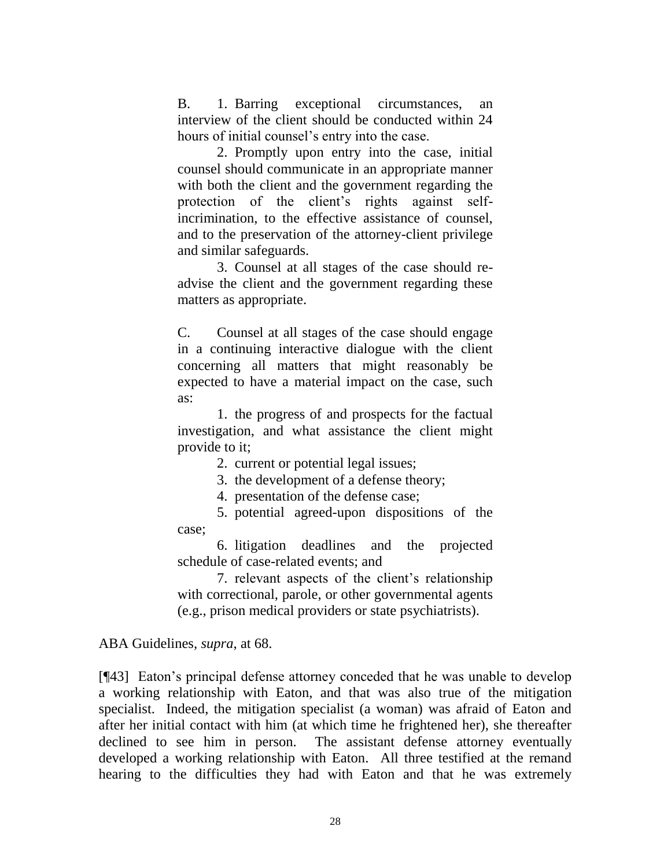B. 1. Barring exceptional circumstances, an interview of the client should be conducted within 24 hours of initial counsel's entry into the case.

2. Promptly upon entry into the case, initial counsel should communicate in an appropriate manner with both the client and the government regarding the protection of the client's rights against selfincrimination, to the effective assistance of counsel, and to the preservation of the attorney-client privilege and similar safeguards.

3. Counsel at all stages of the case should readvise the client and the government regarding these matters as appropriate.

C. Counsel at all stages of the case should engage in a continuing interactive dialogue with the client concerning all matters that might reasonably be expected to have a material impact on the case, such as:

1. the progress of and prospects for the factual investigation, and what assistance the client might provide to it;

2. current or potential legal issues;

3. the development of a defense theory;

4. presentation of the defense case;

5. potential agreed-upon dispositions of the case;

6. litigation deadlines and the projected schedule of case-related events; and

7. relevant aspects of the client's relationship with correctional, parole, or other governmental agents (e.g., prison medical providers or state psychiatrists).

ABA Guidelines*, supra*, at 68.

[¶43] Eaton's principal defense attorney conceded that he was unable to develop a working relationship with Eaton, and that was also true of the mitigation specialist. Indeed, the mitigation specialist (a woman) was afraid of Eaton and after her initial contact with him (at which time he frightened her), she thereafter declined to see him in person. The assistant defense attorney eventually developed a working relationship with Eaton. All three testified at the remand hearing to the difficulties they had with Eaton and that he was extremely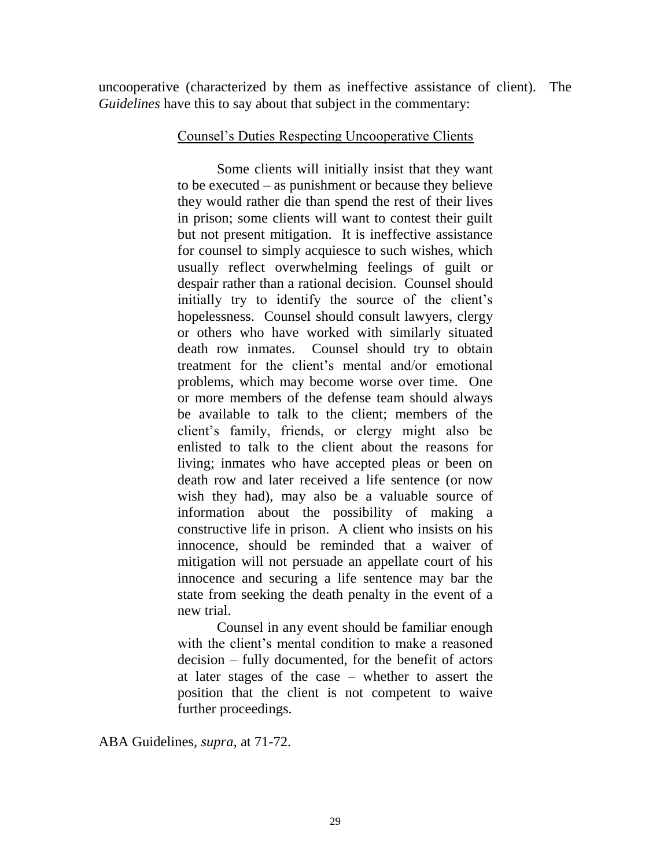uncooperative (characterized by them as ineffective assistance of client). The *Guidelines* have this to say about that subject in the commentary:

#### Counsel's Duties Respecting Uncooperative Clients

Some clients will initially insist that they want to be executed – as punishment or because they believe they would rather die than spend the rest of their lives in prison; some clients will want to contest their guilt but not present mitigation. It is ineffective assistance for counsel to simply acquiesce to such wishes, which usually reflect overwhelming feelings of guilt or despair rather than a rational decision. Counsel should initially try to identify the source of the client's hopelessness. Counsel should consult lawyers, clergy or others who have worked with similarly situated death row inmates. Counsel should try to obtain treatment for the client's mental and/or emotional problems, which may become worse over time. One or more members of the defense team should always be available to talk to the client; members of the client's family, friends, or clergy might also be enlisted to talk to the client about the reasons for living; inmates who have accepted pleas or been on death row and later received a life sentence (or now wish they had), may also be a valuable source of information about the possibility of making a constructive life in prison. A client who insists on his innocence, should be reminded that a waiver of mitigation will not persuade an appellate court of his innocence and securing a life sentence may bar the state from seeking the death penalty in the event of a new trial.

Counsel in any event should be familiar enough with the client's mental condition to make a reasoned decision – fully documented, for the benefit of actors at later stages of the case – whether to assert the position that the client is not competent to waive further proceedings.

ABA Guidelines*, supra*, at 71-72.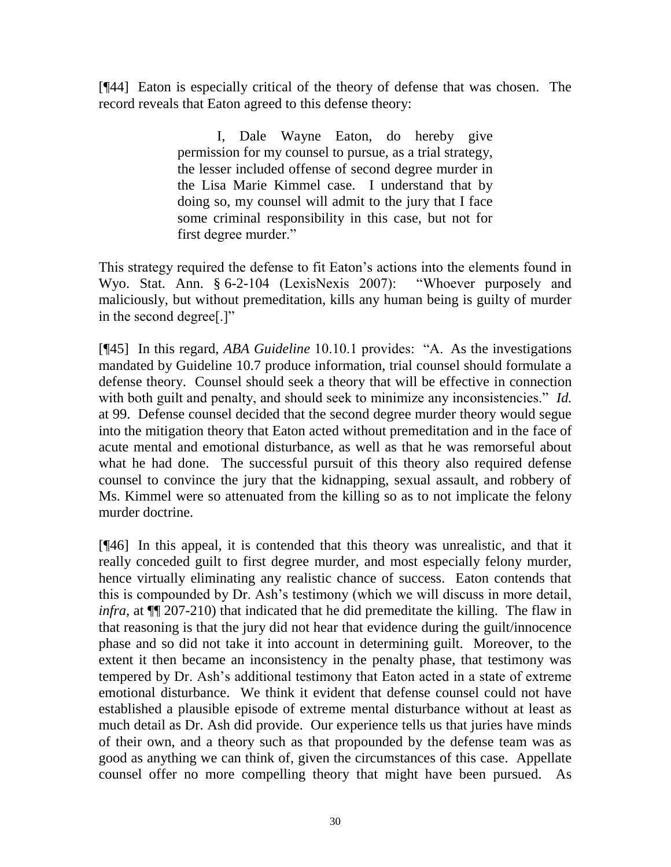[¶44] Eaton is especially critical of the theory of defense that was chosen. The record reveals that Eaton agreed to this defense theory:

> I, Dale Wayne Eaton, do hereby give permission for my counsel to pursue, as a trial strategy, the lesser included offense of second degree murder in the Lisa Marie Kimmel case. I understand that by doing so, my counsel will admit to the jury that I face some criminal responsibility in this case, but not for first degree murder."

This strategy required the defense to fit Eaton's actions into the elements found in Wyo. Stat. Ann. § 6-2-104 (LexisNexis 2007): "Whoever purposely and maliciously, but without premeditation, kills any human being is guilty of murder in the second degree<sup>[.]"</sup>

[¶45] In this regard, *ABA Guideline* 10.10.1 provides: "A. As the investigations mandated by Guideline 10.7 produce information, trial counsel should formulate a defense theory. Counsel should seek a theory that will be effective in connection with both guilt and penalty, and should seek to minimize any inconsistencies." *Id.* at 99. Defense counsel decided that the second degree murder theory would segue into the mitigation theory that Eaton acted without premeditation and in the face of acute mental and emotional disturbance, as well as that he was remorseful about what he had done. The successful pursuit of this theory also required defense counsel to convince the jury that the kidnapping, sexual assault, and robbery of Ms. Kimmel were so attenuated from the killing so as to not implicate the felony murder doctrine.

[¶46] In this appeal, it is contended that this theory was unrealistic, and that it really conceded guilt to first degree murder, and most especially felony murder, hence virtually eliminating any realistic chance of success. Eaton contends that this is compounded by Dr. Ash's testimony (which we will discuss in more detail, *infra*, at ¶¶ 207-210) that indicated that he did premeditate the killing. The flaw in that reasoning is that the jury did not hear that evidence during the guilt/innocence phase and so did not take it into account in determining guilt. Moreover, to the extent it then became an inconsistency in the penalty phase, that testimony was tempered by Dr. Ash's additional testimony that Eaton acted in a state of extreme emotional disturbance. We think it evident that defense counsel could not have established a plausible episode of extreme mental disturbance without at least as much detail as Dr. Ash did provide. Our experience tells us that juries have minds of their own, and a theory such as that propounded by the defense team was as good as anything we can think of, given the circumstances of this case. Appellate counsel offer no more compelling theory that might have been pursued. As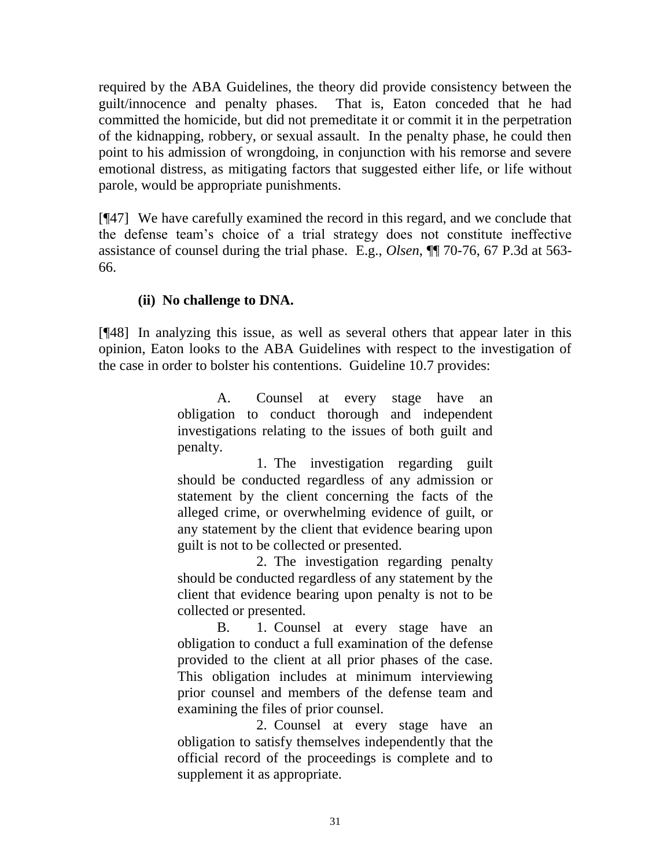required by the ABA Guidelines, the theory did provide consistency between the guilt/innocence and penalty phases. That is, Eaton conceded that he had committed the homicide, but did not premeditate it or commit it in the perpetration of the kidnapping, robbery, or sexual assault. In the penalty phase, he could then point to his admission of wrongdoing, in conjunction with his remorse and severe emotional distress, as mitigating factors that suggested either life, or life without parole, would be appropriate punishments.

[¶47] We have carefully examined the record in this regard, and we conclude that the defense team's choice of a trial strategy does not constitute ineffective assistance of counsel during the trial phase. E.g., *Olsen*, ¶¶ 70-76, 67 P.3d at 563- 66.

### **(ii) No challenge to DNA.**

[¶48] In analyzing this issue, as well as several others that appear later in this opinion, Eaton looks to the ABA Guidelines with respect to the investigation of the case in order to bolster his contentions. Guideline 10.7 provides:

> A. Counsel at every stage have an obligation to conduct thorough and independent investigations relating to the issues of both guilt and penalty.

> 1. The investigation regarding guilt should be conducted regardless of any admission or statement by the client concerning the facts of the alleged crime, or overwhelming evidence of guilt, or any statement by the client that evidence bearing upon guilt is not to be collected or presented.

> 2. The investigation regarding penalty should be conducted regardless of any statement by the client that evidence bearing upon penalty is not to be collected or presented.

> B. 1. Counsel at every stage have an obligation to conduct a full examination of the defense provided to the client at all prior phases of the case. This obligation includes at minimum interviewing prior counsel and members of the defense team and examining the files of prior counsel.

> 2. Counsel at every stage have an obligation to satisfy themselves independently that the official record of the proceedings is complete and to supplement it as appropriate.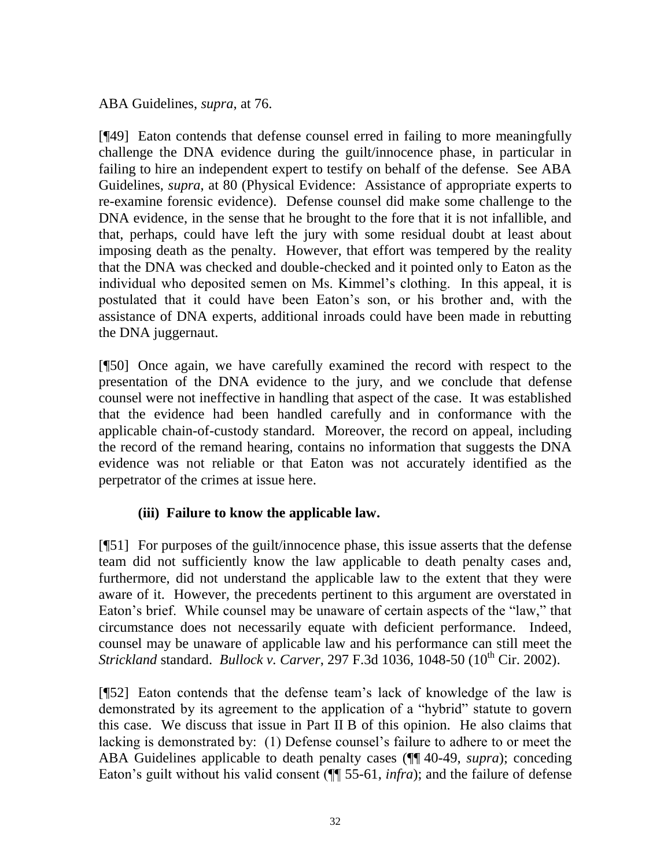ABA Guidelines, *supra*, at 76.

[¶49] Eaton contends that defense counsel erred in failing to more meaningfully challenge the DNA evidence during the guilt/innocence phase, in particular in failing to hire an independent expert to testify on behalf of the defense. See ABA Guidelines, *supra*, at 80 (Physical Evidence: Assistance of appropriate experts to re-examine forensic evidence). Defense counsel did make some challenge to the DNA evidence, in the sense that he brought to the fore that it is not infallible, and that, perhaps, could have left the jury with some residual doubt at least about imposing death as the penalty. However, that effort was tempered by the reality that the DNA was checked and double-checked and it pointed only to Eaton as the individual who deposited semen on Ms. Kimmel's clothing. In this appeal, it is postulated that it could have been Eaton's son, or his brother and, with the assistance of DNA experts, additional inroads could have been made in rebutting the DNA juggernaut.

[¶50] Once again, we have carefully examined the record with respect to the presentation of the DNA evidence to the jury, and we conclude that defense counsel were not ineffective in handling that aspect of the case. It was established that the evidence had been handled carefully and in conformance with the applicable chain-of-custody standard. Moreover, the record on appeal, including the record of the remand hearing, contains no information that suggests the DNA evidence was not reliable or that Eaton was not accurately identified as the perpetrator of the crimes at issue here.

## **(iii) Failure to know the applicable law.**

[¶51] For purposes of the guilt/innocence phase, this issue asserts that the defense team did not sufficiently know the law applicable to death penalty cases and, furthermore, did not understand the applicable law to the extent that they were aware of it. However, the precedents pertinent to this argument are overstated in Eaton's brief. While counsel may be unaware of certain aspects of the "law," that circumstance does not necessarily equate with deficient performance. Indeed, counsel may be unaware of applicable law and his performance can still meet the *Strickland* standard. *Bullock v. Carver*, 297 F.3d 1036, 1048-50 (10<sup>th</sup> Cir. 2002).

[¶52] Eaton contends that the defense team's lack of knowledge of the law is demonstrated by its agreement to the application of a "hybrid" statute to govern this case. We discuss that issue in Part II B of this opinion. He also claims that lacking is demonstrated by: (1) Defense counsel's failure to adhere to or meet the ABA Guidelines applicable to death penalty cases (¶¶ 40-49, *supra*); conceding Eaton's guilt without his valid consent (¶¶ 55-61, *infra*); and the failure of defense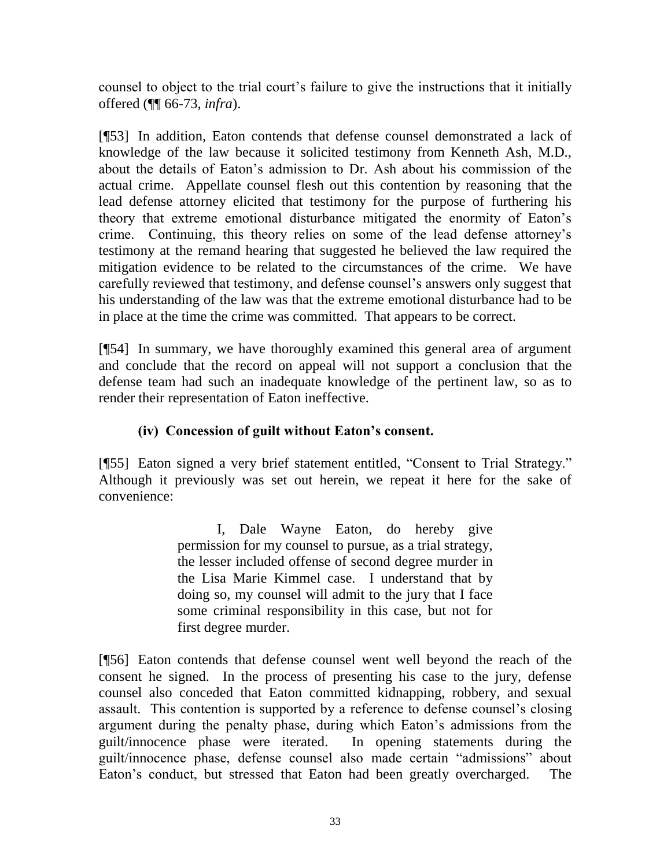counsel to object to the trial court's failure to give the instructions that it initially offered (¶¶ 66-73, *infra*).

[¶53] In addition, Eaton contends that defense counsel demonstrated a lack of knowledge of the law because it solicited testimony from Kenneth Ash, M.D., about the details of Eaton's admission to Dr. Ash about his commission of the actual crime. Appellate counsel flesh out this contention by reasoning that the lead defense attorney elicited that testimony for the purpose of furthering his theory that extreme emotional disturbance mitigated the enormity of Eaton's crime. Continuing, this theory relies on some of the lead defense attorney's testimony at the remand hearing that suggested he believed the law required the mitigation evidence to be related to the circumstances of the crime. We have carefully reviewed that testimony, and defense counsel's answers only suggest that his understanding of the law was that the extreme emotional disturbance had to be in place at the time the crime was committed. That appears to be correct.

[¶54] In summary, we have thoroughly examined this general area of argument and conclude that the record on appeal will not support a conclusion that the defense team had such an inadequate knowledge of the pertinent law, so as to render their representation of Eaton ineffective.

### **(iv) Concession of guilt without Eaton's consent.**

[¶55] Eaton signed a very brief statement entitled, "Consent to Trial Strategy." Although it previously was set out herein, we repeat it here for the sake of convenience:

> I, Dale Wayne Eaton, do hereby give permission for my counsel to pursue, as a trial strategy, the lesser included offense of second degree murder in the Lisa Marie Kimmel case. I understand that by doing so, my counsel will admit to the jury that I face some criminal responsibility in this case, but not for first degree murder.

[¶56] Eaton contends that defense counsel went well beyond the reach of the consent he signed. In the process of presenting his case to the jury, defense counsel also conceded that Eaton committed kidnapping, robbery, and sexual assault. This contention is supported by a reference to defense counsel's closing argument during the penalty phase, during which Eaton's admissions from the guilt/innocence phase were iterated. In opening statements during the guilt/innocence phase, defense counsel also made certain "admissions" about Eaton's conduct, but stressed that Eaton had been greatly overcharged. The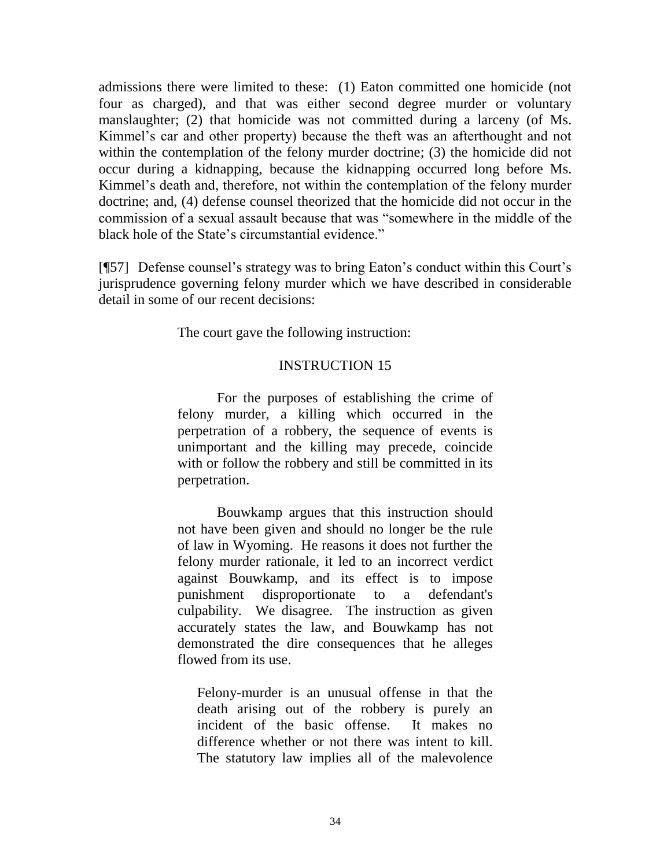admissions there were limited to these: (1) Eaton committed one homicide (not four as charged), and that was either second degree murder or voluntary manslaughter; (2) that homicide was not committed during a larceny (of Ms. Kimmel's car and other property) because the theft was an afterthought and not within the contemplation of the felony murder doctrine; (3) the homicide did not occur during a kidnapping, because the kidnapping occurred long before Ms. Kimmel's death and, therefore, not within the contemplation of the felony murder doctrine; and, (4) defense counsel theorized that the homicide did not occur in the commission of a sexual assault because that was "somewhere in the middle of the black hole of the State's circumstantial evidence."

[¶57] Defense counsel's strategy was to bring Eaton's conduct within this Court's jurisprudence governing felony murder which we have described in considerable detail in some of our recent decisions:

The court gave the following instruction:

#### INSTRUCTION 15

For the purposes of establishing the crime of felony murder, a killing which occurred in the perpetration of a robbery, the sequence of events is unimportant and the killing may precede, coincide with or follow the robbery and still be committed in its perpetration.

Bouwkamp argues that this instruction should not have been given and should no longer be the rule of law in Wyoming. He reasons it does not further the felony murder rationale, it led to an incorrect verdict against Bouwkamp, and its effect is to impose punishment disproportionate to a defendant's culpability. We disagree. The instruction as given accurately states the law, and Bouwkamp has not demonstrated the dire consequences that he alleges flowed from its use.

Felony-murder is an unusual offense in that the death arising out of the robbery is purely an incident of the basic offense. It makes no difference whether or not there was intent to kill. The statutory law implies all of the malevolence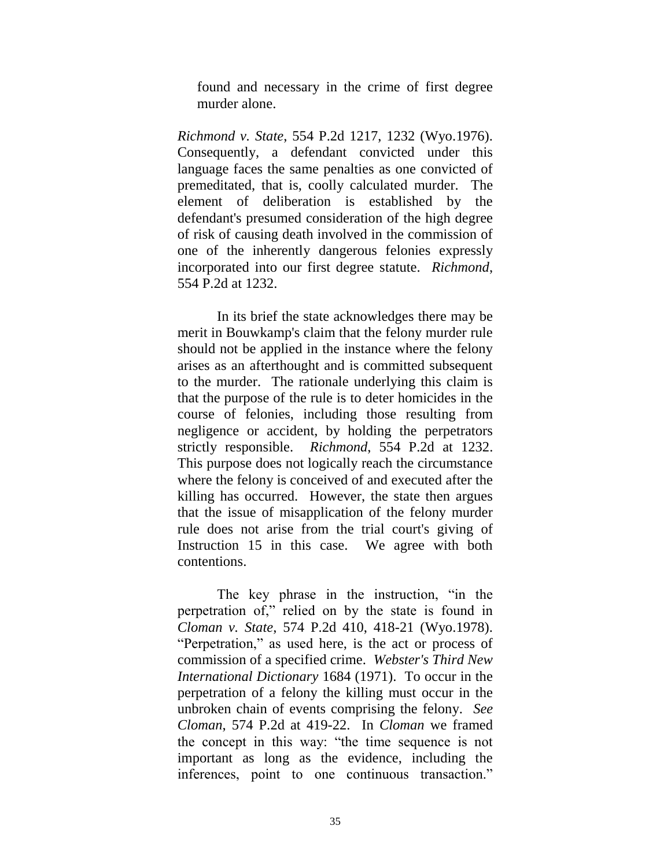found and necessary in the crime of first degree murder alone.

*Richmond v. State*, 554 P.2d 1217, 1232 (Wyo.1976). Consequently, a defendant convicted under this language faces the same penalties as one convicted of premeditated, that is, coolly calculated murder. The element of deliberation is established by the defendant's presumed consideration of the high degree of risk of causing death involved in the commission of one of the inherently dangerous felonies expressly incorporated into our first degree statute. *Richmond*, 554 P.2d at 1232.

In its brief the state acknowledges there may be merit in Bouwkamp's claim that the felony murder rule should not be applied in the instance where the felony arises as an afterthought and is committed subsequent to the murder. The rationale underlying this claim is that the purpose of the rule is to deter homicides in the course of felonies, including those resulting from negligence or accident, by holding the perpetrators strictly responsible. *Richmond*, 554 P.2d at 1232. This purpose does not logically reach the circumstance where the felony is conceived of and executed after the killing has occurred. However, the state then argues that the issue of misapplication of the felony murder rule does not arise from the trial court's giving of Instruction 15 in this case. We agree with both contentions.

The key phrase in the instruction, "in the perpetration of," relied on by the state is found in *Cloman v. State*, 574 P.2d 410, 418-21 (Wyo.1978). "Perpetration," as used here, is the act or process of commission of a specified crime. *Webster's Third New International Dictionary* 1684 (1971). To occur in the perpetration of a felony the killing must occur in the unbroken chain of events comprising the felony. *See Cloman*, 574 P.2d at 419-22. In *Cloman* we framed the concept in this way: "the time sequence is not important as long as the evidence, including the inferences, point to one continuous transaction."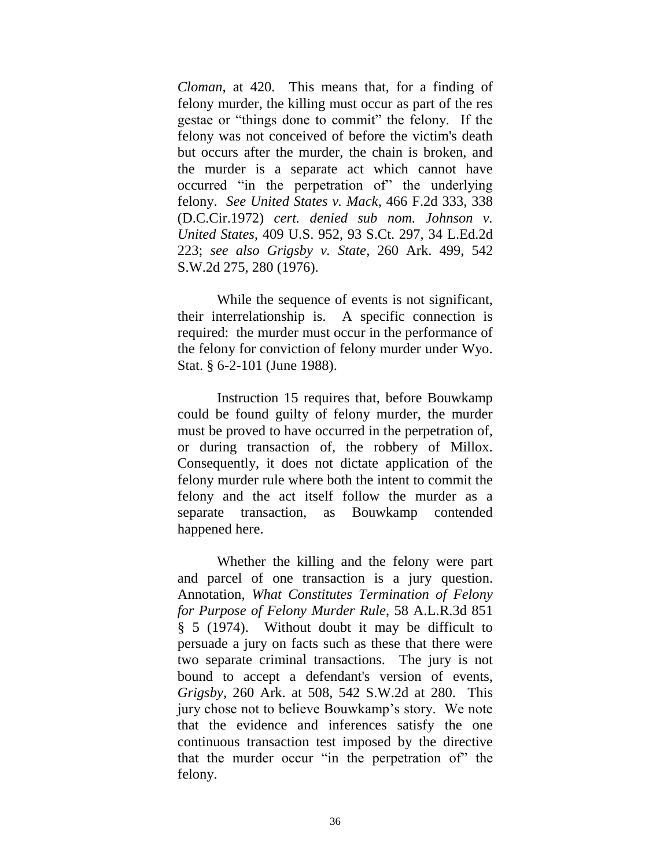*Cloman*, at 420. This means that, for a finding of felony murder, the killing must occur as part of the res gestae or "things done to commit" the felony. If the felony was not conceived of before the victim's death but occurs after the murder, the chain is broken, and the murder is a separate act which cannot have occurred "in the perpetration of" the underlying felony. *See United States v. Mack*, 466 F.2d 333, 338 (D.C.Cir.1972) *cert. denied sub nom. Johnson v. United States*, 409 U.S. 952, 93 S.Ct. 297, 34 L.Ed.2d 223; *see also Grigsby v. State*, 260 Ark. 499, 542 S.W.2d 275, 280 (1976).

While the sequence of events is not significant, their interrelationship is. A specific connection is required: the murder must occur in the performance of the felony for conviction of felony murder under Wyo. Stat. § 6-2-101 (June 1988).

Instruction 15 requires that, before Bouwkamp could be found guilty of felony murder, the murder must be proved to have occurred in the perpetration of, or during transaction of, the robbery of Millox. Consequently, it does not dictate application of the felony murder rule where both the intent to commit the felony and the act itself follow the murder as a separate transaction, as Bouwkamp contended happened here.

Whether the killing and the felony were part and parcel of one transaction is a jury question. Annotation, *What Constitutes Termination of Felony for Purpose of Felony Murder Rule*, 58 A.L.R.3d 851 § 5 (1974). Without doubt it may be difficult to persuade a jury on facts such as these that there were two separate criminal transactions. The jury is not bound to accept a defendant's version of events, *Grigsby*, 260 Ark. at 508, 542 S.W.2d at 280. This jury chose not to believe Bouwkamp's story. We note that the evidence and inferences satisfy the one continuous transaction test imposed by the directive that the murder occur "in the perpetration of" the felony.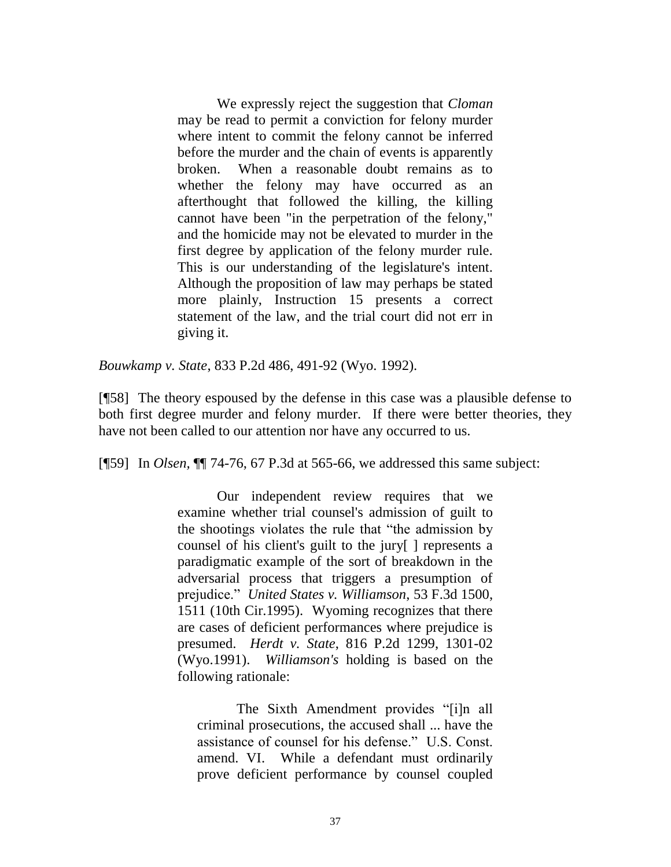We expressly reject the suggestion that *Cloman* may be read to permit a conviction for felony murder where intent to commit the felony cannot be inferred before the murder and the chain of events is apparently broken. When a reasonable doubt remains as to whether the felony may have occurred as an afterthought that followed the killing, the killing cannot have been "in the perpetration of the felony," and the homicide may not be elevated to murder in the first degree by application of the felony murder rule. This is our understanding of the legislature's intent. Although the proposition of law may perhaps be stated more plainly, Instruction 15 presents a correct statement of the law, and the trial court did not err in giving it.

*Bouwkamp v. State*, 833 P.2d 486, 491-92 (Wyo. 1992).

[¶58] The theory espoused by the defense in this case was a plausible defense to both first degree murder and felony murder. If there were better theories, they have not been called to our attention nor have any occurred to us.

[¶59] In *Olsen,* ¶¶ 74-76, 67 P.3d at 565-66, we addressed this same subject:

Our independent review requires that we examine whether trial counsel's admission of guilt to the shootings violates the rule that "the admission by counsel of his client's guilt to the jury[ ] represents a paradigmatic example of the sort of breakdown in the adversarial process that triggers a presumption of prejudice.‖ *United States v. Williamson*, 53 F.3d 1500, 1511 (10th Cir.1995). Wyoming recognizes that there are cases of deficient performances where prejudice is presumed. *Herdt v. State*, 816 P.2d 1299, 1301-02 (Wyo.1991). *Williamson's* holding is based on the following rationale:

The Sixth Amendment provides "[i]n all criminal prosecutions, the accused shall ... have the assistance of counsel for his defense." U.S. Const. amend. VI. While a defendant must ordinarily prove deficient performance by counsel coupled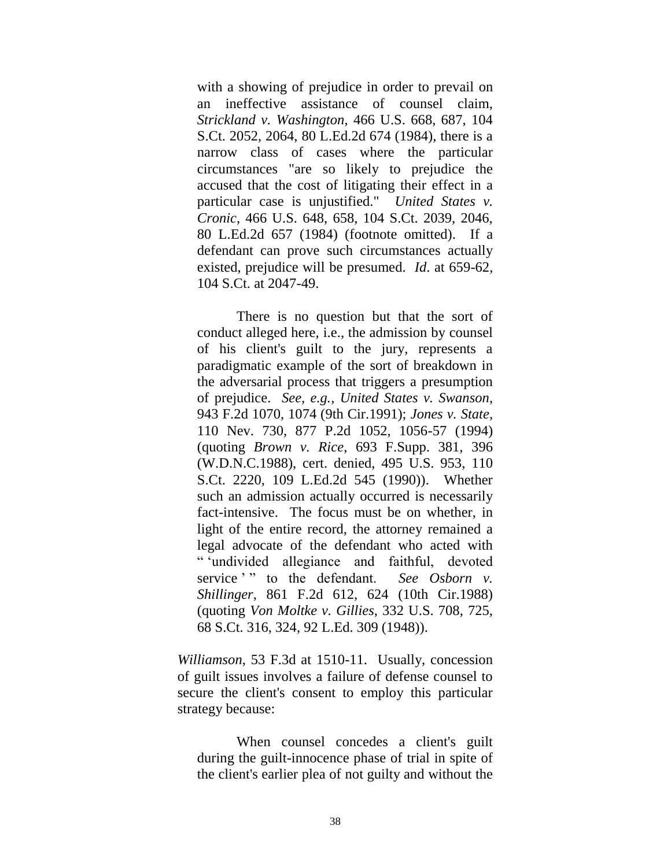with a showing of prejudice in order to prevail on an ineffective assistance of counsel claim, *Strickland v. Washington*, 466 U.S. 668, 687, 104 S.Ct. 2052, 2064, 80 L.Ed.2d 674 (1984), there is a narrow class of cases where the particular circumstances "are so likely to prejudice the accused that the cost of litigating their effect in a particular case is unjustified." *United States v. Cronic*, 466 U.S. 648, 658, 104 S.Ct. 2039, 2046, 80 L.Ed.2d 657 (1984) (footnote omitted). If a defendant can prove such circumstances actually existed, prejudice will be presumed. *Id*. at 659-62, 104 S.Ct. at 2047-49.

There is no question but that the sort of conduct alleged here, i.e., the admission by counsel of his client's guilt to the jury, represents a paradigmatic example of the sort of breakdown in the adversarial process that triggers a presumption of prejudice. *See, e.g., United States v. Swanson*, 943 F.2d 1070, 1074 (9th Cir.1991); *Jones v. State*, 110 Nev. 730, 877 P.2d 1052, 1056-57 (1994) (quoting *Brown v. Rice*, 693 F.Supp. 381, 396 (W.D.N.C.1988), cert. denied, 495 U.S. 953, 110 S.Ct. 2220, 109 L.Ed.2d 545 (1990)). Whether such an admission actually occurred is necessarily fact-intensive. The focus must be on whether, in light of the entire record, the attorney remained a legal advocate of the defendant who acted with " 'undivided allegiance and faithful, devoted service '" to the defendant. See Osborn v. *Shillinger*, 861 F.2d 612, 624 (10th Cir.1988) (quoting *Von Moltke v. Gillies*, 332 U.S. 708, 725, 68 S.Ct. 316, 324, 92 L.Ed. 309 (1948)).

*Williamson*, 53 F.3d at 1510-11. Usually, concession of guilt issues involves a failure of defense counsel to secure the client's consent to employ this particular strategy because:

When counsel concedes a client's guilt during the guilt-innocence phase of trial in spite of the client's earlier plea of not guilty and without the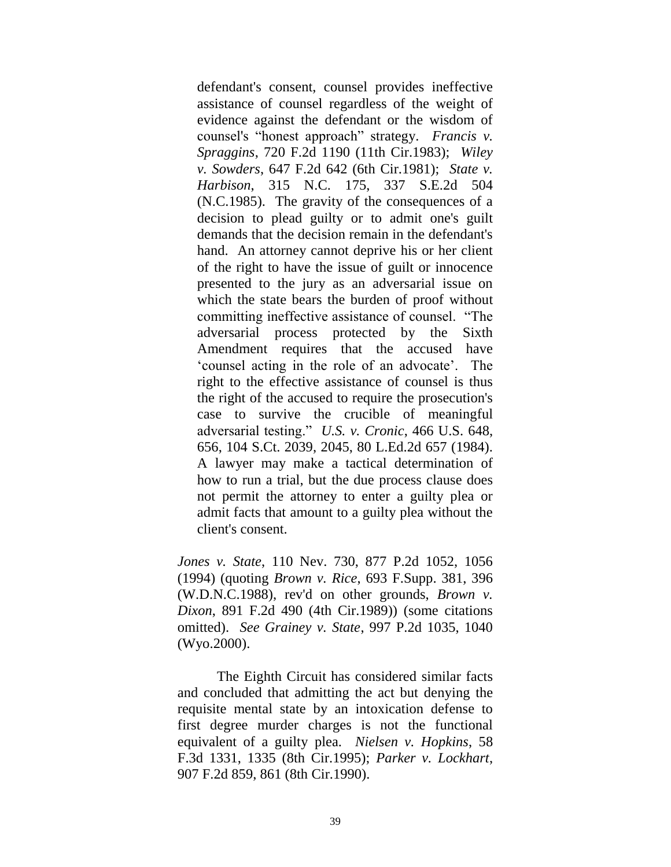defendant's consent, counsel provides ineffective assistance of counsel regardless of the weight of evidence against the defendant or the wisdom of counsel's "honest approach" strategy. *Francis v. Spraggins*, 720 F.2d 1190 (11th Cir.1983); *Wiley v. Sowders*, 647 F.2d 642 (6th Cir.1981); *State v. Harbison*, 315 N.C. 175, 337 S.E.2d 504 (N.C.1985). The gravity of the consequences of a decision to plead guilty or to admit one's guilt demands that the decision remain in the defendant's hand. An attorney cannot deprive his or her client of the right to have the issue of guilt or innocence presented to the jury as an adversarial issue on which the state bears the burden of proof without committing ineffective assistance of counsel. "The adversarial process protected by the Sixth Amendment requires that the accused have ‗counsel acting in the role of an advocate'. The right to the effective assistance of counsel is thus the right of the accused to require the prosecution's case to survive the crucible of meaningful adversarial testing.‖ *U.S. v. Cronic*, 466 U.S. 648, 656, 104 S.Ct. 2039, 2045, 80 L.Ed.2d 657 (1984). A lawyer may make a tactical determination of how to run a trial, but the due process clause does not permit the attorney to enter a guilty plea or admit facts that amount to a guilty plea without the client's consent.

*Jones v. State*, 110 Nev. 730, 877 P.2d 1052, 1056 (1994) (quoting *Brown v. Rice*, 693 F.Supp. 381, 396 (W.D.N.C.1988), rev'd on other grounds, *Brown v. Dixon*, 891 F.2d 490 (4th Cir.1989)) (some citations omitted). *See Grainey v. State*, 997 P.2d 1035, 1040 (Wyo.2000).

The Eighth Circuit has considered similar facts and concluded that admitting the act but denying the requisite mental state by an intoxication defense to first degree murder charges is not the functional equivalent of a guilty plea. *Nielsen v. Hopkins*, 58 F.3d 1331, 1335 (8th Cir.1995); *Parker v. Lockhart*, 907 F.2d 859, 861 (8th Cir.1990).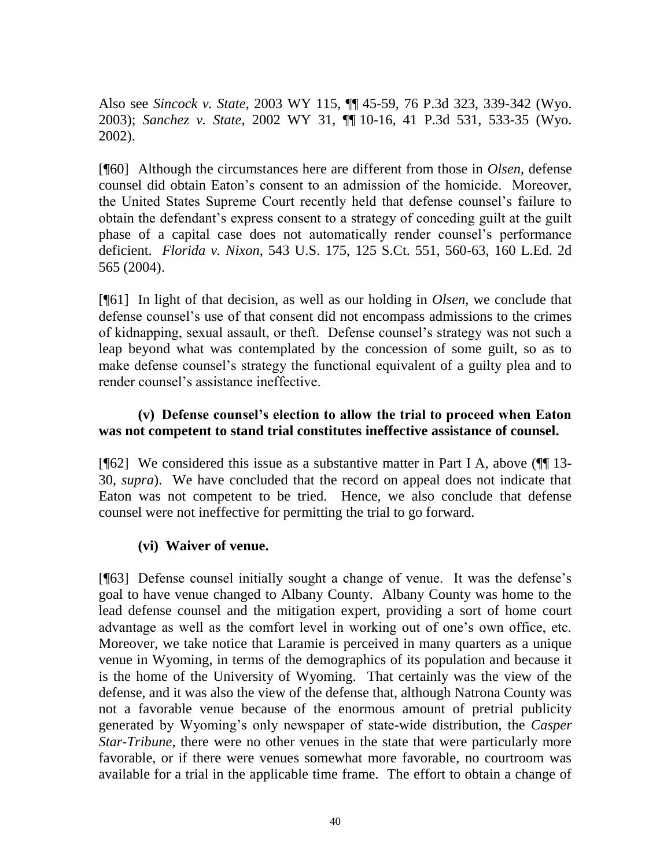Also see *Sincock v. State*, 2003 WY 115, ¶¶ 45-59, 76 P.3d 323, 339-342 (Wyo. 2003); *Sanchez v. State*, 2002 WY 31, ¶¶ 10-16, 41 P.3d 531, 533-35 (Wyo. 2002).

[¶60] Although the circumstances here are different from those in *Olsen*, defense counsel did obtain Eaton's consent to an admission of the homicide. Moreover, the United States Supreme Court recently held that defense counsel's failure to obtain the defendant's express consent to a strategy of conceding guilt at the guilt phase of a capital case does not automatically render counsel's performance deficient. *Florida v. Nixon*, 543 U.S. 175, 125 S.Ct. 551, 560-63, 160 L.Ed. 2d 565 (2004).

[¶61] In light of that decision, as well as our holding in *Olsen*, we conclude that defense counsel's use of that consent did not encompass admissions to the crimes of kidnapping, sexual assault, or theft. Defense counsel's strategy was not such a leap beyond what was contemplated by the concession of some guilt, so as to make defense counsel's strategy the functional equivalent of a guilty plea and to render counsel's assistance ineffective.

#### **(v) Defense counsel's election to allow the trial to proceed when Eaton was not competent to stand trial constitutes ineffective assistance of counsel.**

[¶62] We considered this issue as a substantive matter in Part I A, above (¶¶ 13- 30, *supra*). We have concluded that the record on appeal does not indicate that Eaton was not competent to be tried. Hence, we also conclude that defense counsel were not ineffective for permitting the trial to go forward.

#### **(vi) Waiver of venue.**

[¶63] Defense counsel initially sought a change of venue. It was the defense's goal to have venue changed to Albany County. Albany County was home to the lead defense counsel and the mitigation expert, providing a sort of home court advantage as well as the comfort level in working out of one's own office, etc. Moreover, we take notice that Laramie is perceived in many quarters as a unique venue in Wyoming, in terms of the demographics of its population and because it is the home of the University of Wyoming. That certainly was the view of the defense, and it was also the view of the defense that, although Natrona County was not a favorable venue because of the enormous amount of pretrial publicity generated by Wyoming's only newspaper of state-wide distribution, the *Casper Star-Tribune*, there were no other venues in the state that were particularly more favorable, or if there were venues somewhat more favorable, no courtroom was available for a trial in the applicable time frame. The effort to obtain a change of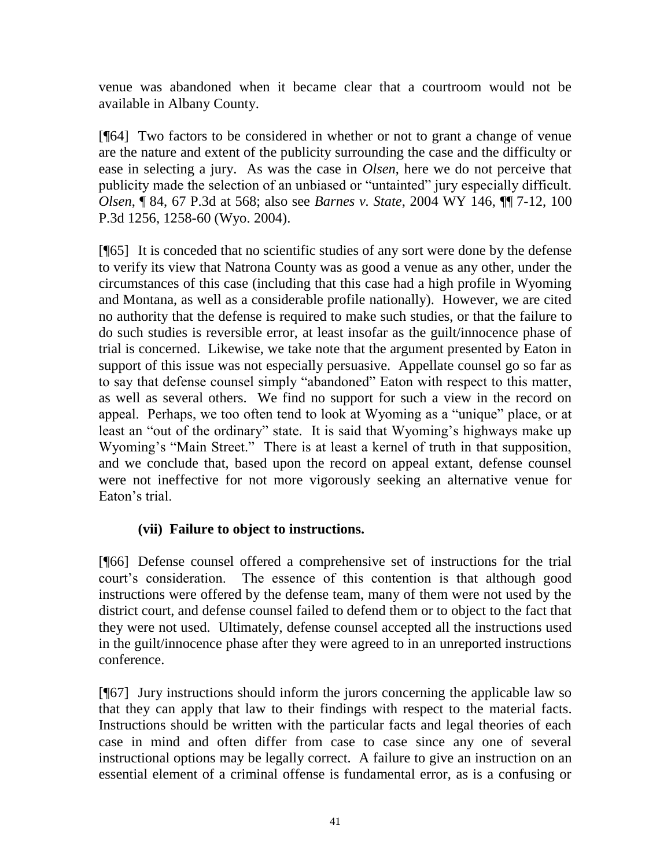venue was abandoned when it became clear that a courtroom would not be available in Albany County.

[¶64] Two factors to be considered in whether or not to grant a change of venue are the nature and extent of the publicity surrounding the case and the difficulty or ease in selecting a jury. As was the case in *Olsen*, here we do not perceive that publicity made the selection of an unbiased or "untainted" jury especially difficult. *Olsen*, ¶ 84, 67 P.3d at 568; also see *Barnes v. State*, 2004 WY 146, ¶¶ 7-12, 100 P.3d 1256, 1258-60 (Wyo. 2004).

[¶65] It is conceded that no scientific studies of any sort were done by the defense to verify its view that Natrona County was as good a venue as any other, under the circumstances of this case (including that this case had a high profile in Wyoming and Montana, as well as a considerable profile nationally). However, we are cited no authority that the defense is required to make such studies, or that the failure to do such studies is reversible error, at least insofar as the guilt/innocence phase of trial is concerned. Likewise, we take note that the argument presented by Eaton in support of this issue was not especially persuasive. Appellate counsel go so far as to say that defense counsel simply "abandoned" Eaton with respect to this matter, as well as several others. We find no support for such a view in the record on appeal. Perhaps, we too often tend to look at Wyoming as a "unique" place, or at least an "out of the ordinary" state. It is said that Wyoming's highways make up Wyoming's "Main Street." There is at least a kernel of truth in that supposition, and we conclude that, based upon the record on appeal extant, defense counsel were not ineffective for not more vigorously seeking an alternative venue for Eaton's trial.

## **(vii) Failure to object to instructions.**

[¶66] Defense counsel offered a comprehensive set of instructions for the trial court's consideration. The essence of this contention is that although good instructions were offered by the defense team, many of them were not used by the district court, and defense counsel failed to defend them or to object to the fact that they were not used. Ultimately, defense counsel accepted all the instructions used in the guilt/innocence phase after they were agreed to in an unreported instructions conference.

[¶67] Jury instructions should inform the jurors concerning the applicable law so that they can apply that law to their findings with respect to the material facts. Instructions should be written with the particular facts and legal theories of each case in mind and often differ from case to case since any one of several instructional options may be legally correct. A failure to give an instruction on an essential element of a criminal offense is fundamental error, as is a confusing or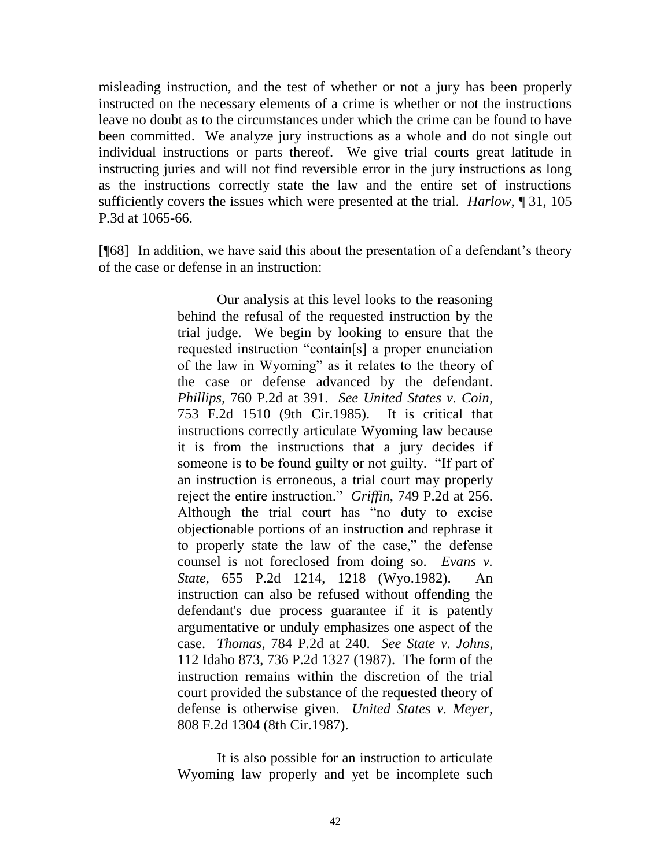misleading instruction, and the test of whether or not a jury has been properly instructed on the necessary elements of a crime is whether or not the instructions leave no doubt as to the circumstances under which the crime can be found to have been committed. We analyze jury instructions as a whole and do not single out individual instructions or parts thereof. We give trial courts great latitude in instructing juries and will not find reversible error in the jury instructions as long as the instructions correctly state the law and the entire set of instructions sufficiently covers the issues which were presented at the trial. *Harlow,* ¶ 31, 105 P.3d at 1065-66.

[¶68] In addition, we have said this about the presentation of a defendant's theory of the case or defense in an instruction:

> Our analysis at this level looks to the reasoning behind the refusal of the requested instruction by the trial judge. We begin by looking to ensure that the requested instruction "contain[s] a proper enunciation of the law in Wyoming" as it relates to the theory of the case or defense advanced by the defendant. *Phillips*, 760 P.2d at 391. *See United States v. Coin*, 753 F.2d 1510 (9th Cir.1985). It is critical that instructions correctly articulate Wyoming law because it is from the instructions that a jury decides if someone is to be found guilty or not guilty. "If part of an instruction is erroneous, a trial court may properly reject the entire instruction.‖ *Griffin*, 749 P.2d at 256. Although the trial court has "no duty to excise objectionable portions of an instruction and rephrase it to properly state the law of the case," the defense counsel is not foreclosed from doing so. *Evans v. State*, 655 P.2d 1214, 1218 (Wyo.1982). An instruction can also be refused without offending the defendant's due process guarantee if it is patently argumentative or unduly emphasizes one aspect of the case. *Thomas*, 784 P.2d at 240. *See State v. Johns*, 112 Idaho 873, 736 P.2d 1327 (1987). The form of the instruction remains within the discretion of the trial court provided the substance of the requested theory of defense is otherwise given. *United States v. Meyer*, 808 F.2d 1304 (8th Cir.1987).

It is also possible for an instruction to articulate Wyoming law properly and yet be incomplete such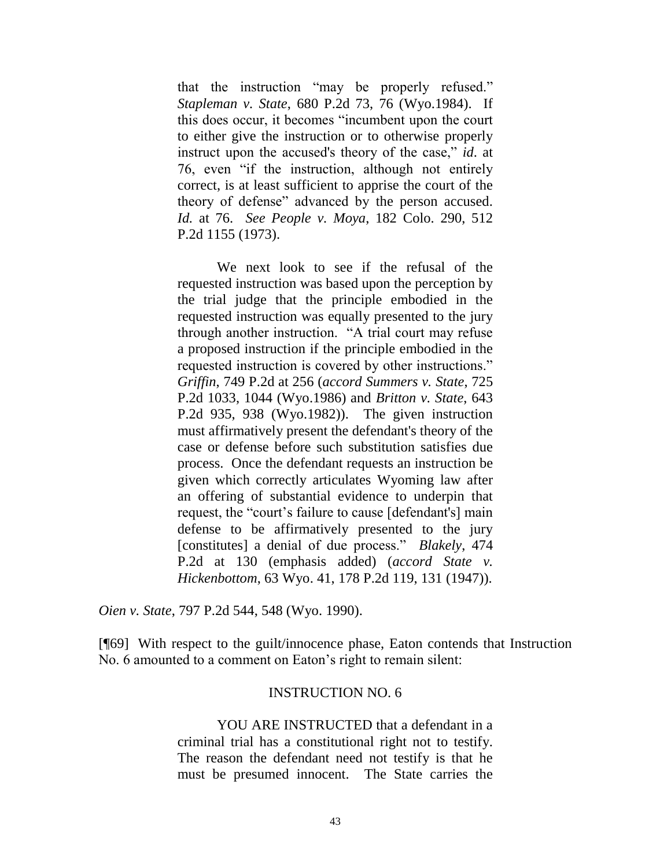that the instruction "may be properly refused." *Stapleman v. State*, 680 P.2d 73, 76 (Wyo.1984). If this does occur, it becomes "incumbent upon the court to either give the instruction or to otherwise properly instruct upon the accused's theory of the case," *id*. at 76, even "if the instruction, although not entirely correct, is at least sufficient to apprise the court of the theory of defense" advanced by the person accused. *Id.* at 76. *See People v. Moya*, 182 Colo. 290, 512 P.2d 1155 (1973).

We next look to see if the refusal of the requested instruction was based upon the perception by the trial judge that the principle embodied in the requested instruction was equally presented to the jury through another instruction. "A trial court may refuse a proposed instruction if the principle embodied in the requested instruction is covered by other instructions." *Griffin*, 749 P.2d at 256 (*accord Summers v. State*, 725 P.2d 1033, 1044 (Wyo.1986) and *Britton v. State*, 643 P.2d 935, 938 (Wyo.1982)). The given instruction must affirmatively present the defendant's theory of the case or defense before such substitution satisfies due process. Once the defendant requests an instruction be given which correctly articulates Wyoming law after an offering of substantial evidence to underpin that request, the "court's failure to cause [defendant's] main defense to be affirmatively presented to the jury [constitutes] a denial of due process." *Blakely*, 474 P.2d at 130 (emphasis added) (*accord State v. Hickenbottom*, 63 Wyo. 41, 178 P.2d 119, 131 (1947)).

*Oien v. State*, 797 P.2d 544, 548 (Wyo. 1990).

[¶69] With respect to the guilt/innocence phase, Eaton contends that Instruction No. 6 amounted to a comment on Eaton's right to remain silent:

#### INSTRUCTION NO. 6

YOU ARE INSTRUCTED that a defendant in a criminal trial has a constitutional right not to testify. The reason the defendant need not testify is that he must be presumed innocent. The State carries the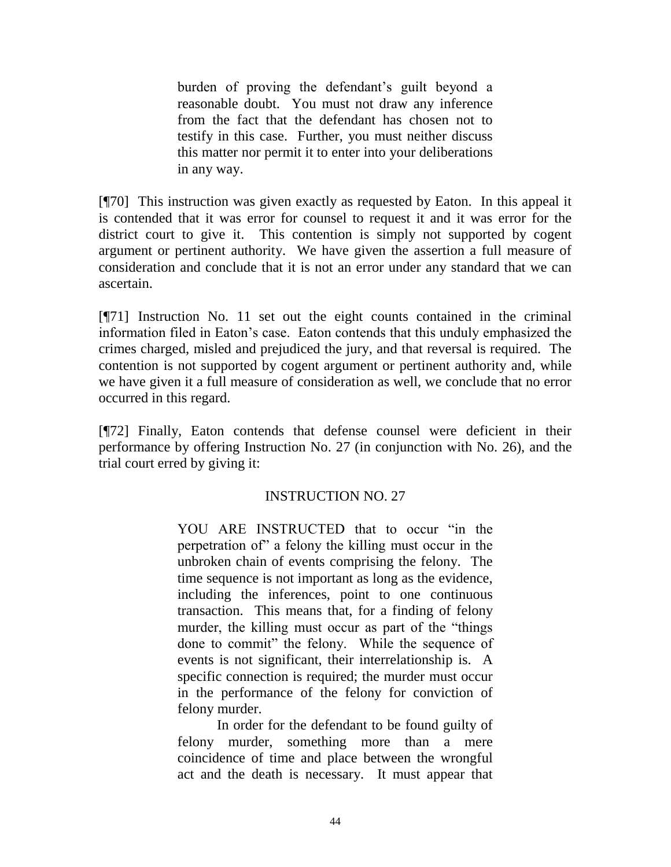burden of proving the defendant's guilt beyond a reasonable doubt. You must not draw any inference from the fact that the defendant has chosen not to testify in this case. Further, you must neither discuss this matter nor permit it to enter into your deliberations in any way.

[¶70] This instruction was given exactly as requested by Eaton. In this appeal it is contended that it was error for counsel to request it and it was error for the district court to give it. This contention is simply not supported by cogent argument or pertinent authority. We have given the assertion a full measure of consideration and conclude that it is not an error under any standard that we can ascertain.

[¶71] Instruction No. 11 set out the eight counts contained in the criminal information filed in Eaton's case. Eaton contends that this unduly emphasized the crimes charged, misled and prejudiced the jury, and that reversal is required. The contention is not supported by cogent argument or pertinent authority and, while we have given it a full measure of consideration as well, we conclude that no error occurred in this regard.

[¶72] Finally, Eaton contends that defense counsel were deficient in their performance by offering Instruction No. 27 (in conjunction with No. 26), and the trial court erred by giving it:

#### INSTRUCTION NO. 27

YOU ARE INSTRUCTED that to occur "in the perpetration of" a felony the killing must occur in the unbroken chain of events comprising the felony. The time sequence is not important as long as the evidence, including the inferences, point to one continuous transaction. This means that, for a finding of felony murder, the killing must occur as part of the "things" done to commit" the felony. While the sequence of events is not significant, their interrelationship is. A specific connection is required; the murder must occur in the performance of the felony for conviction of felony murder.

In order for the defendant to be found guilty of felony murder, something more than a mere coincidence of time and place between the wrongful act and the death is necessary. It must appear that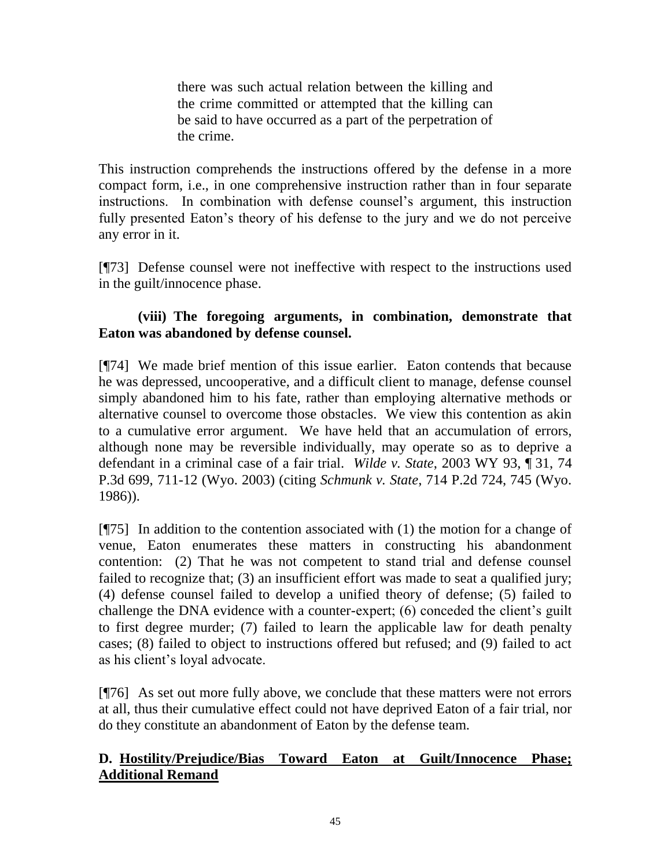there was such actual relation between the killing and the crime committed or attempted that the killing can be said to have occurred as a part of the perpetration of the crime.

This instruction comprehends the instructions offered by the defense in a more compact form, i.e., in one comprehensive instruction rather than in four separate instructions. In combination with defense counsel's argument, this instruction fully presented Eaton's theory of his defense to the jury and we do not perceive any error in it.

[¶73] Defense counsel were not ineffective with respect to the instructions used in the guilt/innocence phase.

### **(viii) The foregoing arguments, in combination, demonstrate that Eaton was abandoned by defense counsel.**

[¶74] We made brief mention of this issue earlier. Eaton contends that because he was depressed, uncooperative, and a difficult client to manage, defense counsel simply abandoned him to his fate, rather than employing alternative methods or alternative counsel to overcome those obstacles. We view this contention as akin to a cumulative error argument. We have held that an accumulation of errors, although none may be reversible individually, may operate so as to deprive a defendant in a criminal case of a fair trial. *Wilde v. State*, 2003 WY 93, ¶ 31, 74 P.3d 699, 711-12 (Wyo. 2003) (citing *Schmunk v. State*, 714 P.2d 724, 745 (Wyo. 1986)).

[¶75] In addition to the contention associated with (1) the motion for a change of venue, Eaton enumerates these matters in constructing his abandonment contention: (2) That he was not competent to stand trial and defense counsel failed to recognize that; (3) an insufficient effort was made to seat a qualified jury; (4) defense counsel failed to develop a unified theory of defense; (5) failed to challenge the DNA evidence with a counter-expert; (6) conceded the client's guilt to first degree murder; (7) failed to learn the applicable law for death penalty cases; (8) failed to object to instructions offered but refused; and (9) failed to act as his client's loyal advocate.

[¶76] As set out more fully above, we conclude that these matters were not errors at all, thus their cumulative effect could not have deprived Eaton of a fair trial, nor do they constitute an abandonment of Eaton by the defense team.

## **D. Hostility/Prejudice/Bias Toward Eaton at Guilt/Innocence Phase; Additional Remand**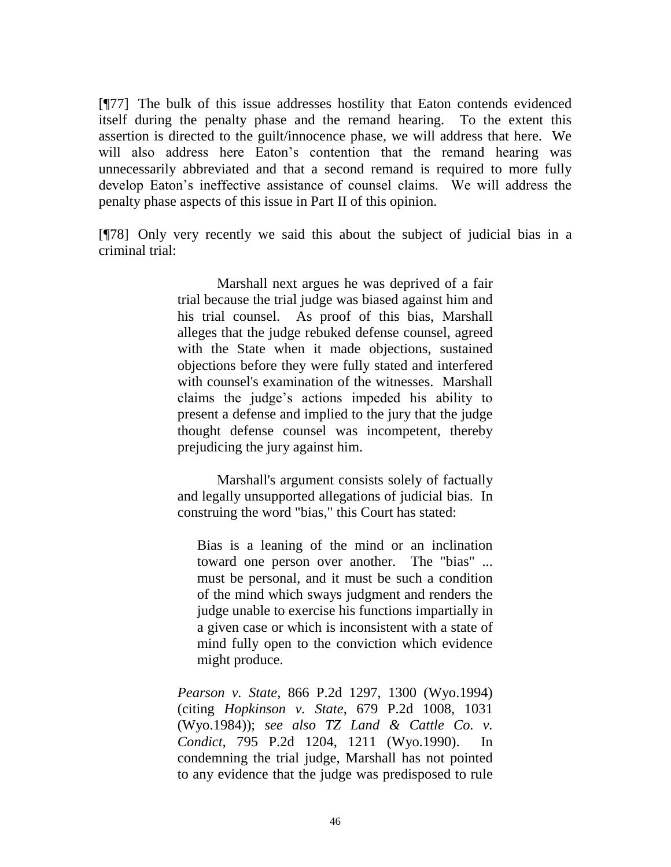[¶77] The bulk of this issue addresses hostility that Eaton contends evidenced itself during the penalty phase and the remand hearing. To the extent this assertion is directed to the guilt/innocence phase, we will address that here. We will also address here Eaton's contention that the remand hearing was unnecessarily abbreviated and that a second remand is required to more fully develop Eaton's ineffective assistance of counsel claims. We will address the penalty phase aspects of this issue in Part II of this opinion.

[¶78] Only very recently we said this about the subject of judicial bias in a criminal trial:

> Marshall next argues he was deprived of a fair trial because the trial judge was biased against him and his trial counsel. As proof of this bias, Marshall alleges that the judge rebuked defense counsel, agreed with the State when it made objections, sustained objections before they were fully stated and interfered with counsel's examination of the witnesses. Marshall claims the judge's actions impeded his ability to present a defense and implied to the jury that the judge thought defense counsel was incompetent, thereby prejudicing the jury against him.

> Marshall's argument consists solely of factually and legally unsupported allegations of judicial bias. In construing the word "bias," this Court has stated:

Bias is a leaning of the mind or an inclination toward one person over another. The "bias" ... must be personal, and it must be such a condition of the mind which sways judgment and renders the judge unable to exercise his functions impartially in a given case or which is inconsistent with a state of mind fully open to the conviction which evidence might produce.

*Pearson v. State*, 866 P.2d 1297, 1300 (Wyo.1994) (citing *Hopkinson v. State*, 679 P.2d 1008, 1031 (Wyo.1984)); *see also TZ Land & Cattle Co. v. Condict*, 795 P.2d 1204, 1211 (Wyo.1990). In condemning the trial judge, Marshall has not pointed to any evidence that the judge was predisposed to rule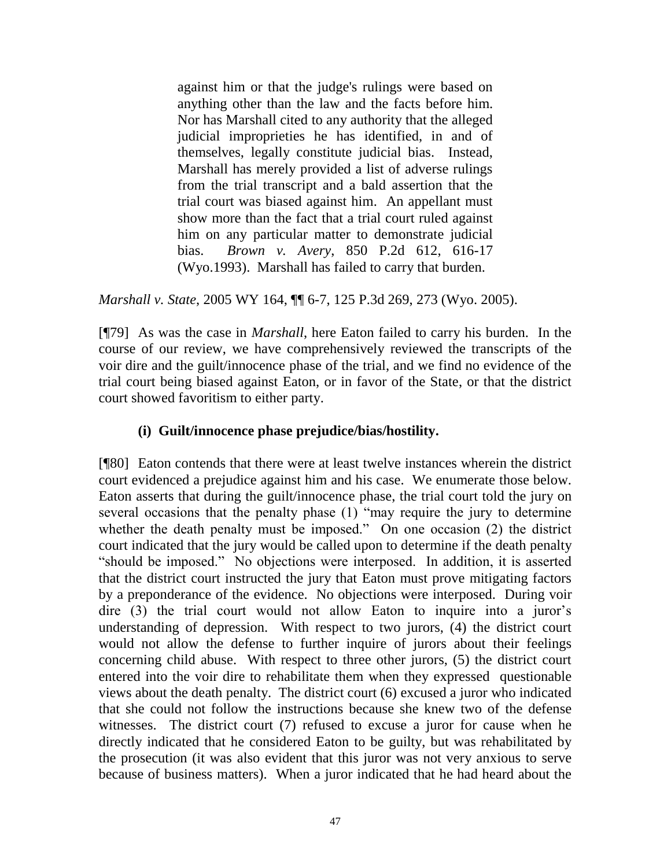against him or that the judge's rulings were based on anything other than the law and the facts before him. Nor has Marshall cited to any authority that the alleged judicial improprieties he has identified, in and of themselves, legally constitute judicial bias. Instead, Marshall has merely provided a list of adverse rulings from the trial transcript and a bald assertion that the trial court was biased against him. An appellant must show more than the fact that a trial court ruled against him on any particular matter to demonstrate judicial bias. *Brown v. Avery*, 850 P.2d 612, 616-17 (Wyo.1993). Marshall has failed to carry that burden.

*Marshall v. State*, 2005 WY 164, ¶¶ 6-7, 125 P.3d 269, 273 (Wyo. 2005).

[¶79] As was the case in *Marshall*, here Eaton failed to carry his burden. In the course of our review, we have comprehensively reviewed the transcripts of the voir dire and the guilt/innocence phase of the trial, and we find no evidence of the trial court being biased against Eaton, or in favor of the State, or that the district court showed favoritism to either party.

#### **(i) Guilt/innocence phase prejudice/bias/hostility.**

[¶80] Eaton contends that there were at least twelve instances wherein the district court evidenced a prejudice against him and his case. We enumerate those below. Eaton asserts that during the guilt/innocence phase, the trial court told the jury on several occasions that the penalty phase  $(1)$  "may require the jury to determine whether the death penalty must be imposed." On one occasion  $(2)$  the district court indicated that the jury would be called upon to determine if the death penalty "should be imposed." No objections were interposed. In addition, it is asserted that the district court instructed the jury that Eaton must prove mitigating factors by a preponderance of the evidence. No objections were interposed. During voir dire (3) the trial court would not allow Eaton to inquire into a juror's understanding of depression. With respect to two jurors, (4) the district court would not allow the defense to further inquire of jurors about their feelings concerning child abuse. With respect to three other jurors, (5) the district court entered into the voir dire to rehabilitate them when they expressed questionable views about the death penalty. The district court (6) excused a juror who indicated that she could not follow the instructions because she knew two of the defense witnesses. The district court (7) refused to excuse a juror for cause when he directly indicated that he considered Eaton to be guilty, but was rehabilitated by the prosecution (it was also evident that this juror was not very anxious to serve because of business matters). When a juror indicated that he had heard about the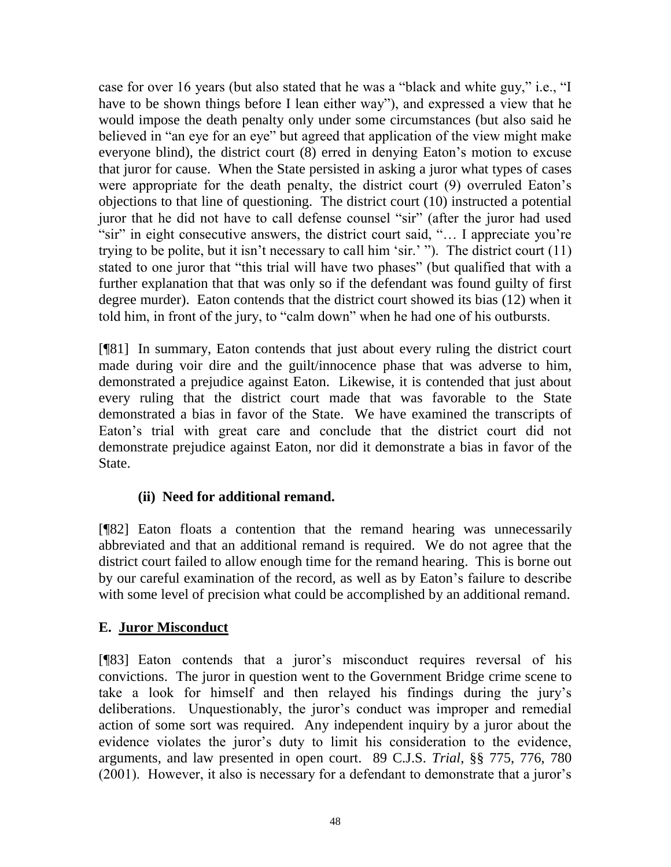case for over 16 years (but also stated that he was a "black and white guy," i.e., "I have to be shown things before I lean either way"), and expressed a view that he would impose the death penalty only under some circumstances (but also said he believed in "an eye for an eye" but agreed that application of the view might make everyone blind), the district court (8) erred in denying Eaton's motion to excuse that juror for cause. When the State persisted in asking a juror what types of cases were appropriate for the death penalty, the district court (9) overruled Eaton's objections to that line of questioning. The district court (10) instructed a potential juror that he did not have to call defense counsel "sir" (after the juror had used "sir" in eight consecutive answers, the district court said, "... I appreciate you're trying to be polite, but it isn't necessary to call him 'sir.' "). The district court  $(11)$ stated to one juror that "this trial will have two phases" (but qualified that with a further explanation that that was only so if the defendant was found guilty of first degree murder). Eaton contends that the district court showed its bias (12) when it told him, in front of the jury, to "calm down" when he had one of his outbursts.

[¶81] In summary, Eaton contends that just about every ruling the district court made during voir dire and the guilt/innocence phase that was adverse to him, demonstrated a prejudice against Eaton. Likewise, it is contended that just about every ruling that the district court made that was favorable to the State demonstrated a bias in favor of the State. We have examined the transcripts of Eaton's trial with great care and conclude that the district court did not demonstrate prejudice against Eaton, nor did it demonstrate a bias in favor of the State.

## **(ii) Need for additional remand.**

[¶82] Eaton floats a contention that the remand hearing was unnecessarily abbreviated and that an additional remand is required. We do not agree that the district court failed to allow enough time for the remand hearing. This is borne out by our careful examination of the record, as well as by Eaton's failure to describe with some level of precision what could be accomplished by an additional remand.

## **E. Juror Misconduct**

[¶83] Eaton contends that a juror's misconduct requires reversal of his convictions. The juror in question went to the Government Bridge crime scene to take a look for himself and then relayed his findings during the jury's deliberations. Unquestionably, the juror's conduct was improper and remedial action of some sort was required. Any independent inquiry by a juror about the evidence violates the juror's duty to limit his consideration to the evidence, arguments, and law presented in open court. 89 C.J.S. *Trial*, §§ 775, 776, 780 (2001). However, it also is necessary for a defendant to demonstrate that a juror's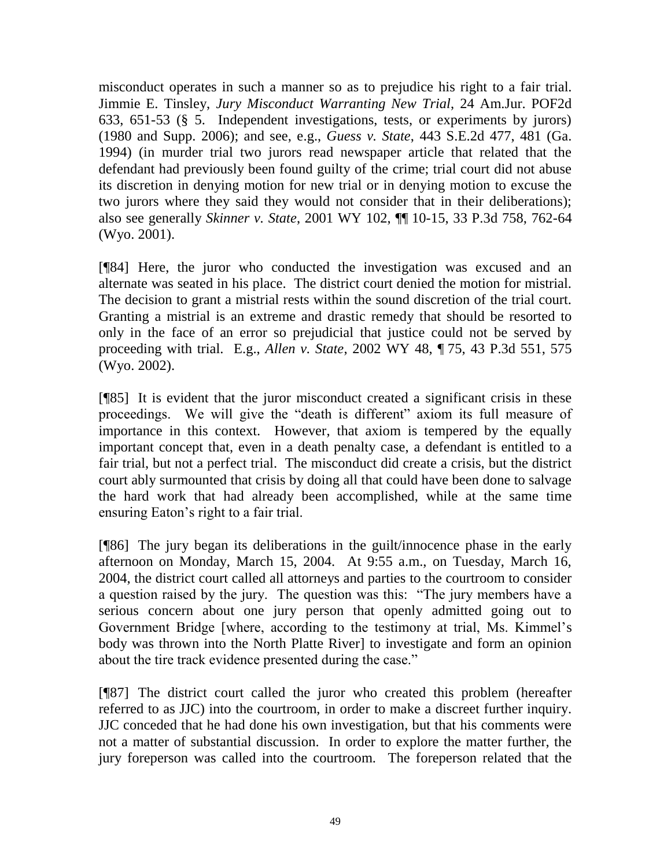misconduct operates in such a manner so as to prejudice his right to a fair trial. Jimmie E. Tinsley, *Jury Misconduct Warranting New Trial*, 24 Am.Jur. POF2d 633, 651-53 (§ 5. Independent investigations, tests, or experiments by jurors) (1980 and Supp. 2006); and see, e.g., *Guess v. State*, 443 S.E.2d 477, 481 (Ga. 1994) (in murder trial two jurors read newspaper article that related that the defendant had previously been found guilty of the crime; trial court did not abuse its discretion in denying motion for new trial or in denying motion to excuse the two jurors where they said they would not consider that in their deliberations); also see generally *Skinner v. State*, 2001 WY 102, ¶¶ 10-15, 33 P.3d 758, 762-64 (Wyo. 2001).

[¶84] Here, the juror who conducted the investigation was excused and an alternate was seated in his place. The district court denied the motion for mistrial. The decision to grant a mistrial rests within the sound discretion of the trial court. Granting a mistrial is an extreme and drastic remedy that should be resorted to only in the face of an error so prejudicial that justice could not be served by proceeding with trial. E.g., *Allen v. State*, 2002 WY 48, ¶ 75, 43 P.3d 551, 575 (Wyo. 2002).

[¶85] It is evident that the juror misconduct created a significant crisis in these proceedings. We will give the "death is different" axiom its full measure of importance in this context. However, that axiom is tempered by the equally important concept that, even in a death penalty case, a defendant is entitled to a fair trial, but not a perfect trial. The misconduct did create a crisis, but the district court ably surmounted that crisis by doing all that could have been done to salvage the hard work that had already been accomplished, while at the same time ensuring Eaton's right to a fair trial.

[¶86] The jury began its deliberations in the guilt/innocence phase in the early afternoon on Monday, March 15, 2004. At 9:55 a.m., on Tuesday, March 16, 2004, the district court called all attorneys and parties to the courtroom to consider a question raised by the jury. The question was this: "The jury members have a serious concern about one jury person that openly admitted going out to Government Bridge [where, according to the testimony at trial, Ms. Kimmel's body was thrown into the North Platte River] to investigate and form an opinion about the tire track evidence presented during the case."

[¶87] The district court called the juror who created this problem (hereafter referred to as JJC) into the courtroom, in order to make a discreet further inquiry. JJC conceded that he had done his own investigation, but that his comments were not a matter of substantial discussion. In order to explore the matter further, the jury foreperson was called into the courtroom. The foreperson related that the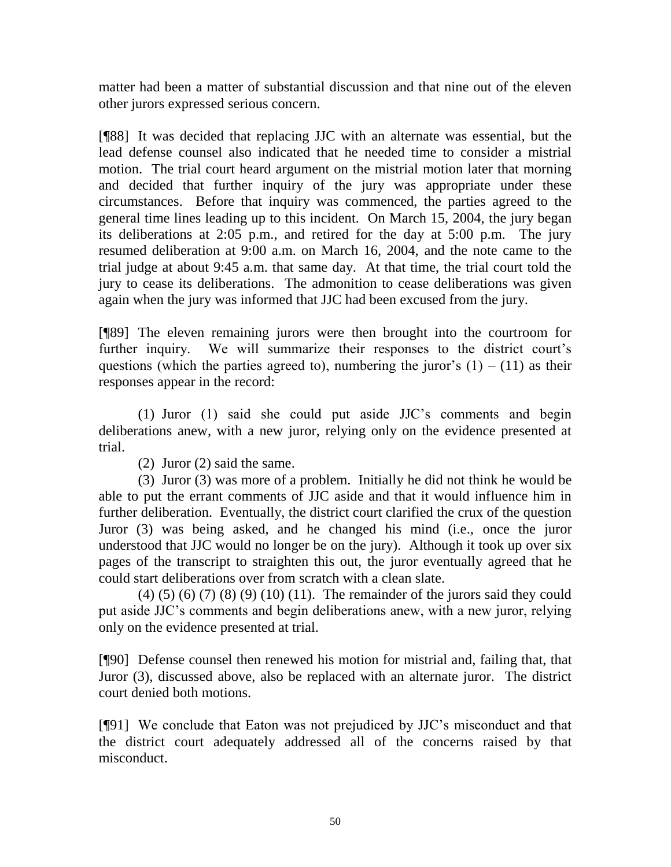matter had been a matter of substantial discussion and that nine out of the eleven other jurors expressed serious concern.

[¶88] It was decided that replacing JJC with an alternate was essential, but the lead defense counsel also indicated that he needed time to consider a mistrial motion. The trial court heard argument on the mistrial motion later that morning and decided that further inquiry of the jury was appropriate under these circumstances. Before that inquiry was commenced, the parties agreed to the general time lines leading up to this incident. On March 15, 2004, the jury began its deliberations at 2:05 p.m., and retired for the day at 5:00 p.m. The jury resumed deliberation at 9:00 a.m. on March 16, 2004, and the note came to the trial judge at about 9:45 a.m. that same day. At that time, the trial court told the jury to cease its deliberations. The admonition to cease deliberations was given again when the jury was informed that JJC had been excused from the jury.

[¶89] The eleven remaining jurors were then brought into the courtroom for further inquiry. We will summarize their responses to the district court's questions (which the parties agreed to), numbering the juror's  $(1) - (11)$  as their responses appear in the record:

(1) Juror (1) said she could put aside JJC's comments and begin deliberations anew, with a new juror, relying only on the evidence presented at trial.

(2) Juror (2) said the same.

(3) Juror (3) was more of a problem. Initially he did not think he would be able to put the errant comments of JJC aside and that it would influence him in further deliberation. Eventually, the district court clarified the crux of the question Juror (3) was being asked, and he changed his mind (i.e., once the juror understood that JJC would no longer be on the jury). Although it took up over six pages of the transcript to straighten this out, the juror eventually agreed that he could start deliberations over from scratch with a clean slate.

(4) (5) (6) (7) (8) (9) (10) (11). The remainder of the jurors said they could put aside JJC's comments and begin deliberations anew, with a new juror, relying only on the evidence presented at trial.

[¶90] Defense counsel then renewed his motion for mistrial and, failing that, that Juror (3), discussed above, also be replaced with an alternate juror. The district court denied both motions.

[¶91] We conclude that Eaton was not prejudiced by JJC's misconduct and that the district court adequately addressed all of the concerns raised by that misconduct.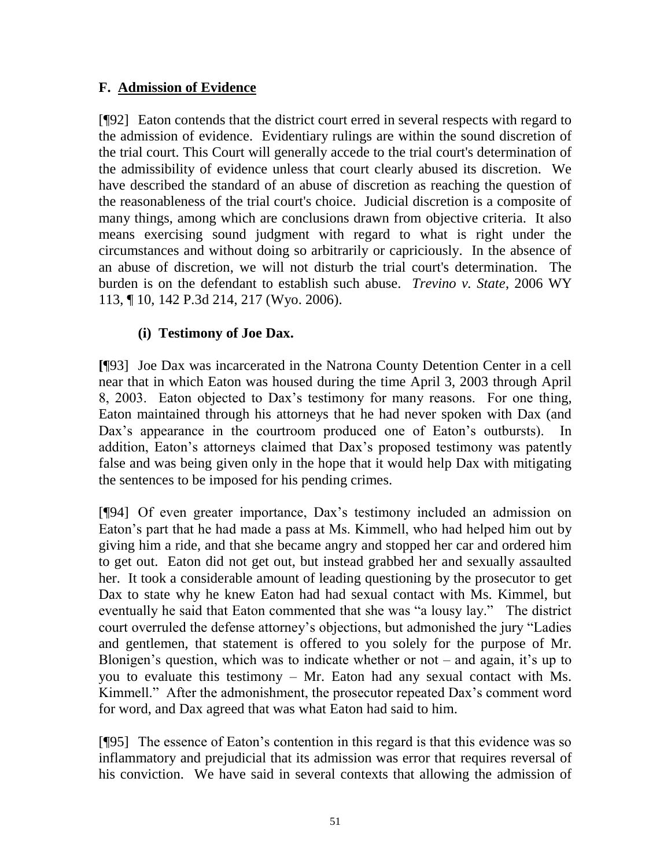#### **F. Admission of Evidence**

[¶92] Eaton contends that the district court erred in several respects with regard to the admission of evidence. Evidentiary rulings are within the sound discretion of the trial court. This Court will generally accede to the trial court's determination of the admissibility of evidence unless that court clearly abused its discretion. We have described the standard of an abuse of discretion as reaching the question of the reasonableness of the trial court's choice. Judicial discretion is a composite of many things, among which are conclusions drawn from objective criteria. It also means exercising sound judgment with regard to what is right under the circumstances and without doing so arbitrarily or capriciously. In the absence of an abuse of discretion, we will not disturb the trial court's determination. The burden is on the defendant to establish such abuse. *Trevino v. State*, 2006 WY 113, ¶ 10, 142 P.3d 214, 217 (Wyo. 2006).

## **(i) Testimony of Joe Dax.**

**[**¶93] Joe Dax was incarcerated in the Natrona County Detention Center in a cell near that in which Eaton was housed during the time April 3, 2003 through April 8, 2003. Eaton objected to Dax's testimony for many reasons. For one thing, Eaton maintained through his attorneys that he had never spoken with Dax (and Dax's appearance in the courtroom produced one of Eaton's outbursts). addition, Eaton's attorneys claimed that Dax's proposed testimony was patently false and was being given only in the hope that it would help Dax with mitigating the sentences to be imposed for his pending crimes.

[¶94] Of even greater importance, Dax's testimony included an admission on Eaton's part that he had made a pass at Ms. Kimmell, who had helped him out by giving him a ride, and that she became angry and stopped her car and ordered him to get out. Eaton did not get out, but instead grabbed her and sexually assaulted her. It took a considerable amount of leading questioning by the prosecutor to get Dax to state why he knew Eaton had had sexual contact with Ms. Kimmel, but eventually he said that Eaton commented that she was "a lousy lay." The district court overruled the defense attorney's objections, but admonished the jury "Ladies" and gentlemen, that statement is offered to you solely for the purpose of Mr. Blonigen's question, which was to indicate whether or not  $-$  and again, it's up to you to evaluate this testimony – Mr. Eaton had any sexual contact with Ms. Kimmell." After the admonishment, the prosecutor repeated Dax's comment word for word, and Dax agreed that was what Eaton had said to him.

[¶95] The essence of Eaton's contention in this regard is that this evidence was so inflammatory and prejudicial that its admission was error that requires reversal of his conviction. We have said in several contexts that allowing the admission of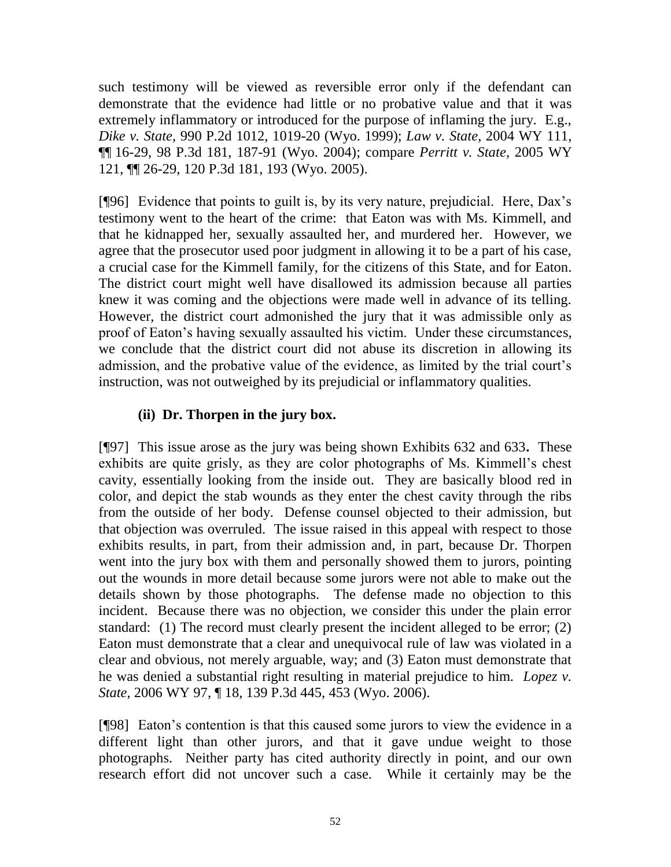such testimony will be viewed as reversible error only if the defendant can demonstrate that the evidence had little or no probative value and that it was extremely inflammatory or introduced for the purpose of inflaming the jury. E.g., *Dike v. State*, 990 P.2d 1012, 1019-20 (Wyo. 1999); *Law v. State*, 2004 WY 111, ¶¶ 16-29, 98 P.3d 181, 187-91 (Wyo. 2004); compare *Perritt v. State*, 2005 WY 121, ¶¶ 26-29, 120 P.3d 181, 193 (Wyo. 2005).

[¶96] Evidence that points to guilt is, by its very nature, prejudicial. Here, Dax's testimony went to the heart of the crime: that Eaton was with Ms. Kimmell, and that he kidnapped her, sexually assaulted her, and murdered her. However, we agree that the prosecutor used poor judgment in allowing it to be a part of his case, a crucial case for the Kimmell family, for the citizens of this State, and for Eaton. The district court might well have disallowed its admission because all parties knew it was coming and the objections were made well in advance of its telling. However, the district court admonished the jury that it was admissible only as proof of Eaton's having sexually assaulted his victim. Under these circumstances, we conclude that the district court did not abuse its discretion in allowing its admission, and the probative value of the evidence, as limited by the trial court's instruction, was not outweighed by its prejudicial or inflammatory qualities.

#### **(ii) Dr. Thorpen in the jury box.**

[¶97] This issue arose as the jury was being shown Exhibits 632 and 633**.** These exhibits are quite grisly, as they are color photographs of Ms. Kimmell's chest cavity, essentially looking from the inside out. They are basically blood red in color, and depict the stab wounds as they enter the chest cavity through the ribs from the outside of her body. Defense counsel objected to their admission, but that objection was overruled. The issue raised in this appeal with respect to those exhibits results, in part, from their admission and, in part, because Dr. Thorpen went into the jury box with them and personally showed them to jurors, pointing out the wounds in more detail because some jurors were not able to make out the details shown by those photographs. The defense made no objection to this incident. Because there was no objection, we consider this under the plain error standard: (1) The record must clearly present the incident alleged to be error; (2) Eaton must demonstrate that a clear and unequivocal rule of law was violated in a clear and obvious, not merely arguable, way; and (3) Eaton must demonstrate that he was denied a substantial right resulting in material prejudice to him. *Lopez v. State*, 2006 WY 97, ¶ 18, 139 P.3d 445, 453 (Wyo. 2006).

[¶98] Eaton's contention is that this caused some jurors to view the evidence in a different light than other jurors, and that it gave undue weight to those photographs. Neither party has cited authority directly in point, and our own research effort did not uncover such a case. While it certainly may be the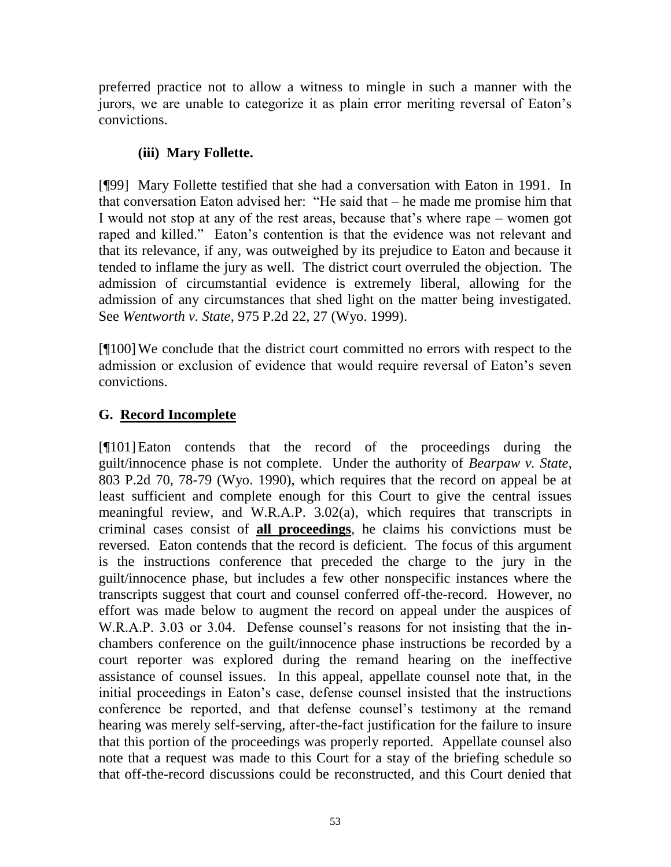preferred practice not to allow a witness to mingle in such a manner with the jurors, we are unable to categorize it as plain error meriting reversal of Eaton's convictions.

#### **(iii) Mary Follette.**

[¶99] Mary Follette testified that she had a conversation with Eaton in 1991. In that conversation Eaton advised her: "He said that  $-$  he made me promise him that I would not stop at any of the rest areas, because that's where rape – women got raped and killed." Eaton's contention is that the evidence was not relevant and that its relevance, if any, was outweighed by its prejudice to Eaton and because it tended to inflame the jury as well. The district court overruled the objection. The admission of circumstantial evidence is extremely liberal, allowing for the admission of any circumstances that shed light on the matter being investigated. See *Wentworth v. State*, 975 P.2d 22, 27 (Wyo. 1999).

[¶100]We conclude that the district court committed no errors with respect to the admission or exclusion of evidence that would require reversal of Eaton's seven convictions.

## **G. Record Incomplete**

[¶101]Eaton contends that the record of the proceedings during the guilt/innocence phase is not complete. Under the authority of *Bearpaw v. State*, 803 P.2d 70, 78-79 (Wyo. 1990), which requires that the record on appeal be at least sufficient and complete enough for this Court to give the central issues meaningful review, and W.R.A.P. 3.02(a), which requires that transcripts in criminal cases consist of **all proceedings**, he claims his convictions must be reversed. Eaton contends that the record is deficient. The focus of this argument is the instructions conference that preceded the charge to the jury in the guilt/innocence phase, but includes a few other nonspecific instances where the transcripts suggest that court and counsel conferred off-the-record. However, no effort was made below to augment the record on appeal under the auspices of W.R.A.P. 3.03 or 3.04. Defense counsel's reasons for not insisting that the inchambers conference on the guilt/innocence phase instructions be recorded by a court reporter was explored during the remand hearing on the ineffective assistance of counsel issues. In this appeal, appellate counsel note that, in the initial proceedings in Eaton's case, defense counsel insisted that the instructions conference be reported, and that defense counsel's testimony at the remand hearing was merely self-serving, after-the-fact justification for the failure to insure that this portion of the proceedings was properly reported. Appellate counsel also note that a request was made to this Court for a stay of the briefing schedule so that off-the-record discussions could be reconstructed, and this Court denied that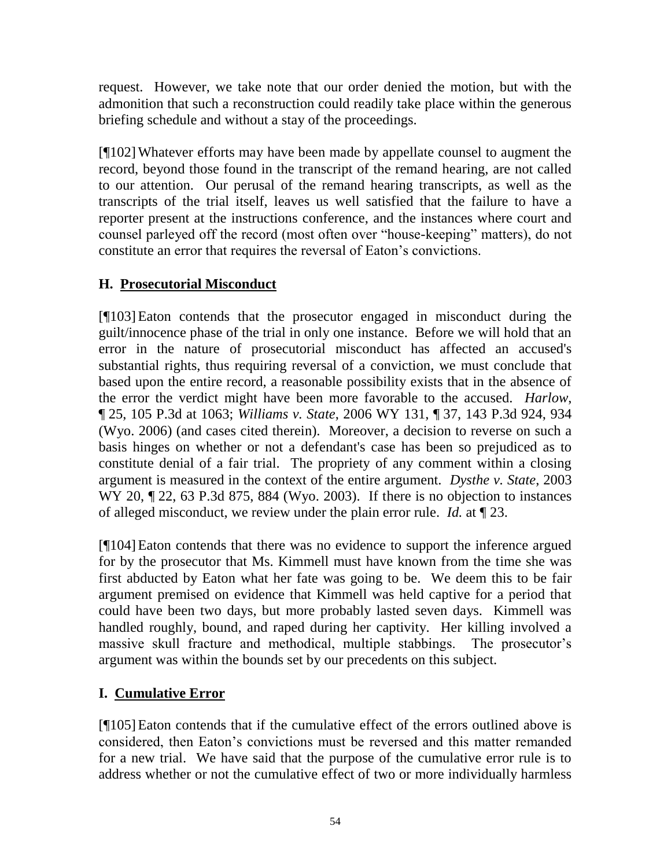request. However, we take note that our order denied the motion, but with the admonition that such a reconstruction could readily take place within the generous briefing schedule and without a stay of the proceedings.

[¶102]Whatever efforts may have been made by appellate counsel to augment the record, beyond those found in the transcript of the remand hearing, are not called to our attention. Our perusal of the remand hearing transcripts, as well as the transcripts of the trial itself, leaves us well satisfied that the failure to have a reporter present at the instructions conference, and the instances where court and counsel parleyed off the record (most often over "house-keeping" matters), do not constitute an error that requires the reversal of Eaton's convictions.

# **H. Prosecutorial Misconduct**

[¶103]Eaton contends that the prosecutor engaged in misconduct during the guilt/innocence phase of the trial in only one instance. Before we will hold that an error in the nature of prosecutorial misconduct has affected an accused's substantial rights, thus requiring reversal of a conviction, we must conclude that based upon the entire record, a reasonable possibility exists that in the absence of the error the verdict might have been more favorable to the accused. *Harlow*, ¶ 25, 105 P.3d at 1063; *Williams v. State*, 2006 WY 131, ¶ 37, 143 P.3d 924, 934 (Wyo. 2006) (and cases cited therein). Moreover, a decision to reverse on such a basis hinges on whether or not a defendant's case has been so prejudiced as to constitute denial of a fair trial. The propriety of any comment within a closing argument is measured in the context of the entire argument. *Dysthe v. State*, 2003 WY 20, ¶ 22, 63 P.3d 875, 884 (Wyo. 2003). If there is no objection to instances of alleged misconduct, we review under the plain error rule. *Id.* at ¶ 23.

[¶104]Eaton contends that there was no evidence to support the inference argued for by the prosecutor that Ms. Kimmell must have known from the time she was first abducted by Eaton what her fate was going to be. We deem this to be fair argument premised on evidence that Kimmell was held captive for a period that could have been two days, but more probably lasted seven days. Kimmell was handled roughly, bound, and raped during her captivity. Her killing involved a massive skull fracture and methodical, multiple stabbings. The prosecutor's argument was within the bounds set by our precedents on this subject.

# **I. Cumulative Error**

[¶105]Eaton contends that if the cumulative effect of the errors outlined above is considered, then Eaton's convictions must be reversed and this matter remanded for a new trial. We have said that the purpose of the cumulative error rule is to address whether or not the cumulative effect of two or more individually harmless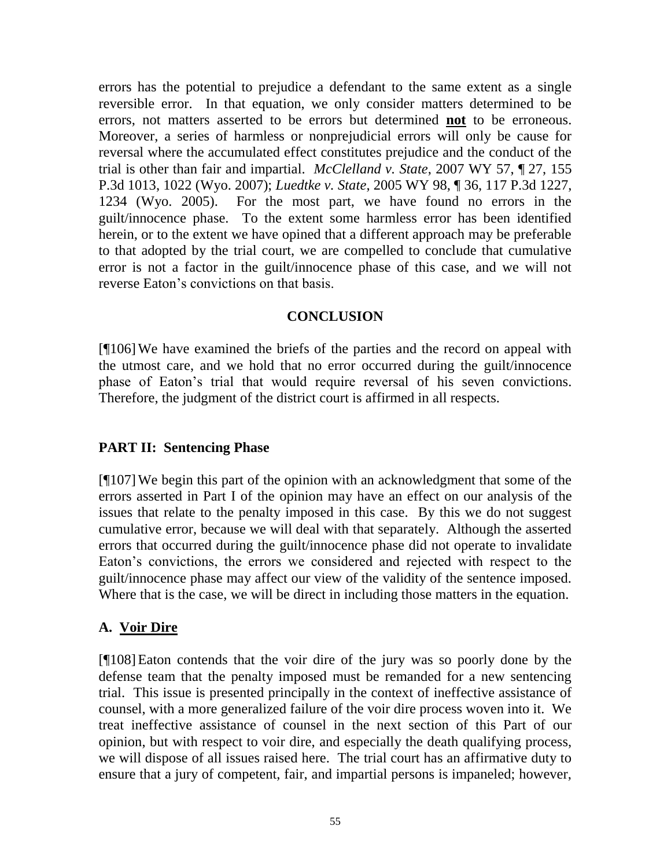errors has the potential to prejudice a defendant to the same extent as a single reversible error. In that equation, we only consider matters determined to be errors, not matters asserted to be errors but determined **not** to be erroneous. Moreover, a series of harmless or nonprejudicial errors will only be cause for reversal where the accumulated effect constitutes prejudice and the conduct of the trial is other than fair and impartial. *McClelland v. State*, 2007 WY 57, ¶ 27, 155 P.3d 1013, 1022 (Wyo. 2007); *Luedtke v. State*, 2005 WY 98, ¶ 36, 117 P.3d 1227, 1234 (Wyo. 2005). For the most part, we have found no errors in the guilt/innocence phase. To the extent some harmless error has been identified herein, or to the extent we have opined that a different approach may be preferable to that adopted by the trial court, we are compelled to conclude that cumulative error is not a factor in the guilt/innocence phase of this case, and we will not reverse Eaton's convictions on that basis.

#### **CONCLUSION**

[¶106]We have examined the briefs of the parties and the record on appeal with the utmost care, and we hold that no error occurred during the guilt/innocence phase of Eaton's trial that would require reversal of his seven convictions. Therefore, the judgment of the district court is affirmed in all respects.

## **PART II: Sentencing Phase**

[¶107]We begin this part of the opinion with an acknowledgment that some of the errors asserted in Part I of the opinion may have an effect on our analysis of the issues that relate to the penalty imposed in this case. By this we do not suggest cumulative error, because we will deal with that separately. Although the asserted errors that occurred during the guilt/innocence phase did not operate to invalidate Eaton's convictions, the errors we considered and rejected with respect to the guilt/innocence phase may affect our view of the validity of the sentence imposed. Where that is the case, we will be direct in including those matters in the equation.

## **A. Voir Dire**

[¶108]Eaton contends that the voir dire of the jury was so poorly done by the defense team that the penalty imposed must be remanded for a new sentencing trial. This issue is presented principally in the context of ineffective assistance of counsel, with a more generalized failure of the voir dire process woven into it. We treat ineffective assistance of counsel in the next section of this Part of our opinion, but with respect to voir dire, and especially the death qualifying process, we will dispose of all issues raised here. The trial court has an affirmative duty to ensure that a jury of competent, fair, and impartial persons is impaneled; however,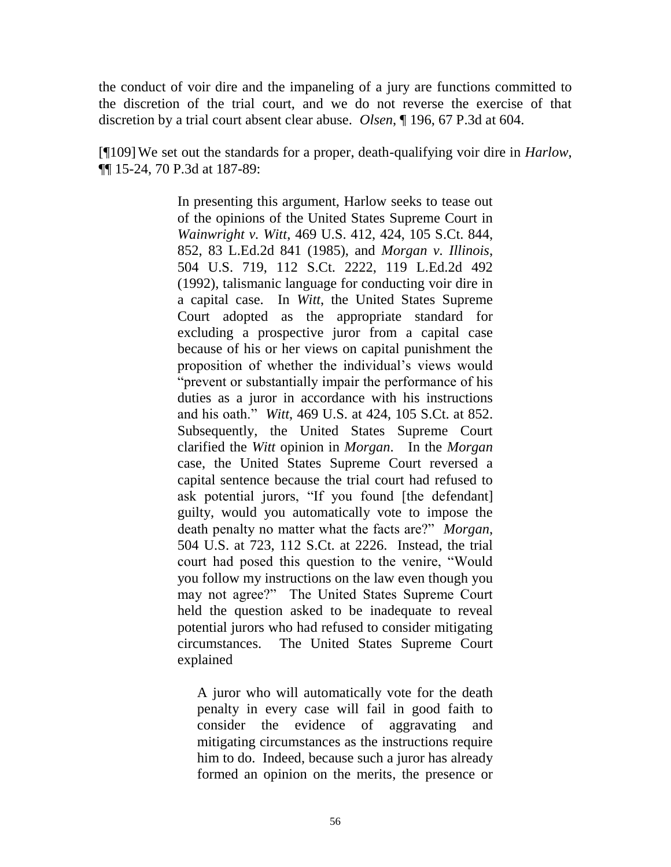the conduct of voir dire and the impaneling of a jury are functions committed to the discretion of the trial court, and we do not reverse the exercise of that discretion by a trial court absent clear abuse. *Olsen*, ¶ 196, 67 P.3d at 604.

[¶109]We set out the standards for a proper, death-qualifying voir dire in *Harlow*, ¶¶ 15-24, 70 P.3d at 187-89:

> In presenting this argument, Harlow seeks to tease out of the opinions of the United States Supreme Court in *Wainwright v. Witt*, 469 U.S. 412, 424, 105 S.Ct. 844, 852, 83 L.Ed.2d 841 (1985), and *Morgan v. Illinois*, 504 U.S. 719, 112 S.Ct. 2222, 119 L.Ed.2d 492 (1992), talismanic language for conducting voir dire in a capital case. In *Witt*, the United States Supreme Court adopted as the appropriate standard for excluding a prospective juror from a capital case because of his or her views on capital punishment the proposition of whether the individual's views would "prevent or substantially impair the performance of his duties as a juror in accordance with his instructions and his oath.‖ *Witt*, 469 U.S. at 424, 105 S.Ct. at 852. Subsequently, the United States Supreme Court clarified the *Witt* opinion in *Morgan*. In the *Morgan* case, the United States Supreme Court reversed a capital sentence because the trial court had refused to ask potential jurors, "If you found [the defendant] guilty, would you automatically vote to impose the death penalty no matter what the facts are?" *Morgan*, 504 U.S. at 723, 112 S.Ct. at 2226. Instead, the trial court had posed this question to the venire, "Would" you follow my instructions on the law even though you may not agree?" The United States Supreme Court held the question asked to be inadequate to reveal potential jurors who had refused to consider mitigating circumstances. The United States Supreme Court explained

A juror who will automatically vote for the death penalty in every case will fail in good faith to consider the evidence of aggravating and mitigating circumstances as the instructions require him to do. Indeed, because such a juror has already formed an opinion on the merits, the presence or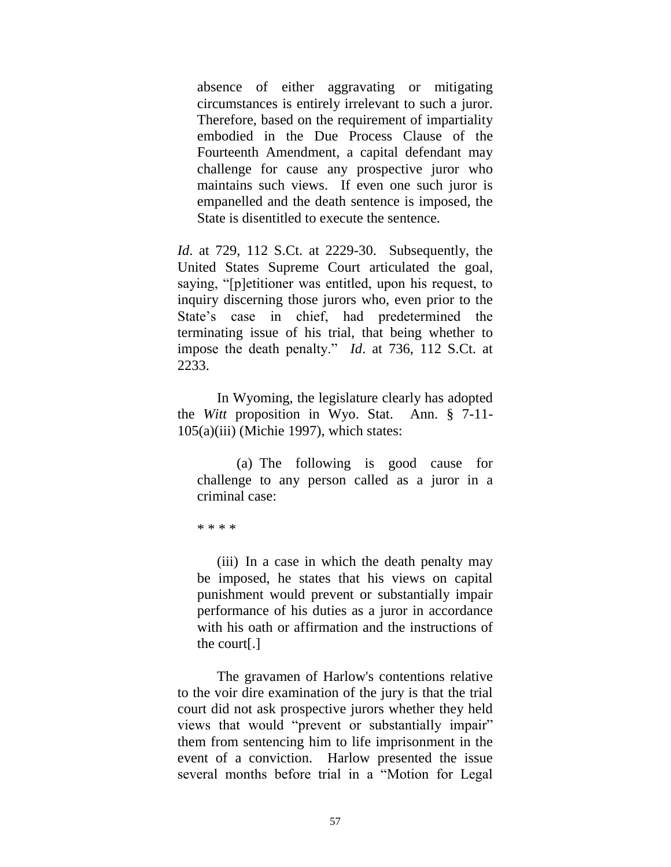absence of either aggravating or mitigating circumstances is entirely irrelevant to such a juror. Therefore, based on the requirement of impartiality embodied in the Due Process Clause of the Fourteenth Amendment, a capital defendant may challenge for cause any prospective juror who maintains such views. If even one such juror is empanelled and the death sentence is imposed, the State is disentitled to execute the sentence.

*Id*. at 729, 112 S.Ct. at 2229-30. Subsequently, the United States Supreme Court articulated the goal, saying, "[p]etitioner was entitled, upon his request, to inquiry discerning those jurors who, even prior to the State's case in chief, had predetermined the terminating issue of his trial, that being whether to impose the death penalty." *Id.* at 736, 112 S.Ct. at 2233.

In Wyoming, the legislature clearly has adopted the *Witt* proposition in Wyo. Stat. Ann. § 7-11-  $105(a)(iii)$  (Michie 1997), which states:

(a) The following is good cause for challenge to any person called as a juror in a criminal case:

\* \* \* \*

(iii) In a case in which the death penalty may be imposed, he states that his views on capital punishment would prevent or substantially impair performance of his duties as a juror in accordance with his oath or affirmation and the instructions of the court[.]

The gravamen of Harlow's contentions relative to the voir dire examination of the jury is that the trial court did not ask prospective jurors whether they held views that would "prevent or substantially impair" them from sentencing him to life imprisonment in the event of a conviction. Harlow presented the issue several months before trial in a "Motion for Legal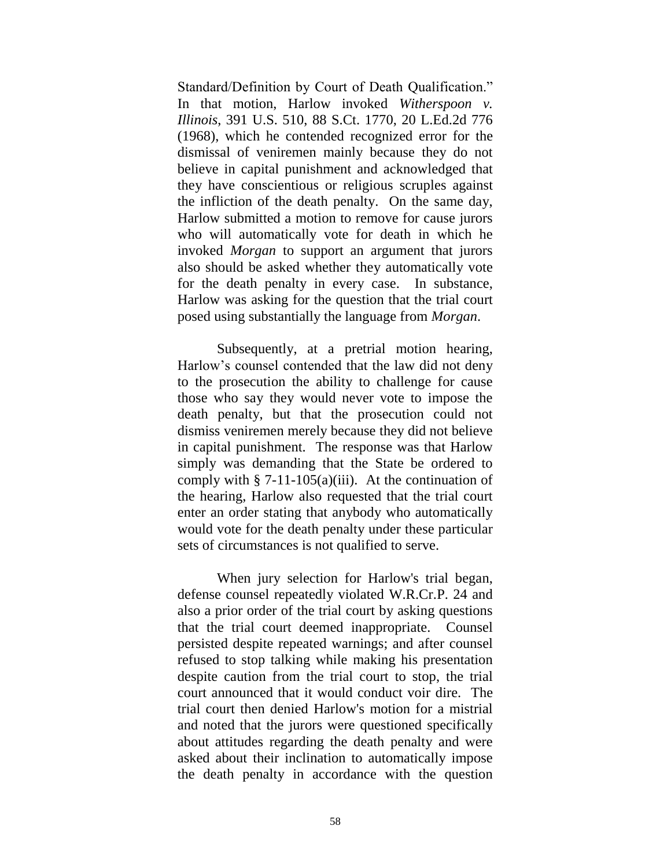Standard/Definition by Court of Death Qualification." In that motion, Harlow invoked *Witherspoon v. Illinois*, 391 U.S. 510, 88 S.Ct. 1770, 20 L.Ed.2d 776 (1968), which he contended recognized error for the dismissal of veniremen mainly because they do not believe in capital punishment and acknowledged that they have conscientious or religious scruples against the infliction of the death penalty. On the same day, Harlow submitted a motion to remove for cause jurors who will automatically vote for death in which he invoked *Morgan* to support an argument that jurors also should be asked whether they automatically vote for the death penalty in every case. In substance, Harlow was asking for the question that the trial court posed using substantially the language from *Morgan*.

Subsequently, at a pretrial motion hearing, Harlow's counsel contended that the law did not deny to the prosecution the ability to challenge for cause those who say they would never vote to impose the death penalty, but that the prosecution could not dismiss veniremen merely because they did not believe in capital punishment. The response was that Harlow simply was demanding that the State be ordered to comply with  $\S$  7-11-105(a)(iii). At the continuation of the hearing, Harlow also requested that the trial court enter an order stating that anybody who automatically would vote for the death penalty under these particular sets of circumstances is not qualified to serve.

When jury selection for Harlow's trial began, defense counsel repeatedly violated W.R.Cr.P. 24 and also a prior order of the trial court by asking questions that the trial court deemed inappropriate. Counsel persisted despite repeated warnings; and after counsel refused to stop talking while making his presentation despite caution from the trial court to stop, the trial court announced that it would conduct voir dire. The trial court then denied Harlow's motion for a mistrial and noted that the jurors were questioned specifically about attitudes regarding the death penalty and were asked about their inclination to automatically impose the death penalty in accordance with the question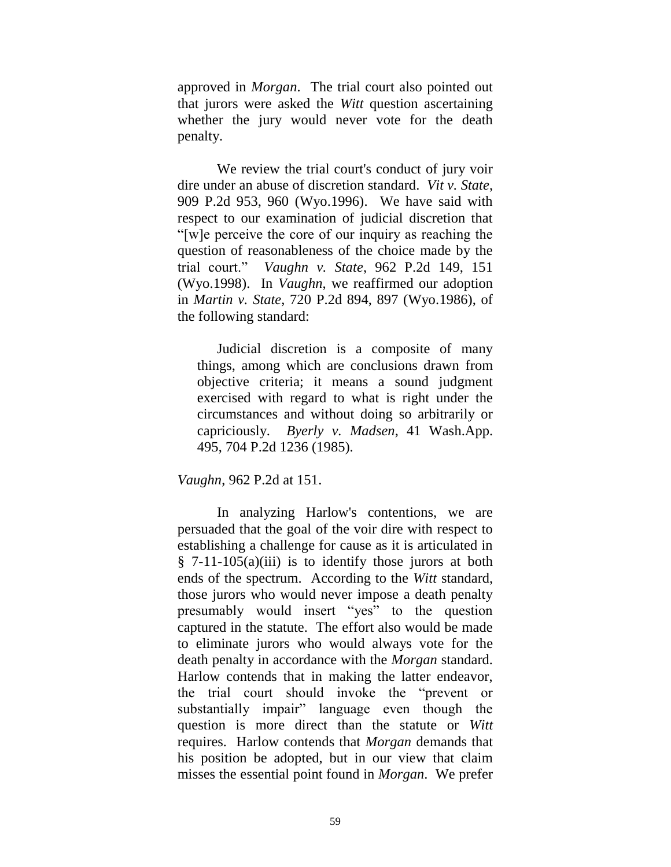approved in *Morgan*. The trial court also pointed out that jurors were asked the *Witt* question ascertaining whether the jury would never vote for the death penalty.

We review the trial court's conduct of jury voir dire under an abuse of discretion standard. *Vit v. State*, 909 P.2d 953, 960 (Wyo.1996). We have said with respect to our examination of judicial discretion that ―[w]e perceive the core of our inquiry as reaching the question of reasonableness of the choice made by the trial court.‖ *Vaughn v. State*, 962 P.2d 149, 151 (Wyo.1998). In *Vaughn*, we reaffirmed our adoption in *Martin v. State*, 720 P.2d 894, 897 (Wyo.1986), of the following standard:

Judicial discretion is a composite of many things, among which are conclusions drawn from objective criteria; it means a sound judgment exercised with regard to what is right under the circumstances and without doing so arbitrarily or capriciously. *Byerly v. Madsen*, 41 Wash.App. 495, 704 P.2d 1236 (1985).

*Vaughn*, 962 P.2d at 151.

In analyzing Harlow's contentions, we are persuaded that the goal of the voir dire with respect to establishing a challenge for cause as it is articulated in § 7-11-105(a)(iii) is to identify those jurors at both ends of the spectrum. According to the *Witt* standard, those jurors who would never impose a death penalty presumably would insert "yes" to the question captured in the statute. The effort also would be made to eliminate jurors who would always vote for the death penalty in accordance with the *Morgan* standard. Harlow contends that in making the latter endeavor, the trial court should invoke the "prevent or substantially impair" language even though the question is more direct than the statute or *Witt* requires. Harlow contends that *Morgan* demands that his position be adopted, but in our view that claim misses the essential point found in *Morgan*. We prefer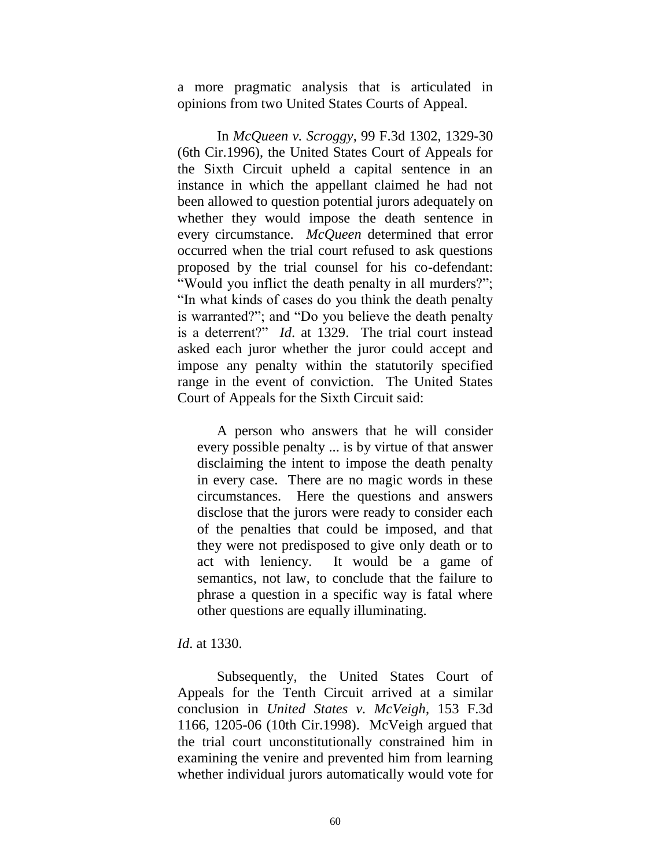a more pragmatic analysis that is articulated in opinions from two United States Courts of Appeal.

In *McQueen v. Scroggy*, 99 F.3d 1302, 1329-30 (6th Cir.1996), the United States Court of Appeals for the Sixth Circuit upheld a capital sentence in an instance in which the appellant claimed he had not been allowed to question potential jurors adequately on whether they would impose the death sentence in every circumstance. *McQueen* determined that error occurred when the trial court refused to ask questions proposed by the trial counsel for his co-defendant: "Would you inflict the death penalty in all murders?"; "In what kinds of cases do you think the death penalty is warranted?"; and "Do you believe the death penalty is a deterrent?" *Id.* at 1329. The trial court instead asked each juror whether the juror could accept and impose any penalty within the statutorily specified range in the event of conviction. The United States Court of Appeals for the Sixth Circuit said:

A person who answers that he will consider every possible penalty ... is by virtue of that answer disclaiming the intent to impose the death penalty in every case. There are no magic words in these circumstances. Here the questions and answers disclose that the jurors were ready to consider each of the penalties that could be imposed, and that they were not predisposed to give only death or to act with leniency. It would be a game of semantics, not law, to conclude that the failure to phrase a question in a specific way is fatal where other questions are equally illuminating.

*Id*. at 1330.

Subsequently, the United States Court of Appeals for the Tenth Circuit arrived at a similar conclusion in *United States v. McVeigh*, 153 F.3d 1166, 1205-06 (10th Cir.1998). McVeigh argued that the trial court unconstitutionally constrained him in examining the venire and prevented him from learning whether individual jurors automatically would vote for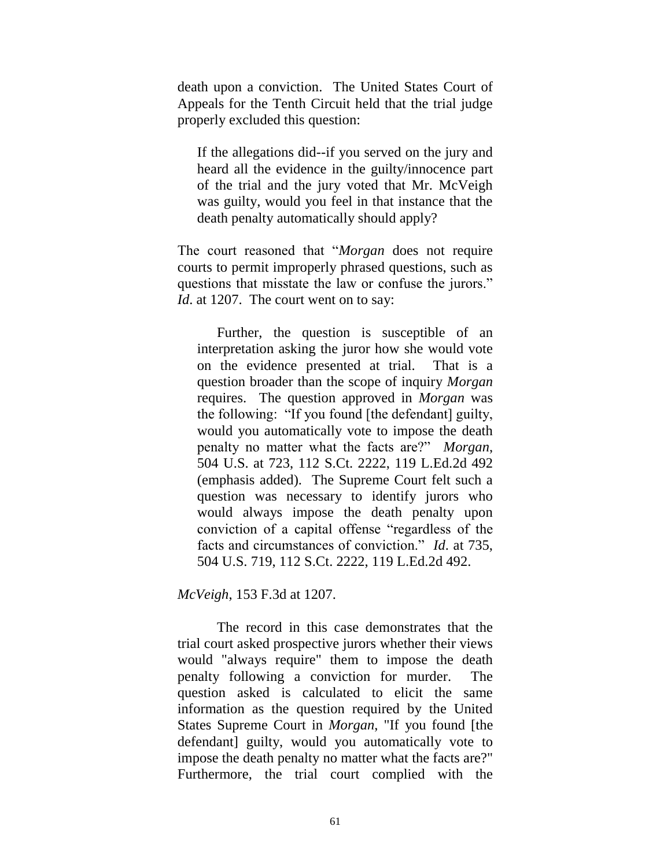death upon a conviction. The United States Court of Appeals for the Tenth Circuit held that the trial judge properly excluded this question:

If the allegations did--if you served on the jury and heard all the evidence in the guilty/innocence part of the trial and the jury voted that Mr. McVeigh was guilty, would you feel in that instance that the death penalty automatically should apply?

The court reasoned that "*Morgan* does not require courts to permit improperly phrased questions, such as questions that misstate the law or confuse the jurors." *Id.* at 1207. The court went on to say:

Further, the question is susceptible of an interpretation asking the juror how she would vote on the evidence presented at trial. That is a question broader than the scope of inquiry *Morgan* requires. The question approved in *Morgan* was the following: "If you found [the defendant] guilty, would you automatically vote to impose the death penalty no matter what the facts are?" *Morgan*, 504 U.S. at 723, 112 S.Ct. 2222, 119 L.Ed.2d 492 (emphasis added). The Supreme Court felt such a question was necessary to identify jurors who would always impose the death penalty upon conviction of a capital offense "regardless of the facts and circumstances of conviction." *Id.* at 735, 504 U.S. 719, 112 S.Ct. 2222, 119 L.Ed.2d 492.

*McVeigh*, 153 F.3d at 1207.

The record in this case demonstrates that the trial court asked prospective jurors whether their views would "always require" them to impose the death penalty following a conviction for murder. The question asked is calculated to elicit the same information as the question required by the United States Supreme Court in *Morgan*, "If you found [the defendant] guilty, would you automatically vote to impose the death penalty no matter what the facts are?" Furthermore, the trial court complied with the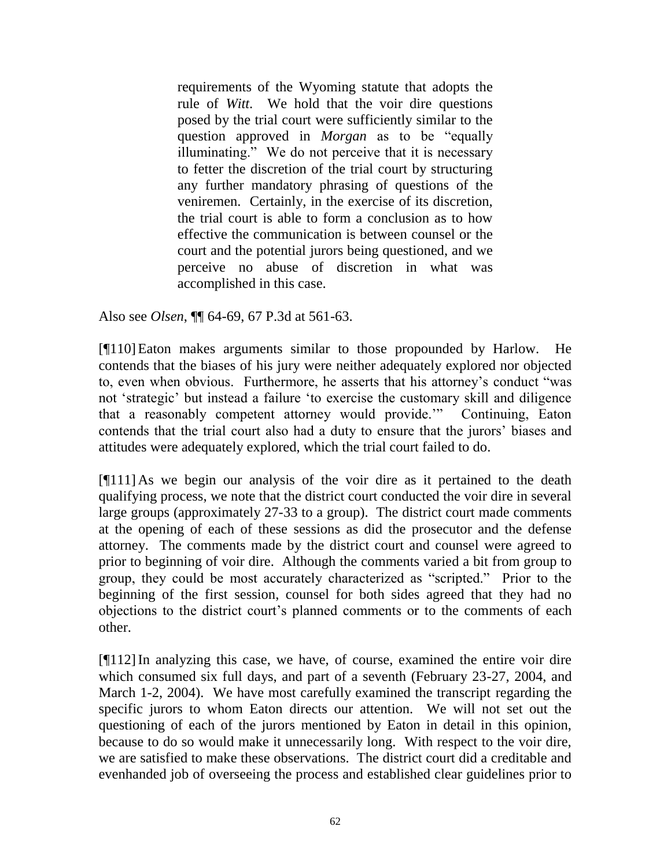requirements of the Wyoming statute that adopts the rule of *Witt*. We hold that the voir dire questions posed by the trial court were sufficiently similar to the question approved in *Morgan* as to be "equally illuminating." We do not perceive that it is necessary to fetter the discretion of the trial court by structuring any further mandatory phrasing of questions of the veniremen. Certainly, in the exercise of its discretion, the trial court is able to form a conclusion as to how effective the communication is between counsel or the court and the potential jurors being questioned, and we perceive no abuse of discretion in what was accomplished in this case.

Also see *Olsen*, ¶¶ 64-69, 67 P.3d at 561-63.

[¶110]Eaton makes arguments similar to those propounded by Harlow. He contends that the biases of his jury were neither adequately explored nor objected to, even when obvious. Furthermore, he asserts that his attorney's conduct "was not 'strategic' but instead a failure 'to exercise the customary skill and diligence that a reasonably competent attorney would provide." Continuing, Eaton contends that the trial court also had a duty to ensure that the jurors' biases and attitudes were adequately explored, which the trial court failed to do.

[¶111] As we begin our analysis of the voir dire as it pertained to the death qualifying process, we note that the district court conducted the voir dire in several large groups (approximately 27-33 to a group). The district court made comments at the opening of each of these sessions as did the prosecutor and the defense attorney. The comments made by the district court and counsel were agreed to prior to beginning of voir dire. Although the comments varied a bit from group to group, they could be most accurately characterized as "scripted." Prior to the beginning of the first session, counsel for both sides agreed that they had no objections to the district court's planned comments or to the comments of each other.

[¶112]In analyzing this case, we have, of course, examined the entire voir dire which consumed six full days, and part of a seventh (February 23-27, 2004, and March 1-2, 2004). We have most carefully examined the transcript regarding the specific jurors to whom Eaton directs our attention. We will not set out the questioning of each of the jurors mentioned by Eaton in detail in this opinion, because to do so would make it unnecessarily long. With respect to the voir dire, we are satisfied to make these observations. The district court did a creditable and evenhanded job of overseeing the process and established clear guidelines prior to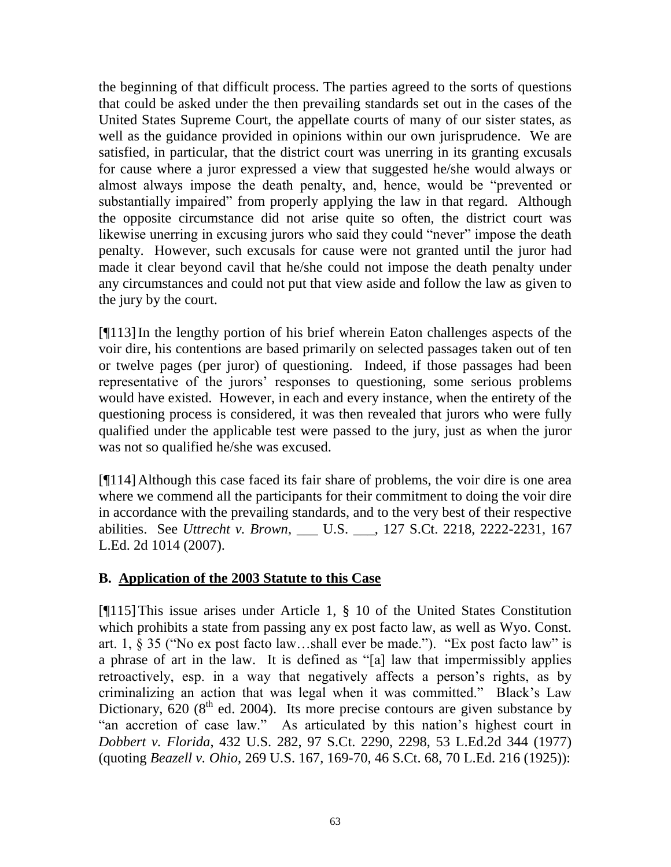the beginning of that difficult process. The parties agreed to the sorts of questions that could be asked under the then prevailing standards set out in the cases of the United States Supreme Court, the appellate courts of many of our sister states, as well as the guidance provided in opinions within our own jurisprudence. We are satisfied, in particular, that the district court was unerring in its granting excusals for cause where a juror expressed a view that suggested he/she would always or almost always impose the death penalty, and, hence, would be "prevented or substantially impaired" from properly applying the law in that regard. Although the opposite circumstance did not arise quite so often, the district court was likewise unerring in excusing jurors who said they could "never" impose the death penalty. However, such excusals for cause were not granted until the juror had made it clear beyond cavil that he/she could not impose the death penalty under any circumstances and could not put that view aside and follow the law as given to the jury by the court.

[¶113]In the lengthy portion of his brief wherein Eaton challenges aspects of the voir dire, his contentions are based primarily on selected passages taken out of ten or twelve pages (per juror) of questioning. Indeed, if those passages had been representative of the jurors' responses to questioning, some serious problems would have existed. However, in each and every instance, when the entirety of the questioning process is considered, it was then revealed that jurors who were fully qualified under the applicable test were passed to the jury, just as when the juror was not so qualified he/she was excused.

[¶114] Although this case faced its fair share of problems, the voir dire is one area where we commend all the participants for their commitment to doing the voir dire in accordance with the prevailing standards, and to the very best of their respective abilities. See *Uttrecht v. Brown*, \_\_\_ U.S. \_\_\_, 127 S.Ct. 2218, 2222-2231, 167 L.Ed. 2d 1014 (2007).

#### **B. Application of the 2003 Statute to this Case**

[¶115]This issue arises under Article 1, § 10 of the United States Constitution which prohibits a state from passing any ex post facto law, as well as Wyo. Const. art. 1,  $\S 35$  ("No ex post facto law...shall ever be made."). "Ex post facto law" is a phrase of art in the law. It is defined as "[a] law that impermissibly applies retroactively, esp. in a way that negatively affects a person's rights, as by criminalizing an action that was legal when it was committed." Black's Law Dictionary,  $620$  ( $8<sup>th</sup>$  ed. 2004). Its more precise contours are given substance by "an accretion of case law." As articulated by this nation's highest court in *Dobbert v. Florida*, 432 U.S. 282, 97 S.Ct. 2290, 2298, 53 L.Ed.2d 344 (1977) (quoting *Beazell v. Ohio*, 269 U.S. 167, 169-70, 46 S.Ct. 68, 70 L.Ed. 216 (1925)):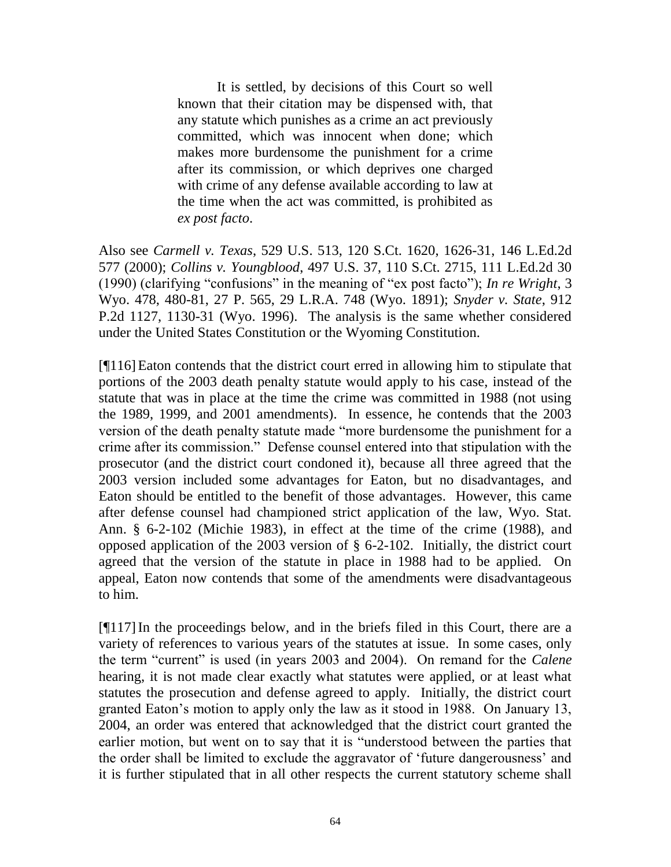It is settled, by decisions of this Court so well known that their citation may be dispensed with, that any statute which punishes as a crime an act previously committed, which was innocent when done; which makes more burdensome the punishment for a crime after its commission, or which deprives one charged with crime of any defense available according to law at the time when the act was committed, is prohibited as *ex post facto*.

Also see *Carmell v. Texas*, 529 U.S. 513, 120 S.Ct. 1620, 1626-31, 146 L.Ed.2d 577 (2000); *Collins v. Youngblood*, 497 U.S. 37, 110 S.Ct. 2715, 111 L.Ed.2d 30 (1990) (clarifying "confusions" in the meaning of "ex post facto"); *In re Wright*, 3 Wyo. 478, 480-81, 27 P. 565, 29 L.R.A. 748 (Wyo. 1891); *Snyder v. State*, 912 P.2d 1127, 1130-31 (Wyo. 1996). The analysis is the same whether considered under the United States Constitution or the Wyoming Constitution.

[¶116]Eaton contends that the district court erred in allowing him to stipulate that portions of the 2003 death penalty statute would apply to his case, instead of the statute that was in place at the time the crime was committed in 1988 (not using the 1989, 1999, and 2001 amendments). In essence, he contends that the 2003 version of the death penalty statute made "more burdensome the punishment for a crime after its commission." Defense counsel entered into that stipulation with the prosecutor (and the district court condoned it), because all three agreed that the 2003 version included some advantages for Eaton, but no disadvantages, and Eaton should be entitled to the benefit of those advantages. However, this came after defense counsel had championed strict application of the law, Wyo. Stat. Ann. § 6-2-102 (Michie 1983), in effect at the time of the crime (1988), and opposed application of the 2003 version of § 6-2-102. Initially, the district court agreed that the version of the statute in place in 1988 had to be applied. On appeal, Eaton now contends that some of the amendments were disadvantageous to him.

[¶117]In the proceedings below, and in the briefs filed in this Court, there are a variety of references to various years of the statutes at issue. In some cases, only the term "current" is used (in years 2003 and 2004). On remand for the *Calene* hearing, it is not made clear exactly what statutes were applied, or at least what statutes the prosecution and defense agreed to apply. Initially, the district court granted Eaton's motion to apply only the law as it stood in 1988. On January 13, 2004, an order was entered that acknowledged that the district court granted the earlier motion, but went on to say that it is "understood between the parties that the order shall be limited to exclude the aggravator of ‗future dangerousness' and it is further stipulated that in all other respects the current statutory scheme shall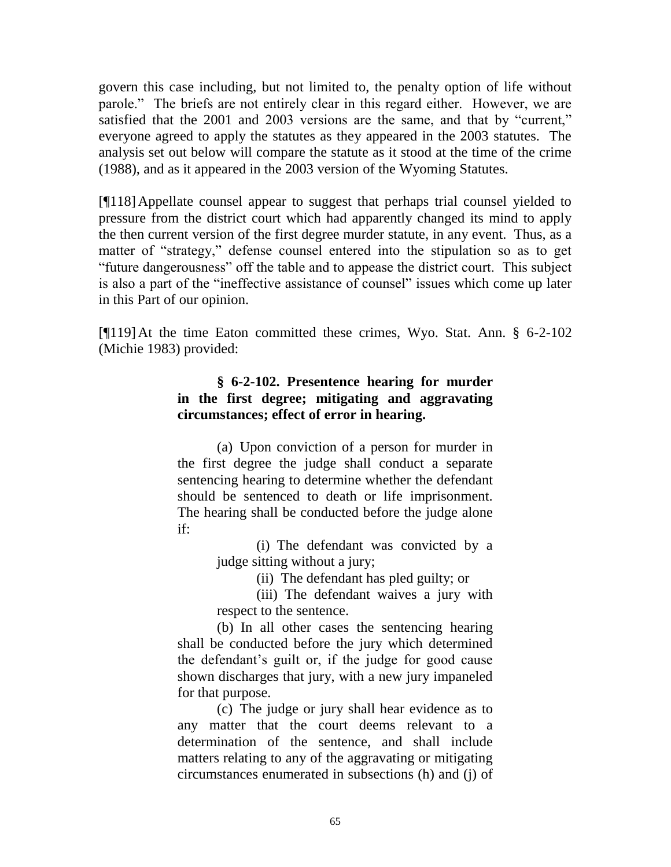govern this case including, but not limited to, the penalty option of life without parole." The briefs are not entirely clear in this regard either. However, we are satisfied that the 2001 and 2003 versions are the same, and that by "current," everyone agreed to apply the statutes as they appeared in the 2003 statutes. The analysis set out below will compare the statute as it stood at the time of the crime (1988), and as it appeared in the 2003 version of the Wyoming Statutes.

[¶118] Appellate counsel appear to suggest that perhaps trial counsel yielded to pressure from the district court which had apparently changed its mind to apply the then current version of the first degree murder statute, in any event. Thus, as a matter of "strategy," defense counsel entered into the stipulation so as to get ―future dangerousness‖ off the table and to appease the district court. This subject is also a part of the "ineffective assistance of counsel" issues which come up later in this Part of our opinion.

[¶119] At the time Eaton committed these crimes, Wyo. Stat. Ann. § 6-2-102 (Michie 1983) provided:

#### **§ 6-2-102. Presentence hearing for murder in the first degree; mitigating and aggravating circumstances; effect of error in hearing.**

(a) Upon conviction of a person for murder in the first degree the judge shall conduct a separate sentencing hearing to determine whether the defendant should be sentenced to death or life imprisonment. The hearing shall be conducted before the judge alone if:

> (i) The defendant was convicted by a judge sitting without a jury;

> > (ii) The defendant has pled guilty; or

(iii) The defendant waives a jury with respect to the sentence.

(b) In all other cases the sentencing hearing shall be conducted before the jury which determined the defendant's guilt or, if the judge for good cause shown discharges that jury, with a new jury impaneled for that purpose.

(c) The judge or jury shall hear evidence as to any matter that the court deems relevant to a determination of the sentence, and shall include matters relating to any of the aggravating or mitigating circumstances enumerated in subsections (h) and (j) of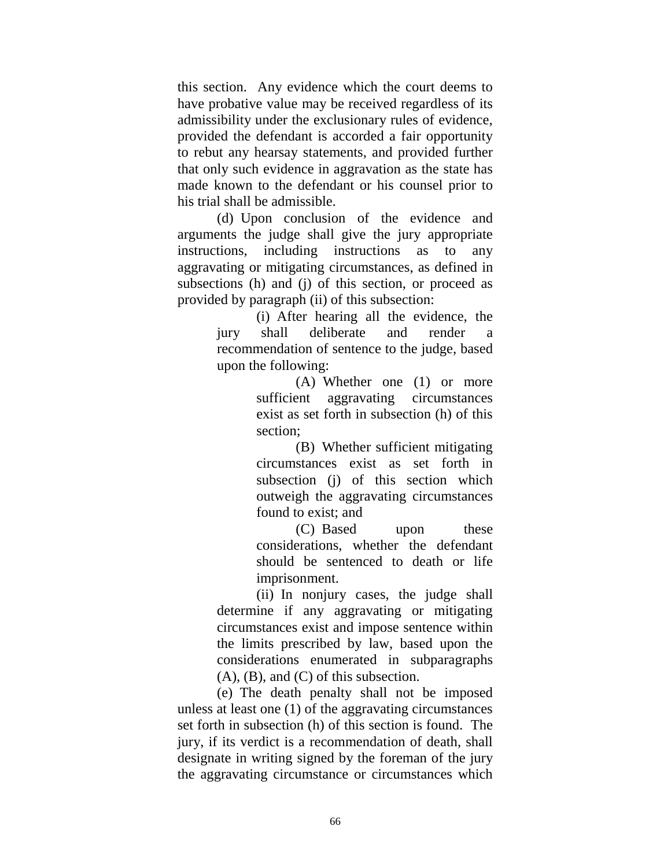this section. Any evidence which the court deems to have probative value may be received regardless of its admissibility under the exclusionary rules of evidence, provided the defendant is accorded a fair opportunity to rebut any hearsay statements, and provided further that only such evidence in aggravation as the state has made known to the defendant or his counsel prior to his trial shall be admissible.

(d) Upon conclusion of the evidence and arguments the judge shall give the jury appropriate instructions, including instructions as to any aggravating or mitigating circumstances, as defined in subsections (h) and (j) of this section, or proceed as provided by paragraph (ii) of this subsection:

(i) After hearing all the evidence, the jury shall deliberate and render a recommendation of sentence to the judge, based upon the following:

> (A) Whether one (1) or more sufficient aggravating circumstances exist as set forth in subsection (h) of this section;

> (B) Whether sufficient mitigating circumstances exist as set forth in subsection (j) of this section which outweigh the aggravating circumstances found to exist; and

> (C) Based upon these considerations, whether the defendant should be sentenced to death or life imprisonment.

(ii) In nonjury cases, the judge shall determine if any aggravating or mitigating circumstances exist and impose sentence within the limits prescribed by law, based upon the considerations enumerated in subparagraphs (A), (B), and (C) of this subsection.

(e) The death penalty shall not be imposed unless at least one (1) of the aggravating circumstances set forth in subsection (h) of this section is found. The jury, if its verdict is a recommendation of death, shall designate in writing signed by the foreman of the jury the aggravating circumstance or circumstances which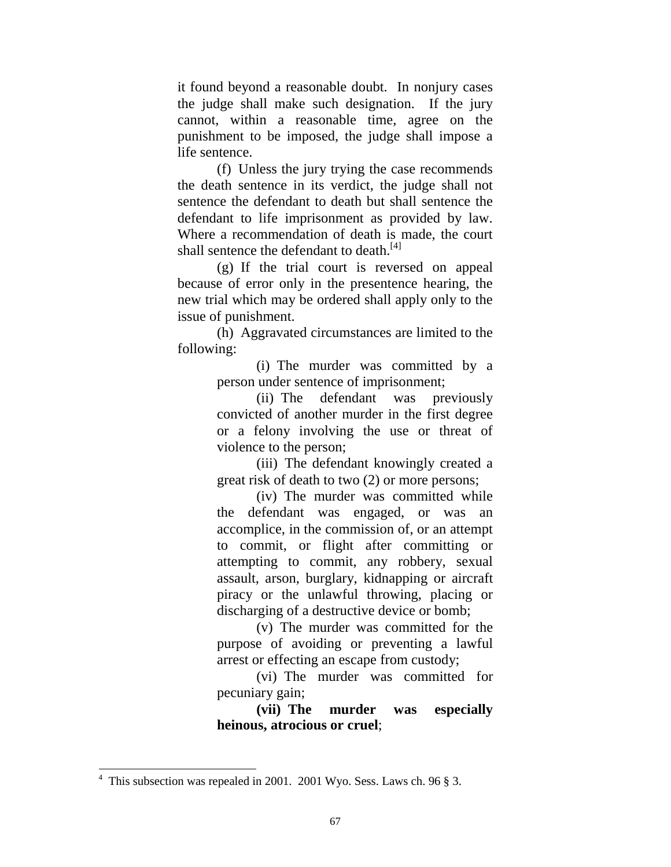it found beyond a reasonable doubt. In nonjury cases the judge shall make such designation. If the jury cannot, within a reasonable time, agree on the punishment to be imposed, the judge shall impose a life sentence.

(f) Unless the jury trying the case recommends the death sentence in its verdict, the judge shall not sentence the defendant to death but shall sentence the defendant to life imprisonment as provided by law. Where a recommendation of death is made, the court shall sentence the defendant to death. $[4]$ 

(g) If the trial court is reversed on appeal because of error only in the presentence hearing, the new trial which may be ordered shall apply only to the issue of punishment.

(h) Aggravated circumstances are limited to the following:

> (i) The murder was committed by a person under sentence of imprisonment;

> (ii) The defendant was previously convicted of another murder in the first degree or a felony involving the use or threat of violence to the person;

> (iii) The defendant knowingly created a great risk of death to two (2) or more persons;

> (iv) The murder was committed while the defendant was engaged, or was an accomplice, in the commission of, or an attempt to commit, or flight after committing or attempting to commit, any robbery, sexual assault, arson, burglary, kidnapping or aircraft piracy or the unlawful throwing, placing or discharging of a destructive device or bomb;

> (v) The murder was committed for the purpose of avoiding or preventing a lawful arrest or effecting an escape from custody;

> (vi) The murder was committed for pecuniary gain;

> **(vii) The murder was especially heinous, atrocious or cruel**;

 $\overline{\phantom{a}}$ 

<sup>4</sup> This subsection was repealed in 2001. 2001 Wyo. Sess. Laws ch. 96 § 3.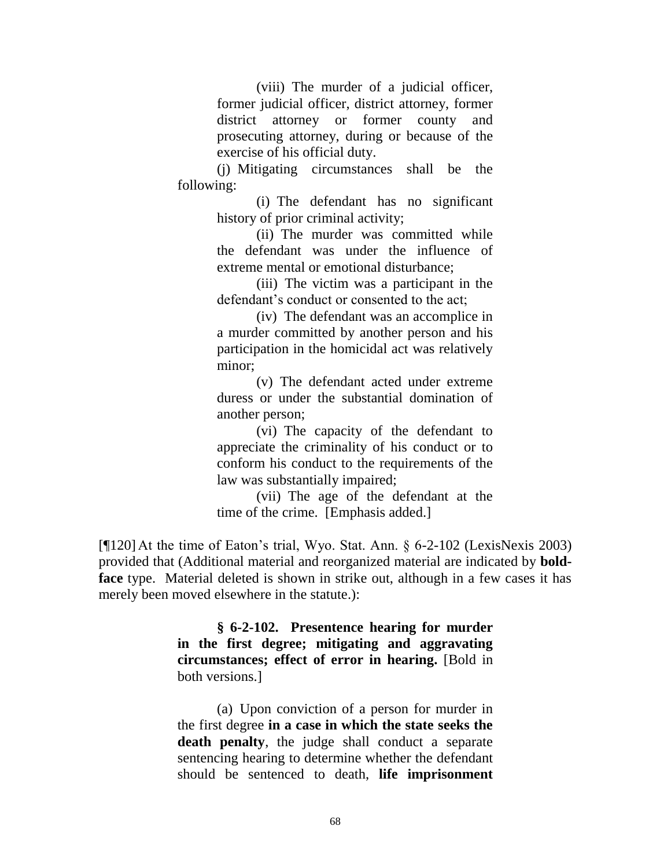(viii) The murder of a judicial officer, former judicial officer, district attorney, former district attorney or former county and prosecuting attorney, during or because of the exercise of his official duty.

(j) Mitigating circumstances shall be the following:

(i) The defendant has no significant history of prior criminal activity;

(ii) The murder was committed while the defendant was under the influence of extreme mental or emotional disturbance;

(iii) The victim was a participant in the defendant's conduct or consented to the act;

(iv) The defendant was an accomplice in a murder committed by another person and his participation in the homicidal act was relatively minor;

(v) The defendant acted under extreme duress or under the substantial domination of another person;

(vi) The capacity of the defendant to appreciate the criminality of his conduct or to conform his conduct to the requirements of the law was substantially impaired;

(vii) The age of the defendant at the time of the crime. [Emphasis added.]

[¶120] At the time of Eaton's trial, Wyo. Stat. Ann. § 6-2-102 (LexisNexis 2003) provided that (Additional material and reorganized material are indicated by **boldface** type. Material deleted is shown in strike out, although in a few cases it has merely been moved elsewhere in the statute.):

> **§ 6-2-102. Presentence hearing for murder in the first degree; mitigating and aggravating circumstances; effect of error in hearing.** [Bold in both versions.]

> (a) Upon conviction of a person for murder in the first degree **in a case in which the state seeks the death penalty**, the judge shall conduct a separate sentencing hearing to determine whether the defendant should be sentenced to death, **life imprisonment**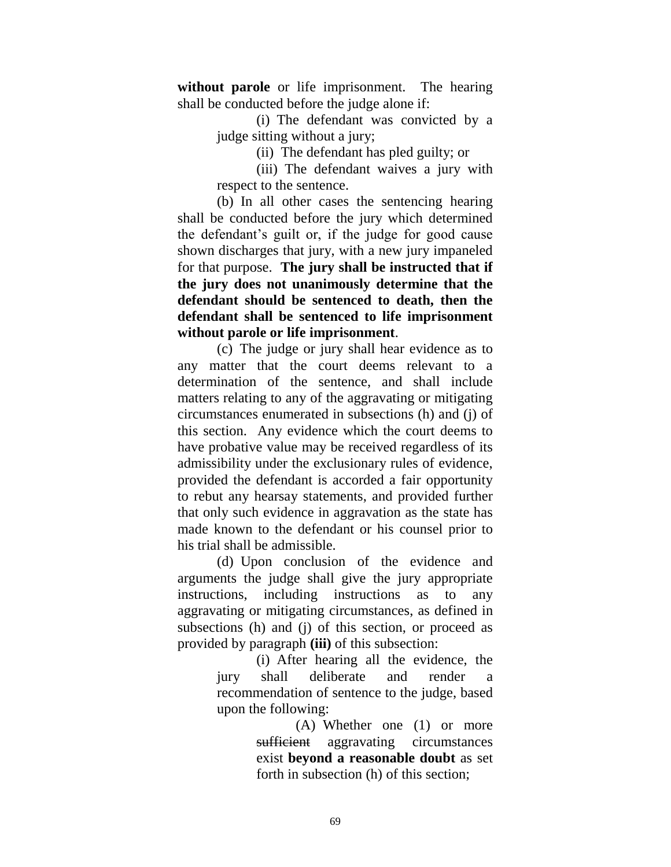**without parole** or life imprisonment. The hearing shall be conducted before the judge alone if:

> (i) The defendant was convicted by a judge sitting without a jury;

(ii) The defendant has pled guilty; or

(iii) The defendant waives a jury with respect to the sentence.

(b) In all other cases the sentencing hearing shall be conducted before the jury which determined the defendant's guilt or, if the judge for good cause shown discharges that jury, with a new jury impaneled for that purpose. **The jury shall be instructed that if the jury does not unanimously determine that the defendant should be sentenced to death, then the defendant shall be sentenced to life imprisonment without parole or life imprisonment**.

(c) The judge or jury shall hear evidence as to any matter that the court deems relevant to a determination of the sentence, and shall include matters relating to any of the aggravating or mitigating circumstances enumerated in subsections (h) and (j) of this section. Any evidence which the court deems to have probative value may be received regardless of its admissibility under the exclusionary rules of evidence, provided the defendant is accorded a fair opportunity to rebut any hearsay statements, and provided further that only such evidence in aggravation as the state has made known to the defendant or his counsel prior to his trial shall be admissible.

(d) Upon conclusion of the evidence and arguments the judge shall give the jury appropriate instructions, including instructions as to any aggravating or mitigating circumstances, as defined in subsections (h) and (j) of this section, or proceed as provided by paragraph **(iii)** of this subsection:

(i) After hearing all the evidence, the jury shall deliberate and render a recommendation of sentence to the judge, based upon the following:

> (A) Whether one (1) or more sufficient aggravating circumstances exist **beyond a reasonable doubt** as set forth in subsection (h) of this section;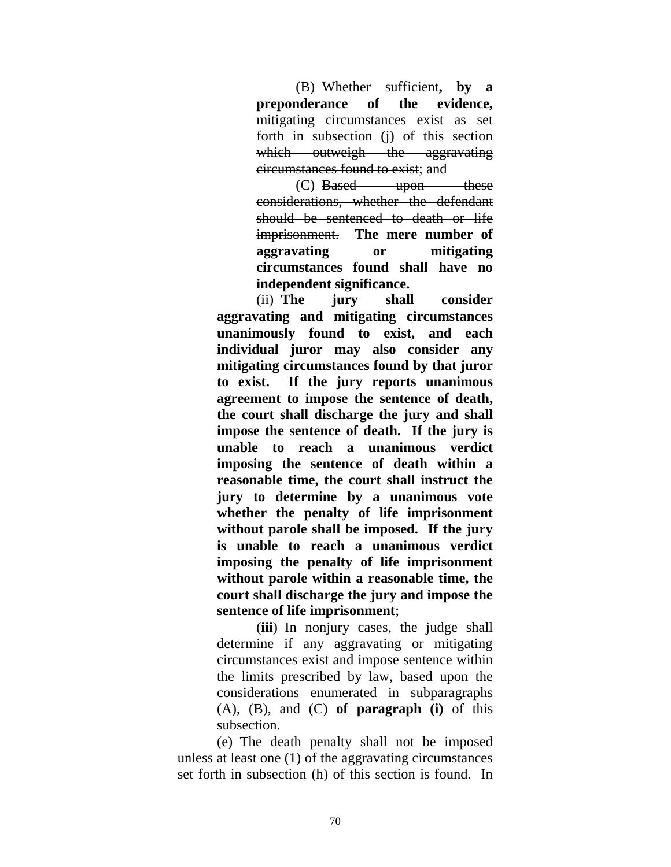(B) Whether sufficient**, by a preponderance of the evidence,** mitigating circumstances exist as set forth in subsection (j) of this section which outweigh the aggravating circumstances found to exist; and

(C) Based upon these considerations, whether the defendant should be sentenced to death or life imprisonment. **The mere number of aggravating or mitigating circumstances found shall have no independent significance.**

(ii) **The jury shall consider aggravating and mitigating circumstances unanimously found to exist, and each individual juror may also consider any mitigating circumstances found by that juror to exist. If the jury reports unanimous agreement to impose the sentence of death, the court shall discharge the jury and shall impose the sentence of death. If the jury is unable to reach a unanimous verdict imposing the sentence of death within a reasonable time, the court shall instruct the jury to determine by a unanimous vote whether the penalty of life imprisonment without parole shall be imposed. If the jury is unable to reach a unanimous verdict imposing the penalty of life imprisonment without parole within a reasonable time, the court shall discharge the jury and impose the sentence of life imprisonment**;

(**iii**) In nonjury cases, the judge shall determine if any aggravating or mitigating circumstances exist and impose sentence within the limits prescribed by law, based upon the considerations enumerated in subparagraphs (A), (B), and (C) **of paragraph (i)** of this subsection.

(e) The death penalty shall not be imposed unless at least one (1) of the aggravating circumstances set forth in subsection (h) of this section is found. In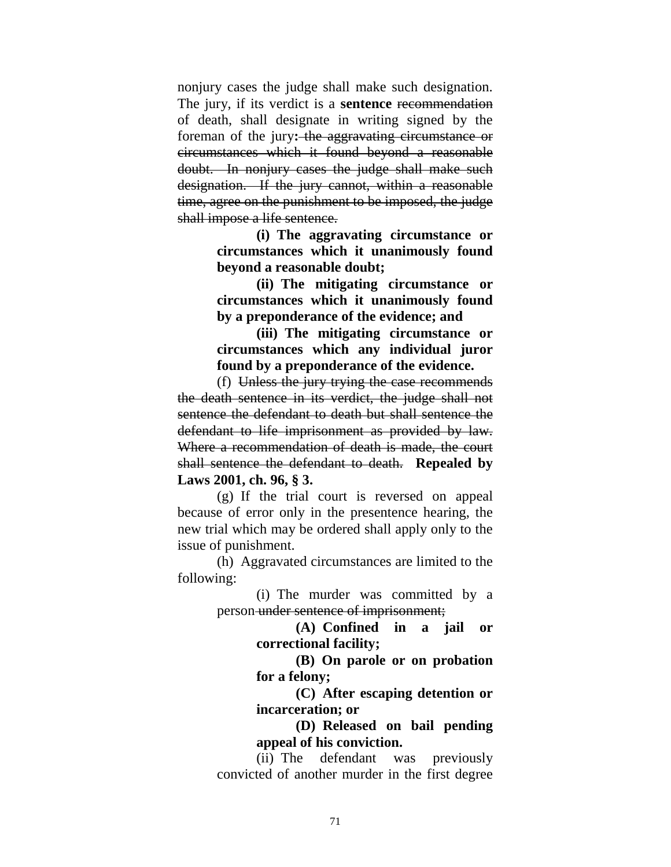nonjury cases the judge shall make such designation. The jury, if its verdict is a **sentence** recommendation of death, shall designate in writing signed by the foreman of the jury: the aggravating circumstance or circumstances which it found beyond a reasonable doubt. In nonjury cases the judge shall make such designation. If the jury cannot, within a reasonable time, agree on the punishment to be imposed, the judge shall impose a life sentence.

> **(i) The aggravating circumstance or circumstances which it unanimously found beyond a reasonable doubt;**

> **(ii) The mitigating circumstance or circumstances which it unanimously found by a preponderance of the evidence; and**

> **(iii) The mitigating circumstance or circumstances which any individual juror found by a preponderance of the evidence.**

(f) Unless the jury trying the case recommends the death sentence in its verdict, the judge shall not sentence the defendant to death but shall sentence the defendant to life imprisonment as provided by law. Where a recommendation of death is made, the court shall sentence the defendant to death. **Repealed by Laws 2001, ch. 96, § 3.**

(g) If the trial court is reversed on appeal because of error only in the presentence hearing, the new trial which may be ordered shall apply only to the issue of punishment.

(h) Aggravated circumstances are limited to the following:

> (i) The murder was committed by a person under sentence of imprisonment;

> > **(A) Confined in a jail or correctional facility;**

**(B) On parole or on probation for a felony;**

**(C) After escaping detention or incarceration; or**

**(D) Released on bail pending appeal of his conviction.**

(ii) The defendant was previously convicted of another murder in the first degree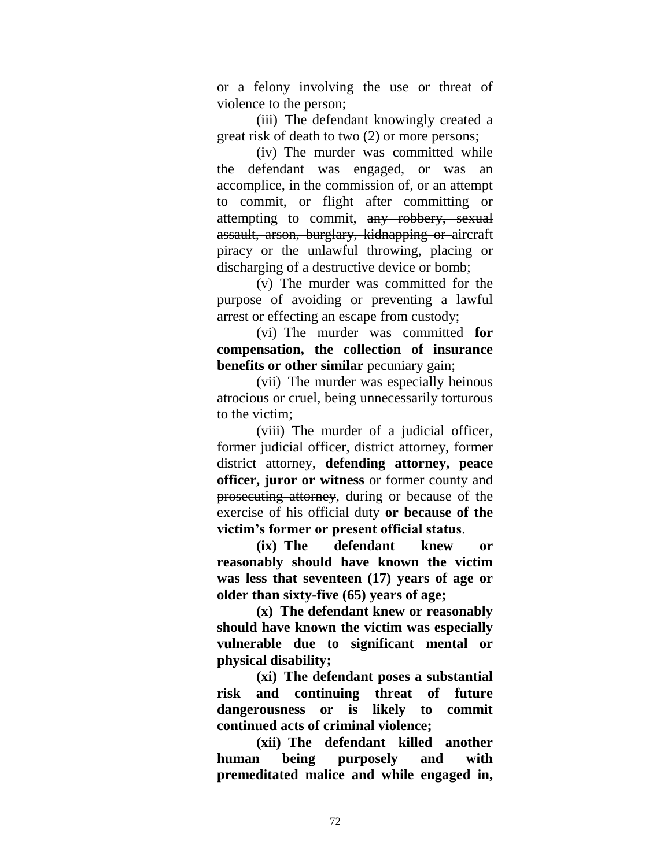or a felony involving the use or threat of violence to the person;

(iii) The defendant knowingly created a great risk of death to two (2) or more persons;

(iv) The murder was committed while the defendant was engaged, or was an accomplice, in the commission of, or an attempt to commit, or flight after committing or attempting to commit, any robbery, sexual assault, arson, burglary, kidnapping or aircraft piracy or the unlawful throwing, placing or discharging of a destructive device or bomb;

(v) The murder was committed for the purpose of avoiding or preventing a lawful arrest or effecting an escape from custody;

(vi) The murder was committed **for compensation, the collection of insurance benefits or other similar** pecuniary gain;

(vii) The murder was especially heinous atrocious or cruel, being unnecessarily torturous to the victim;

(viii) The murder of a judicial officer, former judicial officer, district attorney, former district attorney, **defending attorney, peace officer, juror or witness** or former county and prosecuting attorney, during or because of the exercise of his official duty **or because of the victim's former or present official status**.

**(ix) The defendant knew or reasonably should have known the victim was less that seventeen (17) years of age or older than sixty-five (65) years of age;**

**(x) The defendant knew or reasonably should have known the victim was especially vulnerable due to significant mental or physical disability;**

**(xi) The defendant poses a substantial risk and continuing threat of future dangerousness or is likely to commit continued acts of criminal violence;**

**(xii) The defendant killed another human being purposely and with premeditated malice and while engaged in,**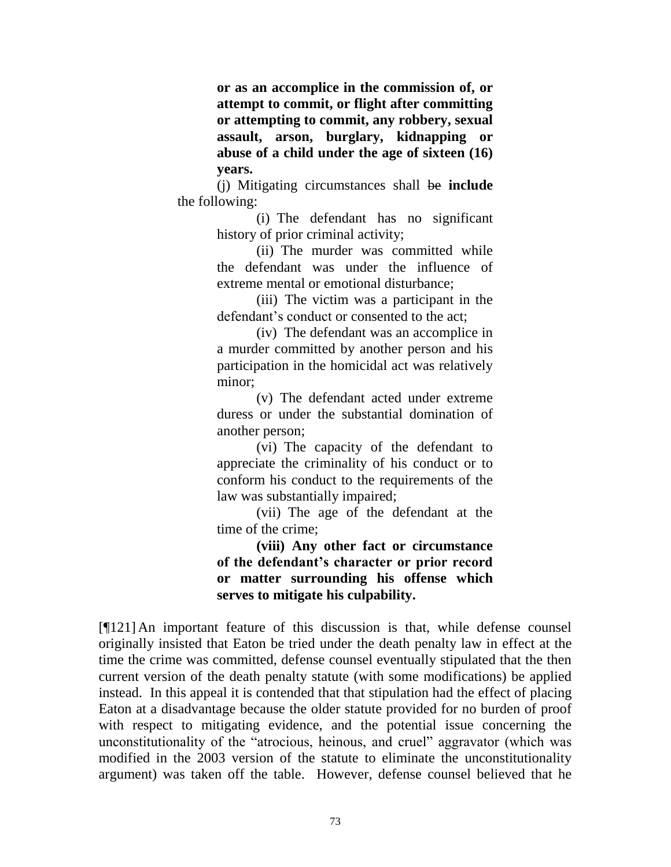**or as an accomplice in the commission of, or attempt to commit, or flight after committing or attempting to commit, any robbery, sexual assault, arson, burglary, kidnapping or abuse of a child under the age of sixteen (16) years.** 

(j) Mitigating circumstances shall be **include** the following:

> (i) The defendant has no significant history of prior criminal activity;

(ii) The murder was committed while the defendant was under the influence of extreme mental or emotional disturbance;

(iii) The victim was a participant in the defendant's conduct or consented to the act;

(iv) The defendant was an accomplice in a murder committed by another person and his participation in the homicidal act was relatively minor;

(v) The defendant acted under extreme duress or under the substantial domination of another person;

(vi) The capacity of the defendant to appreciate the criminality of his conduct or to conform his conduct to the requirements of the law was substantially impaired;

(vii) The age of the defendant at the time of the crime;

**(viii) Any other fact or circumstance of the defendant's character or prior record or matter surrounding his offense which serves to mitigate his culpability.**

[¶121] An important feature of this discussion is that, while defense counsel originally insisted that Eaton be tried under the death penalty law in effect at the time the crime was committed, defense counsel eventually stipulated that the then current version of the death penalty statute (with some modifications) be applied instead. In this appeal it is contended that that stipulation had the effect of placing Eaton at a disadvantage because the older statute provided for no burden of proof with respect to mitigating evidence, and the potential issue concerning the unconstitutionality of the "atrocious, heinous, and cruel" aggravator (which was modified in the 2003 version of the statute to eliminate the unconstitutionality argument) was taken off the table. However, defense counsel believed that he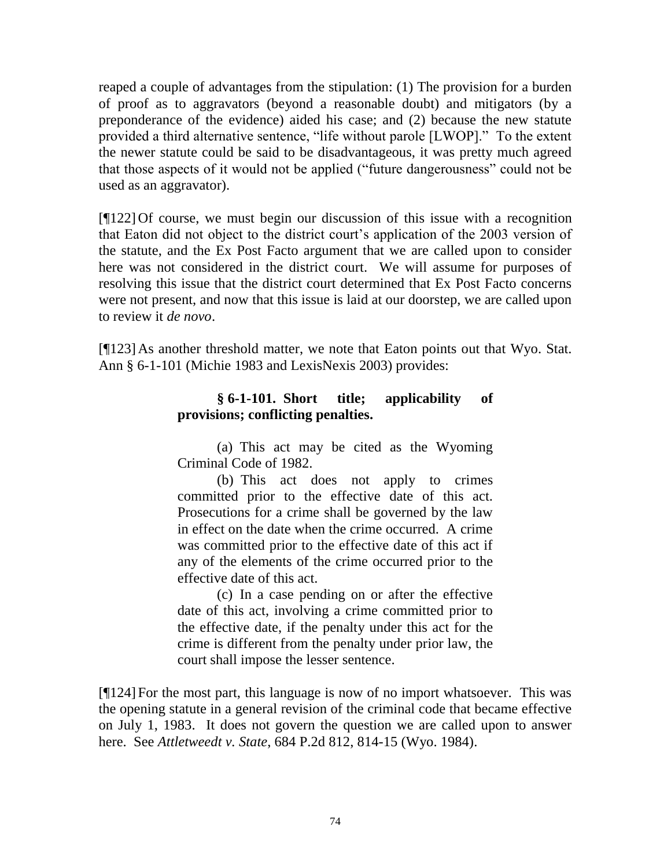reaped a couple of advantages from the stipulation: (1) The provision for a burden of proof as to aggravators (beyond a reasonable doubt) and mitigators (by a preponderance of the evidence) aided his case; and (2) because the new statute provided a third alternative sentence, "life without parole [LWOP]." To the extent the newer statute could be said to be disadvantageous, it was pretty much agreed that those aspects of it would not be applied ("future dangerousness" could not be used as an aggravator).

[¶122] Of course, we must begin our discussion of this issue with a recognition that Eaton did not object to the district court's application of the 2003 version of the statute, and the Ex Post Facto argument that we are called upon to consider here was not considered in the district court. We will assume for purposes of resolving this issue that the district court determined that Ex Post Facto concerns were not present, and now that this issue is laid at our doorstep, we are called upon to review it *de novo*.

[¶123] As another threshold matter, we note that Eaton points out that Wyo. Stat. Ann § 6-1-101 (Michie 1983 and LexisNexis 2003) provides:

# **§ 6-1-101. Short title; applicability of provisions; conflicting penalties.**

(a) This act may be cited as the Wyoming Criminal Code of 1982.

(b) This act does not apply to crimes committed prior to the effective date of this act. Prosecutions for a crime shall be governed by the law in effect on the date when the crime occurred. A crime was committed prior to the effective date of this act if any of the elements of the crime occurred prior to the effective date of this act.

(c) In a case pending on or after the effective date of this act, involving a crime committed prior to the effective date, if the penalty under this act for the crime is different from the penalty under prior law, the court shall impose the lesser sentence.

[¶124] For the most part, this language is now of no import whatsoever. This was the opening statute in a general revision of the criminal code that became effective on July 1, 1983. It does not govern the question we are called upon to answer here. See *Attletweedt v. State*, 684 P.2d 812, 814-15 (Wyo. 1984).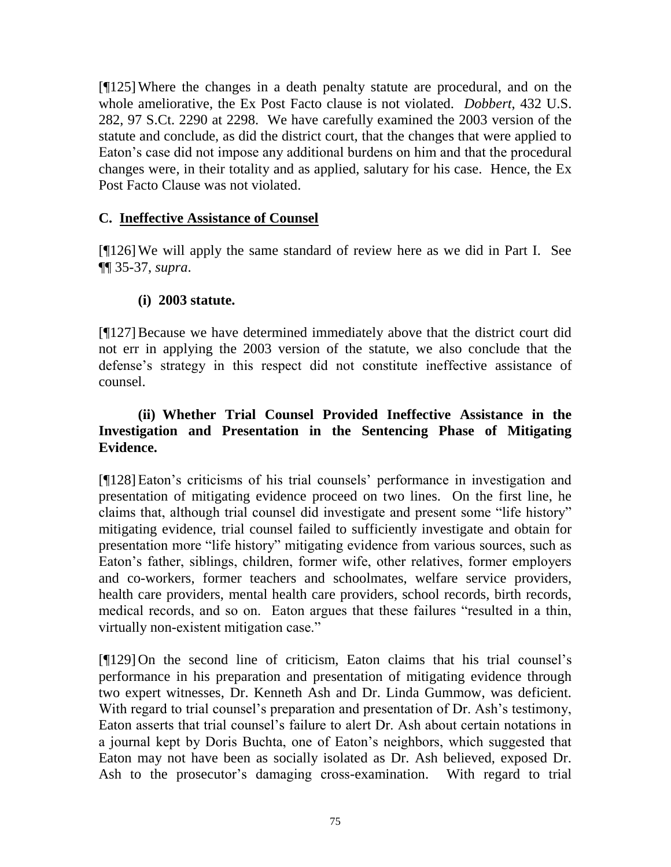[¶125]Where the changes in a death penalty statute are procedural, and on the whole ameliorative, the Ex Post Facto clause is not violated. *Dobbert*, 432 U.S. 282, 97 S.Ct. 2290 at 2298. We have carefully examined the 2003 version of the statute and conclude, as did the district court, that the changes that were applied to Eaton's case did not impose any additional burdens on him and that the procedural changes were, in their totality and as applied, salutary for his case. Hence, the Ex Post Facto Clause was not violated.

## **C. Ineffective Assistance of Counsel**

[¶126]We will apply the same standard of review here as we did in Part I. See ¶¶ 35-37, *supra*.

## **(i) 2003 statute.**

[¶127]Because we have determined immediately above that the district court did not err in applying the 2003 version of the statute, we also conclude that the defense's strategy in this respect did not constitute ineffective assistance of counsel.

## **(ii) Whether Trial Counsel Provided Ineffective Assistance in the Investigation and Presentation in the Sentencing Phase of Mitigating Evidence.**

[¶128]Eaton's criticisms of his trial counsels' performance in investigation and presentation of mitigating evidence proceed on two lines. On the first line, he claims that, although trial counsel did investigate and present some "life history" mitigating evidence, trial counsel failed to sufficiently investigate and obtain for presentation more "life history" mitigating evidence from various sources, such as Eaton's father, siblings, children, former wife, other relatives, former employers and co-workers, former teachers and schoolmates, welfare service providers, health care providers, mental health care providers, school records, birth records, medical records, and so on. Eaton argues that these failures "resulted in a thin, virtually non-existent mitigation case."

[¶129] On the second line of criticism, Eaton claims that his trial counsel's performance in his preparation and presentation of mitigating evidence through two expert witnesses, Dr. Kenneth Ash and Dr. Linda Gummow, was deficient. With regard to trial counsel's preparation and presentation of Dr. Ash's testimony, Eaton asserts that trial counsel's failure to alert Dr. Ash about certain notations in a journal kept by Doris Buchta, one of Eaton's neighbors, which suggested that Eaton may not have been as socially isolated as Dr. Ash believed, exposed Dr. Ash to the prosecutor's damaging cross-examination. With regard to trial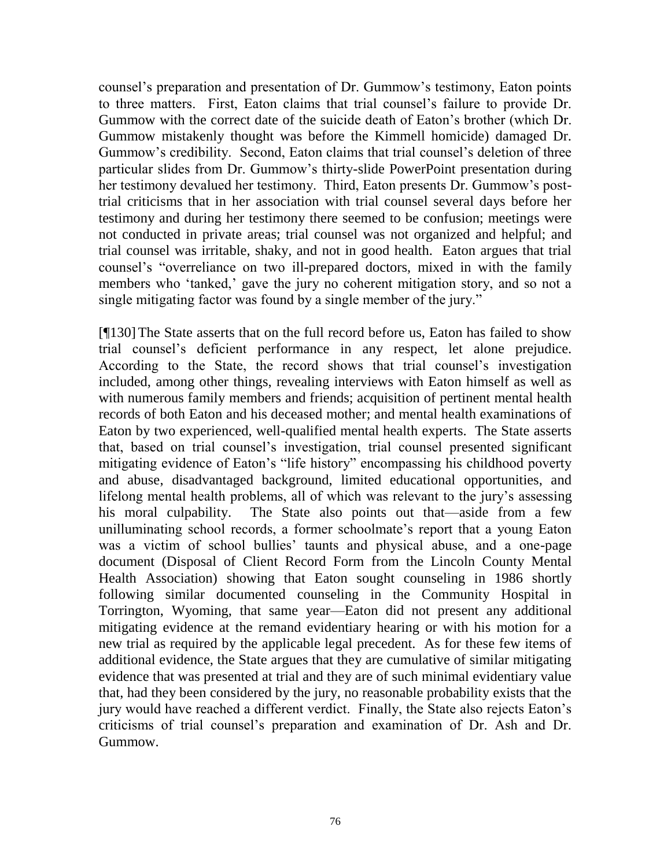counsel's preparation and presentation of Dr. Gummow's testimony, Eaton points to three matters. First, Eaton claims that trial counsel's failure to provide Dr. Gummow with the correct date of the suicide death of Eaton's brother (which Dr. Gummow mistakenly thought was before the Kimmell homicide) damaged Dr. Gummow's credibility. Second, Eaton claims that trial counsel's deletion of three particular slides from Dr. Gummow's thirty-slide PowerPoint presentation during her testimony devalued her testimony. Third, Eaton presents Dr. Gummow's posttrial criticisms that in her association with trial counsel several days before her testimony and during her testimony there seemed to be confusion; meetings were not conducted in private areas; trial counsel was not organized and helpful; and trial counsel was irritable, shaky, and not in good health. Eaton argues that trial counsel's "overreliance on two ill-prepared doctors, mixed in with the family members who 'tanked,' gave the jury no coherent mitigation story, and so not a single mitigating factor was found by a single member of the jury."

[¶130]The State asserts that on the full record before us, Eaton has failed to show trial counsel's deficient performance in any respect, let alone prejudice. According to the State, the record shows that trial counsel's investigation included, among other things, revealing interviews with Eaton himself as well as with numerous family members and friends; acquisition of pertinent mental health records of both Eaton and his deceased mother; and mental health examinations of Eaton by two experienced, well-qualified mental health experts. The State asserts that, based on trial counsel's investigation, trial counsel presented significant mitigating evidence of Eaton's "life history" encompassing his childhood poverty and abuse, disadvantaged background, limited educational opportunities, and lifelong mental health problems, all of which was relevant to the jury's assessing his moral culpability. The State also points out that—aside from a few unilluminating school records, a former schoolmate's report that a young Eaton was a victim of school bullies' taunts and physical abuse, and a one-page document (Disposal of Client Record Form from the Lincoln County Mental Health Association) showing that Eaton sought counseling in 1986 shortly following similar documented counseling in the Community Hospital in Torrington, Wyoming, that same year—Eaton did not present any additional mitigating evidence at the remand evidentiary hearing or with his motion for a new trial as required by the applicable legal precedent. As for these few items of additional evidence, the State argues that they are cumulative of similar mitigating evidence that was presented at trial and they are of such minimal evidentiary value that, had they been considered by the jury, no reasonable probability exists that the jury would have reached a different verdict. Finally, the State also rejects Eaton's criticisms of trial counsel's preparation and examination of Dr. Ash and Dr. Gummow.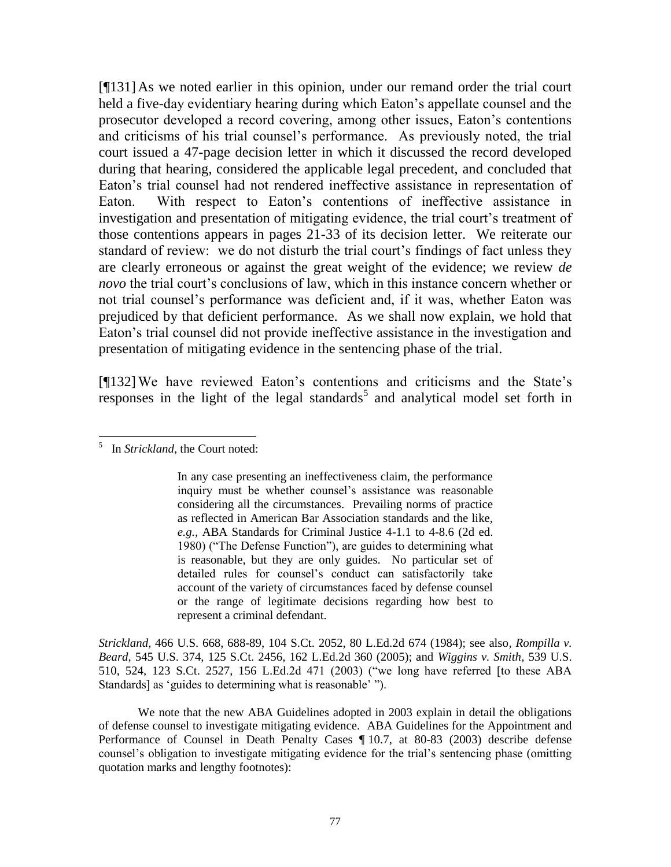[¶131] As we noted earlier in this opinion, under our remand order the trial court held a five-day evidentiary hearing during which Eaton's appellate counsel and the prosecutor developed a record covering, among other issues, Eaton's contentions and criticisms of his trial counsel's performance. As previously noted, the trial court issued a 47-page decision letter in which it discussed the record developed during that hearing, considered the applicable legal precedent, and concluded that Eaton's trial counsel had not rendered ineffective assistance in representation of Eaton. With respect to Eaton's contentions of ineffective assistance in investigation and presentation of mitigating evidence, the trial court's treatment of those contentions appears in pages 21-33 of its decision letter. We reiterate our standard of review: we do not disturb the trial court's findings of fact unless they are clearly erroneous or against the great weight of the evidence; we review *de novo* the trial court's conclusions of law, which in this instance concern whether or not trial counsel's performance was deficient and, if it was, whether Eaton was prejudiced by that deficient performance. As we shall now explain, we hold that Eaton's trial counsel did not provide ineffective assistance in the investigation and presentation of mitigating evidence in the sentencing phase of the trial.

[¶132]We have reviewed Eaton's contentions and criticisms and the State's responses in the light of the legal standards<sup>5</sup> and analytical model set forth in

 $\overline{a}$ 

In any case presenting an ineffectiveness claim, the performance inquiry must be whether counsel's assistance was reasonable considering all the circumstances. Prevailing norms of practice as reflected in American Bar Association standards and the like, *e.g.,* ABA Standards for Criminal Justice 4-1.1 to 4-8.6 (2d ed. 1980) ("The Defense Function"), are guides to determining what is reasonable, but they are only guides. No particular set of detailed rules for counsel's conduct can satisfactorily take account of the variety of circumstances faced by defense counsel or the range of legitimate decisions regarding how best to represent a criminal defendant.

*Strickland*, 466 U.S. 668, 688-89, 104 S.Ct. 2052, 80 L.Ed.2d 674 (1984); see also*, Rompilla v. Beard*, 545 U.S. 374, 125 S.Ct. 2456, 162 L.Ed.2d 360 (2005); and *Wiggins v. Smith*, 539 U.S. 510, 524, 123 S.Ct. 2527, 156 L.Ed.2d 471 (2003) ("we long have referred [to these ABA Standards] as 'guides to determining what is reasonable' ").

We note that the new ABA Guidelines adopted in 2003 explain in detail the obligations of defense counsel to investigate mitigating evidence. ABA Guidelines for the Appointment and Performance of Counsel in Death Penalty Cases ¶ 10.7, at 80-83 (2003) describe defense counsel's obligation to investigate mitigating evidence for the trial's sentencing phase (omitting quotation marks and lengthy footnotes):

<sup>5</sup> In *Strickland*, the Court noted: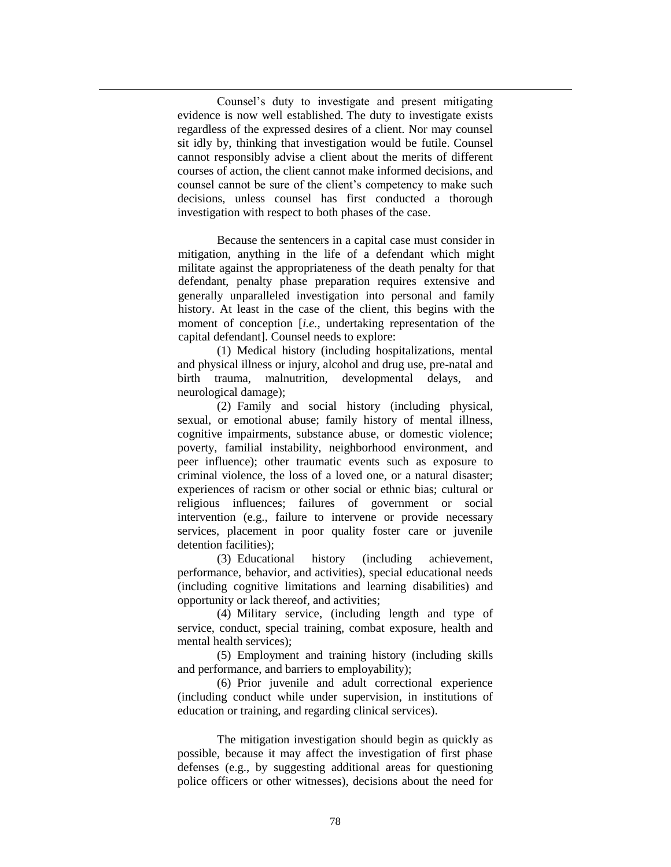Counsel's duty to investigate and present mitigating evidence is now well established. The duty to investigate exists regardless of the expressed desires of a client. Nor may counsel sit idly by, thinking that investigation would be futile. Counsel cannot responsibly advise a client about the merits of different courses of action, the client cannot make informed decisions, and counsel cannot be sure of the client's competency to make such decisions, unless counsel has first conducted a thorough investigation with respect to both phases of the case.

l

Because the sentencers in a capital case must consider in mitigation, anything in the life of a defendant which might militate against the appropriateness of the death penalty for that defendant, penalty phase preparation requires extensive and generally unparalleled investigation into personal and family history. At least in the case of the client, this begins with the moment of conception [*i.e.*, undertaking representation of the capital defendant]. Counsel needs to explore:

(1) Medical history (including hospitalizations, mental and physical illness or injury, alcohol and drug use, pre-natal and birth trauma, malnutrition, developmental delays, and neurological damage);

(2) Family and social history (including physical, sexual, or emotional abuse; family history of mental illness, cognitive impairments, substance abuse, or domestic violence; poverty, familial instability, neighborhood environment, and peer influence); other traumatic events such as exposure to criminal violence, the loss of a loved one, or a natural disaster; experiences of racism or other social or ethnic bias; cultural or religious influences; failures of government or social intervention (e.g., failure to intervene or provide necessary services, placement in poor quality foster care or juvenile detention facilities);

(3) Educational history (including achievement, performance, behavior, and activities), special educational needs (including cognitive limitations and learning disabilities) and opportunity or lack thereof, and activities;

(4) Military service, (including length and type of service, conduct, special training, combat exposure, health and mental health services);

(5) Employment and training history (including skills and performance, and barriers to employability);

(6) Prior juvenile and adult correctional experience (including conduct while under supervision, in institutions of education or training, and regarding clinical services).

The mitigation investigation should begin as quickly as possible, because it may affect the investigation of first phase defenses (e.g., by suggesting additional areas for questioning police officers or other witnesses), decisions about the need for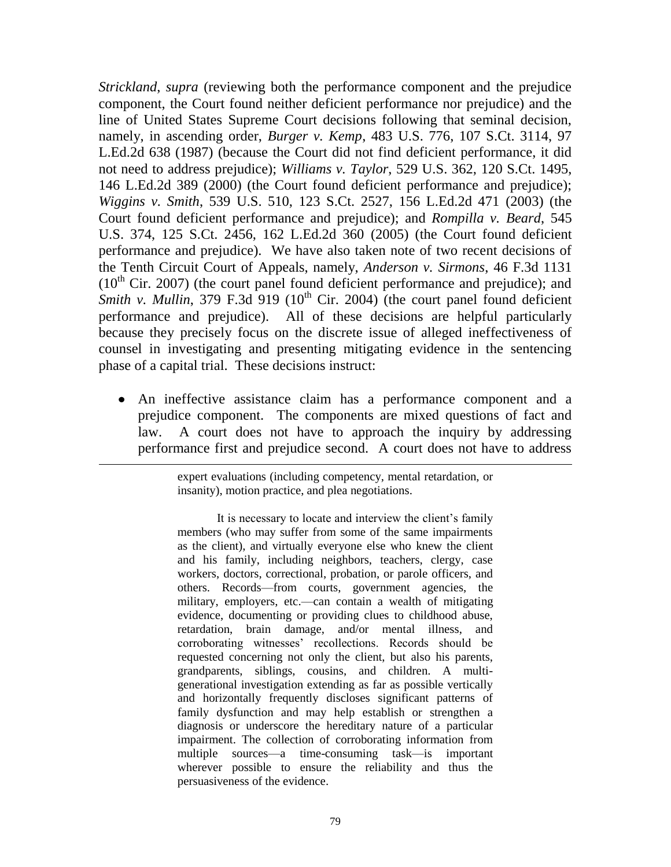*Strickland*, *supra* (reviewing both the performance component and the prejudice component, the Court found neither deficient performance nor prejudice) and the line of United States Supreme Court decisions following that seminal decision, namely, in ascending order, *Burger v. Kemp*, 483 U.S. 776, 107 S.Ct. 3114, 97 L.Ed.2d 638 (1987) (because the Court did not find deficient performance, it did not need to address prejudice); *Williams v. Taylor*, 529 U.S. 362, 120 S.Ct. 1495, 146 L.Ed.2d 389 (2000) (the Court found deficient performance and prejudice); *Wiggins v. Smith*, 539 U.S. 510, 123 S.Ct. 2527, 156 L.Ed.2d 471 (2003) (the Court found deficient performance and prejudice); and *Rompilla v. Beard*, 545 U.S. 374, 125 S.Ct. 2456, 162 L.Ed.2d 360 (2005) (the Court found deficient performance and prejudice). We have also taken note of two recent decisions of the Tenth Circuit Court of Appeals, namely, *Anderson v. Sirmons*, 46 F.3d 1131  $(10<sup>th</sup> Cir. 2007)$  (the court panel found deficient performance and prejudice); and *Smith v. Mullin*, 379 F.3d  $919$  ( $10<sup>th</sup>$  Cir. 2004) (the court panel found deficient performance and prejudice). All of these decisions are helpful particularly because they precisely focus on the discrete issue of alleged ineffectiveness of counsel in investigating and presenting mitigating evidence in the sentencing phase of a capital trial. These decisions instruct:

An ineffective assistance claim has a performance component and a prejudice component. The components are mixed questions of fact and law. A court does not have to approach the inquiry by addressing performance first and prejudice second. A court does not have to address

> expert evaluations (including competency, mental retardation, or insanity), motion practice, and plea negotiations.

l

It is necessary to locate and interview the client's family members (who may suffer from some of the same impairments as the client), and virtually everyone else who knew the client and his family, including neighbors, teachers, clergy, case workers, doctors, correctional, probation, or parole officers, and others. Records—from courts, government agencies, the military, employers, etc.—can contain a wealth of mitigating evidence, documenting or providing clues to childhood abuse, retardation, brain damage, and/or mental illness, and corroborating witnesses' recollections. Records should be requested concerning not only the client, but also his parents, grandparents, siblings, cousins, and children. A multigenerational investigation extending as far as possible vertically and horizontally frequently discloses significant patterns of family dysfunction and may help establish or strengthen a diagnosis or underscore the hereditary nature of a particular impairment. The collection of corroborating information from multiple sources—a time-consuming task—is important wherever possible to ensure the reliability and thus the persuasiveness of the evidence.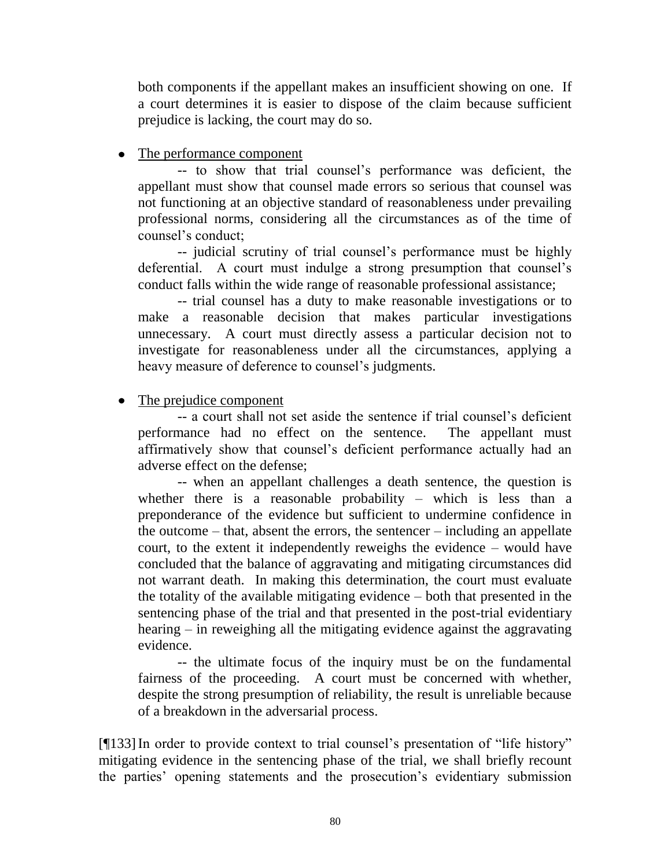both components if the appellant makes an insufficient showing on one. If a court determines it is easier to dispose of the claim because sufficient prejudice is lacking, the court may do so.

#### • The performance component

-- to show that trial counsel's performance was deficient, the appellant must show that counsel made errors so serious that counsel was not functioning at an objective standard of reasonableness under prevailing professional norms, considering all the circumstances as of the time of counsel's conduct;

-- judicial scrutiny of trial counsel's performance must be highly deferential. A court must indulge a strong presumption that counsel's conduct falls within the wide range of reasonable professional assistance;

-- trial counsel has a duty to make reasonable investigations or to make a reasonable decision that makes particular investigations unnecessary. A court must directly assess a particular decision not to investigate for reasonableness under all the circumstances, applying a heavy measure of deference to counsel's judgments.

#### • The prejudice component

-- a court shall not set aside the sentence if trial counsel's deficient performance had no effect on the sentence. The appellant must affirmatively show that counsel's deficient performance actually had an adverse effect on the defense;

-- when an appellant challenges a death sentence, the question is whether there is a reasonable probability – which is less than a preponderance of the evidence but sufficient to undermine confidence in the outcome – that, absent the errors, the sentencer – including an appellate court, to the extent it independently reweighs the evidence – would have concluded that the balance of aggravating and mitigating circumstances did not warrant death. In making this determination, the court must evaluate the totality of the available mitigating evidence – both that presented in the sentencing phase of the trial and that presented in the post-trial evidentiary hearing – in reweighing all the mitigating evidence against the aggravating evidence.

-- the ultimate focus of the inquiry must be on the fundamental fairness of the proceeding. A court must be concerned with whether, despite the strong presumption of reliability, the result is unreliable because of a breakdown in the adversarial process.

[¶133] In order to provide context to trial counsel's presentation of "life history" mitigating evidence in the sentencing phase of the trial, we shall briefly recount the parties' opening statements and the prosecution's evidentiary submission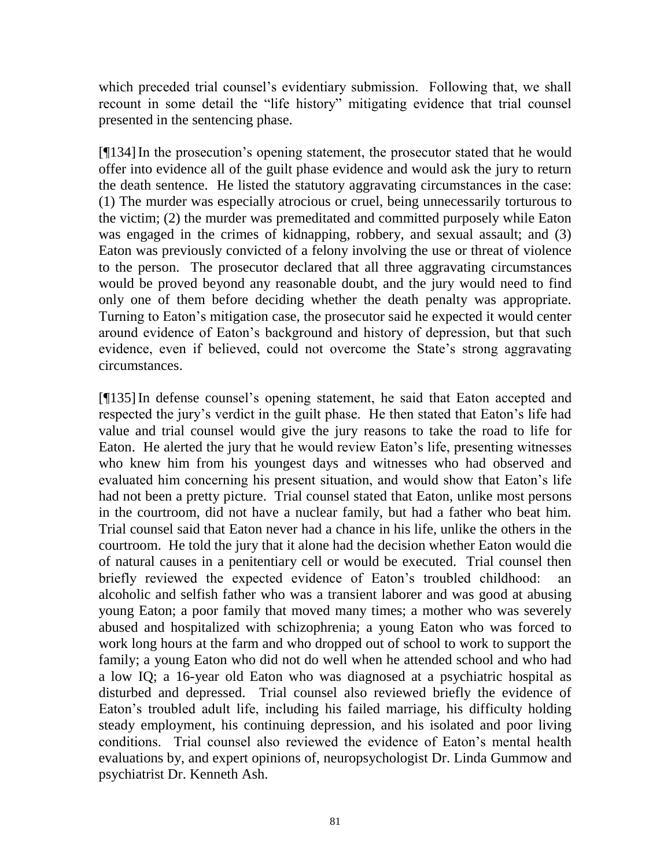which preceded trial counsel's evidentiary submission. Following that, we shall recount in some detail the "life history" mitigating evidence that trial counsel presented in the sentencing phase.

[¶134]In the prosecution's opening statement, the prosecutor stated that he would offer into evidence all of the guilt phase evidence and would ask the jury to return the death sentence. He listed the statutory aggravating circumstances in the case: (1) The murder was especially atrocious or cruel, being unnecessarily torturous to the victim; (2) the murder was premeditated and committed purposely while Eaton was engaged in the crimes of kidnapping, robbery, and sexual assault; and (3) Eaton was previously convicted of a felony involving the use or threat of violence to the person. The prosecutor declared that all three aggravating circumstances would be proved beyond any reasonable doubt, and the jury would need to find only one of them before deciding whether the death penalty was appropriate. Turning to Eaton's mitigation case, the prosecutor said he expected it would center around evidence of Eaton's background and history of depression, but that such evidence, even if believed, could not overcome the State's strong aggravating circumstances.

[¶135]In defense counsel's opening statement, he said that Eaton accepted and respected the jury's verdict in the guilt phase. He then stated that Eaton's life had value and trial counsel would give the jury reasons to take the road to life for Eaton. He alerted the jury that he would review Eaton's life, presenting witnesses who knew him from his youngest days and witnesses who had observed and evaluated him concerning his present situation, and would show that Eaton's life had not been a pretty picture. Trial counsel stated that Eaton, unlike most persons in the courtroom, did not have a nuclear family, but had a father who beat him. Trial counsel said that Eaton never had a chance in his life, unlike the others in the courtroom. He told the jury that it alone had the decision whether Eaton would die of natural causes in a penitentiary cell or would be executed. Trial counsel then briefly reviewed the expected evidence of Eaton's troubled childhood: an alcoholic and selfish father who was a transient laborer and was good at abusing young Eaton; a poor family that moved many times; a mother who was severely abused and hospitalized with schizophrenia; a young Eaton who was forced to work long hours at the farm and who dropped out of school to work to support the family; a young Eaton who did not do well when he attended school and who had a low IQ; a 16-year old Eaton who was diagnosed at a psychiatric hospital as disturbed and depressed. Trial counsel also reviewed briefly the evidence of Eaton's troubled adult life, including his failed marriage, his difficulty holding steady employment, his continuing depression, and his isolated and poor living conditions. Trial counsel also reviewed the evidence of Eaton's mental health evaluations by, and expert opinions of, neuropsychologist Dr. Linda Gummow and psychiatrist Dr. Kenneth Ash.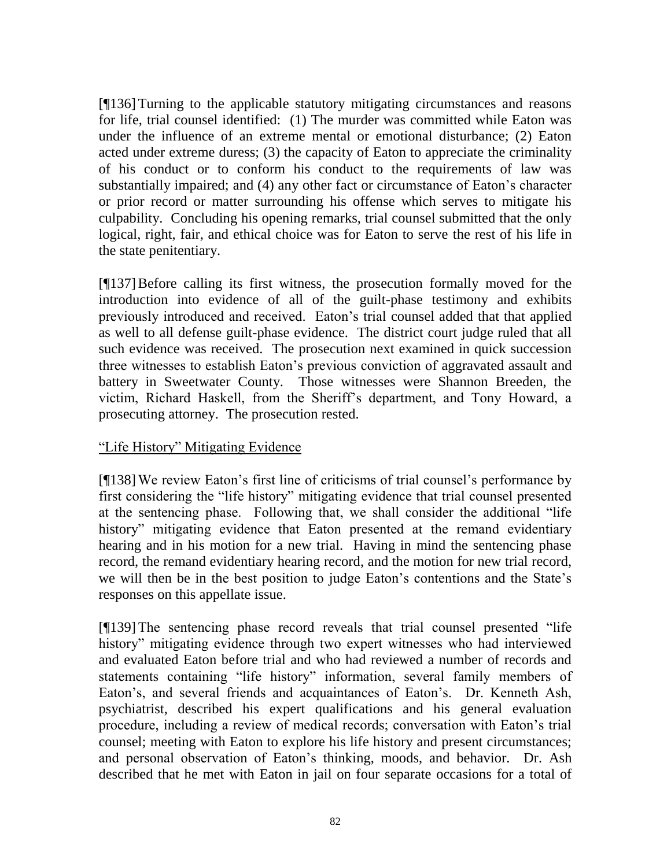[¶136]Turning to the applicable statutory mitigating circumstances and reasons for life, trial counsel identified: (1) The murder was committed while Eaton was under the influence of an extreme mental or emotional disturbance; (2) Eaton acted under extreme duress; (3) the capacity of Eaton to appreciate the criminality of his conduct or to conform his conduct to the requirements of law was substantially impaired; and (4) any other fact or circumstance of Eaton's character or prior record or matter surrounding his offense which serves to mitigate his culpability. Concluding his opening remarks, trial counsel submitted that the only logical, right, fair, and ethical choice was for Eaton to serve the rest of his life in the state penitentiary.

[¶137]Before calling its first witness, the prosecution formally moved for the introduction into evidence of all of the guilt-phase testimony and exhibits previously introduced and received. Eaton's trial counsel added that that applied as well to all defense guilt-phase evidence. The district court judge ruled that all such evidence was received. The prosecution next examined in quick succession three witnesses to establish Eaton's previous conviction of aggravated assault and battery in Sweetwater County. Those witnesses were Shannon Breeden, the victim, Richard Haskell, from the Sheriff's department, and Tony Howard, a prosecuting attorney. The prosecution rested.

## "Life History" Mitigating Evidence

[¶138]We review Eaton's first line of criticisms of trial counsel's performance by first considering the "life history" mitigating evidence that trial counsel presented at the sentencing phase. Following that, we shall consider the additional "life" history" mitigating evidence that Eaton presented at the remand evidentiary hearing and in his motion for a new trial. Having in mind the sentencing phase record, the remand evidentiary hearing record, and the motion for new trial record, we will then be in the best position to judge Eaton's contentions and the State's responses on this appellate issue.

[¶139] The sentencing phase record reveals that trial counsel presented "life" history" mitigating evidence through two expert witnesses who had interviewed and evaluated Eaton before trial and who had reviewed a number of records and statements containing "life history" information, several family members of Eaton's, and several friends and acquaintances of Eaton's. Dr. Kenneth Ash, psychiatrist, described his expert qualifications and his general evaluation procedure, including a review of medical records; conversation with Eaton's trial counsel; meeting with Eaton to explore his life history and present circumstances; and personal observation of Eaton's thinking, moods, and behavior. Dr. Ash described that he met with Eaton in jail on four separate occasions for a total of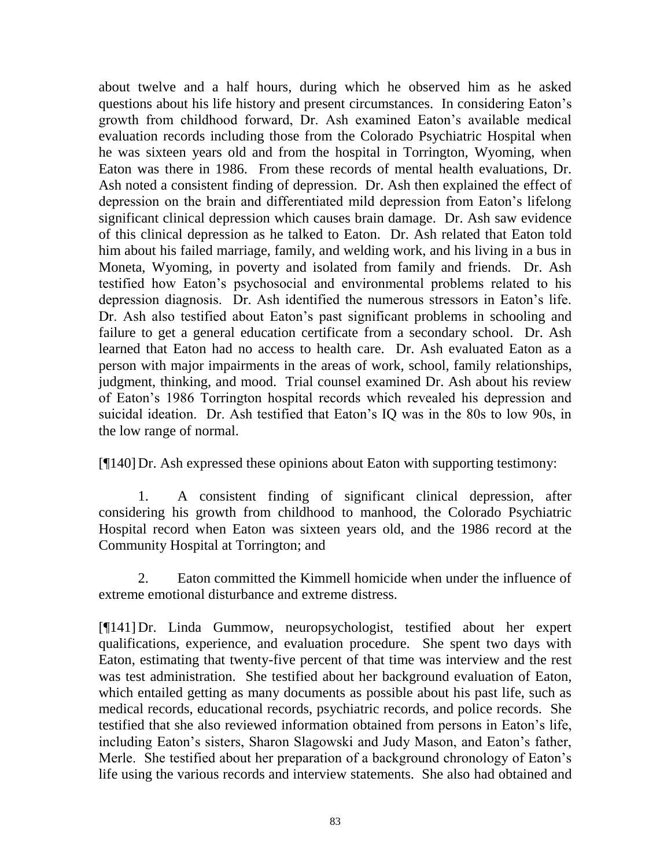about twelve and a half hours, during which he observed him as he asked questions about his life history and present circumstances. In considering Eaton's growth from childhood forward, Dr. Ash examined Eaton's available medical evaluation records including those from the Colorado Psychiatric Hospital when he was sixteen years old and from the hospital in Torrington, Wyoming, when Eaton was there in 1986. From these records of mental health evaluations, Dr. Ash noted a consistent finding of depression. Dr. Ash then explained the effect of depression on the brain and differentiated mild depression from Eaton's lifelong significant clinical depression which causes brain damage. Dr. Ash saw evidence of this clinical depression as he talked to Eaton. Dr. Ash related that Eaton told him about his failed marriage, family, and welding work, and his living in a bus in Moneta, Wyoming, in poverty and isolated from family and friends. Dr. Ash testified how Eaton's psychosocial and environmental problems related to his depression diagnosis. Dr. Ash identified the numerous stressors in Eaton's life. Dr. Ash also testified about Eaton's past significant problems in schooling and failure to get a general education certificate from a secondary school. Dr. Ash learned that Eaton had no access to health care. Dr. Ash evaluated Eaton as a person with major impairments in the areas of work, school, family relationships, judgment, thinking, and mood. Trial counsel examined Dr. Ash about his review of Eaton's 1986 Torrington hospital records which revealed his depression and suicidal ideation. Dr. Ash testified that Eaton's IQ was in the 80s to low 90s, in the low range of normal.

[¶140] Dr. Ash expressed these opinions about Eaton with supporting testimony:

1. A consistent finding of significant clinical depression, after considering his growth from childhood to manhood, the Colorado Psychiatric Hospital record when Eaton was sixteen years old, and the 1986 record at the Community Hospital at Torrington; and

2. Eaton committed the Kimmell homicide when under the influence of extreme emotional disturbance and extreme distress.

[¶141] Dr. Linda Gummow, neuropsychologist, testified about her expert qualifications, experience, and evaluation procedure. She spent two days with Eaton, estimating that twenty-five percent of that time was interview and the rest was test administration. She testified about her background evaluation of Eaton, which entailed getting as many documents as possible about his past life, such as medical records, educational records, psychiatric records, and police records. She testified that she also reviewed information obtained from persons in Eaton's life, including Eaton's sisters, Sharon Slagowski and Judy Mason, and Eaton's father, Merle. She testified about her preparation of a background chronology of Eaton's life using the various records and interview statements. She also had obtained and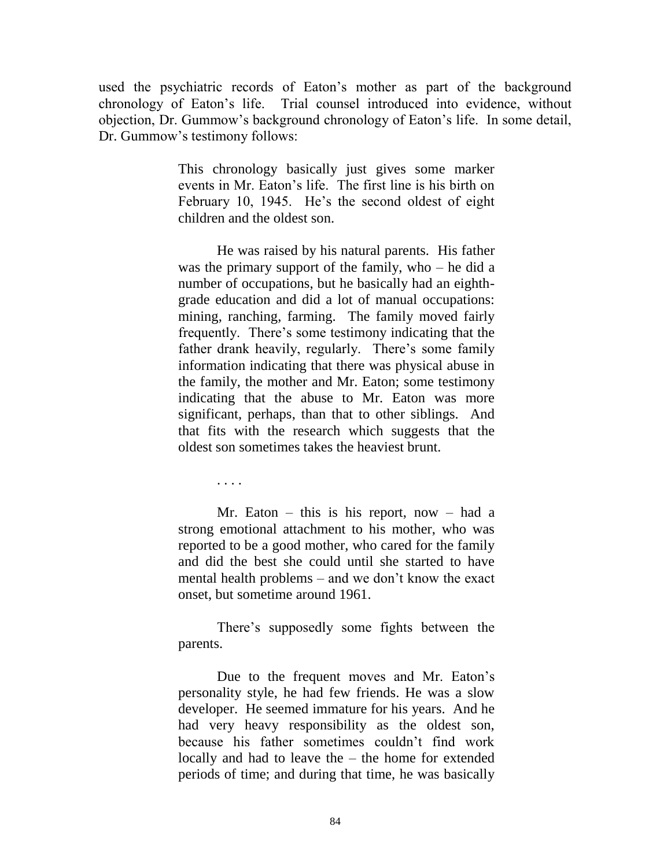used the psychiatric records of Eaton's mother as part of the background chronology of Eaton's life. Trial counsel introduced into evidence, without objection, Dr. Gummow's background chronology of Eaton's life. In some detail, Dr. Gummow's testimony follows:

> This chronology basically just gives some marker events in Mr. Eaton's life. The first line is his birth on February 10, 1945. He's the second oldest of eight children and the oldest son.

> He was raised by his natural parents. His father was the primary support of the family, who – he did a number of occupations, but he basically had an eighthgrade education and did a lot of manual occupations: mining, ranching, farming. The family moved fairly frequently. There's some testimony indicating that the father drank heavily, regularly. There's some family information indicating that there was physical abuse in the family, the mother and Mr. Eaton; some testimony indicating that the abuse to Mr. Eaton was more significant, perhaps, than that to other siblings. And that fits with the research which suggests that the oldest son sometimes takes the heaviest brunt.

> > . . . .

Mr. Eaton – this is his report, now – had a strong emotional attachment to his mother, who was reported to be a good mother, who cared for the family and did the best she could until she started to have mental health problems – and we don't know the exact onset, but sometime around 1961.

There's supposedly some fights between the parents.

Due to the frequent moves and Mr. Eaton's personality style, he had few friends. He was a slow developer. He seemed immature for his years. And he had very heavy responsibility as the oldest son, because his father sometimes couldn't find work locally and had to leave the – the home for extended periods of time; and during that time, he was basically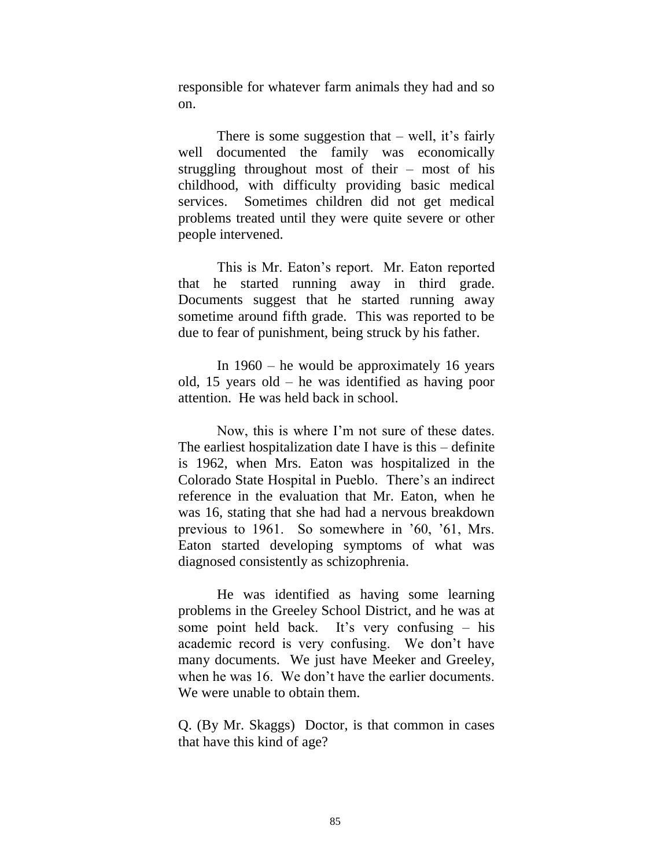responsible for whatever farm animals they had and so on.

There is some suggestion that  $-$  well, it's fairly well documented the family was economically struggling throughout most of their – most of his childhood, with difficulty providing basic medical services. Sometimes children did not get medical problems treated until they were quite severe or other people intervened.

This is Mr. Eaton's report. Mr. Eaton reported that he started running away in third grade. Documents suggest that he started running away sometime around fifth grade. This was reported to be due to fear of punishment, being struck by his father.

In 1960 – he would be approximately 16 years old, 15 years old – he was identified as having poor attention. He was held back in school.

Now, this is where I'm not sure of these dates. The earliest hospitalization date I have is this – definite is 1962, when Mrs. Eaton was hospitalized in the Colorado State Hospital in Pueblo. There's an indirect reference in the evaluation that Mr. Eaton, when he was 16, stating that she had had a nervous breakdown previous to 1961. So somewhere in '60, '61, Mrs. Eaton started developing symptoms of what was diagnosed consistently as schizophrenia.

He was identified as having some learning problems in the Greeley School District, and he was at some point held back. It's very confusing – his academic record is very confusing. We don't have many documents. We just have Meeker and Greeley, when he was 16. We don't have the earlier documents. We were unable to obtain them.

Q. (By Mr. Skaggs) Doctor, is that common in cases that have this kind of age?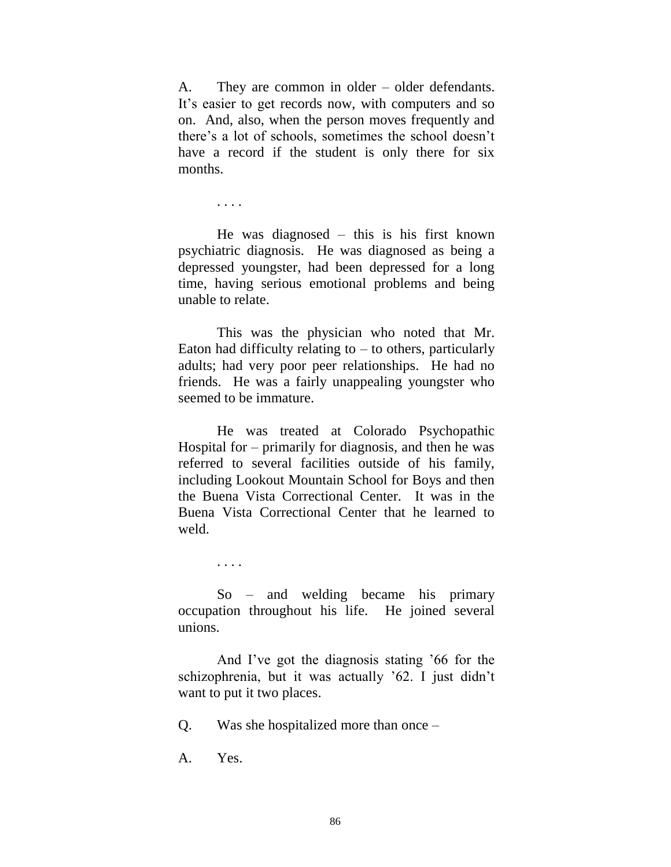A. They are common in older – older defendants. It's easier to get records now, with computers and so on. And, also, when the person moves frequently and there's a lot of schools, sometimes the school doesn't have a record if the student is only there for six months.

. . . .

He was diagnosed – this is his first known psychiatric diagnosis. He was diagnosed as being a depressed youngster, had been depressed for a long time, having serious emotional problems and being unable to relate.

This was the physician who noted that Mr. Eaton had difficulty relating to  $-$  to others, particularly adults; had very poor peer relationships. He had no friends. He was a fairly unappealing youngster who seemed to be immature.

He was treated at Colorado Psychopathic Hospital for – primarily for diagnosis, and then he was referred to several facilities outside of his family, including Lookout Mountain School for Boys and then the Buena Vista Correctional Center. It was in the Buena Vista Correctional Center that he learned to weld.

. . . .

So – and welding became his primary occupation throughout his life. He joined several unions.

And I've got the diagnosis stating '66 for the schizophrenia, but it was actually '62. I just didn't want to put it two places.

Q. Was she hospitalized more than once –

A. Yes.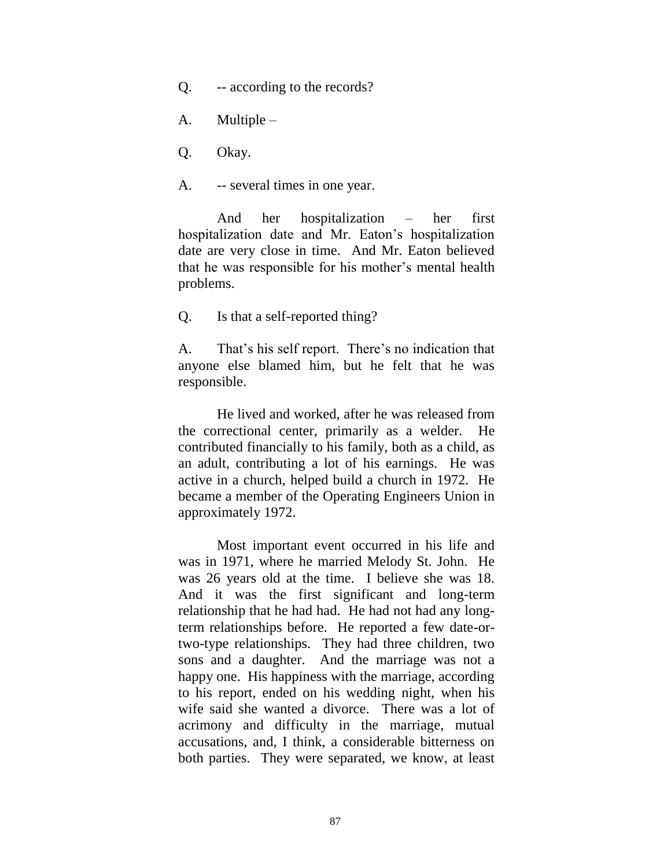- Q. -- according to the records?
- A. Multiple –
- Q. Okay.
- A. -- several times in one year.

And her hospitalization – her first hospitalization date and Mr. Eaton's hospitalization date are very close in time. And Mr. Eaton believed that he was responsible for his mother's mental health problems.

Q. Is that a self-reported thing?

A. That's his self report. There's no indication that anyone else blamed him, but he felt that he was responsible.

He lived and worked, after he was released from the correctional center, primarily as a welder. He contributed financially to his family, both as a child, as an adult, contributing a lot of his earnings. He was active in a church, helped build a church in 1972. He became a member of the Operating Engineers Union in approximately 1972.

Most important event occurred in his life and was in 1971, where he married Melody St. John. He was 26 years old at the time. I believe she was 18. And it was the first significant and long-term relationship that he had had. He had not had any longterm relationships before. He reported a few date-ortwo-type relationships. They had three children, two sons and a daughter. And the marriage was not a happy one. His happiness with the marriage, according to his report, ended on his wedding night, when his wife said she wanted a divorce. There was a lot of acrimony and difficulty in the marriage, mutual accusations, and, I think, a considerable bitterness on both parties. They were separated, we know, at least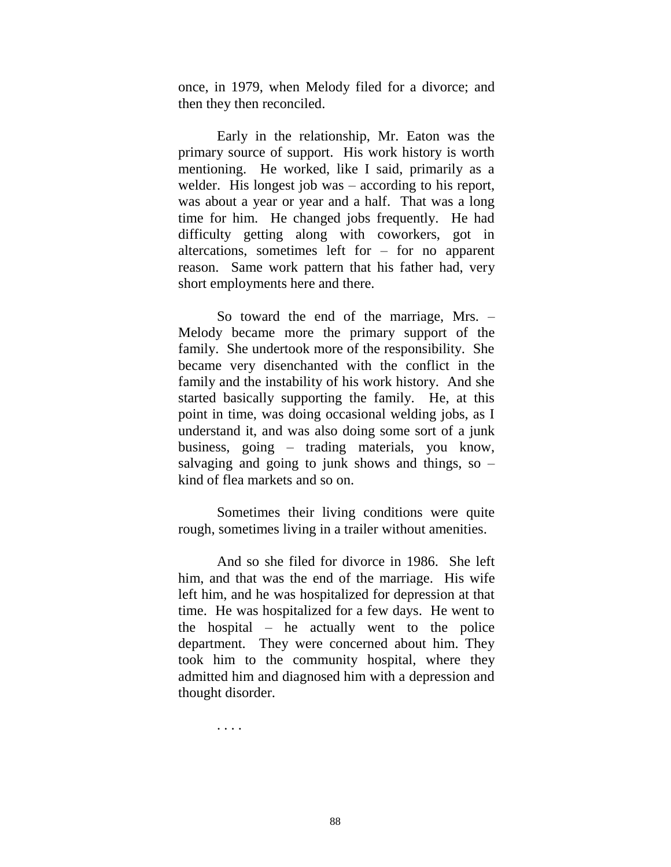once, in 1979, when Melody filed for a divorce; and then they then reconciled.

Early in the relationship, Mr. Eaton was the primary source of support. His work history is worth mentioning. He worked, like I said, primarily as a welder. His longest job was – according to his report, was about a year or year and a half. That was a long time for him. He changed jobs frequently. He had difficulty getting along with coworkers, got in altercations, sometimes left for – for no apparent reason. Same work pattern that his father had, very short employments here and there.

So toward the end of the marriage, Mrs. – Melody became more the primary support of the family. She undertook more of the responsibility. She became very disenchanted with the conflict in the family and the instability of his work history. And she started basically supporting the family. He, at this point in time, was doing occasional welding jobs, as I understand it, and was also doing some sort of a junk business, going – trading materials, you know, salvaging and going to junk shows and things, so  $$ kind of flea markets and so on.

Sometimes their living conditions were quite rough, sometimes living in a trailer without amenities.

And so she filed for divorce in 1986. She left him, and that was the end of the marriage. His wife left him, and he was hospitalized for depression at that time. He was hospitalized for a few days. He went to the hospital – he actually went to the police department. They were concerned about him. They took him to the community hospital, where they admitted him and diagnosed him with a depression and thought disorder.

. . . .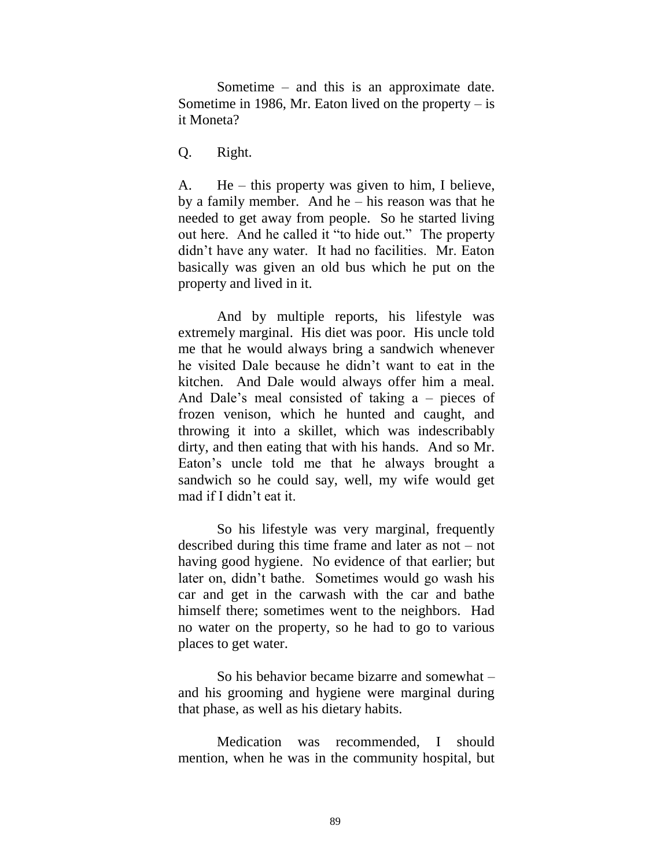Sometime – and this is an approximate date. Sometime in 1986, Mr. Eaton lived on the property  $-$  is it Moneta?

Q. Right.

A. He – this property was given to him, I believe, by a family member. And he – his reason was that he needed to get away from people. So he started living out here. And he called it "to hide out." The property didn't have any water. It had no facilities. Mr. Eaton basically was given an old bus which he put on the property and lived in it.

And by multiple reports, his lifestyle was extremely marginal. His diet was poor. His uncle told me that he would always bring a sandwich whenever he visited Dale because he didn't want to eat in the kitchen. And Dale would always offer him a meal. And Dale's meal consisted of taking  $a$  – pieces of frozen venison, which he hunted and caught, and throwing it into a skillet, which was indescribably dirty, and then eating that with his hands. And so Mr. Eaton's uncle told me that he always brought a sandwich so he could say, well, my wife would get mad if I didn't eat it.

So his lifestyle was very marginal, frequently described during this time frame and later as not – not having good hygiene. No evidence of that earlier; but later on, didn't bathe. Sometimes would go wash his car and get in the carwash with the car and bathe himself there; sometimes went to the neighbors. Had no water on the property, so he had to go to various places to get water.

So his behavior became bizarre and somewhat – and his grooming and hygiene were marginal during that phase, as well as his dietary habits.

Medication was recommended, I should mention, when he was in the community hospital, but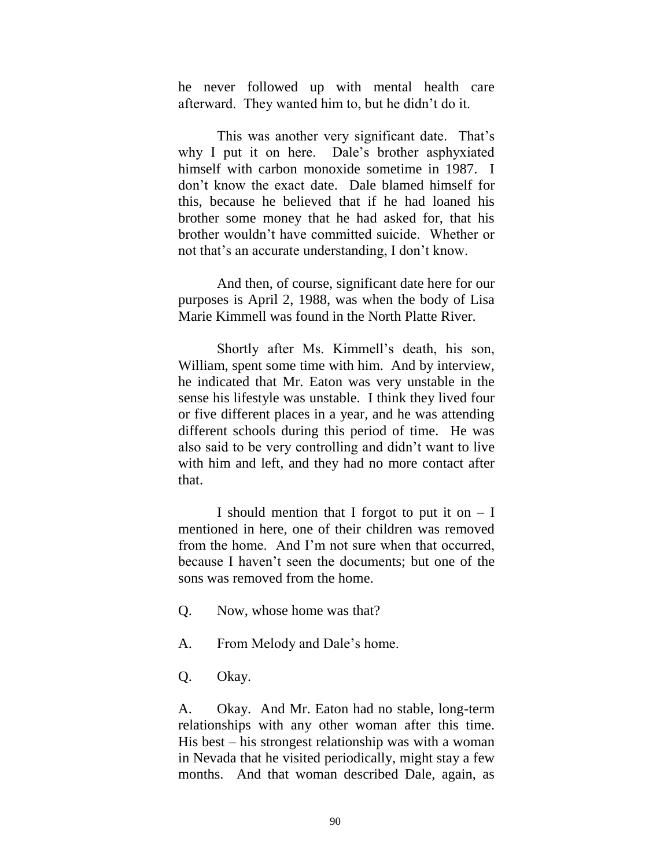he never followed up with mental health care afterward. They wanted him to, but he didn't do it.

This was another very significant date. That's why I put it on here. Dale's brother asphyxiated himself with carbon monoxide sometime in 1987. I don't know the exact date. Dale blamed himself for this, because he believed that if he had loaned his brother some money that he had asked for, that his brother wouldn't have committed suicide. Whether or not that's an accurate understanding, I don't know.

And then, of course, significant date here for our purposes is April 2, 1988, was when the body of Lisa Marie Kimmell was found in the North Platte River.

Shortly after Ms. Kimmell's death, his son, William, spent some time with him. And by interview, he indicated that Mr. Eaton was very unstable in the sense his lifestyle was unstable. I think they lived four or five different places in a year, and he was attending different schools during this period of time. He was also said to be very controlling and didn't want to live with him and left, and they had no more contact after that.

I should mention that I forgot to put it on  $-1$ mentioned in here, one of their children was removed from the home. And I'm not sure when that occurred, because I haven't seen the documents; but one of the sons was removed from the home.

- Q. Now, whose home was that?
- A. From Melody and Dale's home.
- Q. Okay.

A. Okay. And Mr. Eaton had no stable, long-term relationships with any other woman after this time. His best – his strongest relationship was with a woman in Nevada that he visited periodically, might stay a few months. And that woman described Dale, again, as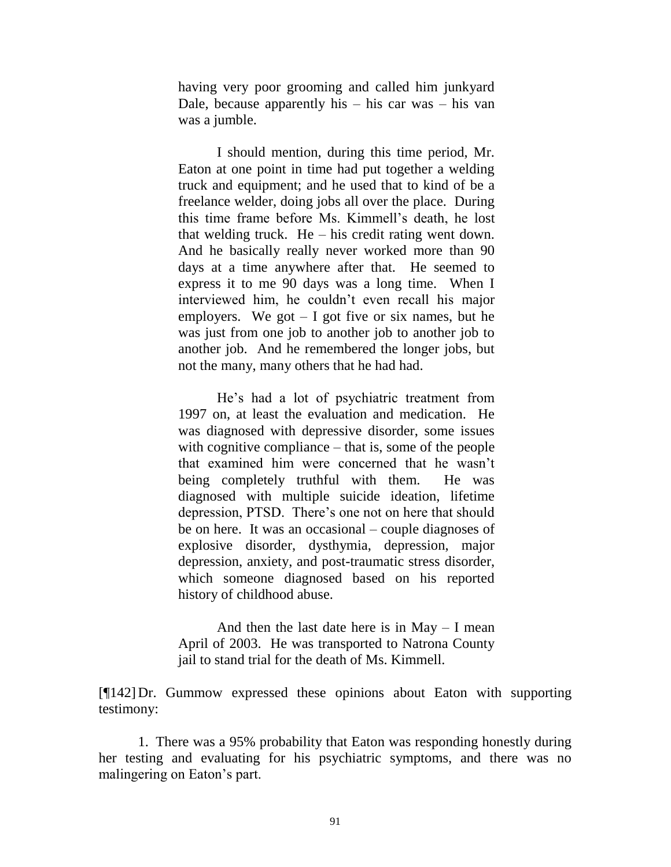having very poor grooming and called him junkyard Dale, because apparently his  $-$  his car was  $-$  his van was a jumble.

I should mention, during this time period, Mr. Eaton at one point in time had put together a welding truck and equipment; and he used that to kind of be a freelance welder, doing jobs all over the place. During this time frame before Ms. Kimmell's death, he lost that welding truck. He  $-$  his credit rating went down. And he basically really never worked more than 90 days at a time anywhere after that. He seemed to express it to me 90 days was a long time. When I interviewed him, he couldn't even recall his major employers. We got  $-1$  got five or six names, but he was just from one job to another job to another job to another job. And he remembered the longer jobs, but not the many, many others that he had had.

He's had a lot of psychiatric treatment from 1997 on, at least the evaluation and medication. He was diagnosed with depressive disorder, some issues with cognitive compliance – that is, some of the people that examined him were concerned that he wasn't being completely truthful with them. He was diagnosed with multiple suicide ideation, lifetime depression, PTSD. There's one not on here that should be on here. It was an occasional – couple diagnoses of explosive disorder, dysthymia, depression, major depression, anxiety, and post-traumatic stress disorder, which someone diagnosed based on his reported history of childhood abuse.

And then the last date here is in May – I mean April of 2003. He was transported to Natrona County jail to stand trial for the death of Ms. Kimmell.

[¶142] Dr. Gummow expressed these opinions about Eaton with supporting testimony:

1. There was a 95% probability that Eaton was responding honestly during her testing and evaluating for his psychiatric symptoms, and there was no malingering on Eaton's part.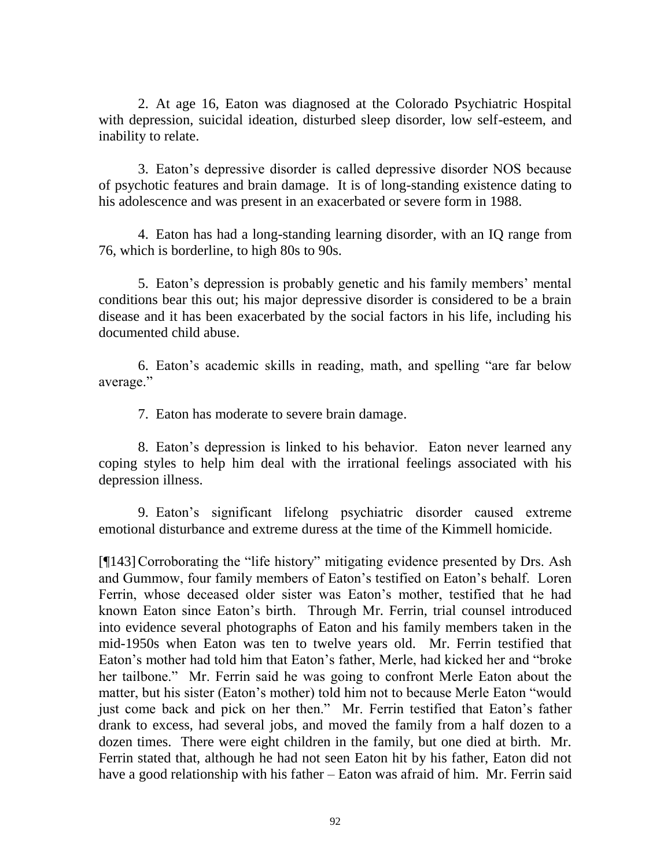2. At age 16, Eaton was diagnosed at the Colorado Psychiatric Hospital with depression, suicidal ideation, disturbed sleep disorder, low self-esteem, and inability to relate.

3. Eaton's depressive disorder is called depressive disorder NOS because of psychotic features and brain damage. It is of long-standing existence dating to his adolescence and was present in an exacerbated or severe form in 1988.

4. Eaton has had a long-standing learning disorder, with an IQ range from 76, which is borderline, to high 80s to 90s.

5. Eaton's depression is probably genetic and his family members' mental conditions bear this out; his major depressive disorder is considered to be a brain disease and it has been exacerbated by the social factors in his life, including his documented child abuse.

6. Eaton's academic skills in reading, math, and spelling "are far below average."

7. Eaton has moderate to severe brain damage.

8. Eaton's depression is linked to his behavior. Eaton never learned any coping styles to help him deal with the irrational feelings associated with his depression illness.

9. Eaton's significant lifelong psychiatric disorder caused extreme emotional disturbance and extreme duress at the time of the Kimmell homicide.

 $[9143]$ Corroborating the "life history" mitigating evidence presented by Drs. Ash and Gummow, four family members of Eaton's testified on Eaton's behalf. Loren Ferrin, whose deceased older sister was Eaton's mother, testified that he had known Eaton since Eaton's birth. Through Mr. Ferrin, trial counsel introduced into evidence several photographs of Eaton and his family members taken in the mid-1950s when Eaton was ten to twelve years old. Mr. Ferrin testified that Eaton's mother had told him that Eaton's father, Merle, had kicked her and "broke her tailbone." Mr. Ferrin said he was going to confront Merle Eaton about the matter, but his sister (Eaton's mother) told him not to because Merle Eaton "would just come back and pick on her then." Mr. Ferrin testified that Eaton's father drank to excess, had several jobs, and moved the family from a half dozen to a dozen times. There were eight children in the family, but one died at birth. Mr. Ferrin stated that, although he had not seen Eaton hit by his father, Eaton did not have a good relationship with his father – Eaton was afraid of him. Mr. Ferrin said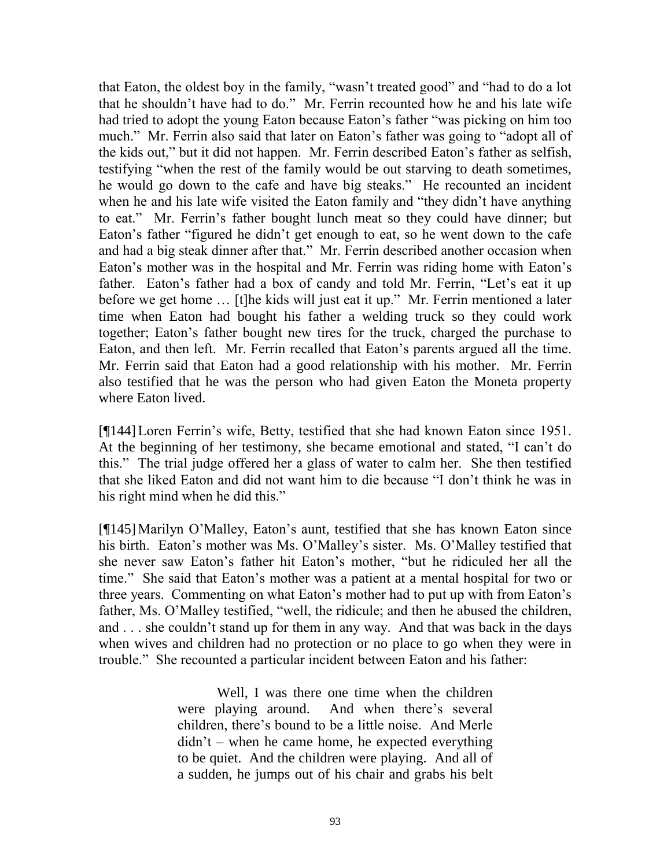that Eaton, the oldest boy in the family, "wasn't treated good" and "had to do a lot that he shouldn't have had to do." Mr. Ferrin recounted how he and his late wife had tried to adopt the young Eaton because Eaton's father "was picking on him too much." Mr. Ferrin also said that later on Eaton's father was going to "adopt all of the kids out," but it did not happen. Mr. Ferrin described Eaton's father as selfish, testifying "when the rest of the family would be out starving to death sometimes, he would go down to the cafe and have big steaks." He recounted an incident when he and his late wife visited the Eaton family and "they didn't have anything to eat." Mr. Ferrin's father bought lunch meat so they could have dinner; but Eaton's father "figured he didn't get enough to eat, so he went down to the cafe and had a big steak dinner after that." Mr. Ferrin described another occasion when Eaton's mother was in the hospital and Mr. Ferrin was riding home with Eaton's father. Eaton's father had a box of candy and told Mr. Ferrin, "Let's eat it up before we get home ... [t]he kids will just eat it up." Mr. Ferrin mentioned a later time when Eaton had bought his father a welding truck so they could work together; Eaton's father bought new tires for the truck, charged the purchase to Eaton, and then left. Mr. Ferrin recalled that Eaton's parents argued all the time. Mr. Ferrin said that Eaton had a good relationship with his mother. Mr. Ferrin also testified that he was the person who had given Eaton the Moneta property where Eaton lived.

[¶144]Loren Ferrin's wife, Betty, testified that she had known Eaton since 1951. At the beginning of her testimony, she became emotional and stated, "I can't do this.‖ The trial judge offered her a glass of water to calm her. She then testified that she liked Eaton and did not want him to die because "I don't think he was in his right mind when he did this."

[¶145] Marilyn O'Malley, Eaton's aunt, testified that she has known Eaton since his birth. Eaton's mother was Ms. O'Malley's sister. Ms. O'Malley testified that she never saw Eaton's father hit Eaton's mother, "but he ridiculed her all the time." She said that Eaton's mother was a patient at a mental hospital for two or three years. Commenting on what Eaton's mother had to put up with from Eaton's father, Ms. O'Malley testified, "well, the ridicule; and then he abused the children, and . . . she couldn't stand up for them in any way. And that was back in the days when wives and children had no protection or no place to go when they were in trouble." She recounted a particular incident between Eaton and his father:

> Well, I was there one time when the children were playing around. And when there's several children, there's bound to be a little noise. And Merle didn't – when he came home, he expected everything to be quiet. And the children were playing. And all of a sudden, he jumps out of his chair and grabs his belt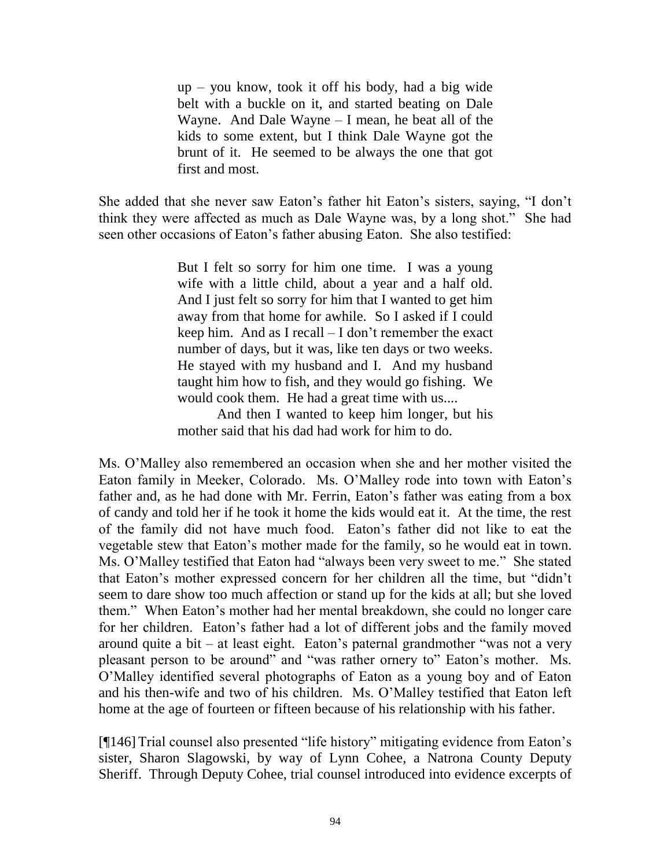up – you know, took it off his body, had a big wide belt with a buckle on it, and started beating on Dale Wayne. And Dale Wayne – I mean, he beat all of the kids to some extent, but I think Dale Wayne got the brunt of it. He seemed to be always the one that got first and most.

She added that she never saw Eaton's father hit Eaton's sisters, saying, "I don't think they were affected as much as Dale Wayne was, by a long shot." She had seen other occasions of Eaton's father abusing Eaton. She also testified:

> But I felt so sorry for him one time. I was a young wife with a little child, about a year and a half old. And I just felt so sorry for him that I wanted to get him away from that home for awhile. So I asked if I could keep him. And as I recall – I don't remember the exact number of days, but it was, like ten days or two weeks. He stayed with my husband and I. And my husband taught him how to fish, and they would go fishing. We would cook them. He had a great time with us....

> And then I wanted to keep him longer, but his mother said that his dad had work for him to do.

Ms. O'Malley also remembered an occasion when she and her mother visited the Eaton family in Meeker, Colorado. Ms. O'Malley rode into town with Eaton's father and, as he had done with Mr. Ferrin, Eaton's father was eating from a box of candy and told her if he took it home the kids would eat it. At the time, the rest of the family did not have much food. Eaton's father did not like to eat the vegetable stew that Eaton's mother made for the family, so he would eat in town. Ms. O'Malley testified that Eaton had "always been very sweet to me." She stated that Eaton's mother expressed concern for her children all the time, but "didn't seem to dare show too much affection or stand up for the kids at all; but she loved them.‖ When Eaton's mother had her mental breakdown, she could no longer care for her children. Eaton's father had a lot of different jobs and the family moved around quite a bit – at least eight. Eaton's paternal grandmother "was not a very pleasant person to be around" and "was rather ornery to" Eaton's mother. Ms. O'Malley identified several photographs of Eaton as a young boy and of Eaton and his then-wife and two of his children. Ms. O'Malley testified that Eaton left home at the age of fourteen or fifteen because of his relationship with his father.

[¶146] Trial counsel also presented "life history" mitigating evidence from Eaton's sister, Sharon Slagowski, by way of Lynn Cohee, a Natrona County Deputy Sheriff. Through Deputy Cohee, trial counsel introduced into evidence excerpts of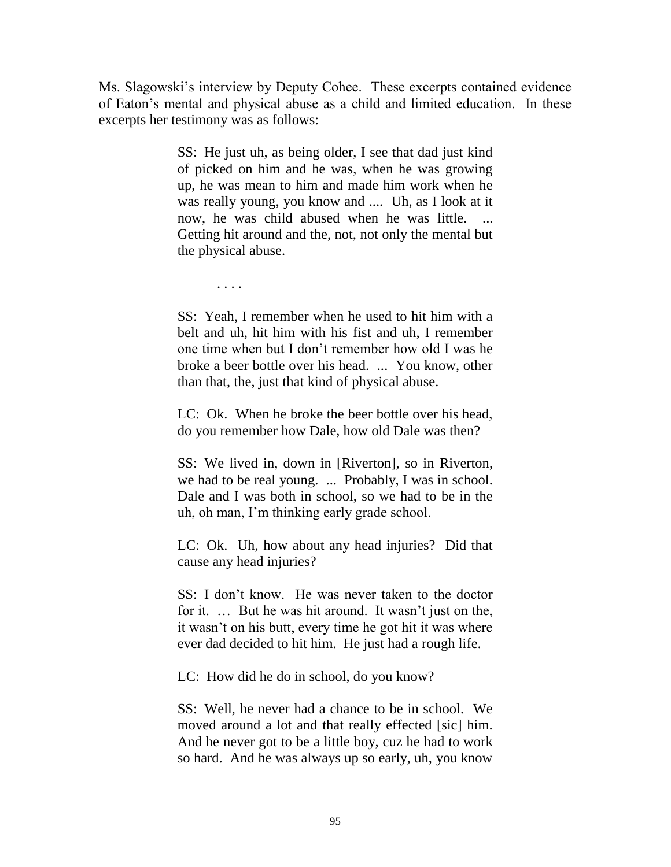Ms. Slagowski's interview by Deputy Cohee. These excerpts contained evidence of Eaton's mental and physical abuse as a child and limited education. In these excerpts her testimony was as follows:

> SS: He just uh, as being older, I see that dad just kind of picked on him and he was, when he was growing up, he was mean to him and made him work when he was really young, you know and .... Uh, as I look at it now, he was child abused when he was little. ... Getting hit around and the, not, not only the mental but the physical abuse.

. . . .

SS: Yeah, I remember when he used to hit him with a belt and uh, hit him with his fist and uh, I remember one time when but I don't remember how old I was he broke a beer bottle over his head. ... You know, other than that, the, just that kind of physical abuse.

LC: Ok. When he broke the beer bottle over his head. do you remember how Dale, how old Dale was then?

SS: We lived in, down in [Riverton], so in Riverton, we had to be real young. ... Probably, I was in school. Dale and I was both in school, so we had to be in the uh, oh man, I'm thinking early grade school.

LC: Ok. Uh, how about any head injuries? Did that cause any head injuries?

SS: I don't know. He was never taken to the doctor for it. … But he was hit around. It wasn't just on the, it wasn't on his butt, every time he got hit it was where ever dad decided to hit him. He just had a rough life.

LC: How did he do in school, do you know?

SS: Well, he never had a chance to be in school. We moved around a lot and that really effected [sic] him. And he never got to be a little boy, cuz he had to work so hard. And he was always up so early, uh, you know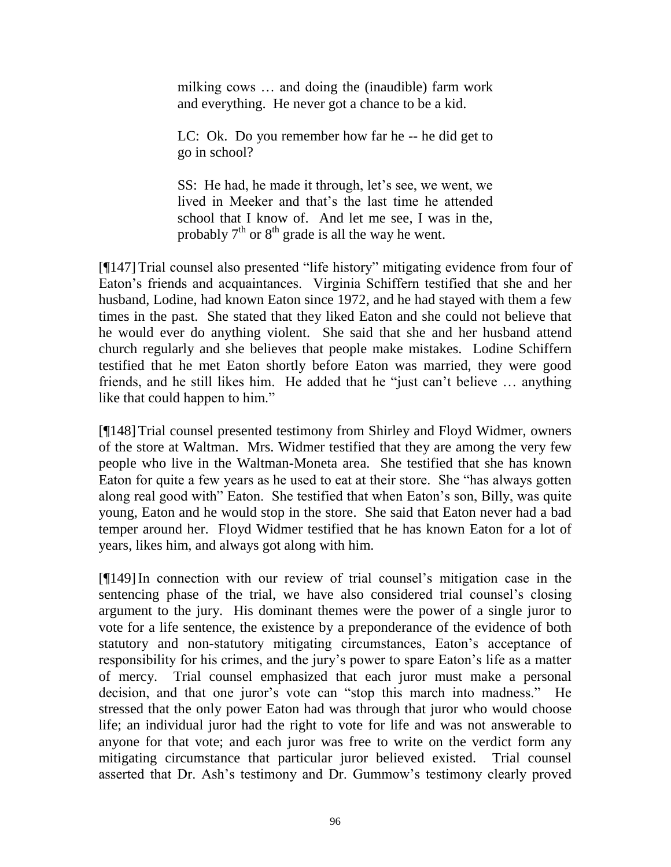milking cows … and doing the (inaudible) farm work and everything. He never got a chance to be a kid.

LC: Ok. Do you remember how far he -- he did get to go in school?

SS: He had, he made it through, let's see, we went, we lived in Meeker and that's the last time he attended school that I know of. And let me see, I was in the, probably  $7<sup>th</sup>$  or  $8<sup>th</sup>$  grade is all the way he went.

[¶147] Trial counsel also presented "life history" mitigating evidence from four of Eaton's friends and acquaintances. Virginia Schiffern testified that she and her husband, Lodine, had known Eaton since 1972, and he had stayed with them a few times in the past. She stated that they liked Eaton and she could not believe that he would ever do anything violent. She said that she and her husband attend church regularly and she believes that people make mistakes. Lodine Schiffern testified that he met Eaton shortly before Eaton was married, they were good friends, and he still likes him. He added that he "just can't believe ... anything like that could happen to him."

[¶148]Trial counsel presented testimony from Shirley and Floyd Widmer, owners of the store at Waltman. Mrs. Widmer testified that they are among the very few people who live in the Waltman-Moneta area. She testified that she has known Eaton for quite a few years as he used to eat at their store. She "has always gotten" along real good with" Eaton. She testified that when Eaton's son, Billy, was quite young, Eaton and he would stop in the store. She said that Eaton never had a bad temper around her. Floyd Widmer testified that he has known Eaton for a lot of years, likes him, and always got along with him.

[¶149]In connection with our review of trial counsel's mitigation case in the sentencing phase of the trial, we have also considered trial counsel's closing argument to the jury. His dominant themes were the power of a single juror to vote for a life sentence, the existence by a preponderance of the evidence of both statutory and non-statutory mitigating circumstances, Eaton's acceptance of responsibility for his crimes, and the jury's power to spare Eaton's life as a matter of mercy. Trial counsel emphasized that each juror must make a personal decision, and that one juror's vote can "stop this march into madness." He stressed that the only power Eaton had was through that juror who would choose life; an individual juror had the right to vote for life and was not answerable to anyone for that vote; and each juror was free to write on the verdict form any mitigating circumstance that particular juror believed existed. Trial counsel asserted that Dr. Ash's testimony and Dr. Gummow's testimony clearly proved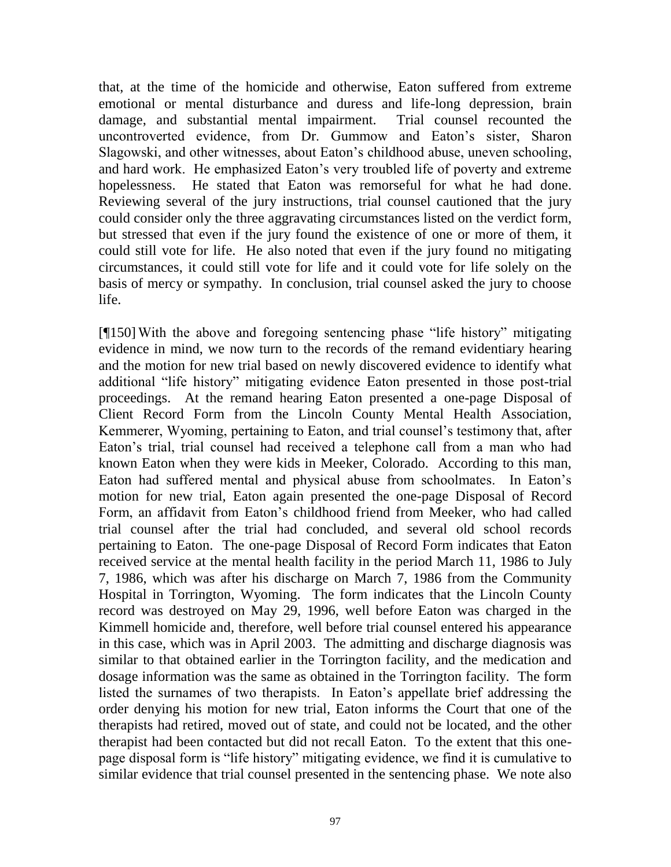that, at the time of the homicide and otherwise, Eaton suffered from extreme emotional or mental disturbance and duress and life-long depression, brain damage, and substantial mental impairment. Trial counsel recounted the uncontroverted evidence, from Dr. Gummow and Eaton's sister, Sharon Slagowski, and other witnesses, about Eaton's childhood abuse, uneven schooling, and hard work. He emphasized Eaton's very troubled life of poverty and extreme hopelessness. He stated that Eaton was remorseful for what he had done. Reviewing several of the jury instructions, trial counsel cautioned that the jury could consider only the three aggravating circumstances listed on the verdict form, but stressed that even if the jury found the existence of one or more of them, it could still vote for life. He also noted that even if the jury found no mitigating circumstances, it could still vote for life and it could vote for life solely on the basis of mercy or sympathy. In conclusion, trial counsel asked the jury to choose life.

 $[9150]$  With the above and foregoing sentencing phase "life history" mitigating evidence in mind, we now turn to the records of the remand evidentiary hearing and the motion for new trial based on newly discovered evidence to identify what additional "life history" mitigating evidence Eaton presented in those post-trial proceedings. At the remand hearing Eaton presented a one-page Disposal of Client Record Form from the Lincoln County Mental Health Association, Kemmerer, Wyoming, pertaining to Eaton, and trial counsel's testimony that, after Eaton's trial, trial counsel had received a telephone call from a man who had known Eaton when they were kids in Meeker, Colorado. According to this man, Eaton had suffered mental and physical abuse from schoolmates. In Eaton's motion for new trial, Eaton again presented the one-page Disposal of Record Form, an affidavit from Eaton's childhood friend from Meeker, who had called trial counsel after the trial had concluded, and several old school records pertaining to Eaton. The one-page Disposal of Record Form indicates that Eaton received service at the mental health facility in the period March 11, 1986 to July 7, 1986, which was after his discharge on March 7, 1986 from the Community Hospital in Torrington, Wyoming. The form indicates that the Lincoln County record was destroyed on May 29, 1996, well before Eaton was charged in the Kimmell homicide and, therefore, well before trial counsel entered his appearance in this case, which was in April 2003. The admitting and discharge diagnosis was similar to that obtained earlier in the Torrington facility, and the medication and dosage information was the same as obtained in the Torrington facility. The form listed the surnames of two therapists. In Eaton's appellate brief addressing the order denying his motion for new trial, Eaton informs the Court that one of the therapists had retired, moved out of state, and could not be located, and the other therapist had been contacted but did not recall Eaton. To the extent that this onepage disposal form is "life history" mitigating evidence, we find it is cumulative to similar evidence that trial counsel presented in the sentencing phase. We note also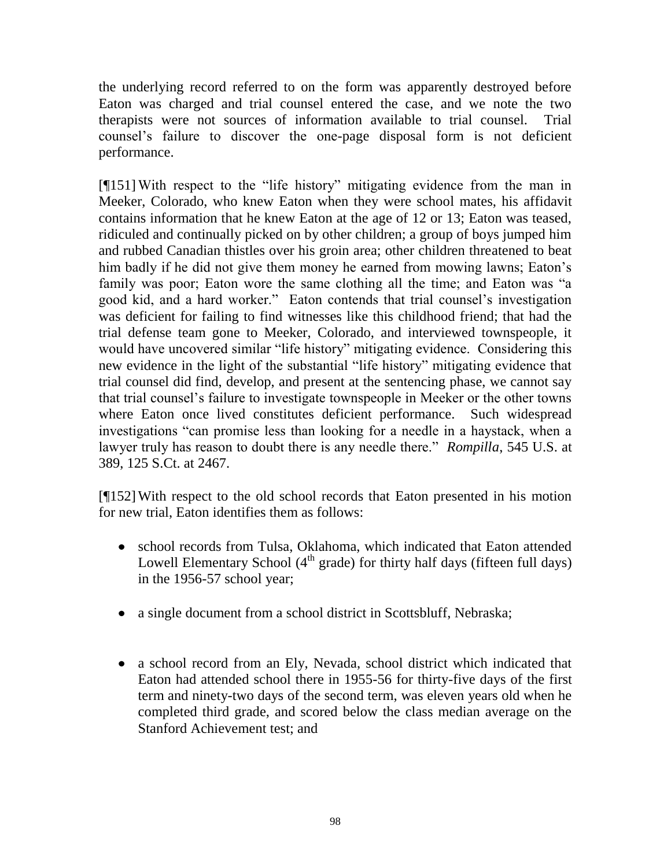the underlying record referred to on the form was apparently destroyed before Eaton was charged and trial counsel entered the case, and we note the two therapists were not sources of information available to trial counsel. Trial counsel's failure to discover the one-page disposal form is not deficient performance.

[¶151] With respect to the "life history" mitigating evidence from the man in Meeker, Colorado, who knew Eaton when they were school mates, his affidavit contains information that he knew Eaton at the age of 12 or 13; Eaton was teased, ridiculed and continually picked on by other children; a group of boys jumped him and rubbed Canadian thistles over his groin area; other children threatened to beat him badly if he did not give them money he earned from mowing lawns; Eaton's family was poor; Eaton wore the same clothing all the time; and Eaton was "a good kid, and a hard worker." Eaton contends that trial counsel's investigation was deficient for failing to find witnesses like this childhood friend; that had the trial defense team gone to Meeker, Colorado, and interviewed townspeople, it would have uncovered similar "life history" mitigating evidence. Considering this new evidence in the light of the substantial "life history" mitigating evidence that trial counsel did find, develop, and present at the sentencing phase, we cannot say that trial counsel's failure to investigate townspeople in Meeker or the other towns where Eaton once lived constitutes deficient performance. Such widespread investigations "can promise less than looking for a needle in a haystack, when a lawyer truly has reason to doubt there is any needle there." *Rompilla*, 545 U.S. at 389, 125 S.Ct. at 2467.

[¶152]With respect to the old school records that Eaton presented in his motion for new trial, Eaton identifies them as follows:

- school records from Tulsa, Oklahoma, which indicated that Eaton attended Lowell Elementary School  $(4<sup>th</sup> \text{ grade})$  for thirty half days (fifteen full days) in the 1956-57 school year;
- a single document from a school district in Scottsbluff, Nebraska;
- a school record from an Ely, Nevada, school district which indicated that Eaton had attended school there in 1955-56 for thirty-five days of the first term and ninety-two days of the second term, was eleven years old when he completed third grade, and scored below the class median average on the Stanford Achievement test; and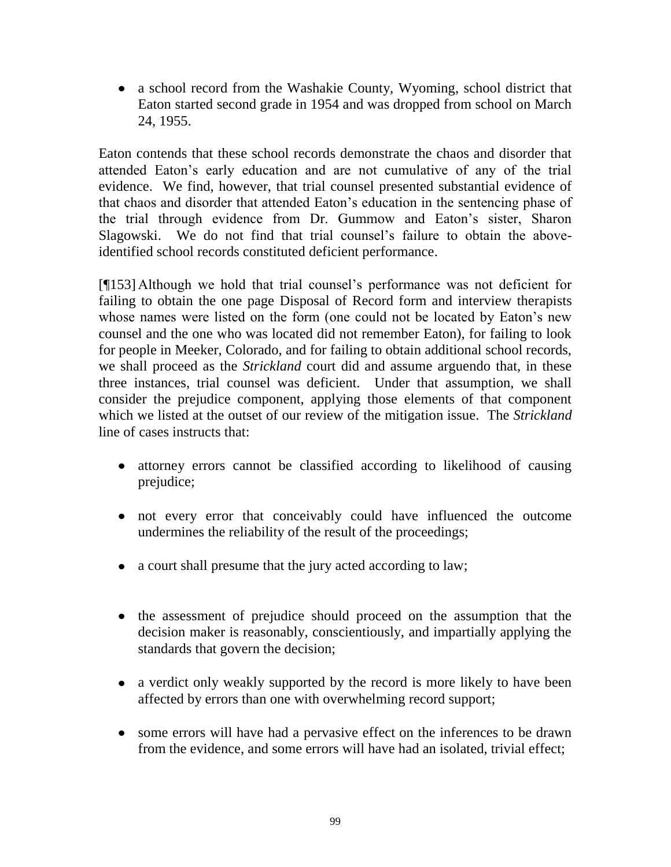• a school record from the Washakie County, Wyoming, school district that Eaton started second grade in 1954 and was dropped from school on March 24, 1955.

Eaton contends that these school records demonstrate the chaos and disorder that attended Eaton's early education and are not cumulative of any of the trial evidence. We find, however, that trial counsel presented substantial evidence of that chaos and disorder that attended Eaton's education in the sentencing phase of the trial through evidence from Dr. Gummow and Eaton's sister, Sharon Slagowski. We do not find that trial counsel's failure to obtain the aboveidentified school records constituted deficient performance.

[¶153] Although we hold that trial counsel's performance was not deficient for failing to obtain the one page Disposal of Record form and interview therapists whose names were listed on the form (one could not be located by Eaton's new counsel and the one who was located did not remember Eaton), for failing to look for people in Meeker, Colorado, and for failing to obtain additional school records, we shall proceed as the *Strickland* court did and assume arguendo that, in these three instances, trial counsel was deficient. Under that assumption, we shall consider the prejudice component, applying those elements of that component which we listed at the outset of our review of the mitigation issue. The *Strickland* line of cases instructs that:

- attorney errors cannot be classified according to likelihood of causing prejudice;
- not every error that conceivably could have influenced the outcome undermines the reliability of the result of the proceedings;
- a court shall presume that the jury acted according to law;
- the assessment of prejudice should proceed on the assumption that the decision maker is reasonably, conscientiously, and impartially applying the standards that govern the decision;
- a verdict only weakly supported by the record is more likely to have been affected by errors than one with overwhelming record support;
- some errors will have had a pervasive effect on the inferences to be drawn from the evidence, and some errors will have had an isolated, trivial effect;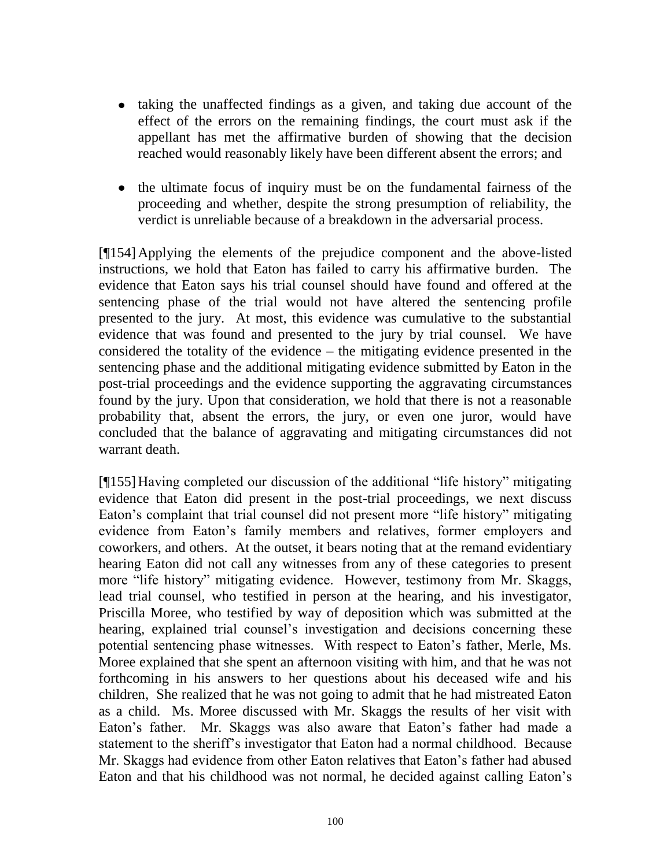- taking the unaffected findings as a given, and taking due account of the effect of the errors on the remaining findings, the court must ask if the appellant has met the affirmative burden of showing that the decision reached would reasonably likely have been different absent the errors; and
- the ultimate focus of inquiry must be on the fundamental fairness of the proceeding and whether, despite the strong presumption of reliability, the verdict is unreliable because of a breakdown in the adversarial process.

[¶154] Applying the elements of the prejudice component and the above-listed instructions, we hold that Eaton has failed to carry his affirmative burden. The evidence that Eaton says his trial counsel should have found and offered at the sentencing phase of the trial would not have altered the sentencing profile presented to the jury. At most, this evidence was cumulative to the substantial evidence that was found and presented to the jury by trial counsel. We have considered the totality of the evidence – the mitigating evidence presented in the sentencing phase and the additional mitigating evidence submitted by Eaton in the post-trial proceedings and the evidence supporting the aggravating circumstances found by the jury. Upon that consideration, we hold that there is not a reasonable probability that, absent the errors, the jury, or even one juror, would have concluded that the balance of aggravating and mitigating circumstances did not warrant death.

[¶155] Having completed our discussion of the additional "life history" mitigating evidence that Eaton did present in the post-trial proceedings, we next discuss Eaton's complaint that trial counsel did not present more "life history" mitigating evidence from Eaton's family members and relatives, former employers and coworkers, and others. At the outset, it bears noting that at the remand evidentiary hearing Eaton did not call any witnesses from any of these categories to present more "life history" mitigating evidence. However, testimony from Mr. Skaggs, lead trial counsel, who testified in person at the hearing, and his investigator, Priscilla Moree, who testified by way of deposition which was submitted at the hearing, explained trial counsel's investigation and decisions concerning these potential sentencing phase witnesses. With respect to Eaton's father, Merle, Ms. Moree explained that she spent an afternoon visiting with him, and that he was not forthcoming in his answers to her questions about his deceased wife and his children, She realized that he was not going to admit that he had mistreated Eaton as a child. Ms. Moree discussed with Mr. Skaggs the results of her visit with Eaton's father. Mr. Skaggs was also aware that Eaton's father had made a statement to the sheriff's investigator that Eaton had a normal childhood. Because Mr. Skaggs had evidence from other Eaton relatives that Eaton's father had abused Eaton and that his childhood was not normal, he decided against calling Eaton's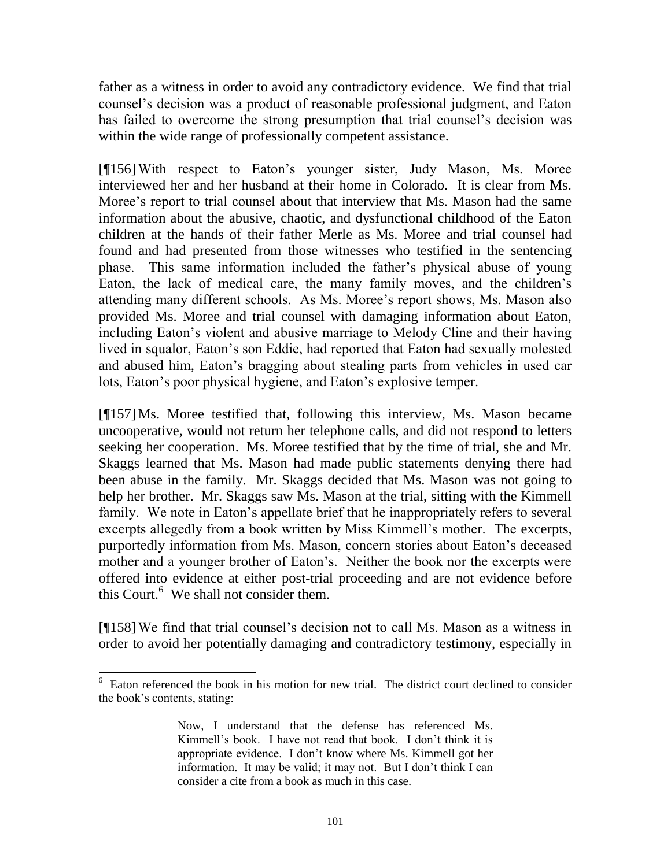father as a witness in order to avoid any contradictory evidence. We find that trial counsel's decision was a product of reasonable professional judgment, and Eaton has failed to overcome the strong presumption that trial counsel's decision was within the wide range of professionally competent assistance.

[¶156]With respect to Eaton's younger sister, Judy Mason, Ms. Moree interviewed her and her husband at their home in Colorado. It is clear from Ms. Moree's report to trial counsel about that interview that Ms. Mason had the same information about the abusive, chaotic, and dysfunctional childhood of the Eaton children at the hands of their father Merle as Ms. Moree and trial counsel had found and had presented from those witnesses who testified in the sentencing phase. This same information included the father's physical abuse of young Eaton, the lack of medical care, the many family moves, and the children's attending many different schools. As Ms. Moree's report shows, Ms. Mason also provided Ms. Moree and trial counsel with damaging information about Eaton, including Eaton's violent and abusive marriage to Melody Cline and their having lived in squalor, Eaton's son Eddie, had reported that Eaton had sexually molested and abused him, Eaton's bragging about stealing parts from vehicles in used car lots, Eaton's poor physical hygiene, and Eaton's explosive temper.

[¶157] Ms. Moree testified that, following this interview, Ms. Mason became uncooperative, would not return her telephone calls, and did not respond to letters seeking her cooperation. Ms. Moree testified that by the time of trial, she and Mr. Skaggs learned that Ms. Mason had made public statements denying there had been abuse in the family. Mr. Skaggs decided that Ms. Mason was not going to help her brother. Mr. Skaggs saw Ms. Mason at the trial, sitting with the Kimmell family. We note in Eaton's appellate brief that he inappropriately refers to several excerpts allegedly from a book written by Miss Kimmell's mother. The excerpts, purportedly information from Ms. Mason, concern stories about Eaton's deceased mother and a younger brother of Eaton's. Neither the book nor the excerpts were offered into evidence at either post-trial proceeding and are not evidence before this Court.<sup>6</sup> We shall not consider them.

[¶158]We find that trial counsel's decision not to call Ms. Mason as a witness in order to avoid her potentially damaging and contradictory testimony, especially in

l

<sup>&</sup>lt;sup>6</sup> Eaton referenced the book in his motion for new trial. The district court declined to consider the book's contents, stating:

Now, I understand that the defense has referenced Ms. Kimmell's book. I have not read that book. I don't think it is appropriate evidence. I don't know where Ms. Kimmell got her information. It may be valid; it may not. But I don't think I can consider a cite from a book as much in this case.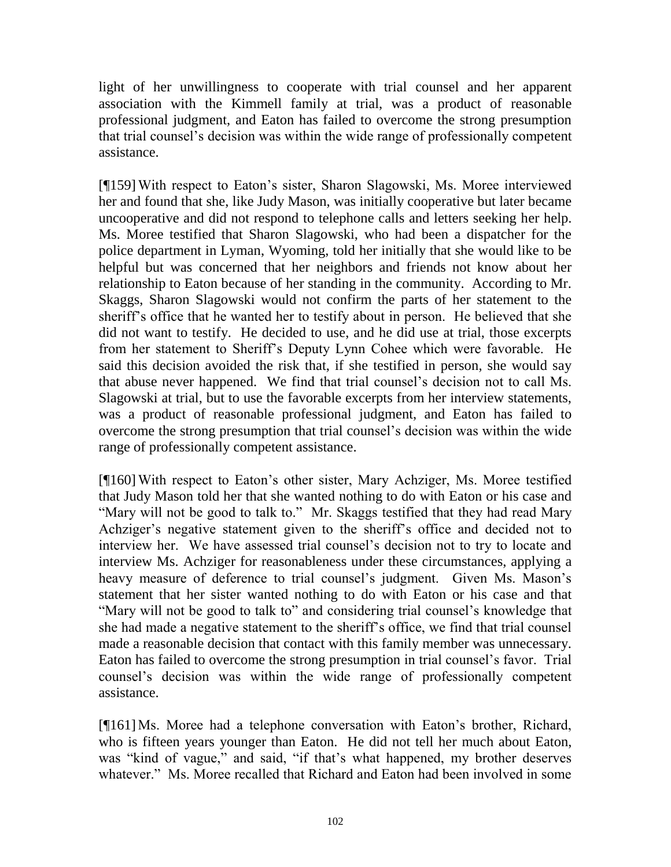light of her unwillingness to cooperate with trial counsel and her apparent association with the Kimmell family at trial, was a product of reasonable professional judgment, and Eaton has failed to overcome the strong presumption that trial counsel's decision was within the wide range of professionally competent assistance.

[¶159]With respect to Eaton's sister, Sharon Slagowski, Ms. Moree interviewed her and found that she, like Judy Mason, was initially cooperative but later became uncooperative and did not respond to telephone calls and letters seeking her help. Ms. Moree testified that Sharon Slagowski, who had been a dispatcher for the police department in Lyman, Wyoming, told her initially that she would like to be helpful but was concerned that her neighbors and friends not know about her relationship to Eaton because of her standing in the community. According to Mr. Skaggs, Sharon Slagowski would not confirm the parts of her statement to the sheriff's office that he wanted her to testify about in person. He believed that she did not want to testify. He decided to use, and he did use at trial, those excerpts from her statement to Sheriff's Deputy Lynn Cohee which were favorable. He said this decision avoided the risk that, if she testified in person, she would say that abuse never happened. We find that trial counsel's decision not to call Ms. Slagowski at trial, but to use the favorable excerpts from her interview statements, was a product of reasonable professional judgment, and Eaton has failed to overcome the strong presumption that trial counsel's decision was within the wide range of professionally competent assistance.

[¶160]With respect to Eaton's other sister, Mary Achziger, Ms. Moree testified that Judy Mason told her that she wanted nothing to do with Eaton or his case and "Mary will not be good to talk to." Mr. Skaggs testified that they had read Mary Achziger's negative statement given to the sheriff's office and decided not to interview her. We have assessed trial counsel's decision not to try to locate and interview Ms. Achziger for reasonableness under these circumstances, applying a heavy measure of deference to trial counsel's judgment. Given Ms. Mason's statement that her sister wanted nothing to do with Eaton or his case and that "Mary will not be good to talk to" and considering trial counsel's knowledge that she had made a negative statement to the sheriff's office, we find that trial counsel made a reasonable decision that contact with this family member was unnecessary. Eaton has failed to overcome the strong presumption in trial counsel's favor. Trial counsel's decision was within the wide range of professionally competent assistance.

[¶161] Ms. Moree had a telephone conversation with Eaton's brother, Richard, who is fifteen years younger than Eaton. He did not tell her much about Eaton, was "kind of vague," and said, "if that's what happened, my brother deserves whatever." Ms. Moree recalled that Richard and Eaton had been involved in some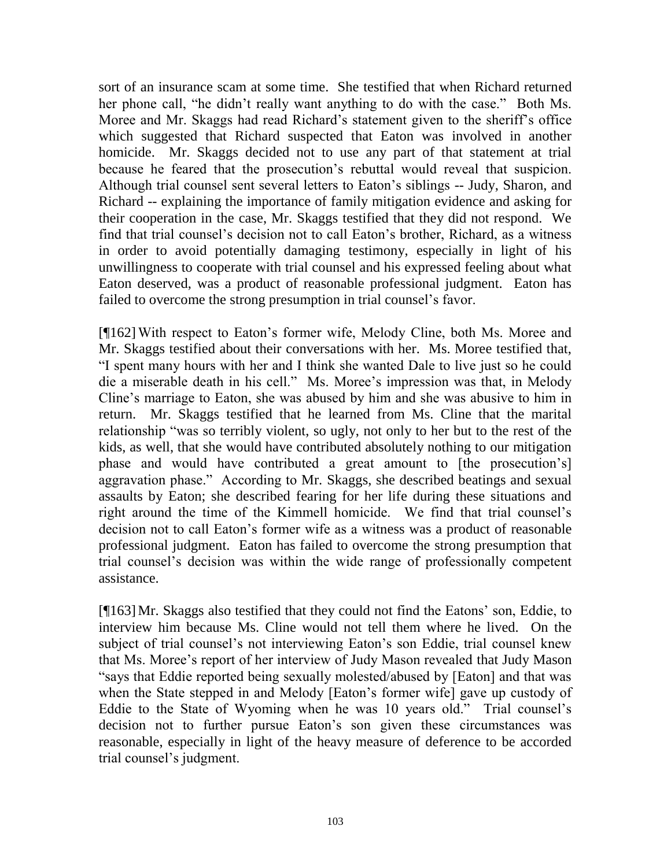sort of an insurance scam at some time. She testified that when Richard returned her phone call, "he didn't really want anything to do with the case." Both Ms. Moree and Mr. Skaggs had read Richard's statement given to the sheriff's office which suggested that Richard suspected that Eaton was involved in another homicide. Mr. Skaggs decided not to use any part of that statement at trial because he feared that the prosecution's rebuttal would reveal that suspicion. Although trial counsel sent several letters to Eaton's siblings -- Judy, Sharon, and Richard -- explaining the importance of family mitigation evidence and asking for their cooperation in the case, Mr. Skaggs testified that they did not respond. We find that trial counsel's decision not to call Eaton's brother, Richard, as a witness in order to avoid potentially damaging testimony, especially in light of his unwillingness to cooperate with trial counsel and his expressed feeling about what Eaton deserved, was a product of reasonable professional judgment. Eaton has failed to overcome the strong presumption in trial counsel's favor.

[¶162]With respect to Eaton's former wife, Melody Cline, both Ms. Moree and Mr. Skaggs testified about their conversations with her. Ms. Moree testified that, ―I spent many hours with her and I think she wanted Dale to live just so he could die a miserable death in his cell." Ms. Moree's impression was that, in Melody Cline's marriage to Eaton, she was abused by him and she was abusive to him in return. Mr. Skaggs testified that he learned from Ms. Cline that the marital relationship "was so terribly violent, so ugly, not only to her but to the rest of the kids, as well, that she would have contributed absolutely nothing to our mitigation phase and would have contributed a great amount to [the prosecution's] aggravation phase.‖ According to Mr. Skaggs, she described beatings and sexual assaults by Eaton; she described fearing for her life during these situations and right around the time of the Kimmell homicide. We find that trial counsel's decision not to call Eaton's former wife as a witness was a product of reasonable professional judgment. Eaton has failed to overcome the strong presumption that trial counsel's decision was within the wide range of professionally competent assistance.

[¶163] Mr. Skaggs also testified that they could not find the Eatons' son, Eddie, to interview him because Ms. Cline would not tell them where he lived. On the subject of trial counsel's not interviewing Eaton's son Eddie, trial counsel knew that Ms. Moree's report of her interview of Judy Mason revealed that Judy Mason ―says that Eddie reported being sexually molested/abused by [Eaton] and that was when the State stepped in and Melody [Eaton's former wife] gave up custody of Eddie to the State of Wyoming when he was 10 years old." Trial counsel's decision not to further pursue Eaton's son given these circumstances was reasonable, especially in light of the heavy measure of deference to be accorded trial counsel's judgment.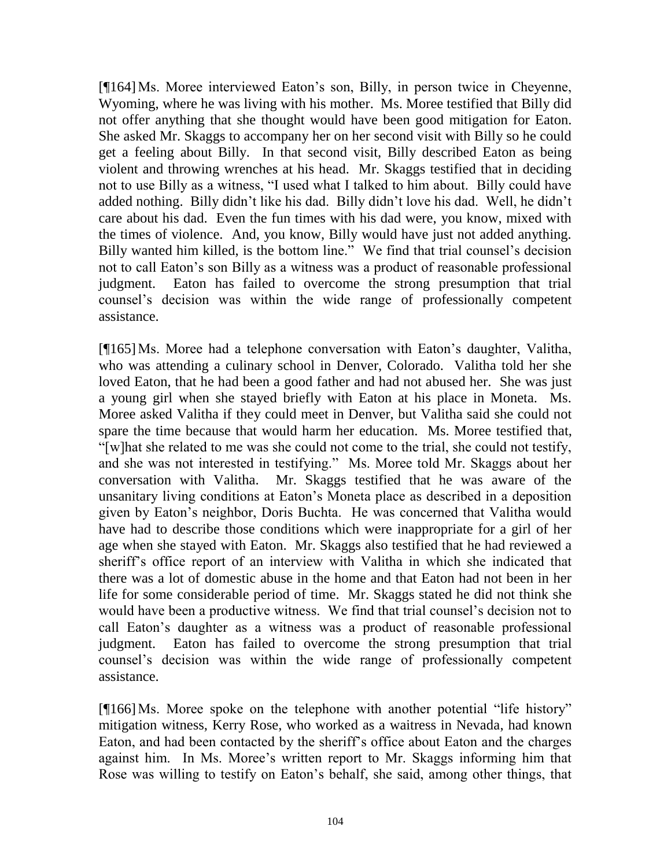[¶164] Ms. Moree interviewed Eaton's son, Billy, in person twice in Cheyenne, Wyoming, where he was living with his mother. Ms. Moree testified that Billy did not offer anything that she thought would have been good mitigation for Eaton. She asked Mr. Skaggs to accompany her on her second visit with Billy so he could get a feeling about Billy. In that second visit, Billy described Eaton as being violent and throwing wrenches at his head. Mr. Skaggs testified that in deciding not to use Billy as a witness, "I used what I talked to him about. Billy could have added nothing. Billy didn't like his dad. Billy didn't love his dad. Well, he didn't care about his dad. Even the fun times with his dad were, you know, mixed with the times of violence. And, you know, Billy would have just not added anything. Billy wanted him killed, is the bottom line." We find that trial counsel's decision not to call Eaton's son Billy as a witness was a product of reasonable professional judgment. Eaton has failed to overcome the strong presumption that trial counsel's decision was within the wide range of professionally competent assistance.

[¶165] Ms. Moree had a telephone conversation with Eaton's daughter, Valitha, who was attending a culinary school in Denver, Colorado. Valitha told her she loved Eaton, that he had been a good father and had not abused her. She was just a young girl when she stayed briefly with Eaton at his place in Moneta. Ms. Moree asked Valitha if they could meet in Denver, but Valitha said she could not spare the time because that would harm her education. Ms. Moree testified that, ―[w]hat she related to me was she could not come to the trial, she could not testify, and she was not interested in testifying." Ms. Moree told Mr. Skaggs about her conversation with Valitha. Mr. Skaggs testified that he was aware of the unsanitary living conditions at Eaton's Moneta place as described in a deposition given by Eaton's neighbor, Doris Buchta. He was concerned that Valitha would have had to describe those conditions which were inappropriate for a girl of her age when she stayed with Eaton. Mr. Skaggs also testified that he had reviewed a sheriff's office report of an interview with Valitha in which she indicated that there was a lot of domestic abuse in the home and that Eaton had not been in her life for some considerable period of time. Mr. Skaggs stated he did not think she would have been a productive witness. We find that trial counsel's decision not to call Eaton's daughter as a witness was a product of reasonable professional judgment. Eaton has failed to overcome the strong presumption that trial counsel's decision was within the wide range of professionally competent assistance.

 $[166]$  Ms. Moree spoke on the telephone with another potential "life history" mitigation witness, Kerry Rose, who worked as a waitress in Nevada, had known Eaton, and had been contacted by the sheriff's office about Eaton and the charges against him. In Ms. Moree's written report to Mr. Skaggs informing him that Rose was willing to testify on Eaton's behalf, she said, among other things, that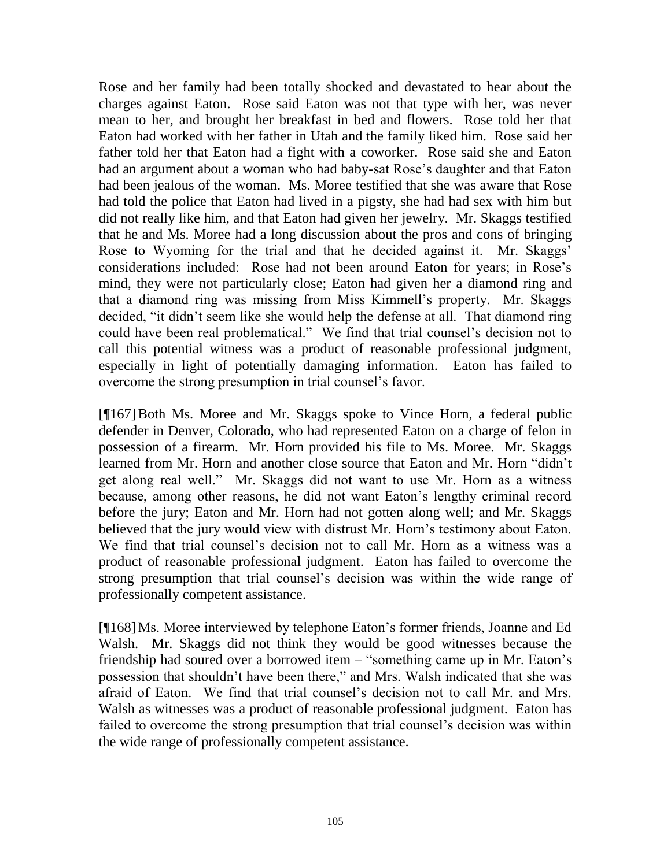Rose and her family had been totally shocked and devastated to hear about the charges against Eaton. Rose said Eaton was not that type with her, was never mean to her, and brought her breakfast in bed and flowers. Rose told her that Eaton had worked with her father in Utah and the family liked him. Rose said her father told her that Eaton had a fight with a coworker. Rose said she and Eaton had an argument about a woman who had baby-sat Rose's daughter and that Eaton had been jealous of the woman. Ms. Moree testified that she was aware that Rose had told the police that Eaton had lived in a pigsty, she had had sex with him but did not really like him, and that Eaton had given her jewelry. Mr. Skaggs testified that he and Ms. Moree had a long discussion about the pros and cons of bringing Rose to Wyoming for the trial and that he decided against it. Mr. Skaggs' considerations included: Rose had not been around Eaton for years; in Rose's mind, they were not particularly close; Eaton had given her a diamond ring and that a diamond ring was missing from Miss Kimmell's property. Mr. Skaggs decided, "it didn't seem like she would help the defense at all. That diamond ring could have been real problematical." We find that trial counsel's decision not to call this potential witness was a product of reasonable professional judgment, especially in light of potentially damaging information. Eaton has failed to overcome the strong presumption in trial counsel's favor.

[¶167]Both Ms. Moree and Mr. Skaggs spoke to Vince Horn, a federal public defender in Denver, Colorado, who had represented Eaton on a charge of felon in possession of a firearm. Mr. Horn provided his file to Ms. Moree. Mr. Skaggs learned from Mr. Horn and another close source that Eaton and Mr. Horn "didn't get along real well." Mr. Skaggs did not want to use Mr. Horn as a witness because, among other reasons, he did not want Eaton's lengthy criminal record before the jury; Eaton and Mr. Horn had not gotten along well; and Mr. Skaggs believed that the jury would view with distrust Mr. Horn's testimony about Eaton. We find that trial counsel's decision not to call Mr. Horn as a witness was a product of reasonable professional judgment. Eaton has failed to overcome the strong presumption that trial counsel's decision was within the wide range of professionally competent assistance.

[¶168] Ms. Moree interviewed by telephone Eaton's former friends, Joanne and Ed Walsh. Mr. Skaggs did not think they would be good witnesses because the friendship had soured over a borrowed item – "something came up in Mr. Eaton's possession that shouldn't have been there," and Mrs. Walsh indicated that she was afraid of Eaton. We find that trial counsel's decision not to call Mr. and Mrs. Walsh as witnesses was a product of reasonable professional judgment. Eaton has failed to overcome the strong presumption that trial counsel's decision was within the wide range of professionally competent assistance.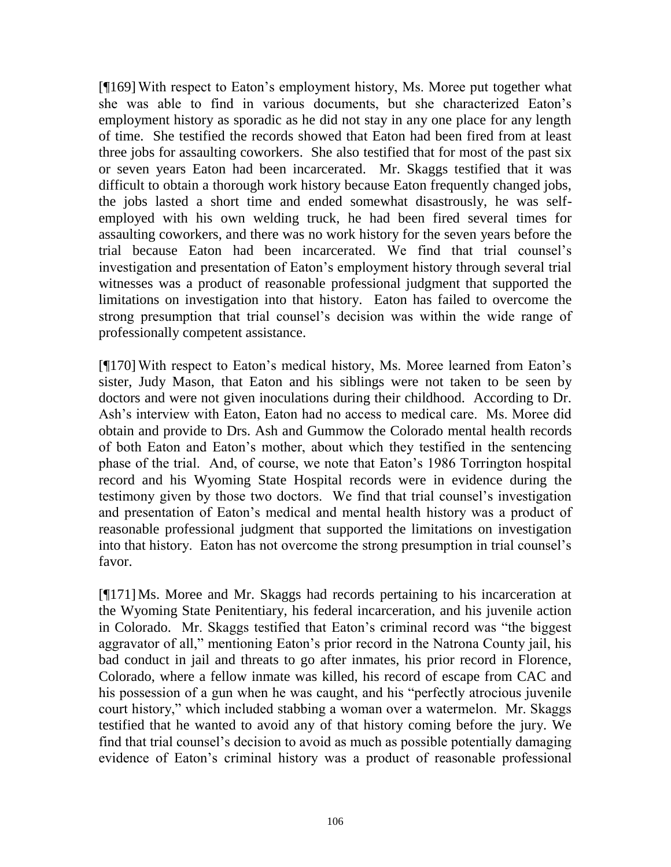[¶169]With respect to Eaton's employment history, Ms. Moree put together what she was able to find in various documents, but she characterized Eaton's employment history as sporadic as he did not stay in any one place for any length of time. She testified the records showed that Eaton had been fired from at least three jobs for assaulting coworkers. She also testified that for most of the past six or seven years Eaton had been incarcerated. Mr. Skaggs testified that it was difficult to obtain a thorough work history because Eaton frequently changed jobs, the jobs lasted a short time and ended somewhat disastrously, he was selfemployed with his own welding truck, he had been fired several times for assaulting coworkers, and there was no work history for the seven years before the trial because Eaton had been incarcerated. We find that trial counsel's investigation and presentation of Eaton's employment history through several trial witnesses was a product of reasonable professional judgment that supported the limitations on investigation into that history. Eaton has failed to overcome the strong presumption that trial counsel's decision was within the wide range of professionally competent assistance.

[¶170]With respect to Eaton's medical history, Ms. Moree learned from Eaton's sister, Judy Mason, that Eaton and his siblings were not taken to be seen by doctors and were not given inoculations during their childhood. According to Dr. Ash's interview with Eaton, Eaton had no access to medical care. Ms. Moree did obtain and provide to Drs. Ash and Gummow the Colorado mental health records of both Eaton and Eaton's mother, about which they testified in the sentencing phase of the trial. And, of course, we note that Eaton's 1986 Torrington hospital record and his Wyoming State Hospital records were in evidence during the testimony given by those two doctors. We find that trial counsel's investigation and presentation of Eaton's medical and mental health history was a product of reasonable professional judgment that supported the limitations on investigation into that history. Eaton has not overcome the strong presumption in trial counsel's favor.

[¶171] Ms. Moree and Mr. Skaggs had records pertaining to his incarceration at the Wyoming State Penitentiary, his federal incarceration, and his juvenile action in Colorado. Mr. Skaggs testified that Eaton's criminal record was "the biggest aggravator of all," mentioning Eaton's prior record in the Natrona County jail, his bad conduct in jail and threats to go after inmates, his prior record in Florence, Colorado, where a fellow inmate was killed, his record of escape from CAC and his possession of a gun when he was caught, and his "perfectly atrocious juvenile" court history," which included stabbing a woman over a watermelon. Mr. Skaggs testified that he wanted to avoid any of that history coming before the jury. We find that trial counsel's decision to avoid as much as possible potentially damaging evidence of Eaton's criminal history was a product of reasonable professional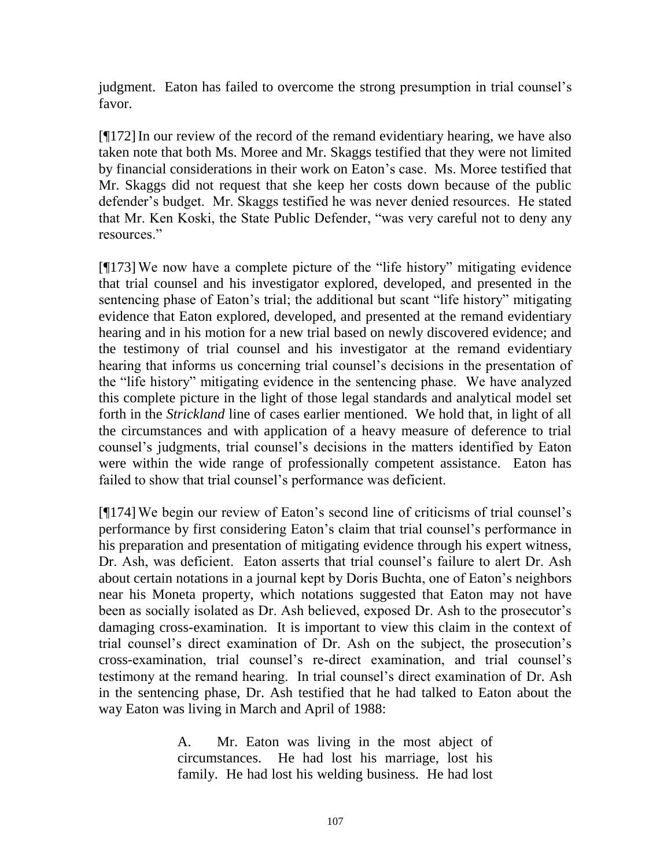judgment. Eaton has failed to overcome the strong presumption in trial counsel's favor.

[¶172]In our review of the record of the remand evidentiary hearing, we have also taken note that both Ms. Moree and Mr. Skaggs testified that they were not limited by financial considerations in their work on Eaton's case. Ms. Moree testified that Mr. Skaggs did not request that she keep her costs down because of the public defender's budget. Mr. Skaggs testified he was never denied resources. He stated that Mr. Ken Koski, the State Public Defender, "was very careful not to deny any resources."

 $[9173]$  We now have a complete picture of the "life history" mitigating evidence that trial counsel and his investigator explored, developed, and presented in the sentencing phase of Eaton's trial; the additional but scant "life history" mitigating evidence that Eaton explored, developed, and presented at the remand evidentiary hearing and in his motion for a new trial based on newly discovered evidence; and the testimony of trial counsel and his investigator at the remand evidentiary hearing that informs us concerning trial counsel's decisions in the presentation of the "life history" mitigating evidence in the sentencing phase. We have analyzed this complete picture in the light of those legal standards and analytical model set forth in the *Strickland* line of cases earlier mentioned. We hold that, in light of all the circumstances and with application of a heavy measure of deference to trial counsel's judgments, trial counsel's decisions in the matters identified by Eaton were within the wide range of professionally competent assistance. Eaton has failed to show that trial counsel's performance was deficient.

[¶174]We begin our review of Eaton's second line of criticisms of trial counsel's performance by first considering Eaton's claim that trial counsel's performance in his preparation and presentation of mitigating evidence through his expert witness, Dr. Ash, was deficient. Eaton asserts that trial counsel's failure to alert Dr. Ash about certain notations in a journal kept by Doris Buchta, one of Eaton's neighbors near his Moneta property, which notations suggested that Eaton may not have been as socially isolated as Dr. Ash believed, exposed Dr. Ash to the prosecutor's damaging cross-examination. It is important to view this claim in the context of trial counsel's direct examination of Dr. Ash on the subject, the prosecution's cross-examination, trial counsel's re-direct examination, and trial counsel's testimony at the remand hearing. In trial counsel's direct examination of Dr. Ash in the sentencing phase, Dr. Ash testified that he had talked to Eaton about the way Eaton was living in March and April of 1988:

> A. Mr. Eaton was living in the most abject of circumstances. He had lost his marriage, lost his family. He had lost his welding business. He had lost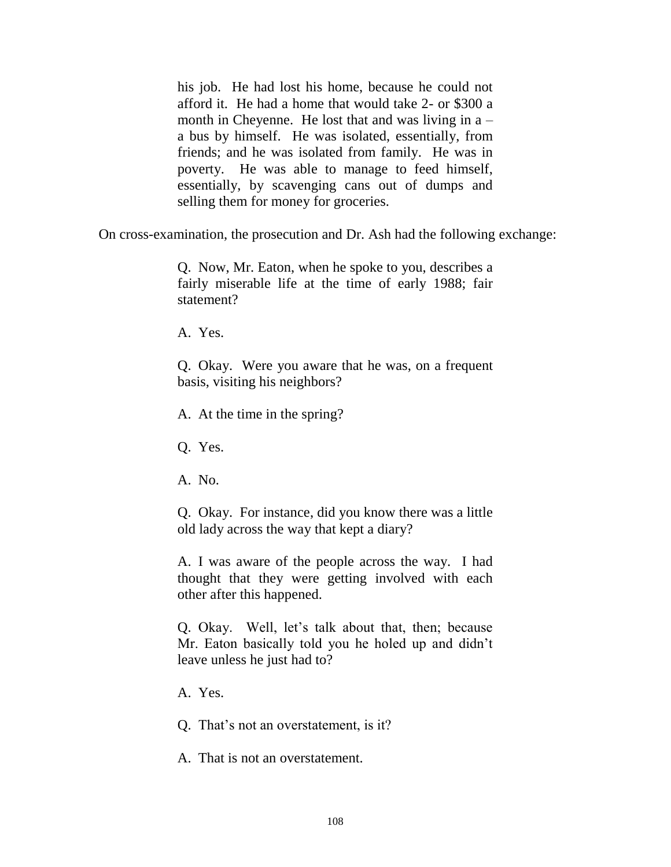his job. He had lost his home, because he could not afford it. He had a home that would take 2- or \$300 a month in Cheyenne. He lost that and was living in  $a$ a bus by himself. He was isolated, essentially, from friends; and he was isolated from family. He was in poverty. He was able to manage to feed himself, essentially, by scavenging cans out of dumps and selling them for money for groceries.

On cross-examination, the prosecution and Dr. Ash had the following exchange:

Q. Now, Mr. Eaton, when he spoke to you, describes a fairly miserable life at the time of early 1988; fair statement?

A. Yes.

Q. Okay. Were you aware that he was, on a frequent basis, visiting his neighbors?

A. At the time in the spring?

Q. Yes.

A. No.

Q. Okay. For instance, did you know there was a little old lady across the way that kept a diary?

A. I was aware of the people across the way. I had thought that they were getting involved with each other after this happened.

Q. Okay. Well, let's talk about that, then; because Mr. Eaton basically told you he holed up and didn't leave unless he just had to?

A. Yes.

Q. That's not an overstatement, is it?

A. That is not an overstatement.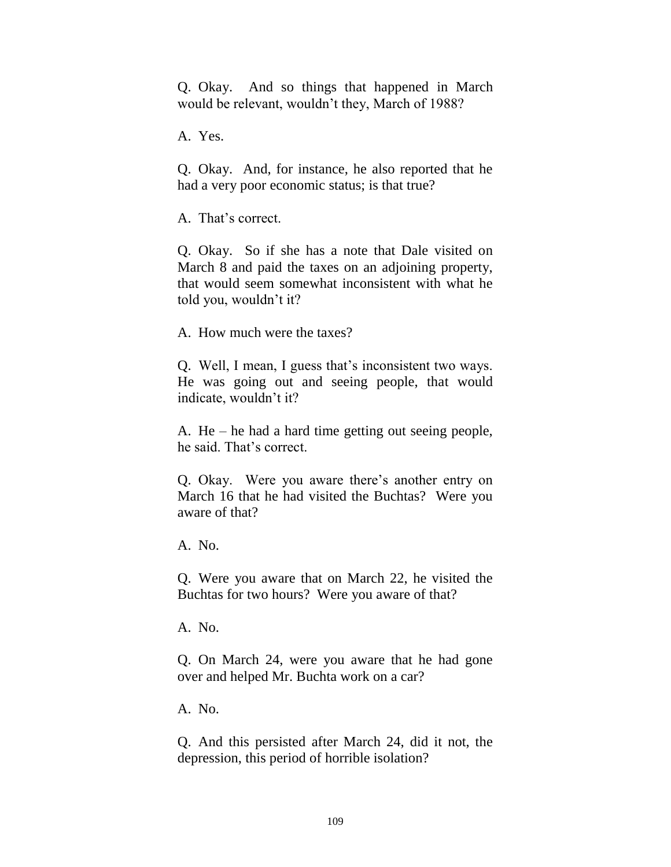Q. Okay. And so things that happened in March would be relevant, wouldn't they, March of 1988?

A. Yes.

Q. Okay. And, for instance, he also reported that he had a very poor economic status; is that true?

A. That's correct.

Q. Okay. So if she has a note that Dale visited on March 8 and paid the taxes on an adjoining property, that would seem somewhat inconsistent with what he told you, wouldn't it?

A. How much were the taxes?

Q. Well, I mean, I guess that's inconsistent two ways. He was going out and seeing people, that would indicate, wouldn't it?

A. He – he had a hard time getting out seeing people, he said. That's correct.

Q. Okay. Were you aware there's another entry on March 16 that he had visited the Buchtas? Were you aware of that?

A. No.

Q. Were you aware that on March 22, he visited the Buchtas for two hours? Were you aware of that?

A. No.

Q. On March 24, were you aware that he had gone over and helped Mr. Buchta work on a car?

A. No.

Q. And this persisted after March 24, did it not, the depression, this period of horrible isolation?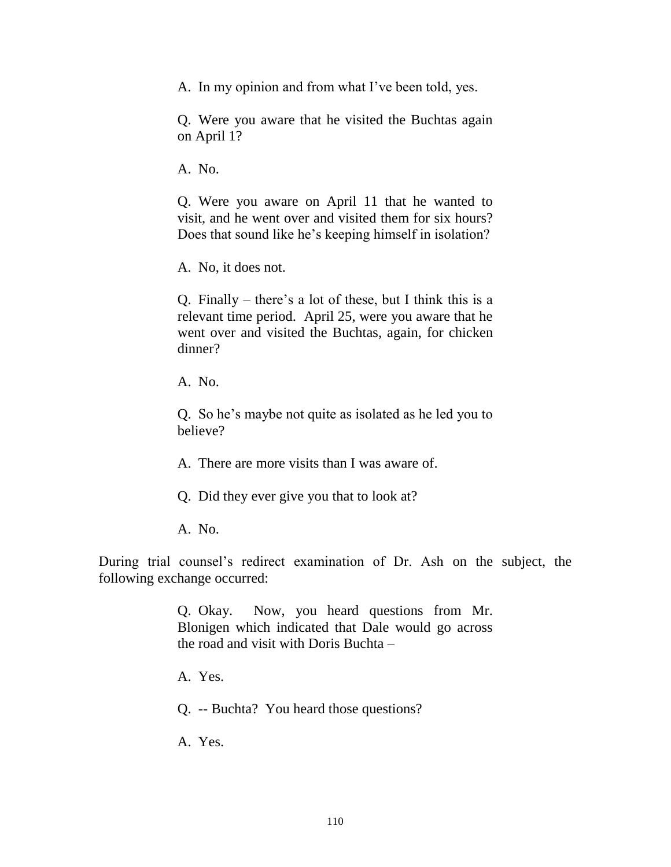A. In my opinion and from what I've been told, yes.

Q. Were you aware that he visited the Buchtas again on April 1?

A. No.

Q. Were you aware on April 11 that he wanted to visit, and he went over and visited them for six hours? Does that sound like he's keeping himself in isolation?

A. No, it does not.

Q. Finally – there's a lot of these, but I think this is a relevant time period. April 25, were you aware that he went over and visited the Buchtas, again, for chicken dinner?

A. No.

Q. So he's maybe not quite as isolated as he led you to believe?

A. There are more visits than I was aware of.

Q. Did they ever give you that to look at?

A. No.

During trial counsel's redirect examination of Dr. Ash on the subject, the following exchange occurred:

> Q. Okay. Now, you heard questions from Mr. Blonigen which indicated that Dale would go across the road and visit with Doris Buchta –

A. Yes.

Q. -- Buchta? You heard those questions?

A. Yes.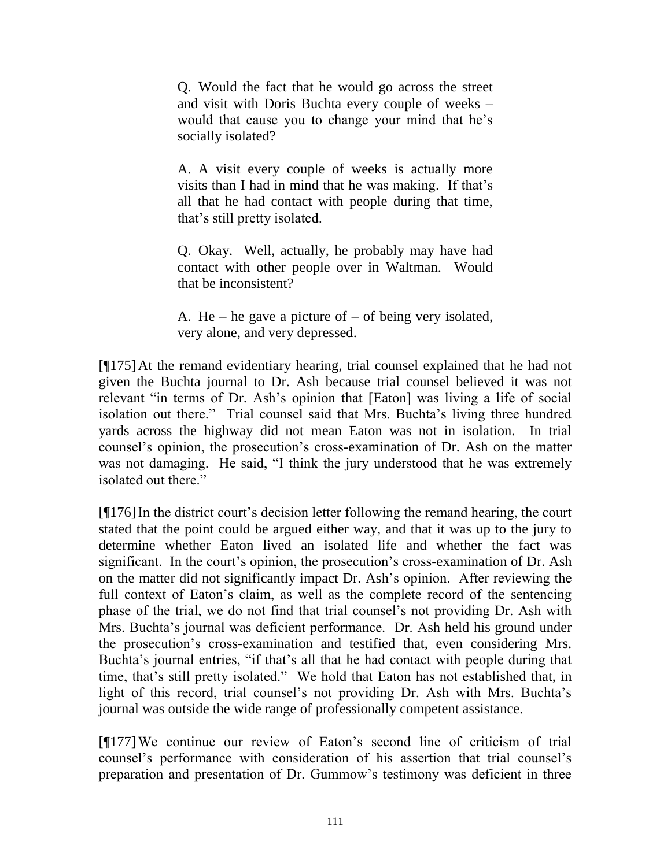Q. Would the fact that he would go across the street and visit with Doris Buchta every couple of weeks – would that cause you to change your mind that he's socially isolated?

A. A visit every couple of weeks is actually more visits than I had in mind that he was making. If that's all that he had contact with people during that time, that's still pretty isolated.

Q. Okay. Well, actually, he probably may have had contact with other people over in Waltman. Would that be inconsistent?

A. He – he gave a picture of – of being very isolated, very alone, and very depressed.

[¶175] At the remand evidentiary hearing, trial counsel explained that he had not given the Buchta journal to Dr. Ash because trial counsel believed it was not relevant "in terms of Dr. Ash's opinion that [Eaton] was living a life of social isolation out there." Trial counsel said that Mrs. Buchta's living three hundred yards across the highway did not mean Eaton was not in isolation. In trial counsel's opinion, the prosecution's cross-examination of Dr. Ash on the matter was not damaging. He said, "I think the jury understood that he was extremely isolated out there."

[¶176]In the district court's decision letter following the remand hearing, the court stated that the point could be argued either way, and that it was up to the jury to determine whether Eaton lived an isolated life and whether the fact was significant. In the court's opinion, the prosecution's cross-examination of Dr. Ash on the matter did not significantly impact Dr. Ash's opinion. After reviewing the full context of Eaton's claim, as well as the complete record of the sentencing phase of the trial, we do not find that trial counsel's not providing Dr. Ash with Mrs. Buchta's journal was deficient performance. Dr. Ash held his ground under the prosecution's cross-examination and testified that, even considering Mrs. Buchta's journal entries, "if that's all that he had contact with people during that time, that's still pretty isolated." We hold that Eaton has not established that, in light of this record, trial counsel's not providing Dr. Ash with Mrs. Buchta's journal was outside the wide range of professionally competent assistance.

[¶177]We continue our review of Eaton's second line of criticism of trial counsel's performance with consideration of his assertion that trial counsel's preparation and presentation of Dr. Gummow's testimony was deficient in three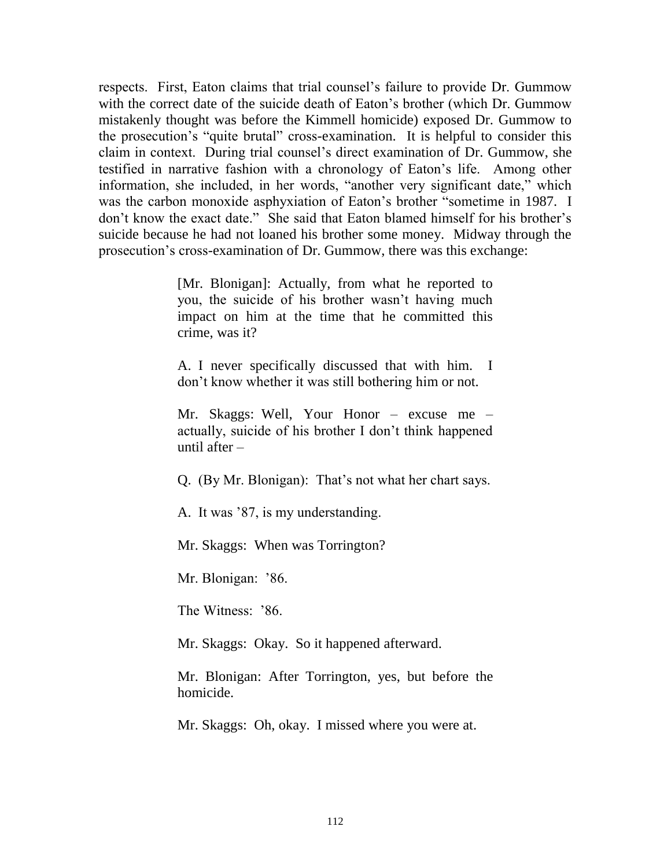respects. First, Eaton claims that trial counsel's failure to provide Dr. Gummow with the correct date of the suicide death of Eaton's brother (which Dr. Gummow mistakenly thought was before the Kimmell homicide) exposed Dr. Gummow to the prosecution's "quite brutal" cross-examination. It is helpful to consider this claim in context. During trial counsel's direct examination of Dr. Gummow, she testified in narrative fashion with a chronology of Eaton's life. Among other information, she included, in her words, "another very significant date," which was the carbon monoxide asphyxiation of Eaton's brother "sometime in 1987. I don't know the exact date." She said that Eaton blamed himself for his brother's suicide because he had not loaned his brother some money. Midway through the prosecution's cross-examination of Dr. Gummow, there was this exchange:

> [Mr. Blonigan]: Actually, from what he reported to you, the suicide of his brother wasn't having much impact on him at the time that he committed this crime, was it?

> A. I never specifically discussed that with him. I don't know whether it was still bothering him or not.

> Mr. Skaggs: Well, Your Honor – excuse me – actually, suicide of his brother I don't think happened until after –

Q. (By Mr. Blonigan): That's not what her chart says.

A. It was '87, is my understanding.

Mr. Skaggs: When was Torrington?

Mr. Blonigan: '86.

The Witness: '86.

Mr. Skaggs: Okay. So it happened afterward.

Mr. Blonigan: After Torrington, yes, but before the homicide.

Mr. Skaggs: Oh, okay. I missed where you were at.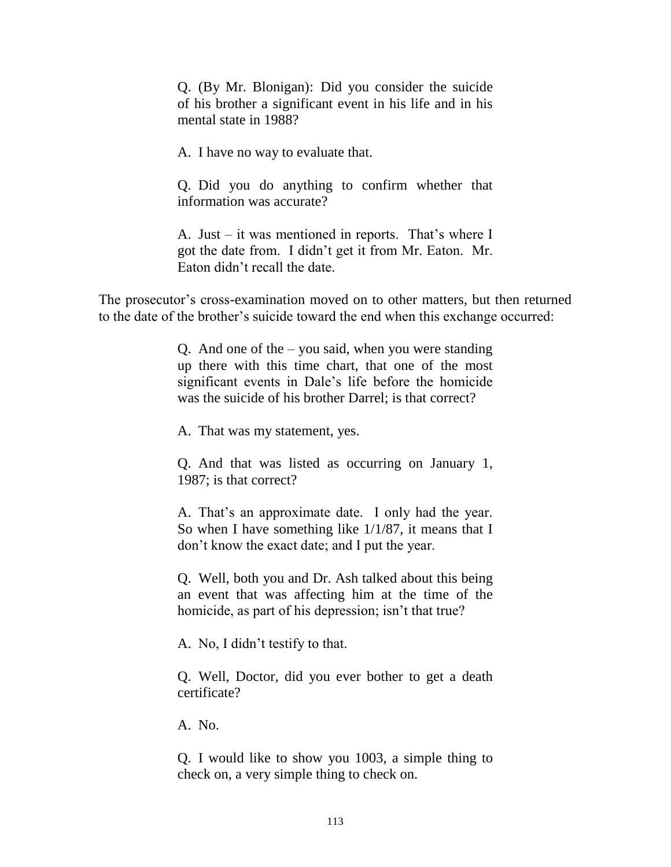Q. (By Mr. Blonigan): Did you consider the suicide of his brother a significant event in his life and in his mental state in 1988?

A. I have no way to evaluate that.

Q. Did you do anything to confirm whether that information was accurate?

A. Just – it was mentioned in reports. That's where I got the date from. I didn't get it from Mr. Eaton. Mr. Eaton didn't recall the date.

The prosecutor's cross-examination moved on to other matters, but then returned to the date of the brother's suicide toward the end when this exchange occurred:

> Q. And one of the – you said, when you were standing up there with this time chart, that one of the most significant events in Dale's life before the homicide was the suicide of his brother Darrel; is that correct?

A. That was my statement, yes.

Q. And that was listed as occurring on January 1, 1987; is that correct?

A. That's an approximate date. I only had the year. So when I have something like 1/1/87, it means that I don't know the exact date; and I put the year.

Q. Well, both you and Dr. Ash talked about this being an event that was affecting him at the time of the homicide, as part of his depression; isn't that true?

A. No, I didn't testify to that.

Q. Well, Doctor, did you ever bother to get a death certificate?

A. No.

Q. I would like to show you 1003, a simple thing to check on, a very simple thing to check on.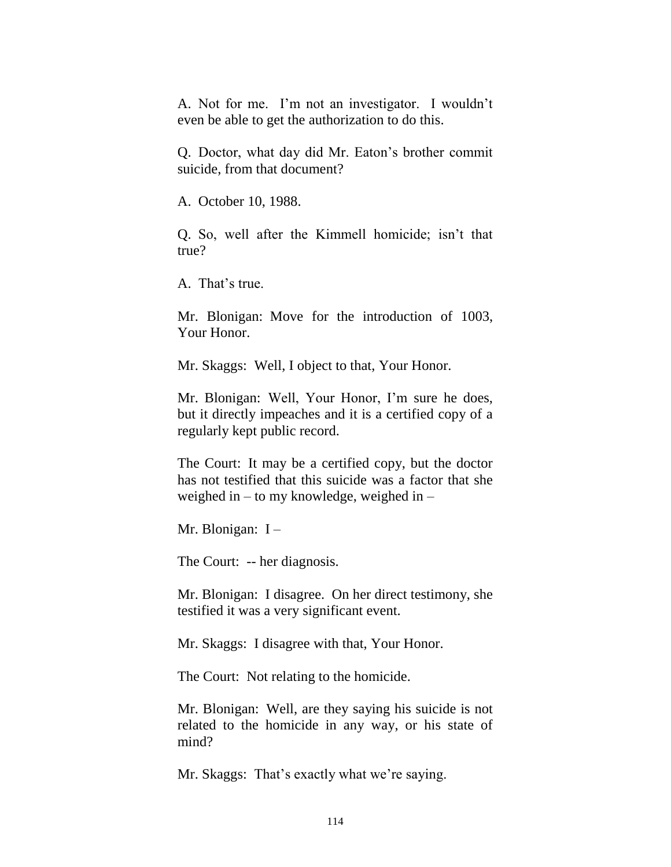A. Not for me. I'm not an investigator. I wouldn't even be able to get the authorization to do this.

Q. Doctor, what day did Mr. Eaton's brother commit suicide, from that document?

A. October 10, 1988.

Q. So, well after the Kimmell homicide; isn't that true?

A. That's true.

Mr. Blonigan: Move for the introduction of 1003, Your Honor.

Mr. Skaggs: Well, I object to that, Your Honor.

Mr. Blonigan: Well, Your Honor, I'm sure he does, but it directly impeaches and it is a certified copy of a regularly kept public record.

The Court: It may be a certified copy, but the doctor has not testified that this suicide was a factor that she weighed in – to my knowledge, weighed in –

Mr. Blonigan: I –

The Court: -- her diagnosis.

Mr. Blonigan: I disagree. On her direct testimony, she testified it was a very significant event.

Mr. Skaggs: I disagree with that, Your Honor.

The Court: Not relating to the homicide.

Mr. Blonigan: Well, are they saying his suicide is not related to the homicide in any way, or his state of mind?

Mr. Skaggs: That's exactly what we're saying.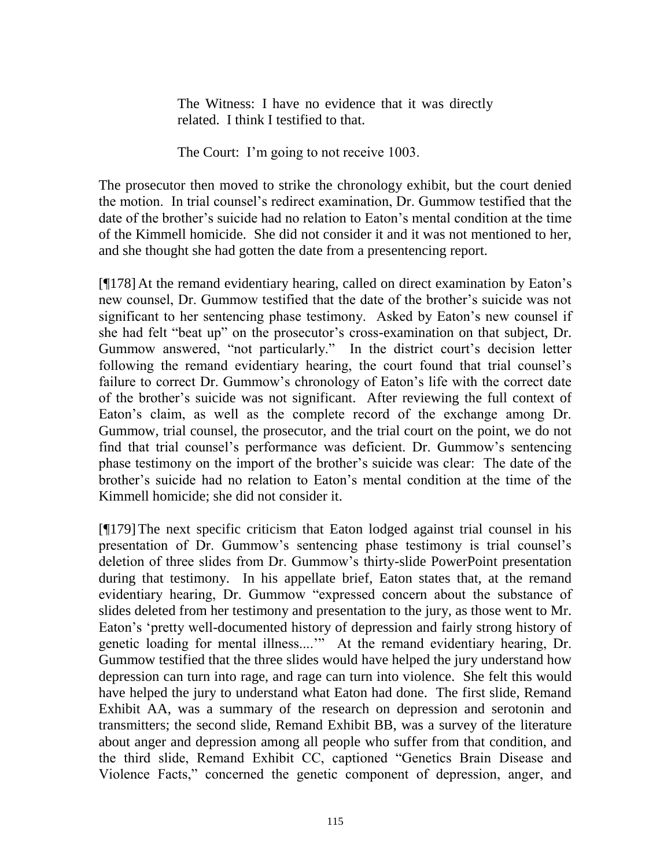The Witness: I have no evidence that it was directly related. I think I testified to that.

The Court: I'm going to not receive 1003.

The prosecutor then moved to strike the chronology exhibit, but the court denied the motion. In trial counsel's redirect examination, Dr. Gummow testified that the date of the brother's suicide had no relation to Eaton's mental condition at the time of the Kimmell homicide. She did not consider it and it was not mentioned to her, and she thought she had gotten the date from a presentencing report.

[¶178] At the remand evidentiary hearing, called on direct examination by Eaton's new counsel, Dr. Gummow testified that the date of the brother's suicide was not significant to her sentencing phase testimony. Asked by Eaton's new counsel if she had felt "beat up" on the prosecutor's cross-examination on that subject, Dr. Gummow answered, "not particularly." In the district court's decision letter following the remand evidentiary hearing, the court found that trial counsel's failure to correct Dr. Gummow's chronology of Eaton's life with the correct date of the brother's suicide was not significant. After reviewing the full context of Eaton's claim, as well as the complete record of the exchange among Dr. Gummow, trial counsel, the prosecutor, and the trial court on the point, we do not find that trial counsel's performance was deficient. Dr. Gummow's sentencing phase testimony on the import of the brother's suicide was clear: The date of the brother's suicide had no relation to Eaton's mental condition at the time of the Kimmell homicide; she did not consider it.

[¶179]The next specific criticism that Eaton lodged against trial counsel in his presentation of Dr. Gummow's sentencing phase testimony is trial counsel's deletion of three slides from Dr. Gummow's thirty-slide PowerPoint presentation during that testimony. In his appellate brief, Eaton states that, at the remand evidentiary hearing, Dr. Gummow "expressed concern about the substance of slides deleted from her testimony and presentation to the jury, as those went to Mr. Eaton's 'pretty well-documented history of depression and fairly strong history of genetic loading for mental illness...." At the remand evidentiary hearing, Dr. Gummow testified that the three slides would have helped the jury understand how depression can turn into rage, and rage can turn into violence. She felt this would have helped the jury to understand what Eaton had done. The first slide, Remand Exhibit AA, was a summary of the research on depression and serotonin and transmitters; the second slide, Remand Exhibit BB, was a survey of the literature about anger and depression among all people who suffer from that condition, and the third slide, Remand Exhibit CC, captioned "Genetics Brain Disease and Violence Facts," concerned the genetic component of depression, anger, and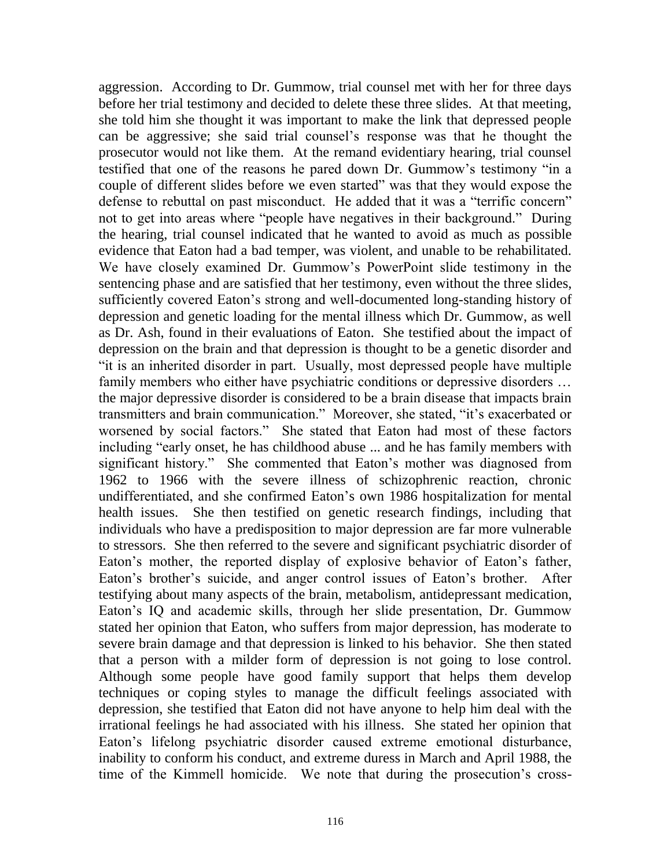aggression. According to Dr. Gummow, trial counsel met with her for three days before her trial testimony and decided to delete these three slides. At that meeting, she told him she thought it was important to make the link that depressed people can be aggressive; she said trial counsel's response was that he thought the prosecutor would not like them. At the remand evidentiary hearing, trial counsel testified that one of the reasons he pared down Dr. Gummow's testimony "in a couple of different slides before we even started" was that they would expose the defense to rebuttal on past misconduct. He added that it was a "terrific concern" not to get into areas where "people have negatives in their background." During the hearing, trial counsel indicated that he wanted to avoid as much as possible evidence that Eaton had a bad temper, was violent, and unable to be rehabilitated. We have closely examined Dr. Gummow's PowerPoint slide testimony in the sentencing phase and are satisfied that her testimony, even without the three slides, sufficiently covered Eaton's strong and well-documented long-standing history of depression and genetic loading for the mental illness which Dr. Gummow, as well as Dr. Ash, found in their evaluations of Eaton. She testified about the impact of depression on the brain and that depression is thought to be a genetic disorder and ―it is an inherited disorder in part. Usually, most depressed people have multiple family members who either have psychiatric conditions or depressive disorders ... the major depressive disorder is considered to be a brain disease that impacts brain transmitters and brain communication." Moreover, she stated, "it's exacerbated or worsened by social factors." She stated that Eaton had most of these factors including "early onset, he has childhood abuse ... and he has family members with significant history." She commented that Eaton's mother was diagnosed from 1962 to 1966 with the severe illness of schizophrenic reaction, chronic undifferentiated, and she confirmed Eaton's own 1986 hospitalization for mental health issues. She then testified on genetic research findings, including that individuals who have a predisposition to major depression are far more vulnerable to stressors. She then referred to the severe and significant psychiatric disorder of Eaton's mother, the reported display of explosive behavior of Eaton's father, Eaton's brother's suicide, and anger control issues of Eaton's brother. After testifying about many aspects of the brain, metabolism, antidepressant medication, Eaton's IQ and academic skills, through her slide presentation, Dr. Gummow stated her opinion that Eaton, who suffers from major depression, has moderate to severe brain damage and that depression is linked to his behavior. She then stated that a person with a milder form of depression is not going to lose control. Although some people have good family support that helps them develop techniques or coping styles to manage the difficult feelings associated with depression, she testified that Eaton did not have anyone to help him deal with the irrational feelings he had associated with his illness. She stated her opinion that Eaton's lifelong psychiatric disorder caused extreme emotional disturbance, inability to conform his conduct, and extreme duress in March and April 1988, the time of the Kimmell homicide. We note that during the prosecution's cross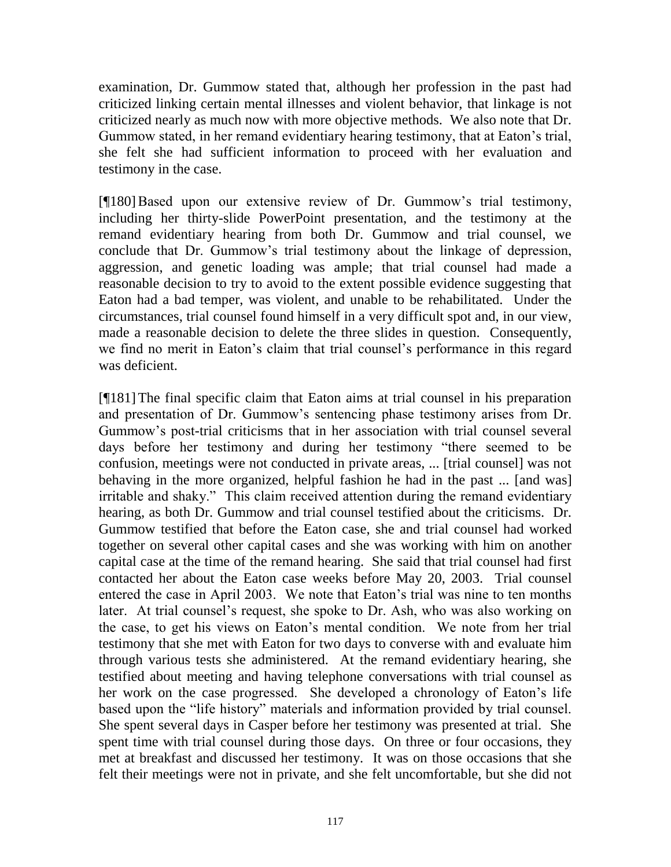examination, Dr. Gummow stated that, although her profession in the past had criticized linking certain mental illnesses and violent behavior, that linkage is not criticized nearly as much now with more objective methods. We also note that Dr. Gummow stated, in her remand evidentiary hearing testimony, that at Eaton's trial, she felt she had sufficient information to proceed with her evaluation and testimony in the case.

[¶180]Based upon our extensive review of Dr. Gummow's trial testimony, including her thirty-slide PowerPoint presentation, and the testimony at the remand evidentiary hearing from both Dr. Gummow and trial counsel, we conclude that Dr. Gummow's trial testimony about the linkage of depression, aggression, and genetic loading was ample; that trial counsel had made a reasonable decision to try to avoid to the extent possible evidence suggesting that Eaton had a bad temper, was violent, and unable to be rehabilitated. Under the circumstances, trial counsel found himself in a very difficult spot and, in our view, made a reasonable decision to delete the three slides in question. Consequently, we find no merit in Eaton's claim that trial counsel's performance in this regard was deficient.

[¶181]The final specific claim that Eaton aims at trial counsel in his preparation and presentation of Dr. Gummow's sentencing phase testimony arises from Dr. Gummow's post-trial criticisms that in her association with trial counsel several days before her testimony and during her testimony "there seemed to be confusion, meetings were not conducted in private areas, ... [trial counsel] was not behaving in the more organized, helpful fashion he had in the past ... [and was] irritable and shaky." This claim received attention during the remand evidentiary hearing, as both Dr. Gummow and trial counsel testified about the criticisms. Dr. Gummow testified that before the Eaton case, she and trial counsel had worked together on several other capital cases and she was working with him on another capital case at the time of the remand hearing. She said that trial counsel had first contacted her about the Eaton case weeks before May 20, 2003. Trial counsel entered the case in April 2003. We note that Eaton's trial was nine to ten months later. At trial counsel's request, she spoke to Dr. Ash, who was also working on the case, to get his views on Eaton's mental condition. We note from her trial testimony that she met with Eaton for two days to converse with and evaluate him through various tests she administered. At the remand evidentiary hearing, she testified about meeting and having telephone conversations with trial counsel as her work on the case progressed. She developed a chronology of Eaton's life based upon the "life history" materials and information provided by trial counsel. She spent several days in Casper before her testimony was presented at trial. She spent time with trial counsel during those days. On three or four occasions, they met at breakfast and discussed her testimony. It was on those occasions that she felt their meetings were not in private, and she felt uncomfortable, but she did not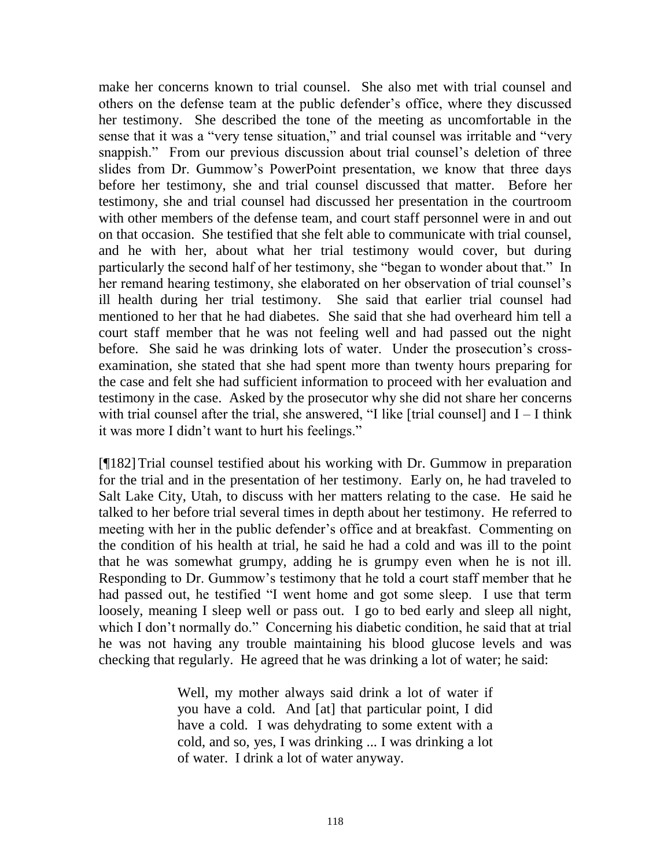make her concerns known to trial counsel. She also met with trial counsel and others on the defense team at the public defender's office, where they discussed her testimony. She described the tone of the meeting as uncomfortable in the sense that it was a "very tense situation," and trial counsel was irritable and "very snappish." From our previous discussion about trial counsel's deletion of three slides from Dr. Gummow's PowerPoint presentation, we know that three days before her testimony, she and trial counsel discussed that matter. Before her testimony, she and trial counsel had discussed her presentation in the courtroom with other members of the defense team, and court staff personnel were in and out on that occasion. She testified that she felt able to communicate with trial counsel, and he with her, about what her trial testimony would cover, but during particularly the second half of her testimony, she "began to wonder about that." In her remand hearing testimony, she elaborated on her observation of trial counsel's ill health during her trial testimony. She said that earlier trial counsel had mentioned to her that he had diabetes. She said that she had overheard him tell a court staff member that he was not feeling well and had passed out the night before. She said he was drinking lots of water. Under the prosecution's crossexamination, she stated that she had spent more than twenty hours preparing for the case and felt she had sufficient information to proceed with her evaluation and testimony in the case. Asked by the prosecutor why she did not share her concerns with trial counsel after the trial, she answered, "I like [trial counsel] and  $I - I$  think it was more I didn't want to hurt his feelings."

[¶182]Trial counsel testified about his working with Dr. Gummow in preparation for the trial and in the presentation of her testimony. Early on, he had traveled to Salt Lake City, Utah, to discuss with her matters relating to the case. He said he talked to her before trial several times in depth about her testimony. He referred to meeting with her in the public defender's office and at breakfast. Commenting on the condition of his health at trial, he said he had a cold and was ill to the point that he was somewhat grumpy, adding he is grumpy even when he is not ill. Responding to Dr. Gummow's testimony that he told a court staff member that he had passed out, he testified "I went home and got some sleep. I use that term loosely, meaning I sleep well or pass out. I go to bed early and sleep all night, which I don't normally do." Concerning his diabetic condition, he said that at trial he was not having any trouble maintaining his blood glucose levels and was checking that regularly. He agreed that he was drinking a lot of water; he said:

> Well, my mother always said drink a lot of water if you have a cold. And [at] that particular point, I did have a cold. I was dehydrating to some extent with a cold, and so, yes, I was drinking ... I was drinking a lot of water. I drink a lot of water anyway.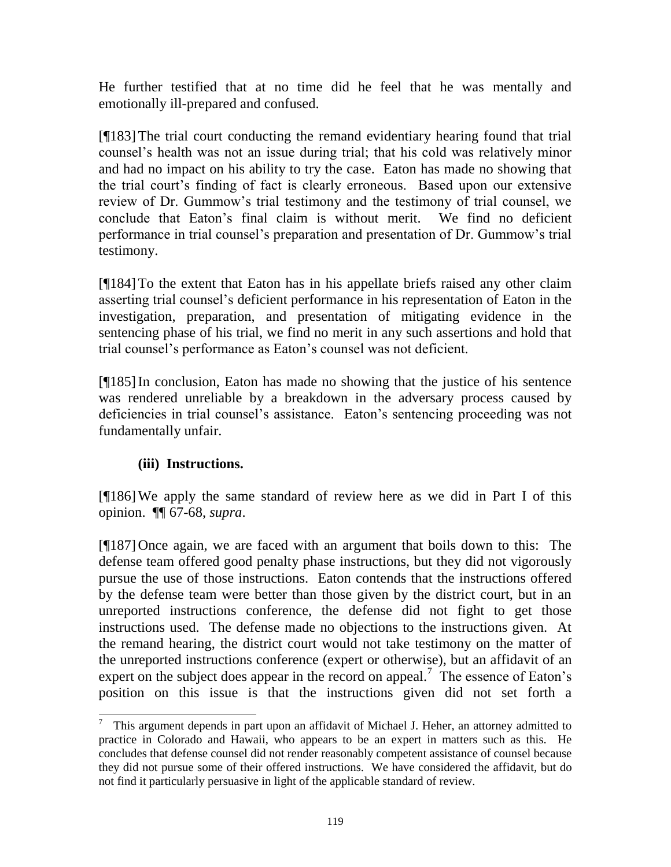He further testified that at no time did he feel that he was mentally and emotionally ill-prepared and confused.

[¶183]The trial court conducting the remand evidentiary hearing found that trial counsel's health was not an issue during trial; that his cold was relatively minor and had no impact on his ability to try the case. Eaton has made no showing that the trial court's finding of fact is clearly erroneous. Based upon our extensive review of Dr. Gummow's trial testimony and the testimony of trial counsel, we conclude that Eaton's final claim is without merit. We find no deficient performance in trial counsel's preparation and presentation of Dr. Gummow's trial testimony.

[¶184]To the extent that Eaton has in his appellate briefs raised any other claim asserting trial counsel's deficient performance in his representation of Eaton in the investigation, preparation, and presentation of mitigating evidence in the sentencing phase of his trial, we find no merit in any such assertions and hold that trial counsel's performance as Eaton's counsel was not deficient.

[¶185]In conclusion, Eaton has made no showing that the justice of his sentence was rendered unreliable by a breakdown in the adversary process caused by deficiencies in trial counsel's assistance. Eaton's sentencing proceeding was not fundamentally unfair.

## **(iii) Instructions.**

[¶186]We apply the same standard of review here as we did in Part I of this opinion. ¶¶ 67-68, *supra*.

[¶187] Once again, we are faced with an argument that boils down to this: The defense team offered good penalty phase instructions, but they did not vigorously pursue the use of those instructions. Eaton contends that the instructions offered by the defense team were better than those given by the district court, but in an unreported instructions conference, the defense did not fight to get those instructions used. The defense made no objections to the instructions given. At the remand hearing, the district court would not take testimony on the matter of the unreported instructions conference (expert or otherwise), but an affidavit of an expert on the subject does appear in the record on appeal.<sup>7</sup> The essence of Eaton's position on this issue is that the instructions given did not set forth a

 $\overline{a}$ 7 This argument depends in part upon an affidavit of Michael J. Heher, an attorney admitted to practice in Colorado and Hawaii, who appears to be an expert in matters such as this. He concludes that defense counsel did not render reasonably competent assistance of counsel because they did not pursue some of their offered instructions. We have considered the affidavit, but do not find it particularly persuasive in light of the applicable standard of review.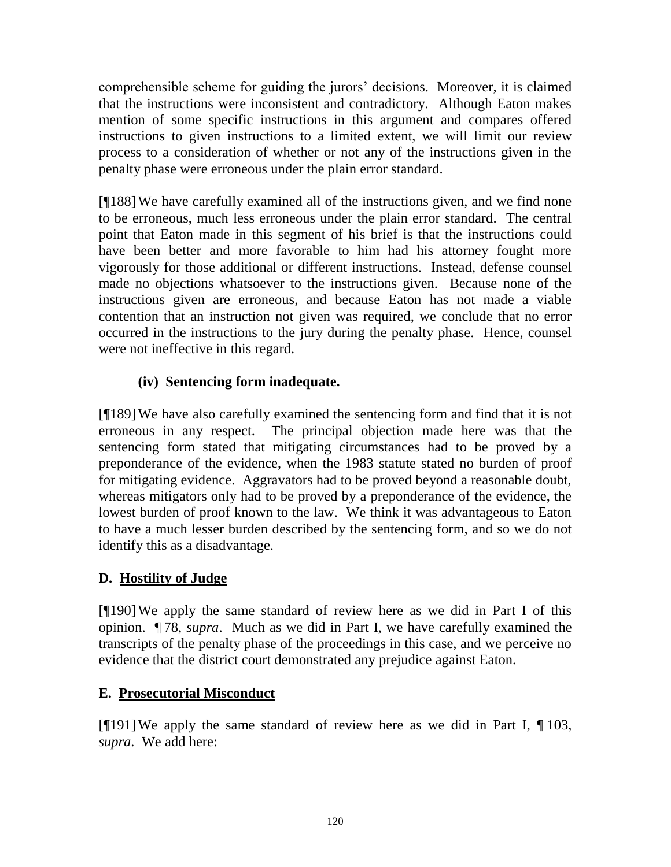comprehensible scheme for guiding the jurors' decisions. Moreover, it is claimed that the instructions were inconsistent and contradictory. Although Eaton makes mention of some specific instructions in this argument and compares offered instructions to given instructions to a limited extent, we will limit our review process to a consideration of whether or not any of the instructions given in the penalty phase were erroneous under the plain error standard.

[¶188]We have carefully examined all of the instructions given, and we find none to be erroneous, much less erroneous under the plain error standard. The central point that Eaton made in this segment of his brief is that the instructions could have been better and more favorable to him had his attorney fought more vigorously for those additional or different instructions. Instead, defense counsel made no objections whatsoever to the instructions given. Because none of the instructions given are erroneous, and because Eaton has not made a viable contention that an instruction not given was required, we conclude that no error occurred in the instructions to the jury during the penalty phase. Hence, counsel were not ineffective in this regard.

## **(iv) Sentencing form inadequate.**

[¶189]We have also carefully examined the sentencing form and find that it is not erroneous in any respect. The principal objection made here was that the sentencing form stated that mitigating circumstances had to be proved by a preponderance of the evidence, when the 1983 statute stated no burden of proof for mitigating evidence. Aggravators had to be proved beyond a reasonable doubt, whereas mitigators only had to be proved by a preponderance of the evidence, the lowest burden of proof known to the law. We think it was advantageous to Eaton to have a much lesser burden described by the sentencing form, and so we do not identify this as a disadvantage.

# **D. Hostility of Judge**

[¶190]We apply the same standard of review here as we did in Part I of this opinion. ¶ 78, *supra*. Much as we did in Part I, we have carefully examined the transcripts of the penalty phase of the proceedings in this case, and we perceive no evidence that the district court demonstrated any prejudice against Eaton.

# **E. Prosecutorial Misconduct**

[¶191]We apply the same standard of review here as we did in Part I, ¶ 103, *supra*. We add here: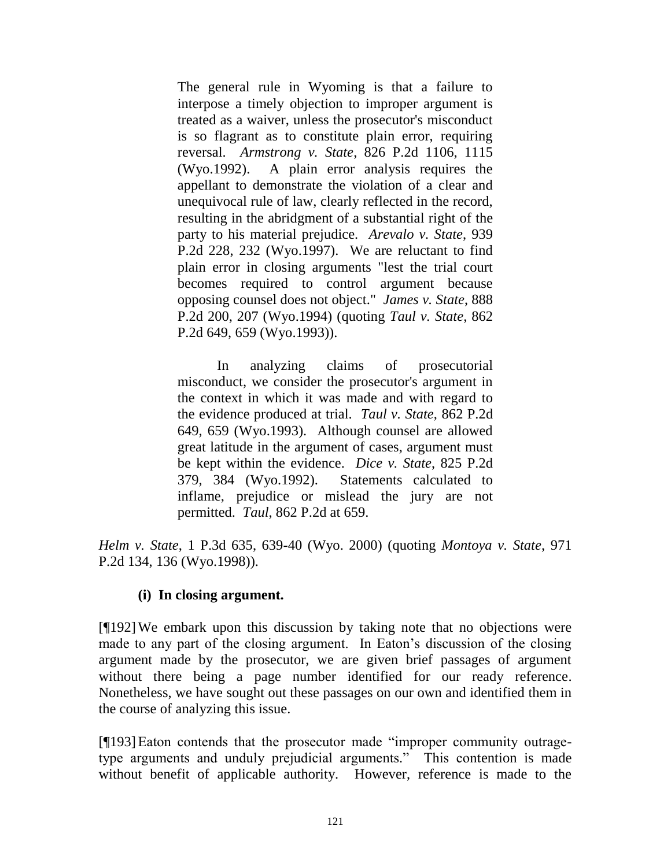The general rule in Wyoming is that a failure to interpose a timely objection to improper argument is treated as a waiver, unless the prosecutor's misconduct is so flagrant as to constitute plain error, requiring reversal. *Armstrong v. State*, 826 P.2d 1106, 1115 (Wyo.1992). A plain error analysis requires the appellant to demonstrate the violation of a clear and unequivocal rule of law, clearly reflected in the record, resulting in the abridgment of a substantial right of the party to his material prejudice. *Arevalo v. State*, 939 P.2d 228, 232 (Wyo.1997). We are reluctant to find plain error in closing arguments "lest the trial court becomes required to control argument because opposing counsel does not object." *James v. State*, 888 P.2d 200, 207 (Wyo.1994) (quoting *Taul v. State*, 862 P.2d 649, 659 (Wyo.1993)).

In analyzing claims of prosecutorial misconduct, we consider the prosecutor's argument in the context in which it was made and with regard to the evidence produced at trial. *Taul v. State*, 862 P.2d 649, 659 (Wyo.1993). Although counsel are allowed great latitude in the argument of cases, argument must be kept within the evidence. *Dice v. State*, 825 P.2d 379, 384 (Wyo.1992). Statements calculated to inflame, prejudice or mislead the jury are not permitted. *Taul*, 862 P.2d at 659.

*Helm v. State*, 1 P.3d 635, 639-40 (Wyo. 2000) (quoting *Montoya v. State*, 971 P.2d 134, 136 (Wyo.1998)).

### **(i) In closing argument.**

[¶192]We embark upon this discussion by taking note that no objections were made to any part of the closing argument. In Eaton's discussion of the closing argument made by the prosecutor, we are given brief passages of argument without there being a page number identified for our ready reference. Nonetheless, we have sought out these passages on our own and identified them in the course of analyzing this issue.

[¶193] Eaton contends that the prosecutor made "improper community outragetype arguments and unduly prejudicial arguments." This contention is made without benefit of applicable authority. However, reference is made to the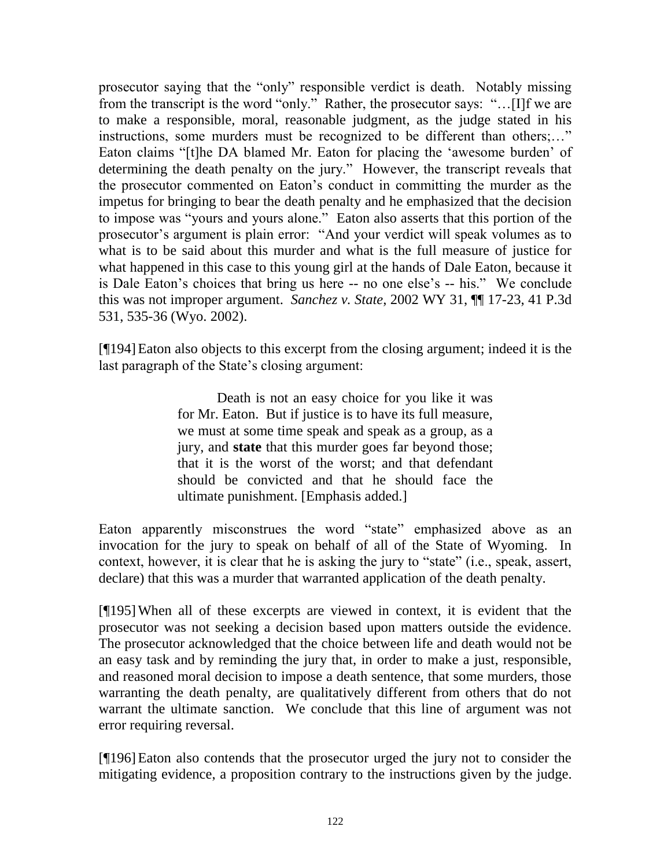prosecutor saying that the "only" responsible verdict is death. Notably missing from the transcript is the word "only." Rather, the prosecutor says: "...[I]f we are to make a responsible, moral, reasonable judgment, as the judge stated in his instructions, some murders must be recognized to be different than others;..." Eaton claims "[t]he DA blamed Mr. Eaton for placing the 'awesome burden' of determining the death penalty on the jury." However, the transcript reveals that the prosecutor commented on Eaton's conduct in committing the murder as the impetus for bringing to bear the death penalty and he emphasized that the decision to impose was "yours and yours alone." Eaton also asserts that this portion of the prosecutor's argument is plain error: "And your verdict will speak volumes as to what is to be said about this murder and what is the full measure of justice for what happened in this case to this young girl at the hands of Dale Eaton, because it is Dale Eaton's choices that bring us here -- no one else's -- his." We conclude this was not improper argument. *Sanchez v. State*, 2002 WY 31, ¶¶ 17-23, 41 P.3d 531, 535-36 (Wyo. 2002).

[¶194]Eaton also objects to this excerpt from the closing argument; indeed it is the last paragraph of the State's closing argument:

> Death is not an easy choice for you like it was for Mr. Eaton. But if justice is to have its full measure, we must at some time speak and speak as a group, as a jury, and **state** that this murder goes far beyond those; that it is the worst of the worst; and that defendant should be convicted and that he should face the ultimate punishment. [Emphasis added.]

Eaton apparently misconstrues the word "state" emphasized above as an invocation for the jury to speak on behalf of all of the State of Wyoming. In context, however, it is clear that he is asking the jury to "state" (i.e., speak, assert, declare) that this was a murder that warranted application of the death penalty.

[¶195]When all of these excerpts are viewed in context, it is evident that the prosecutor was not seeking a decision based upon matters outside the evidence. The prosecutor acknowledged that the choice between life and death would not be an easy task and by reminding the jury that, in order to make a just, responsible, and reasoned moral decision to impose a death sentence, that some murders, those warranting the death penalty, are qualitatively different from others that do not warrant the ultimate sanction. We conclude that this line of argument was not error requiring reversal.

[¶196]Eaton also contends that the prosecutor urged the jury not to consider the mitigating evidence, a proposition contrary to the instructions given by the judge.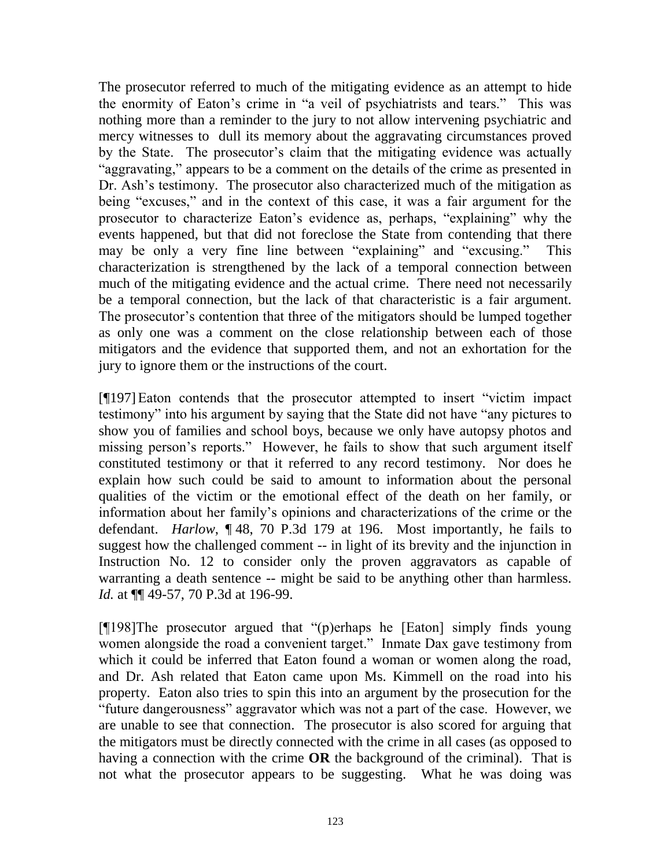The prosecutor referred to much of the mitigating evidence as an attempt to hide the enormity of Eaton's crime in "a veil of psychiatrists and tears." This was nothing more than a reminder to the jury to not allow intervening psychiatric and mercy witnesses to dull its memory about the aggravating circumstances proved by the State. The prosecutor's claim that the mitigating evidence was actually "aggravating," appears to be a comment on the details of the crime as presented in Dr. Ash's testimony. The prosecutor also characterized much of the mitigation as being "excuses," and in the context of this case, it was a fair argument for the prosecutor to characterize Eaton's evidence as, perhaps, "explaining" why the events happened, but that did not foreclose the State from contending that there may be only a very fine line between "explaining" and "excusing." This characterization is strengthened by the lack of a temporal connection between much of the mitigating evidence and the actual crime. There need not necessarily be a temporal connection, but the lack of that characteristic is a fair argument. The prosecutor's contention that three of the mitigators should be lumped together as only one was a comment on the close relationship between each of those mitigators and the evidence that supported them, and not an exhortation for the jury to ignore them or the instructions of the court.

[¶197] Eaton contends that the prosecutor attempted to insert "victim impact" testimony" into his argument by saying that the State did not have "any pictures to show you of families and school boys, because we only have autopsy photos and missing person's reports." However, he fails to show that such argument itself constituted testimony or that it referred to any record testimony. Nor does he explain how such could be said to amount to information about the personal qualities of the victim or the emotional effect of the death on her family, or information about her family's opinions and characterizations of the crime or the defendant. *Harlow*, ¶ 48, 70 P.3d 179 at 196. Most importantly, he fails to suggest how the challenged comment -- in light of its brevity and the injunction in Instruction No. 12 to consider only the proven aggravators as capable of warranting a death sentence -- might be said to be anything other than harmless. *Id.* at  $\P$  49-57, 70 P.3d at 196-99.

 $[9198]$ The prosecutor argued that "(p)erhaps he [Eaton] simply finds young women alongside the road a convenient target." Inmate Dax gave testimony from which it could be inferred that Eaton found a woman or women along the road, and Dr. Ash related that Eaton came upon Ms. Kimmell on the road into his property. Eaton also tries to spin this into an argument by the prosecution for the ―future dangerousness‖ aggravator which was not a part of the case. However, we are unable to see that connection. The prosecutor is also scored for arguing that the mitigators must be directly connected with the crime in all cases (as opposed to having a connection with the crime **OR** the background of the criminal). That is not what the prosecutor appears to be suggesting. What he was doing was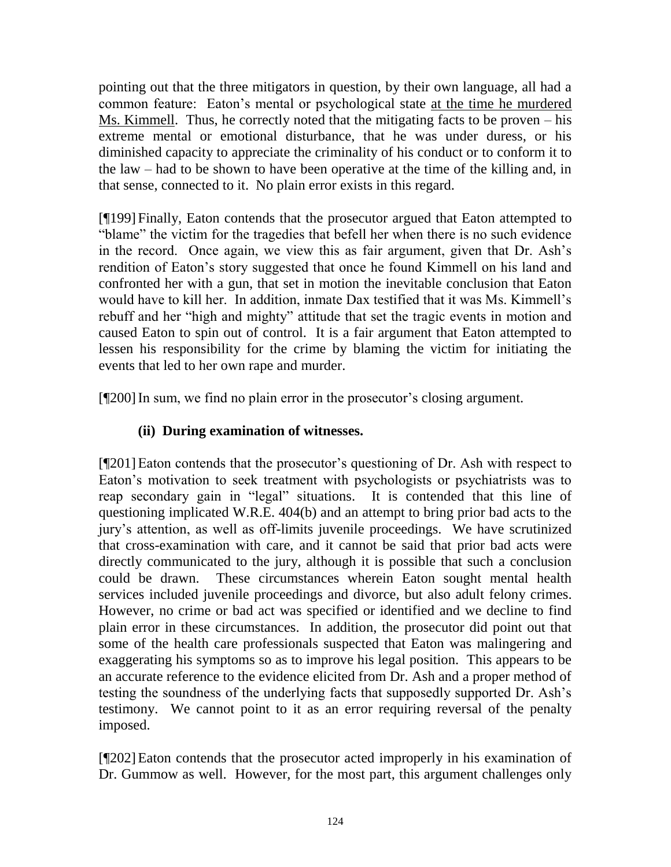pointing out that the three mitigators in question, by their own language, all had a common feature: Eaton's mental or psychological state at the time he murdered Ms. Kimmell. Thus, he correctly noted that the mitigating facts to be proven – his extreme mental or emotional disturbance, that he was under duress, or his diminished capacity to appreciate the criminality of his conduct or to conform it to the law – had to be shown to have been operative at the time of the killing and, in that sense, connected to it. No plain error exists in this regard.

[¶199] Finally, Eaton contends that the prosecutor argued that Eaton attempted to "blame" the victim for the tragedies that befell her when there is no such evidence in the record. Once again, we view this as fair argument, given that Dr. Ash's rendition of Eaton's story suggested that once he found Kimmell on his land and confronted her with a gun, that set in motion the inevitable conclusion that Eaton would have to kill her. In addition, inmate Dax testified that it was Ms. Kimmell's rebuff and her "high and mighty" attitude that set the tragic events in motion and caused Eaton to spin out of control. It is a fair argument that Eaton attempted to lessen his responsibility for the crime by blaming the victim for initiating the events that led to her own rape and murder.

[¶200]In sum, we find no plain error in the prosecutor's closing argument.

## **(ii) During examination of witnesses.**

[¶201]Eaton contends that the prosecutor's questioning of Dr. Ash with respect to Eaton's motivation to seek treatment with psychologists or psychiatrists was to reap secondary gain in "legal" situations. It is contended that this line of questioning implicated W.R.E. 404(b) and an attempt to bring prior bad acts to the jury's attention, as well as off-limits juvenile proceedings. We have scrutinized that cross-examination with care, and it cannot be said that prior bad acts were directly communicated to the jury, although it is possible that such a conclusion could be drawn. These circumstances wherein Eaton sought mental health services included juvenile proceedings and divorce, but also adult felony crimes. However, no crime or bad act was specified or identified and we decline to find plain error in these circumstances. In addition, the prosecutor did point out that some of the health care professionals suspected that Eaton was malingering and exaggerating his symptoms so as to improve his legal position. This appears to be an accurate reference to the evidence elicited from Dr. Ash and a proper method of testing the soundness of the underlying facts that supposedly supported Dr. Ash's testimony. We cannot point to it as an error requiring reversal of the penalty imposed.

[¶202]Eaton contends that the prosecutor acted improperly in his examination of Dr. Gummow as well. However, for the most part, this argument challenges only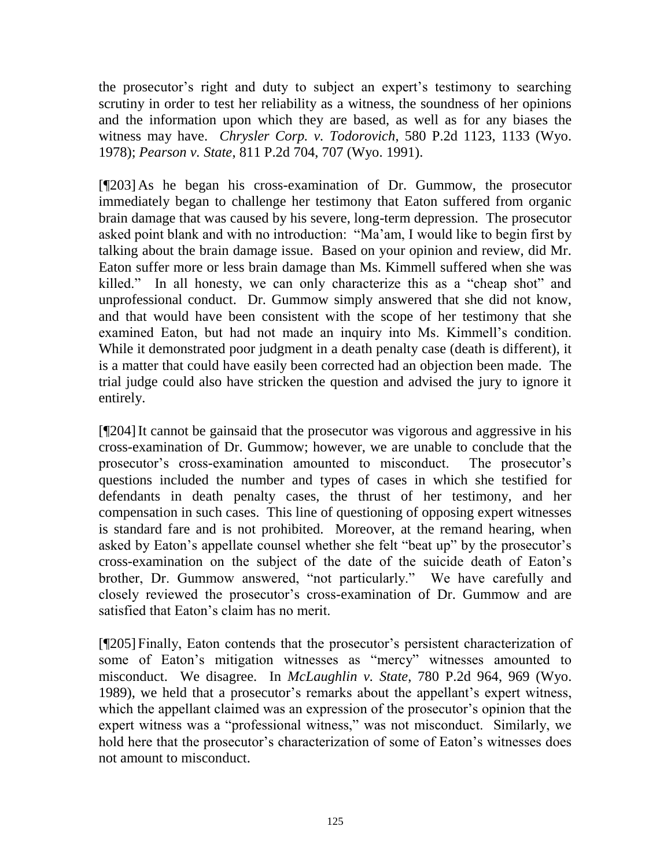the prosecutor's right and duty to subject an expert's testimony to searching scrutiny in order to test her reliability as a witness, the soundness of her opinions and the information upon which they are based, as well as for any biases the witness may have. *Chrysler Corp. v. Todorovich*, 580 P.2d 1123, 1133 (Wyo. 1978); *Pearson v. State*, 811 P.2d 704, 707 (Wyo. 1991).

[¶203] As he began his cross-examination of Dr. Gummow, the prosecutor immediately began to challenge her testimony that Eaton suffered from organic brain damage that was caused by his severe, long-term depression. The prosecutor asked point blank and with no introduction: "Ma'am, I would like to begin first by talking about the brain damage issue. Based on your opinion and review, did Mr. Eaton suffer more or less brain damage than Ms. Kimmell suffered when she was killed." In all honesty, we can only characterize this as a "cheap shot" and unprofessional conduct. Dr. Gummow simply answered that she did not know, and that would have been consistent with the scope of her testimony that she examined Eaton, but had not made an inquiry into Ms. Kimmell's condition. While it demonstrated poor judgment in a death penalty case (death is different), it is a matter that could have easily been corrected had an objection been made. The trial judge could also have stricken the question and advised the jury to ignore it entirely.

[¶204]It cannot be gainsaid that the prosecutor was vigorous and aggressive in his cross-examination of Dr. Gummow; however, we are unable to conclude that the prosecutor's cross-examination amounted to misconduct. The prosecutor's questions included the number and types of cases in which she testified for defendants in death penalty cases, the thrust of her testimony, and her compensation in such cases. This line of questioning of opposing expert witnesses is standard fare and is not prohibited. Moreover, at the remand hearing, when asked by Eaton's appellate counsel whether she felt "beat up" by the prosecutor's cross-examination on the subject of the date of the suicide death of Eaton's brother, Dr. Gummow answered, "not particularly." We have carefully and closely reviewed the prosecutor's cross-examination of Dr. Gummow and are satisfied that Eaton's claim has no merit.

[¶205] Finally, Eaton contends that the prosecutor's persistent characterization of some of Eaton's mitigation witnesses as "mercy" witnesses amounted to misconduct. We disagree. In *McLaughlin v. State*, 780 P.2d 964, 969 (Wyo. 1989), we held that a prosecutor's remarks about the appellant's expert witness, which the appellant claimed was an expression of the prosecutor's opinion that the expert witness was a "professional witness," was not misconduct. Similarly, we hold here that the prosecutor's characterization of some of Eaton's witnesses does not amount to misconduct.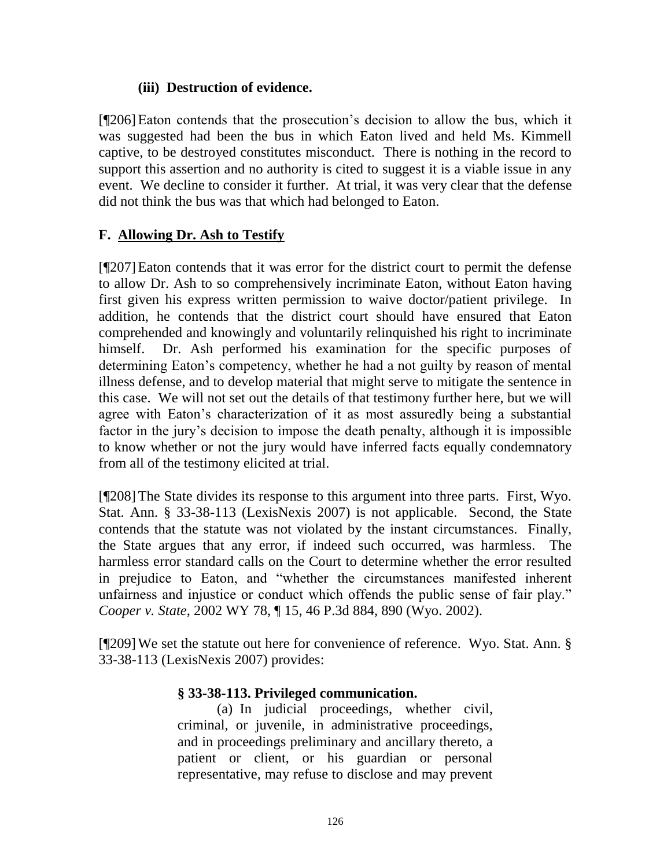#### **(iii) Destruction of evidence.**

[¶206]Eaton contends that the prosecution's decision to allow the bus, which it was suggested had been the bus in which Eaton lived and held Ms. Kimmell captive, to be destroyed constitutes misconduct. There is nothing in the record to support this assertion and no authority is cited to suggest it is a viable issue in any event. We decline to consider it further. At trial, it was very clear that the defense did not think the bus was that which had belonged to Eaton.

### **F. Allowing Dr. Ash to Testify**

[¶207]Eaton contends that it was error for the district court to permit the defense to allow Dr. Ash to so comprehensively incriminate Eaton, without Eaton having first given his express written permission to waive doctor/patient privilege. In addition, he contends that the district court should have ensured that Eaton comprehended and knowingly and voluntarily relinquished his right to incriminate himself. Dr. Ash performed his examination for the specific purposes of determining Eaton's competency, whether he had a not guilty by reason of mental illness defense, and to develop material that might serve to mitigate the sentence in this case. We will not set out the details of that testimony further here, but we will agree with Eaton's characterization of it as most assuredly being a substantial factor in the jury's decision to impose the death penalty, although it is impossible to know whether or not the jury would have inferred facts equally condemnatory from all of the testimony elicited at trial.

[¶208]The State divides its response to this argument into three parts. First, Wyo. Stat. Ann. § 33-38-113 (LexisNexis 2007) is not applicable. Second, the State contends that the statute was not violated by the instant circumstances. Finally, the State argues that any error, if indeed such occurred, was harmless. The harmless error standard calls on the Court to determine whether the error resulted in prejudice to Eaton, and "whether the circumstances manifested inherent unfairness and injustice or conduct which offends the public sense of fair play." *Cooper v. State*, 2002 WY 78, ¶ 15, 46 P.3d 884, 890 (Wyo. 2002).

[¶209]We set the statute out here for convenience of reference. Wyo. Stat. Ann. § 33-38-113 (LexisNexis 2007) provides:

#### **§ 33-38-113. Privileged communication.**

(a) In judicial proceedings, whether civil, criminal, or juvenile, in administrative proceedings, and in proceedings preliminary and ancillary thereto, a patient or client, or his guardian or personal representative, may refuse to disclose and may prevent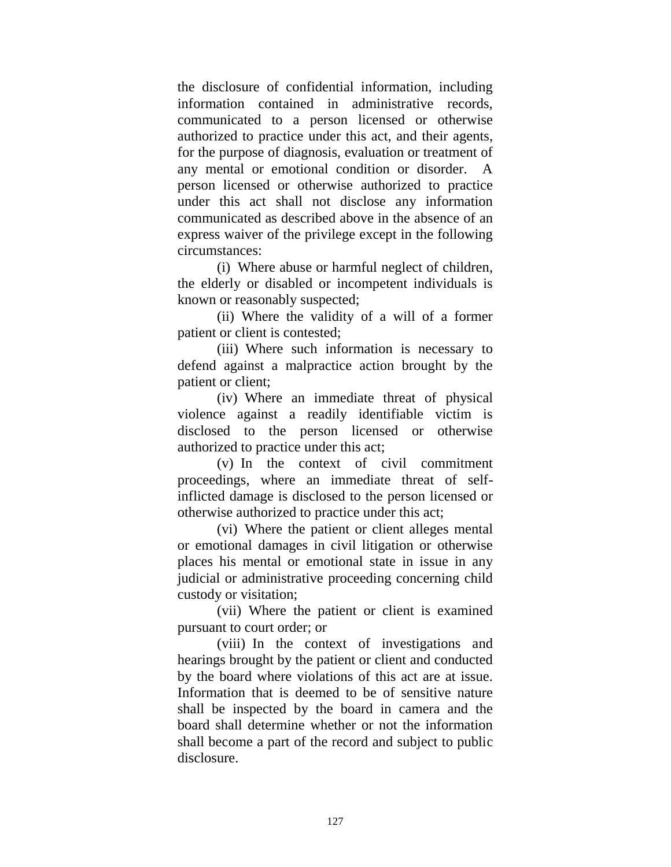the disclosure of confidential information, including information contained in administrative records, communicated to a person licensed or otherwise authorized to practice under this act, and their agents, for the purpose of diagnosis, evaluation or treatment of any mental or emotional condition or disorder. A person licensed or otherwise authorized to practice under this act shall not disclose any information communicated as described above in the absence of an express waiver of the privilege except in the following circumstances:

(i) Where abuse or harmful neglect of children, the elderly or disabled or incompetent individuals is known or reasonably suspected;

(ii) Where the validity of a will of a former patient or client is contested;

(iii) Where such information is necessary to defend against a malpractice action brought by the patient or client;

(iv) Where an immediate threat of physical violence against a readily identifiable victim is disclosed to the person licensed or otherwise authorized to practice under this act;

(v) In the context of civil commitment proceedings, where an immediate threat of selfinflicted damage is disclosed to the person licensed or otherwise authorized to practice under this act;

(vi) Where the patient or client alleges mental or emotional damages in civil litigation or otherwise places his mental or emotional state in issue in any judicial or administrative proceeding concerning child custody or visitation;

(vii) Where the patient or client is examined pursuant to court order; or

(viii) In the context of investigations and hearings brought by the patient or client and conducted by the board where violations of this act are at issue. Information that is deemed to be of sensitive nature shall be inspected by the board in camera and the board shall determine whether or not the information shall become a part of the record and subject to public disclosure.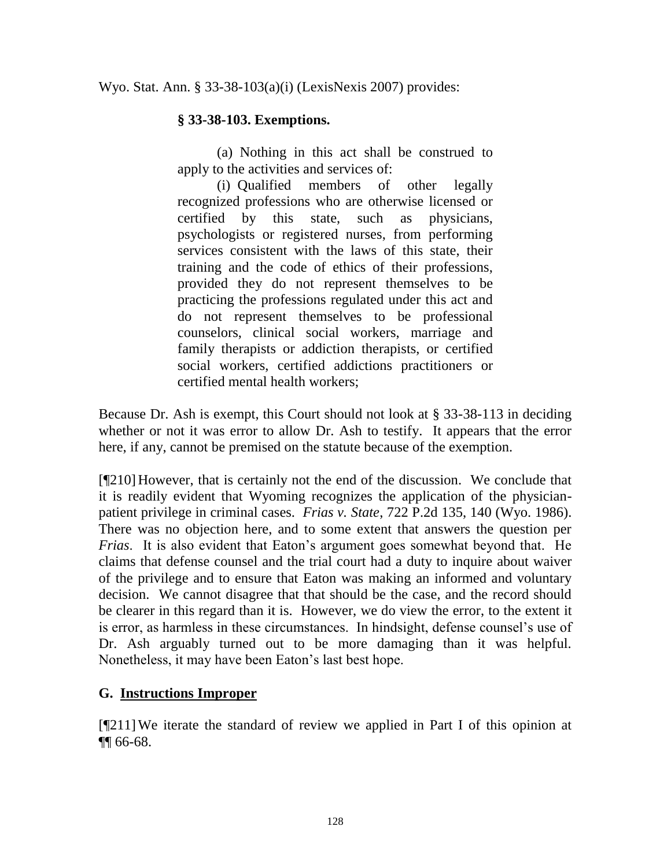### **§ 33-38-103. Exemptions.**

(a) Nothing in this act shall be construed to apply to the activities and services of:

(i) Qualified members of other legally recognized professions who are otherwise licensed or certified by this state, such as physicians, psychologists or registered nurses, from performing services consistent with the laws of this state, their training and the code of ethics of their professions, provided they do not represent themselves to be practicing the professions regulated under this act and do not represent themselves to be professional counselors, clinical social workers, marriage and family therapists or addiction therapists, or certified social workers, certified addictions practitioners or certified mental health workers;

Because Dr. Ash is exempt, this Court should not look at § 33-38-113 in deciding whether or not it was error to allow Dr. Ash to testify. It appears that the error here, if any, cannot be premised on the statute because of the exemption.

[¶210] However, that is certainly not the end of the discussion. We conclude that it is readily evident that Wyoming recognizes the application of the physicianpatient privilege in criminal cases. *Frias v. State*, 722 P.2d 135, 140 (Wyo. 1986). There was no objection here, and to some extent that answers the question per *Frias*. It is also evident that Eaton's argument goes somewhat beyond that. He claims that defense counsel and the trial court had a duty to inquire about waiver of the privilege and to ensure that Eaton was making an informed and voluntary decision. We cannot disagree that that should be the case, and the record should be clearer in this regard than it is. However, we do view the error, to the extent it is error, as harmless in these circumstances. In hindsight, defense counsel's use of Dr. Ash arguably turned out to be more damaging than it was helpful. Nonetheless, it may have been Eaton's last best hope.

## **G. Instructions Improper**

[¶211]We iterate the standard of review we applied in Part I of this opinion at ¶¶ 66-68.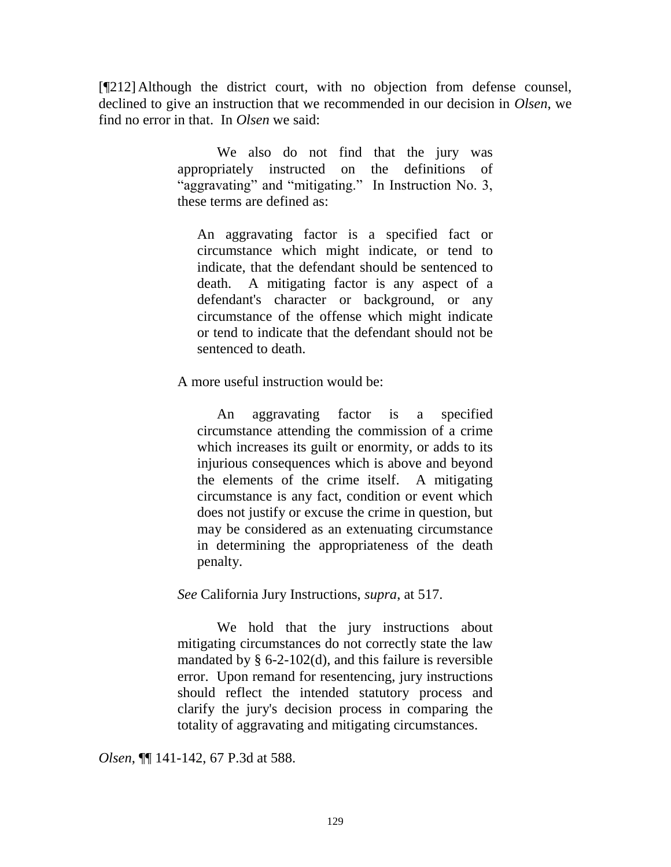[¶212] Although the district court, with no objection from defense counsel, declined to give an instruction that we recommended in our decision in *Olsen*, we find no error in that. In *Olsen* we said:

> We also do not find that the jury was appropriately instructed on the definitions of "aggravating" and "mitigating." In Instruction No. 3, these terms are defined as:

An aggravating factor is a specified fact or circumstance which might indicate, or tend to indicate, that the defendant should be sentenced to death. A mitigating factor is any aspect of a defendant's character or background, or any circumstance of the offense which might indicate or tend to indicate that the defendant should not be sentenced to death.

A more useful instruction would be:

An aggravating factor is a specified circumstance attending the commission of a crime which increases its guilt or enormity, or adds to its injurious consequences which is above and beyond the elements of the crime itself. A mitigating circumstance is any fact, condition or event which does not justify or excuse the crime in question, but may be considered as an extenuating circumstance in determining the appropriateness of the death penalty.

*See* California Jury Instructions, *supra*, at 517.

We hold that the jury instructions about mitigating circumstances do not correctly state the law mandated by  $\S$  6-2-102(d), and this failure is reversible error. Upon remand for resentencing, jury instructions should reflect the intended statutory process and clarify the jury's decision process in comparing the totality of aggravating and mitigating circumstances.

*Olsen*, ¶¶ 141-142, 67 P.3d at 588.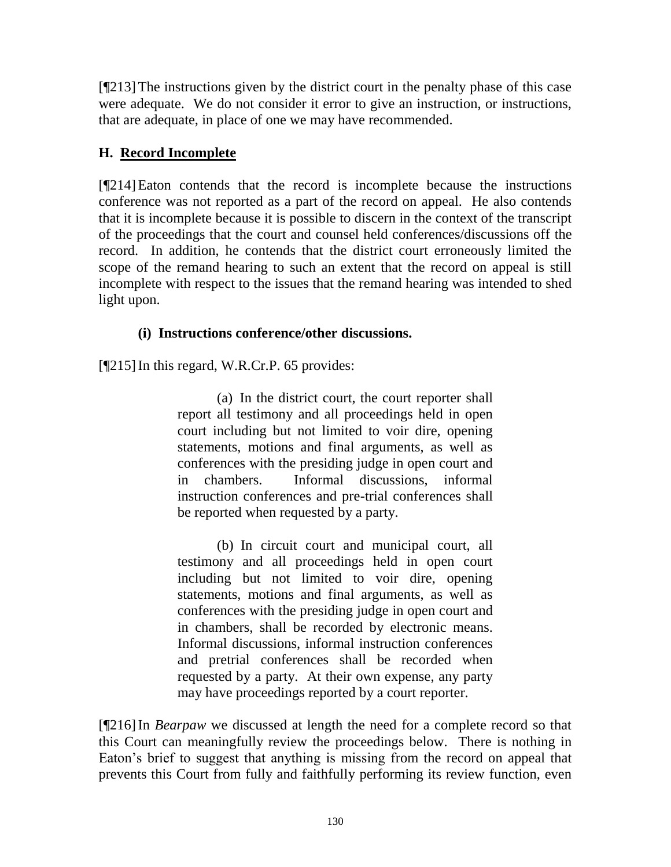[¶213]The instructions given by the district court in the penalty phase of this case were adequate. We do not consider it error to give an instruction, or instructions, that are adequate, in place of one we may have recommended.

## **H. Record Incomplete**

[¶214]Eaton contends that the record is incomplete because the instructions conference was not reported as a part of the record on appeal. He also contends that it is incomplete because it is possible to discern in the context of the transcript of the proceedings that the court and counsel held conferences/discussions off the record. In addition, he contends that the district court erroneously limited the scope of the remand hearing to such an extent that the record on appeal is still incomplete with respect to the issues that the remand hearing was intended to shed light upon.

## **(i) Instructions conference/other discussions.**

[¶215]In this regard, W.R.Cr.P. 65 provides:

(a) In the district court, the court reporter shall report all testimony and all proceedings held in open court including but not limited to voir dire, opening statements, motions and final arguments, as well as conferences with the presiding judge in open court and in chambers. Informal discussions, informal instruction conferences and pre-trial conferences shall be reported when requested by a party.

(b) In circuit court and municipal court, all testimony and all proceedings held in open court including but not limited to voir dire, opening statements, motions and final arguments, as well as conferences with the presiding judge in open court and in chambers, shall be recorded by electronic means. Informal discussions, informal instruction conferences and pretrial conferences shall be recorded when requested by a party. At their own expense, any party may have proceedings reported by a court reporter.

[¶216]In *Bearpaw* we discussed at length the need for a complete record so that this Court can meaningfully review the proceedings below. There is nothing in Eaton's brief to suggest that anything is missing from the record on appeal that prevents this Court from fully and faithfully performing its review function, even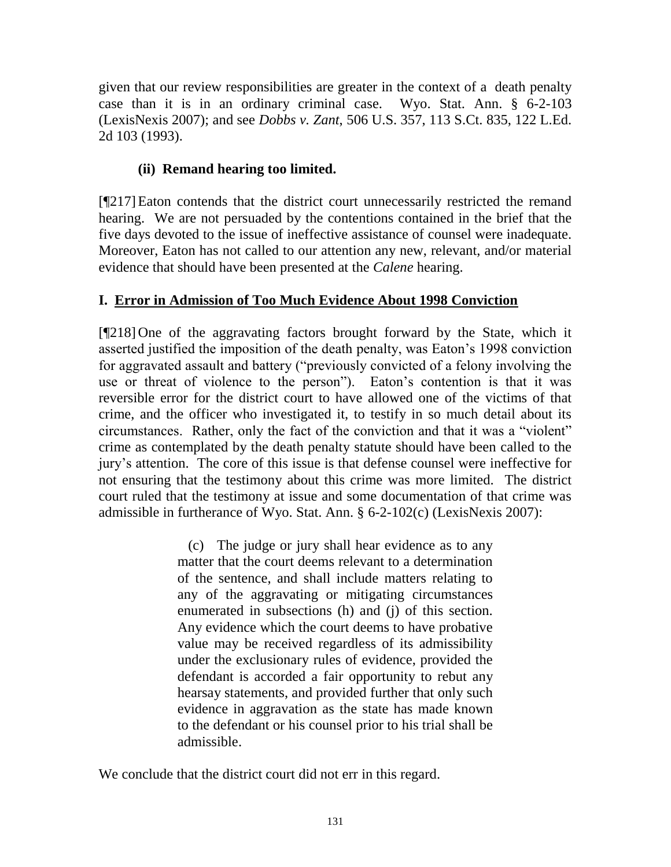given that our review responsibilities are greater in the context of a death penalty case than it is in an ordinary criminal case. Wyo. Stat. Ann. § 6-2-103 (LexisNexis 2007); and see *Dobbs v. Zant*, 506 U.S. 357, 113 S.Ct. 835, 122 L.Ed. 2d 103 (1993).

## **(ii) Remand hearing too limited.**

[¶217]Eaton contends that the district court unnecessarily restricted the remand hearing. We are not persuaded by the contentions contained in the brief that the five days devoted to the issue of ineffective assistance of counsel were inadequate. Moreover, Eaton has not called to our attention any new, relevant, and/or material evidence that should have been presented at the *Calene* hearing.

### **I. Error in Admission of Too Much Evidence About 1998 Conviction**

[¶218] One of the aggravating factors brought forward by the State, which it asserted justified the imposition of the death penalty, was Eaton's 1998 conviction for aggravated assault and battery ("previously convicted of a felony involving the use or threat of violence to the person"). Eaton's contention is that it was reversible error for the district court to have allowed one of the victims of that crime, and the officer who investigated it, to testify in so much detail about its circumstances. Rather, only the fact of the conviction and that it was a "violent" crime as contemplated by the death penalty statute should have been called to the jury's attention. The core of this issue is that defense counsel were ineffective for not ensuring that the testimony about this crime was more limited. The district court ruled that the testimony at issue and some documentation of that crime was admissible in furtherance of Wyo. Stat. Ann. § 6-2-102(c) (LexisNexis 2007):

> (c) The judge or jury shall hear evidence as to any matter that the court deems relevant to a determination of the sentence, and shall include matters relating to any of the aggravating or mitigating circumstances enumerated in subsections (h) and (j) of this section. Any evidence which the court deems to have probative value may be received regardless of its admissibility under the exclusionary rules of evidence, provided the defendant is accorded a fair opportunity to rebut any hearsay statements, and provided further that only such evidence in aggravation as the state has made known to the defendant or his counsel prior to his trial shall be admissible.

We conclude that the district court did not err in this regard.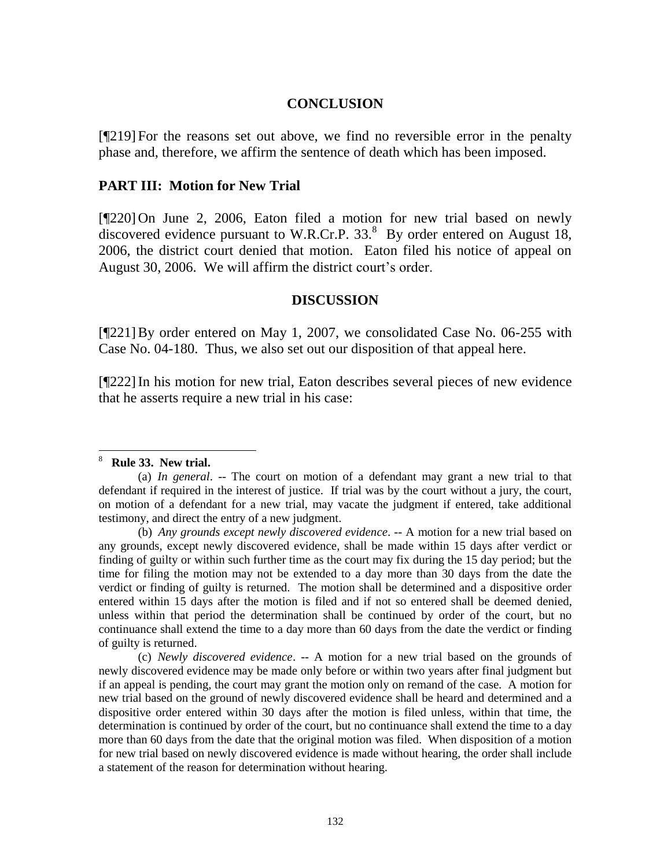#### **CONCLUSION**

[¶219] For the reasons set out above, we find no reversible error in the penalty phase and, therefore, we affirm the sentence of death which has been imposed.

#### **PART III: Motion for New Trial**

[¶220] On June 2, 2006, Eaton filed a motion for new trial based on newly discovered evidence pursuant to W.R.Cr.P.  $33<sup>8</sup>$  By order entered on August 18, 2006, the district court denied that motion. Eaton filed his notice of appeal on August 30, 2006. We will affirm the district court's order.

#### **DISCUSSION**

[¶221]By order entered on May 1, 2007, we consolidated Case No. 06-255 with Case No. 04-180. Thus, we also set out our disposition of that appeal here.

[¶222]In his motion for new trial, Eaton describes several pieces of new evidence that he asserts require a new trial in his case:

l

<sup>8</sup> **Rule 33. New trial.**

<sup>(</sup>a) *In general*. -- The court on motion of a defendant may grant a new trial to that defendant if required in the interest of justice. If trial was by the court without a jury, the court, on motion of a defendant for a new trial, may vacate the judgment if entered, take additional testimony, and direct the entry of a new judgment.

<sup>(</sup>b) *Any grounds except newly discovered evidence*. -- A motion for a new trial based on any grounds, except newly discovered evidence, shall be made within 15 days after verdict or finding of guilty or within such further time as the court may fix during the 15 day period; but the time for filing the motion may not be extended to a day more than 30 days from the date the verdict or finding of guilty is returned. The motion shall be determined and a dispositive order entered within 15 days after the motion is filed and if not so entered shall be deemed denied, unless within that period the determination shall be continued by order of the court, but no continuance shall extend the time to a day more than 60 days from the date the verdict or finding of guilty is returned.

<sup>(</sup>c) *Newly discovered evidence*. -- A motion for a new trial based on the grounds of newly discovered evidence may be made only before or within two years after final judgment but if an appeal is pending, the court may grant the motion only on remand of the case. A motion for new trial based on the ground of newly discovered evidence shall be heard and determined and a dispositive order entered within 30 days after the motion is filed unless, within that time, the determination is continued by order of the court, but no continuance shall extend the time to a day more than 60 days from the date that the original motion was filed. When disposition of a motion for new trial based on newly discovered evidence is made without hearing, the order shall include a statement of the reason for determination without hearing.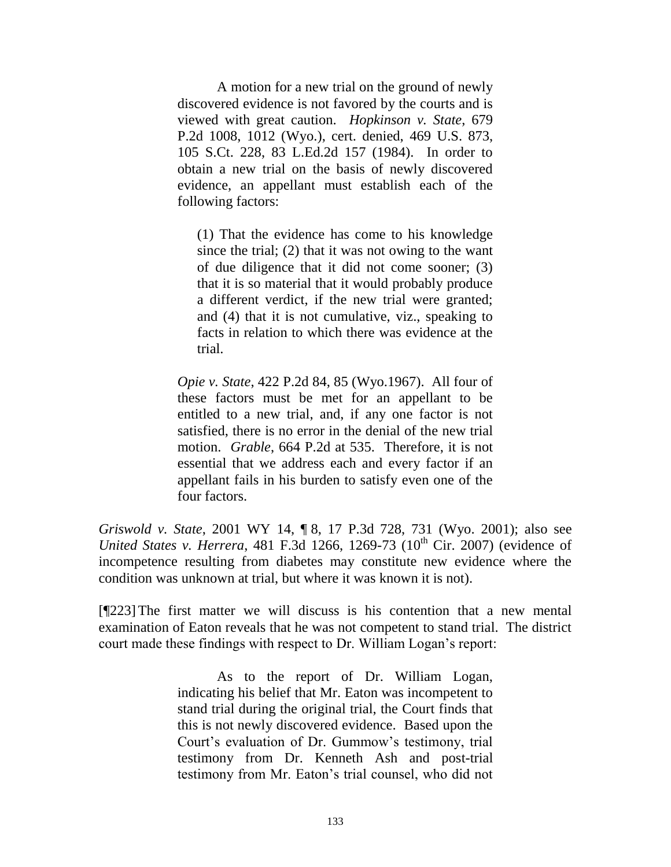A motion for a new trial on the ground of newly discovered evidence is not favored by the courts and is viewed with great caution. *Hopkinson v. State*, 679 P.2d 1008, 1012 (Wyo.), cert. denied, 469 U.S. 873, 105 S.Ct. 228, 83 L.Ed.2d 157 (1984). In order to obtain a new trial on the basis of newly discovered evidence, an appellant must establish each of the following factors:

(1) That the evidence has come to his knowledge since the trial; (2) that it was not owing to the want of due diligence that it did not come sooner; (3) that it is so material that it would probably produce a different verdict, if the new trial were granted; and (4) that it is not cumulative, viz., speaking to facts in relation to which there was evidence at the trial.

*Opie v. State*, 422 P.2d 84, 85 (Wyo.1967). All four of these factors must be met for an appellant to be entitled to a new trial, and, if any one factor is not satisfied, there is no error in the denial of the new trial motion. *Grable*, 664 P.2d at 535. Therefore, it is not essential that we address each and every factor if an appellant fails in his burden to satisfy even one of the four factors.

*Griswold v. State*, 2001 WY 14, ¶ 8, 17 P.3d 728, 731 (Wyo. 2001); also see *United States v. Herrera*, 481 F.3d 1266, 1269-73 (10<sup>th</sup> Cir. 2007) (evidence of incompetence resulting from diabetes may constitute new evidence where the condition was unknown at trial, but where it was known it is not).

[¶223]The first matter we will discuss is his contention that a new mental examination of Eaton reveals that he was not competent to stand trial. The district court made these findings with respect to Dr. William Logan's report:

> As to the report of Dr. William Logan, indicating his belief that Mr. Eaton was incompetent to stand trial during the original trial, the Court finds that this is not newly discovered evidence. Based upon the Court's evaluation of Dr. Gummow's testimony, trial testimony from Dr. Kenneth Ash and post-trial testimony from Mr. Eaton's trial counsel, who did not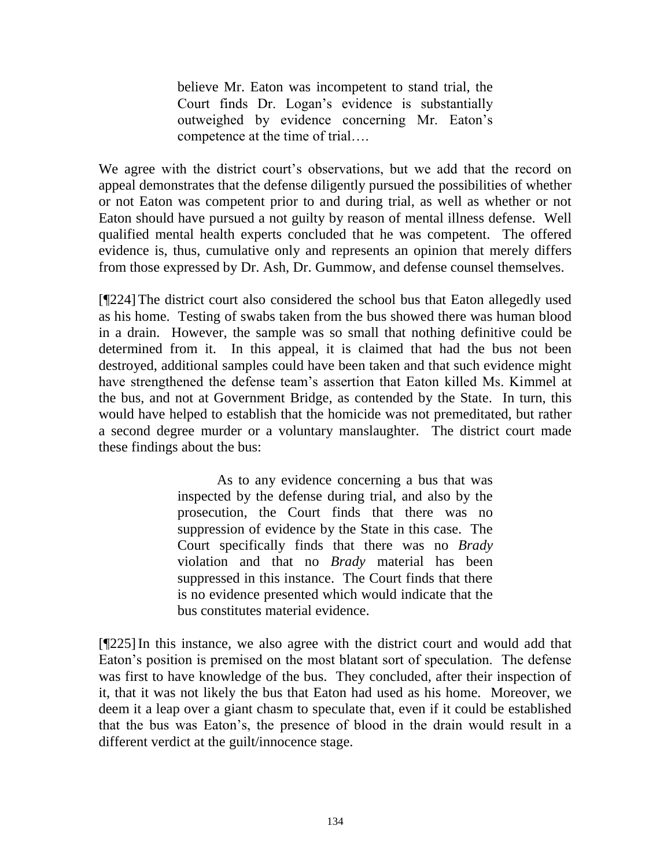believe Mr. Eaton was incompetent to stand trial, the Court finds Dr. Logan's evidence is substantially outweighed by evidence concerning Mr. Eaton's competence at the time of trial….

We agree with the district court's observations, but we add that the record on appeal demonstrates that the defense diligently pursued the possibilities of whether or not Eaton was competent prior to and during trial, as well as whether or not Eaton should have pursued a not guilty by reason of mental illness defense. Well qualified mental health experts concluded that he was competent. The offered evidence is, thus, cumulative only and represents an opinion that merely differs from those expressed by Dr. Ash, Dr. Gummow, and defense counsel themselves.

[¶224]The district court also considered the school bus that Eaton allegedly used as his home. Testing of swabs taken from the bus showed there was human blood in a drain. However, the sample was so small that nothing definitive could be determined from it. In this appeal, it is claimed that had the bus not been destroyed, additional samples could have been taken and that such evidence might have strengthened the defense team's assertion that Eaton killed Ms. Kimmel at the bus, and not at Government Bridge, as contended by the State. In turn, this would have helped to establish that the homicide was not premeditated, but rather a second degree murder or a voluntary manslaughter. The district court made these findings about the bus:

> As to any evidence concerning a bus that was inspected by the defense during trial, and also by the prosecution, the Court finds that there was no suppression of evidence by the State in this case. The Court specifically finds that there was no *Brady* violation and that no *Brady* material has been suppressed in this instance. The Court finds that there is no evidence presented which would indicate that the bus constitutes material evidence.

[¶225]In this instance, we also agree with the district court and would add that Eaton's position is premised on the most blatant sort of speculation. The defense was first to have knowledge of the bus. They concluded, after their inspection of it, that it was not likely the bus that Eaton had used as his home. Moreover, we deem it a leap over a giant chasm to speculate that, even if it could be established that the bus was Eaton's, the presence of blood in the drain would result in a different verdict at the guilt/innocence stage.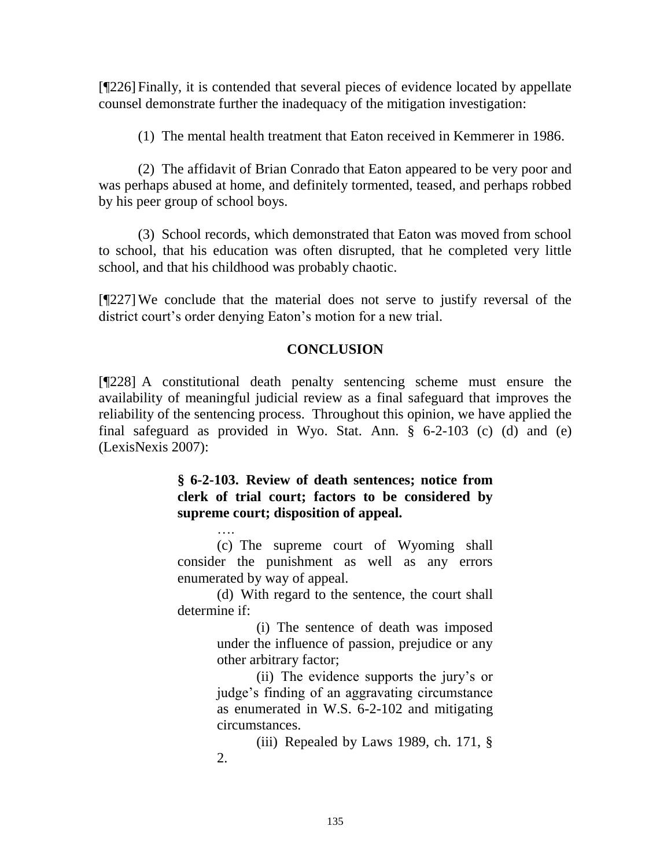[¶226] Finally, it is contended that several pieces of evidence located by appellate counsel demonstrate further the inadequacy of the mitigation investigation:

(1) The mental health treatment that Eaton received in Kemmerer in 1986.

(2) The affidavit of Brian Conrado that Eaton appeared to be very poor and was perhaps abused at home, and definitely tormented, teased, and perhaps robbed by his peer group of school boys.

(3) School records, which demonstrated that Eaton was moved from school to school, that his education was often disrupted, that he completed very little school, and that his childhood was probably chaotic.

[¶227]We conclude that the material does not serve to justify reversal of the district court's order denying Eaton's motion for a new trial.

### **CONCLUSION**

[¶228] A constitutional death penalty sentencing scheme must ensure the availability of meaningful judicial review as a final safeguard that improves the reliability of the sentencing process. Throughout this opinion, we have applied the final safeguard as provided in Wyo. Stat. Ann.  $\frac{1}{2}$  6-2-103 (c) (d) and (e) (LexisNexis 2007):

#### **§ 6-2-103. Review of death sentences; notice from clerk of trial court; factors to be considered by supreme court; disposition of appeal.**

(c) The supreme court of Wyoming shall consider the punishment as well as any errors enumerated by way of appeal.

….

(d) With regard to the sentence, the court shall determine if:

> (i) The sentence of death was imposed under the influence of passion, prejudice or any other arbitrary factor;

> (ii) The evidence supports the jury's or judge's finding of an aggravating circumstance as enumerated in W.S. 6-2-102 and mitigating circumstances.

> (iii) Repealed by Laws 1989, ch. 171,  $\S$ 2.